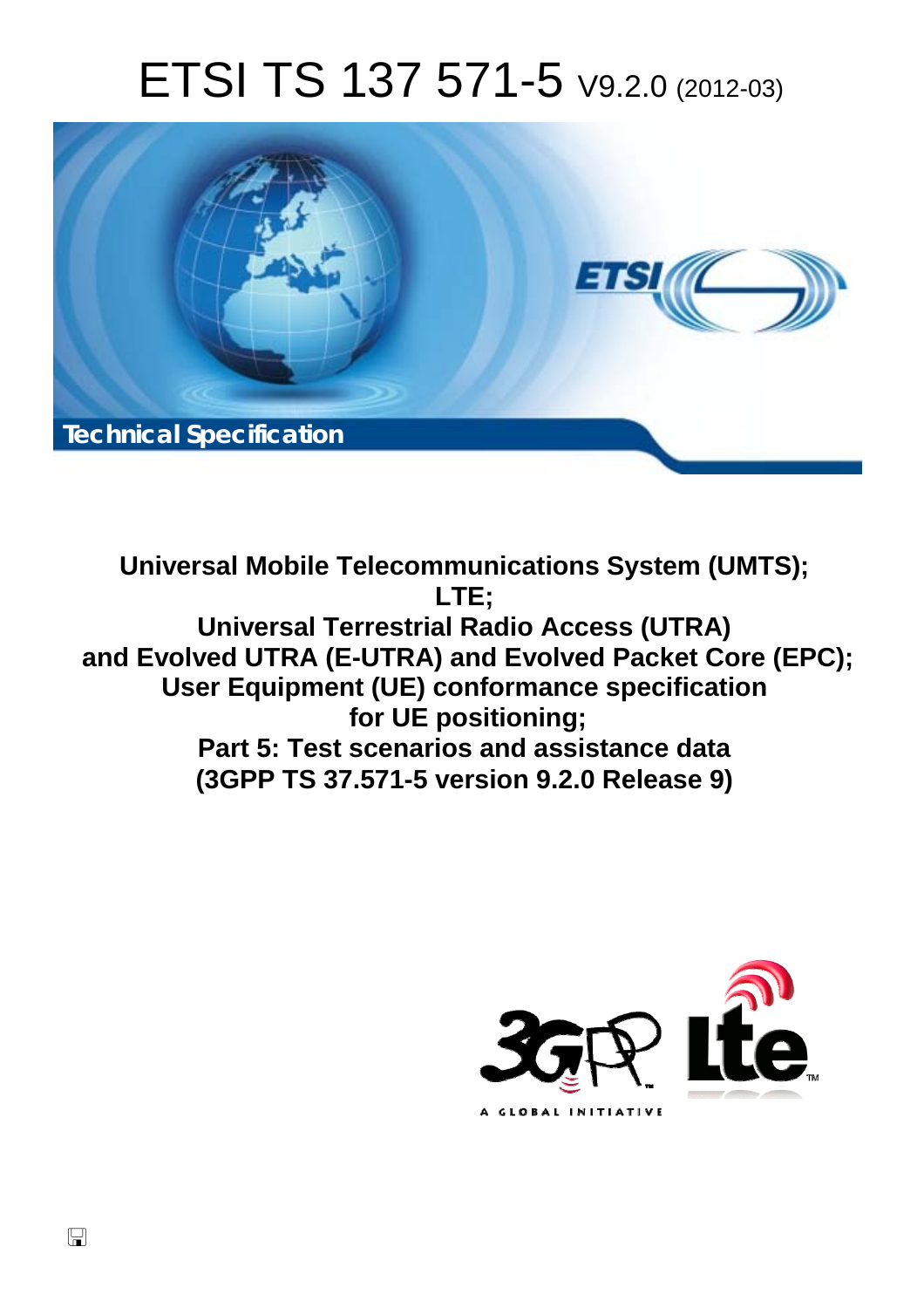# ETSI TS 137 571-5 V9.2.0 (2012-03)



**Universal Mobile Telecommunications System (UMTS); LTE; Universal Terrestrial Radio Access (UTRA) and Evolved UTRA (E-UTRA) and Evolved Packet Core (EPC); User Equipment (UE) conformance specification for UE positioning; Part 5: Test scenarios and assistance data (3GPP TS 37.571-5 version 9.2.0 Release 9)** 

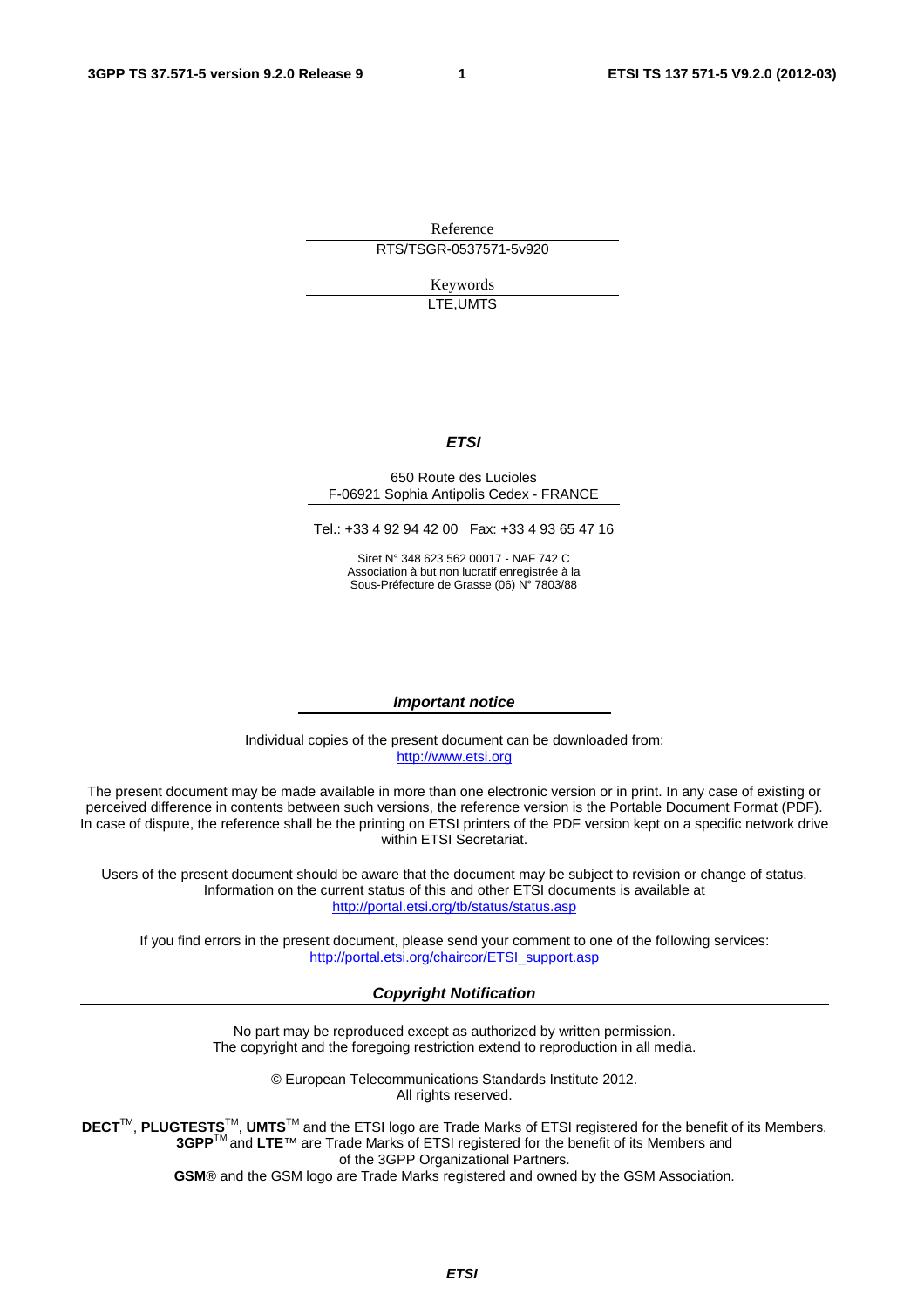Reference RTS/TSGR-0537571-5v920

> Keywords LTE,UMTS

# *ETSI*

#### 650 Route des Lucioles F-06921 Sophia Antipolis Cedex - FRANCE

Tel.: +33 4 92 94 42 00 Fax: +33 4 93 65 47 16

Siret N° 348 623 562 00017 - NAF 742 C Association à but non lucratif enregistrée à la Sous-Préfecture de Grasse (06) N° 7803/88

#### *Important notice*

Individual copies of the present document can be downloaded from: [http://www.etsi.org](http://www.etsi.org/)

The present document may be made available in more than one electronic version or in print. In any case of existing or perceived difference in contents between such versions, the reference version is the Portable Document Format (PDF). In case of dispute, the reference shall be the printing on ETSI printers of the PDF version kept on a specific network drive within ETSI Secretariat.

Users of the present document should be aware that the document may be subject to revision or change of status. Information on the current status of this and other ETSI documents is available at <http://portal.etsi.org/tb/status/status.asp>

If you find errors in the present document, please send your comment to one of the following services: [http://portal.etsi.org/chaircor/ETSI\\_support.asp](http://portal.etsi.org/chaircor/ETSI_support.asp)

#### *Copyright Notification*

No part may be reproduced except as authorized by written permission. The copyright and the foregoing restriction extend to reproduction in all media.

> © European Telecommunications Standards Institute 2012. All rights reserved.

DECT<sup>™</sup>, PLUGTESTS<sup>™</sup>, UMTS<sup>™</sup> and the ETSI logo are Trade Marks of ETSI registered for the benefit of its Members. **3GPP**TM and **LTE**™ are Trade Marks of ETSI registered for the benefit of its Members and of the 3GPP Organizational Partners.

**GSM**® and the GSM logo are Trade Marks registered and owned by the GSM Association.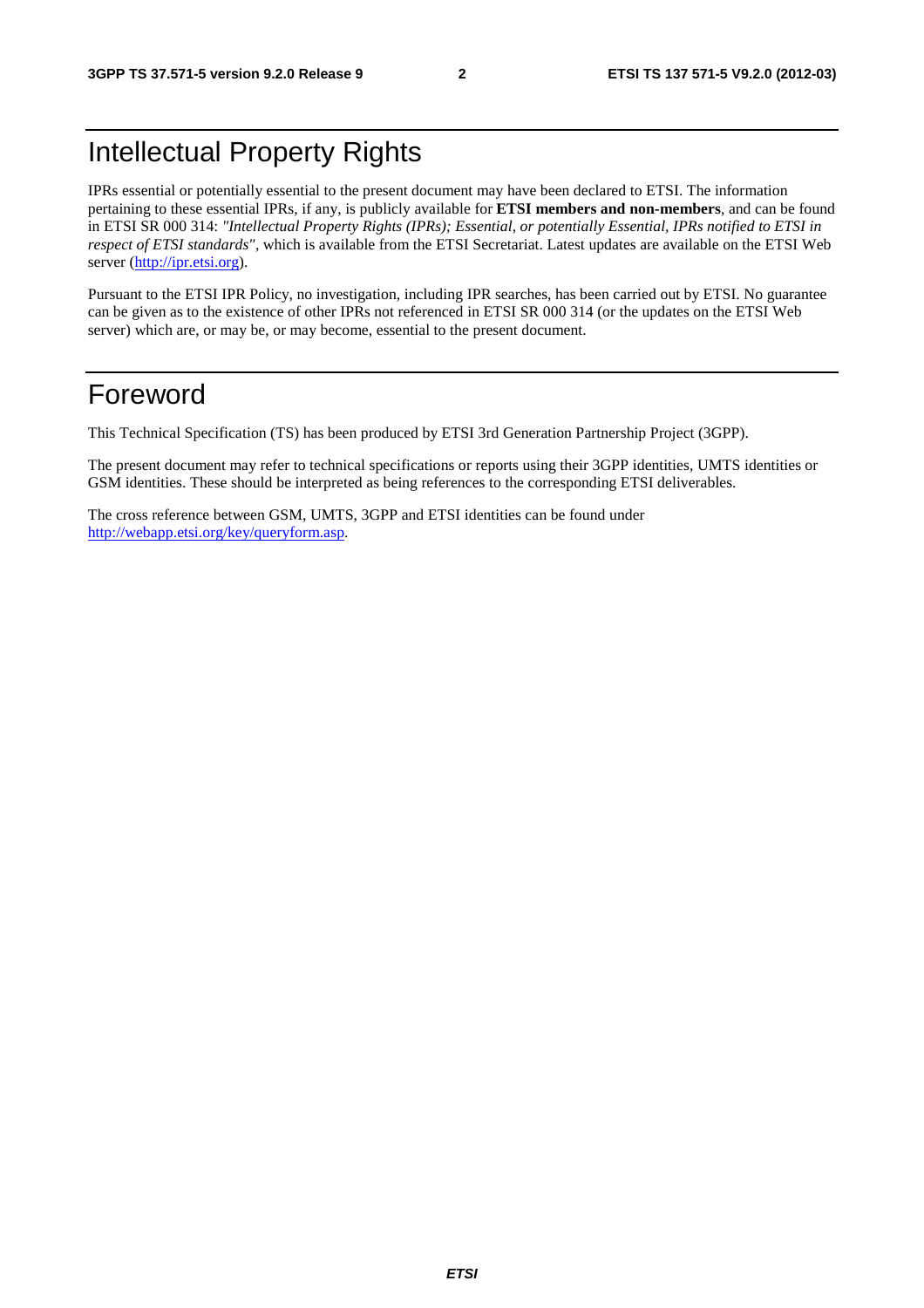# Intellectual Property Rights

IPRs essential or potentially essential to the present document may have been declared to ETSI. The information pertaining to these essential IPRs, if any, is publicly available for **ETSI members and non-members**, and can be found in ETSI SR 000 314: *"Intellectual Property Rights (IPRs); Essential, or potentially Essential, IPRs notified to ETSI in respect of ETSI standards"*, which is available from the ETSI Secretariat. Latest updates are available on the ETSI Web server [\(http://ipr.etsi.org](http://webapp.etsi.org/IPR/home.asp)).

Pursuant to the ETSI IPR Policy, no investigation, including IPR searches, has been carried out by ETSI. No guarantee can be given as to the existence of other IPRs not referenced in ETSI SR 000 314 (or the updates on the ETSI Web server) which are, or may be, or may become, essential to the present document.

# Foreword

This Technical Specification (TS) has been produced by ETSI 3rd Generation Partnership Project (3GPP).

The present document may refer to technical specifications or reports using their 3GPP identities, UMTS identities or GSM identities. These should be interpreted as being references to the corresponding ETSI deliverables.

The cross reference between GSM, UMTS, 3GPP and ETSI identities can be found under [http://webapp.etsi.org/key/queryform.asp.](http://webapp.etsi.org/key/queryform.asp)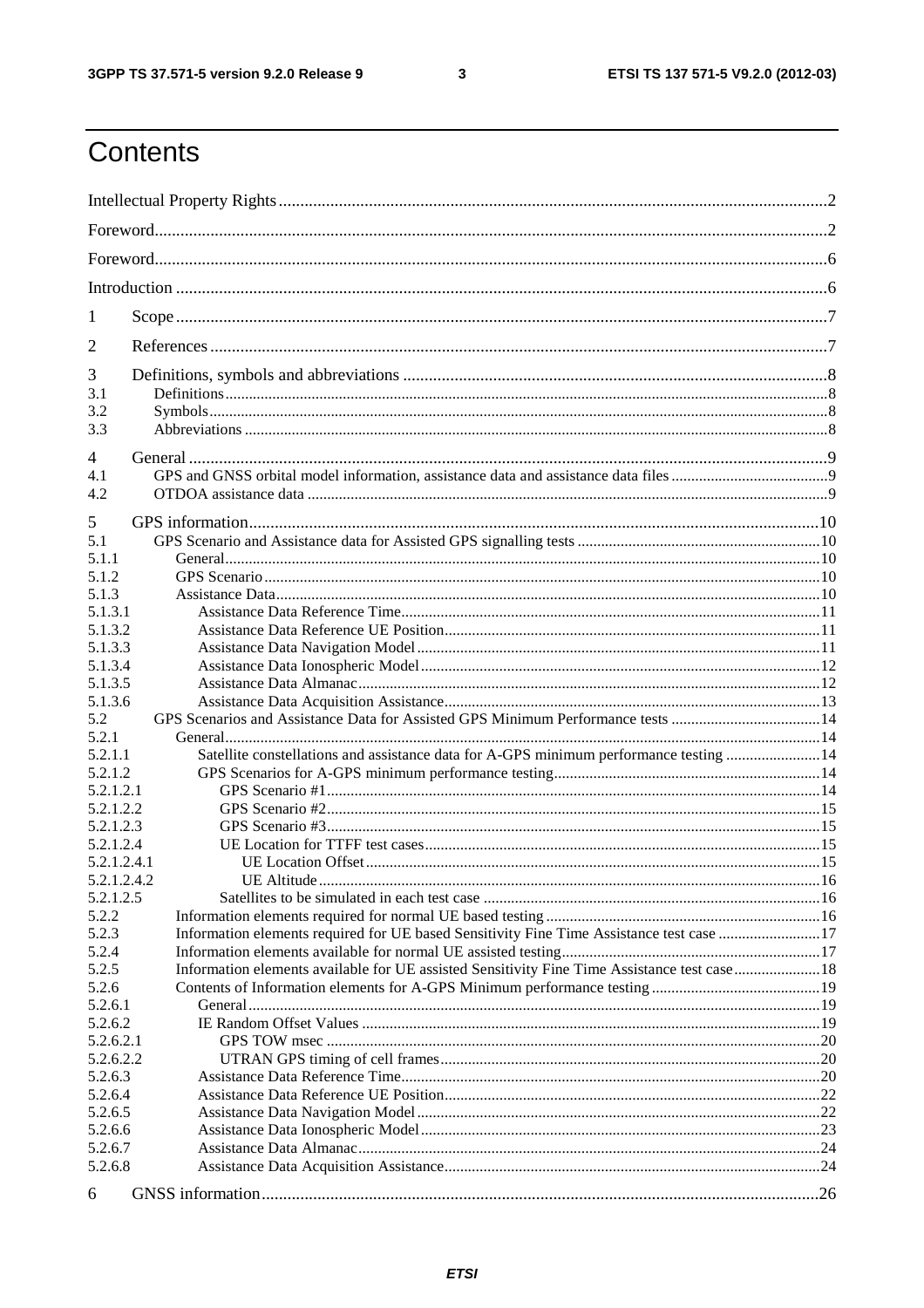$\mathbf{3}$ 

# Contents

| 1                  |                                                                                               |  |
|--------------------|-----------------------------------------------------------------------------------------------|--|
| 2                  |                                                                                               |  |
| 3                  |                                                                                               |  |
| 3.1<br>3.2         |                                                                                               |  |
| 3.3                |                                                                                               |  |
|                    |                                                                                               |  |
| $\overline{4}$     |                                                                                               |  |
| 4.1                |                                                                                               |  |
| 4.2                |                                                                                               |  |
| 5                  |                                                                                               |  |
| 5.1                |                                                                                               |  |
| 5.1.1              |                                                                                               |  |
| 5.1.2              |                                                                                               |  |
| 5.1.3              |                                                                                               |  |
| 5.1.3.1            |                                                                                               |  |
| 5.1.3.2            |                                                                                               |  |
| 5.1.3.3<br>5.1.3.4 |                                                                                               |  |
| 5.1.3.5            |                                                                                               |  |
| 5.1.3.6            |                                                                                               |  |
| 5.2                |                                                                                               |  |
| 5.2.1              |                                                                                               |  |
| 5.2.1.1            | Satellite constellations and assistance data for A-GPS minimum performance testing  14        |  |
| 5.2.1.2            |                                                                                               |  |
| 5.2.1.2.1          |                                                                                               |  |
| 5.2.1.2.2          |                                                                                               |  |
| 5.2.1.2.3          |                                                                                               |  |
| 5.2.1.2.4          |                                                                                               |  |
| 5.2.1.2.4.1        |                                                                                               |  |
| 5.2.1.2.4.2        |                                                                                               |  |
| 5.2.1.2.5          |                                                                                               |  |
| 5.2.2              |                                                                                               |  |
| 5.2.3              | Information elements required for UE based Sensitivity Fine Time Assistance test case 17      |  |
| 5.2.4<br>5.2.5     | Information elements available for UE assisted Sensitivity Fine Time Assistance test case  18 |  |
| 5.2.6              |                                                                                               |  |
| 5.2.6.1            |                                                                                               |  |
| 5.2.6.2            |                                                                                               |  |
| 5.2.6.2.1          |                                                                                               |  |
| 5.2.6.2.2          |                                                                                               |  |
| 5.2.6.3            |                                                                                               |  |
| 5.2.6.4            |                                                                                               |  |
| 5.2.6.5            |                                                                                               |  |
| 5.2.6.6            |                                                                                               |  |
| 5.2.6.7            |                                                                                               |  |
| 5.2.6.8            |                                                                                               |  |
| 6                  |                                                                                               |  |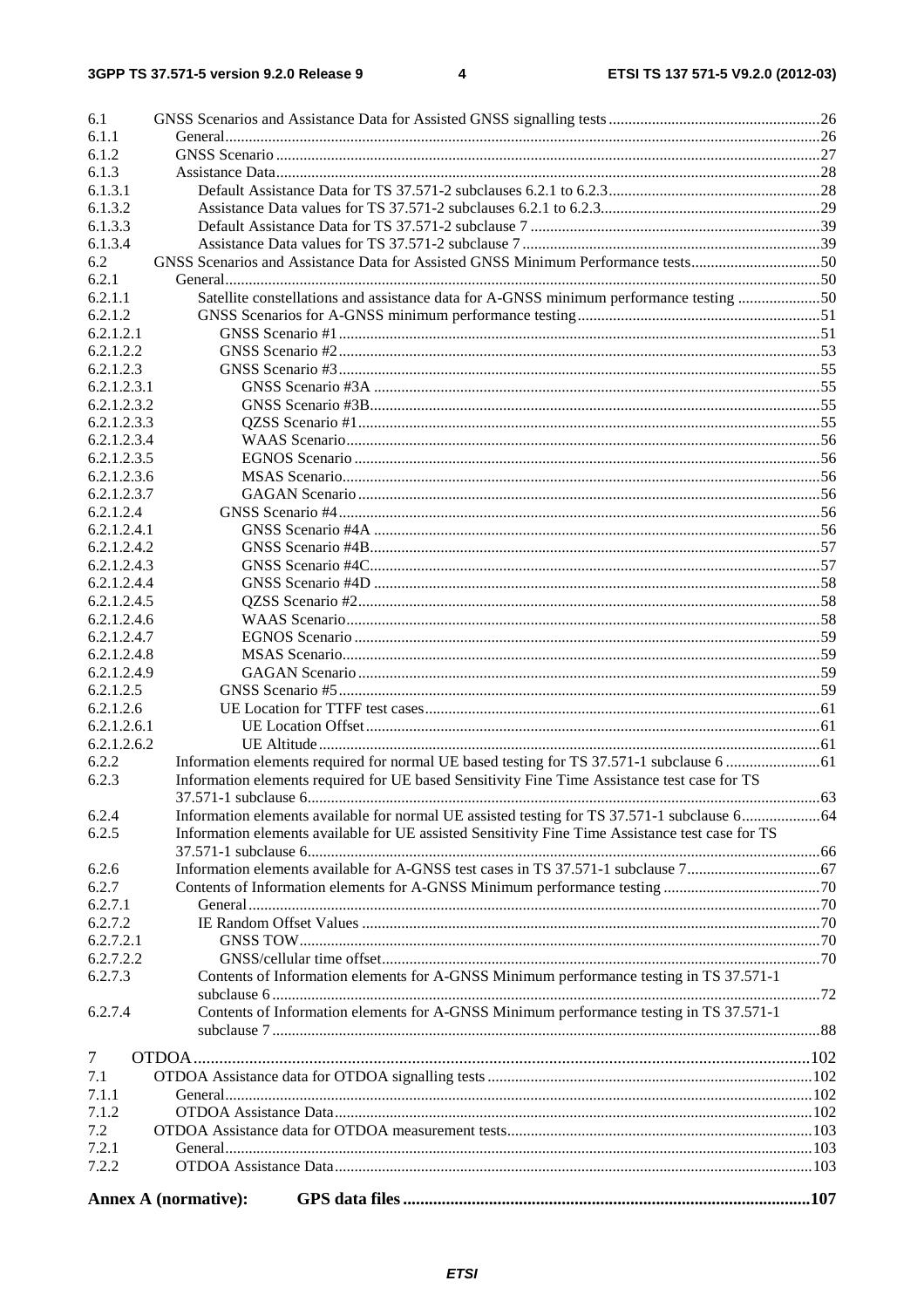| 6.1         |                                                                                                  |  |
|-------------|--------------------------------------------------------------------------------------------------|--|
| 6.1.1       |                                                                                                  |  |
| 6.1.2       |                                                                                                  |  |
| 6.1.3       |                                                                                                  |  |
| 6.1.3.1     |                                                                                                  |  |
| 6.1.3.2     |                                                                                                  |  |
| 6.1.3.3     |                                                                                                  |  |
| 6.1.3.4     |                                                                                                  |  |
| 6.2         | GNSS Scenarios and Assistance Data for Assisted GNSS Minimum Performance tests50                 |  |
| 6.2.1       |                                                                                                  |  |
| 6.2.1.1     | Satellite constellations and assistance data for A-GNSS minimum performance testing 50           |  |
| 6.2.1.2     |                                                                                                  |  |
| 6.2.1.2.1   |                                                                                                  |  |
| 6.2.1.2.2   |                                                                                                  |  |
| 6.2.1.2.3   |                                                                                                  |  |
| 6.2.1.2.3.1 |                                                                                                  |  |
| 6.2.1.2.3.2 |                                                                                                  |  |
| 6.2.1.2.3.3 |                                                                                                  |  |
| 6.2.1.2.3.4 |                                                                                                  |  |
| 6.2.1.2.3.5 |                                                                                                  |  |
| 6.2.1.2.3.6 |                                                                                                  |  |
| 6.2.1.2.3.7 |                                                                                                  |  |
| 6.2.1.2.4   |                                                                                                  |  |
| 6.2.1.2.4.1 |                                                                                                  |  |
| 6.2.1.2.4.2 |                                                                                                  |  |
| 6.2.1.2.4.3 |                                                                                                  |  |
| 6.2.1.2.4.4 |                                                                                                  |  |
| 6.2.1.2.4.5 |                                                                                                  |  |
| 6.2.1.2.4.6 |                                                                                                  |  |
| 6.2.1.2.4.7 |                                                                                                  |  |
| 6.2.1.2.4.8 |                                                                                                  |  |
| 6.2.1.2.4.9 |                                                                                                  |  |
| 6.2.1.2.5   |                                                                                                  |  |
| 6.2.1.2.6   |                                                                                                  |  |
| 6.2.1.2.6.1 |                                                                                                  |  |
| 6.2.1.2.6.2 |                                                                                                  |  |
| 6.2.2       |                                                                                                  |  |
| 6.2.3       | Information elements required for UE based Sensitivity Fine Time Assistance test case for TS     |  |
|             |                                                                                                  |  |
| 6.2.4       |                                                                                                  |  |
| 6.2.5       | Information elements available for UE assisted Sensitivity Fine Time Assistance test case for TS |  |
|             |                                                                                                  |  |
| 6.2.6       |                                                                                                  |  |
| 6.2.7       |                                                                                                  |  |
| 6.2.7.1     |                                                                                                  |  |
| 6.2.7.2     |                                                                                                  |  |
| 6.2.7.2.1   |                                                                                                  |  |
| 6.2.7.2.2   |                                                                                                  |  |
| 6.2.7.3     | Contents of Information elements for A-GNSS Minimum performance testing in TS 37.571-1           |  |
|             |                                                                                                  |  |
| 6.2.7.4     | Contents of Information elements for A-GNSS Minimum performance testing in TS 37.571-1           |  |
|             |                                                                                                  |  |
| $\tau$      |                                                                                                  |  |
| 7.1         |                                                                                                  |  |
| 7.1.1       |                                                                                                  |  |
| 7.1.2       |                                                                                                  |  |
| 7.2         |                                                                                                  |  |
| 7.2.1       |                                                                                                  |  |
| 7.2.2       |                                                                                                  |  |
|             |                                                                                                  |  |
|             | <b>Annex A (normative):</b>                                                                      |  |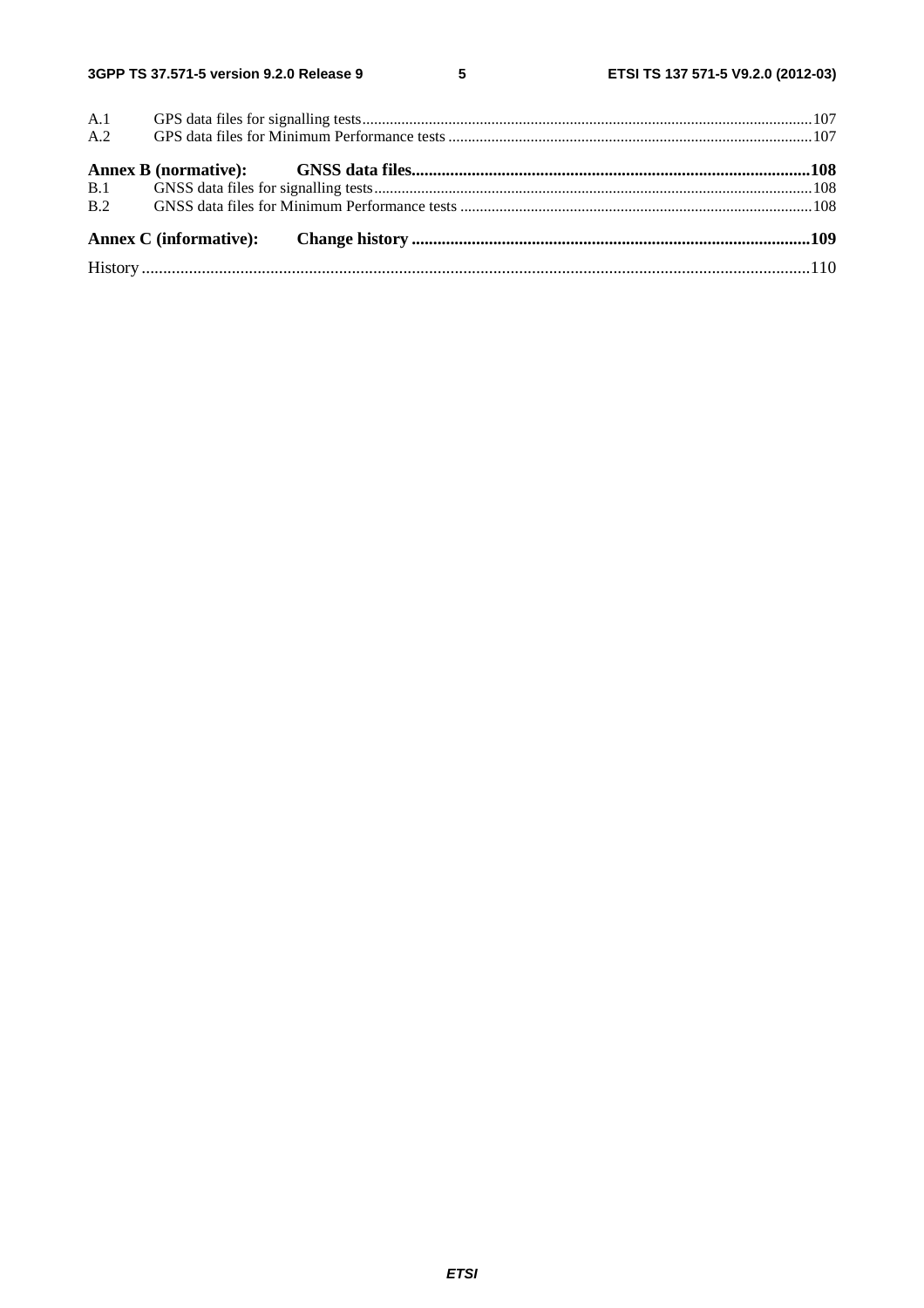$5\phantom{a}$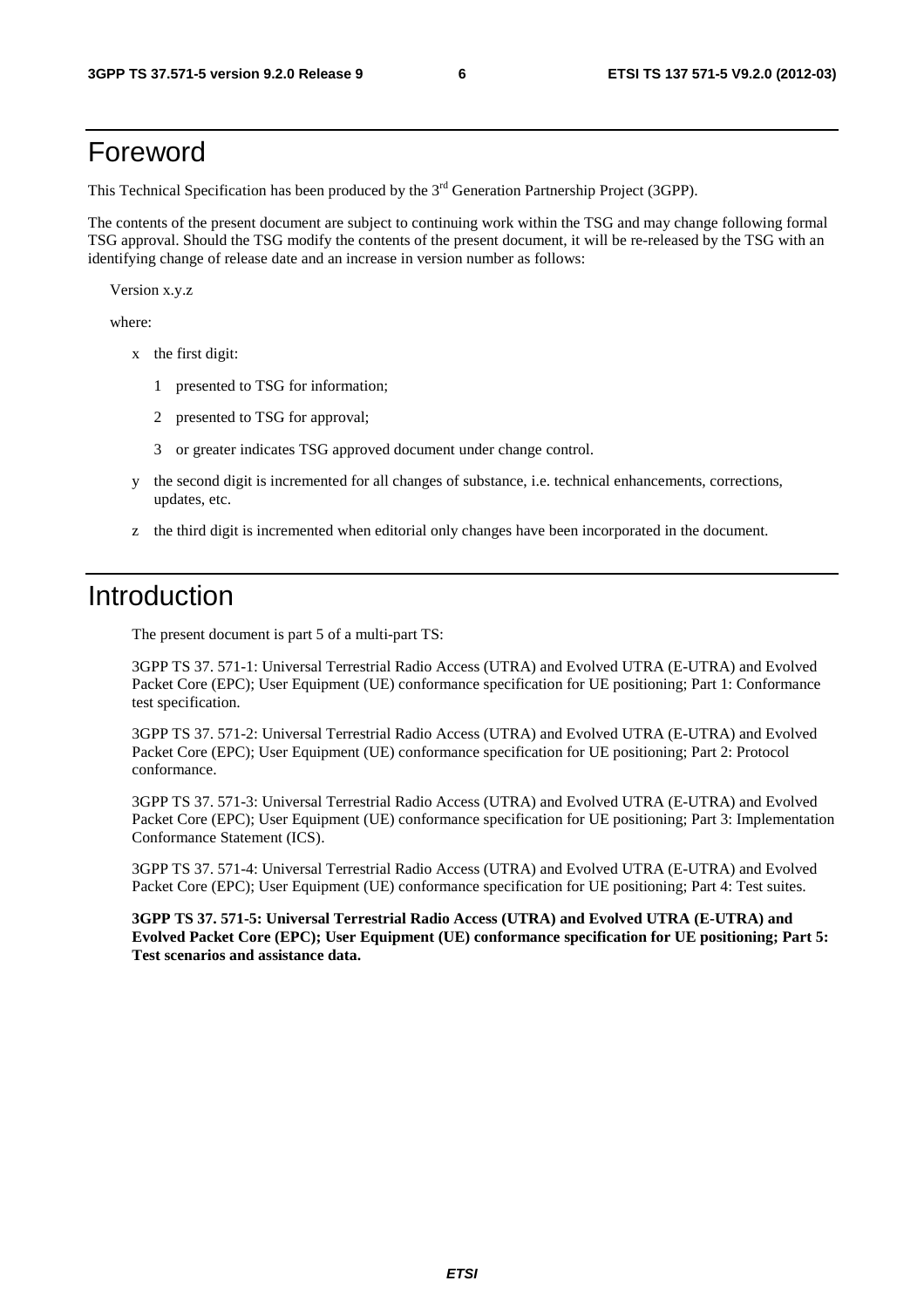# Foreword

This Technical Specification has been produced by the 3<sup>rd</sup> Generation Partnership Project (3GPP).

The contents of the present document are subject to continuing work within the TSG and may change following formal TSG approval. Should the TSG modify the contents of the present document, it will be re-released by the TSG with an identifying change of release date and an increase in version number as follows:

Version x.y.z

where:

- x the first digit:
	- 1 presented to TSG for information;
	- 2 presented to TSG for approval;
	- 3 or greater indicates TSG approved document under change control.
- y the second digit is incremented for all changes of substance, i.e. technical enhancements, corrections, updates, etc.
- z the third digit is incremented when editorial only changes have been incorporated in the document.

# Introduction

The present document is part 5 of a multi-part TS:

3GPP TS 37. 571-1: Universal Terrestrial Radio Access (UTRA) and Evolved UTRA (E-UTRA) and Evolved Packet Core (EPC); User Equipment (UE) conformance specification for UE positioning; Part 1: Conformance test specification.

3GPP TS 37. 571-2: Universal Terrestrial Radio Access (UTRA) and Evolved UTRA (E-UTRA) and Evolved Packet Core (EPC); User Equipment (UE) conformance specification for UE positioning; Part 2: Protocol conformance.

3GPP TS 37. 571-3: Universal Terrestrial Radio Access (UTRA) and Evolved UTRA (E-UTRA) and Evolved Packet Core (EPC); User Equipment (UE) conformance specification for UE positioning; Part 3: Implementation Conformance Statement (ICS).

3GPP TS 37. 571-4: Universal Terrestrial Radio Access (UTRA) and Evolved UTRA (E-UTRA) and Evolved Packet Core (EPC); User Equipment (UE) conformance specification for UE positioning; Part 4: Test suites.

**3GPP TS 37. 571-5: Universal Terrestrial Radio Access (UTRA) and Evolved UTRA (E-UTRA) and Evolved Packet Core (EPC); User Equipment (UE) conformance specification for UE positioning; Part 5: Test scenarios and assistance data.**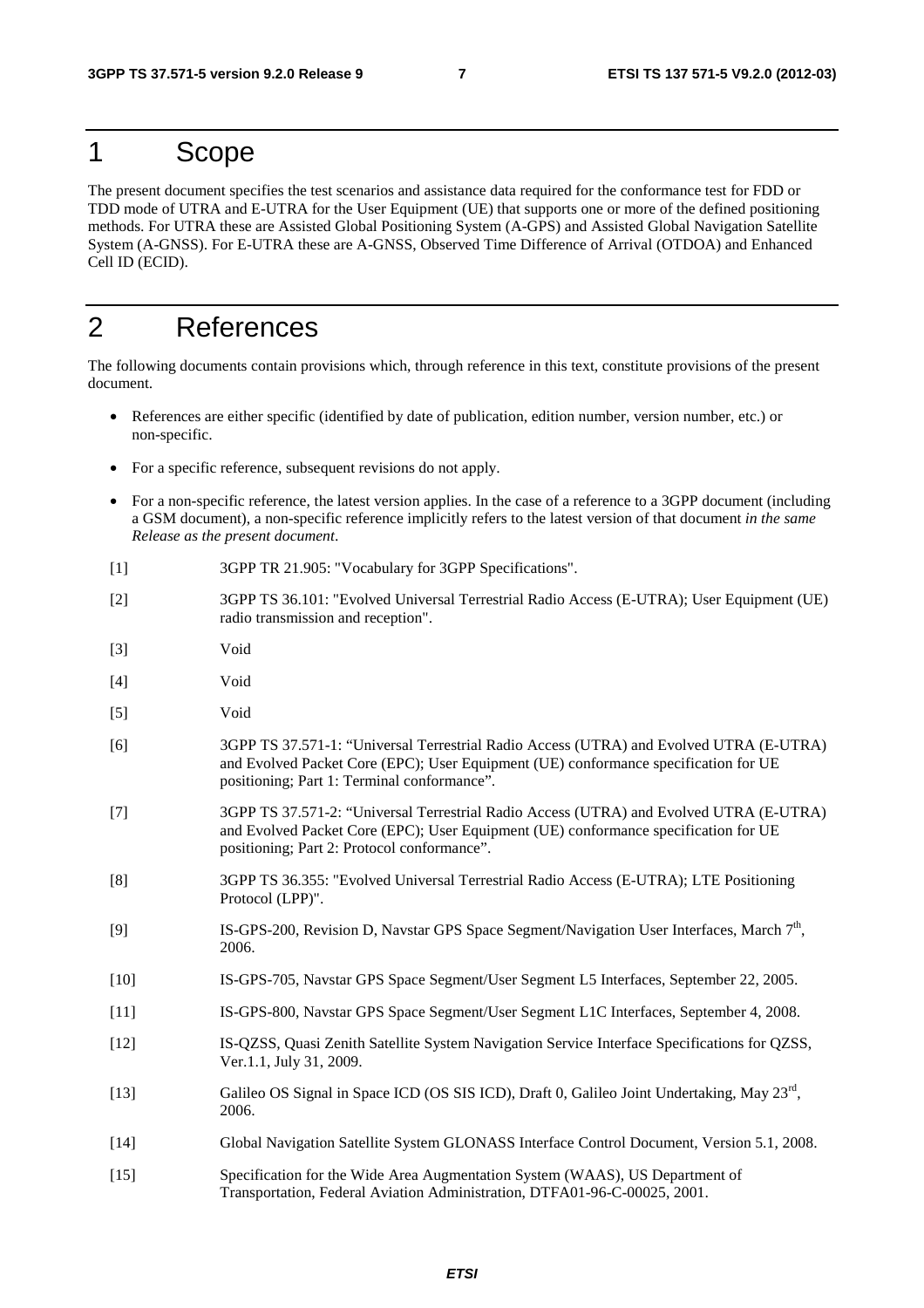# 1 Scope

The present document specifies the test scenarios and assistance data required for the conformance test for FDD or TDD mode of UTRA and E-UTRA for the User Equipment (UE) that supports one or more of the defined positioning methods. For UTRA these are Assisted Global Positioning System (A-GPS) and Assisted Global Navigation Satellite System (A-GNSS). For E-UTRA these are A-GNSS, Observed Time Difference of Arrival (OTDOA) and Enhanced Cell ID (ECID).

# 2 References

The following documents contain provisions which, through reference in this text, constitute provisions of the present document.

- References are either specific (identified by date of publication, edition number, version number, etc.) or non-specific.
- For a specific reference, subsequent revisions do not apply.
- For a non-specific reference, the latest version applies. In the case of a reference to a 3GPP document (including a GSM document), a non-specific reference implicitly refers to the latest version of that document *in the same Release as the present document*.
- [1] 3GPP TR 21.905: "Vocabulary for 3GPP Specifications".
- [2] 3GPP TS 36.101: "Evolved Universal Terrestrial Radio Access (E-UTRA); User Equipment (UE) radio transmission and reception".
- [3] Void
- [4] Void
- [5] Void
- [6] 3GPP TS 37.571-1: "Universal Terrestrial Radio Access (UTRA) and Evolved UTRA (E-UTRA) and Evolved Packet Core (EPC); User Equipment (UE) conformance specification for UE positioning; Part 1: Terminal conformance".
- [7] 3GPP TS 37.571-2: "Universal Terrestrial Radio Access (UTRA) and Evolved UTRA (E-UTRA) and Evolved Packet Core (EPC); User Equipment (UE) conformance specification for UE positioning; Part 2: Protocol conformance".
- [8] 3GPP TS 36.355: "Evolved Universal Terrestrial Radio Access (E-UTRA); LTE Positioning Protocol (LPP)".
- [9] IS-GPS-200, Revision D, Navstar GPS Space Segment/Navigation User Interfaces, March 7<sup>th</sup>, 2006.
- [10] IS-GPS-705, Navstar GPS Space Segment/User Segment L5 Interfaces, September 22, 2005.
- [11] IS-GPS-800, Navstar GPS Space Segment/User Segment L1C Interfaces, September 4, 2008.
- [12] IS-QZSS, Quasi Zenith Satellite System Navigation Service Interface Specifications for QZSS, Ver.1.1, July 31, 2009.
- [13] Galileo OS Signal in Space ICD (OS SIS ICD), Draft 0, Galileo Joint Undertaking, May 23rd, 2006.
- [14] Global Navigation Satellite System GLONASS Interface Control Document, Version 5.1, 2008.
- [15] Specification for the Wide Area Augmentation System (WAAS), US Department of Transportation, Federal Aviation Administration, DTFA01-96-C-00025, 2001.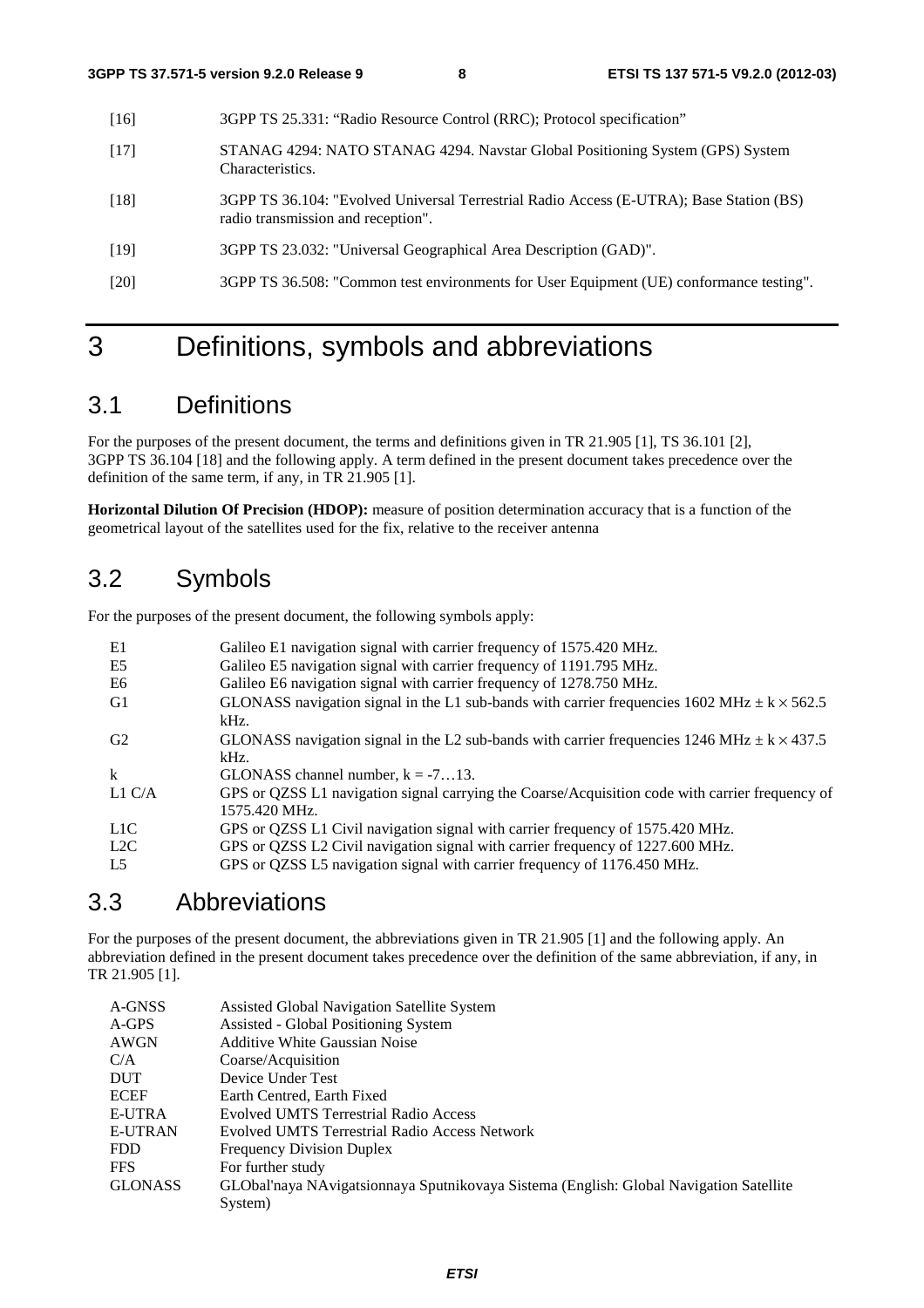- [16] 3GPP TS 25.331: "Radio Resource Control (RRC); Protocol specification"
- [17] STANAG 4294: NATO STANAG 4294. Navstar Global Positioning System (GPS) System Characteristics.
- [18] 3GPP TS 36.104: "Evolved Universal Terrestrial Radio Access (E-UTRA); Base Station (BS) radio transmission and reception".
- [19] 3GPP TS 23.032: "Universal Geographical Area Description (GAD)".
- [20] 3GPP TS 36.508: "Common test environments for User Equipment (UE) conformance testing".

# 3 Definitions, symbols and abbreviations

# 3.1 Definitions

For the purposes of the present document, the terms and definitions given in TR 21.905 [1], TS 36.101 [2], 3GPP TS 36.104 [18] and the following apply. A term defined in the present document takes precedence over the definition of the same term, if any, in TR 21.905 [1].

**Horizontal Dilution Of Precision (HDOP):** measure of position determination accuracy that is a function of the geometrical layout of the satellites used for the fix, relative to the receiver antenna

# 3.2 Symbols

For the purposes of the present document, the following symbols apply:

| E1             | Galileo E1 navigation signal with carrier frequency of 1575.420 MHz.                                              |
|----------------|-------------------------------------------------------------------------------------------------------------------|
| E5             | Galileo E5 navigation signal with carrier frequency of 1191.795 MHz.                                              |
| E6             | Galileo E6 navigation signal with carrier frequency of 1278.750 MHz.                                              |
| G1             | GLONASS navigation signal in the L1 sub-bands with carrier frequencies 1602 MHz $\pm$ k $\times$ 562.5<br>kHz.    |
| G2             | GLONASS navigation signal in the L2 sub-bands with carrier frequencies 1246 MHz $\pm$ k $\times$ 437.5<br>$kHz$ . |
| $\mathbf{k}$   | GLONASS channel number, $k = -713$ .                                                                              |
| L1 $C/A$       | GPS or QZSS L1 navigation signal carrying the Coarse/Acquisition code with carrier frequency of<br>1575.420 MHz.  |
| L1C            | GPS or QZSS L1 Civil navigation signal with carrier frequency of 1575.420 MHz.                                    |
| L2C            | GPS or QZSS L2 Civil navigation signal with carrier frequency of 1227.600 MHz.                                    |
| L <sub>5</sub> | GPS or QZSS L5 navigation signal with carrier frequency of 1176.450 MHz.                                          |

# 3.3 Abbreviations

For the purposes of the present document, the abbreviations given in TR 21.905 [1] and the following apply. An abbreviation defined in the present document takes precedence over the definition of the same abbreviation, if any, in TR 21.905 [1].

| A-GNSS         | Assisted Global Navigation Satellite System                                            |
|----------------|----------------------------------------------------------------------------------------|
| A-GPS          | Assisted - Global Positioning System                                                   |
| AWGN           | <b>Additive White Gaussian Noise</b>                                                   |
| C/A            | Coarse/Acquisition                                                                     |
| <b>DUT</b>     | Device Under Test                                                                      |
| <b>ECEF</b>    | Earth Centred, Earth Fixed                                                             |
| <b>E-UTRA</b>  | <b>Evolved UMTS Terrestrial Radio Access</b>                                           |
| <b>E-UTRAN</b> | <b>Evolved UMTS Terrestrial Radio Access Network</b>                                   |
| FDD.           | <b>Frequency Division Duplex</b>                                                       |
| <b>FFS</b>     | For further study                                                                      |
| <b>GLONASS</b> | GLObal'naya NAvigatsionnaya Sputnikovaya Sistema (English: Global Navigation Satellite |
|                | System)                                                                                |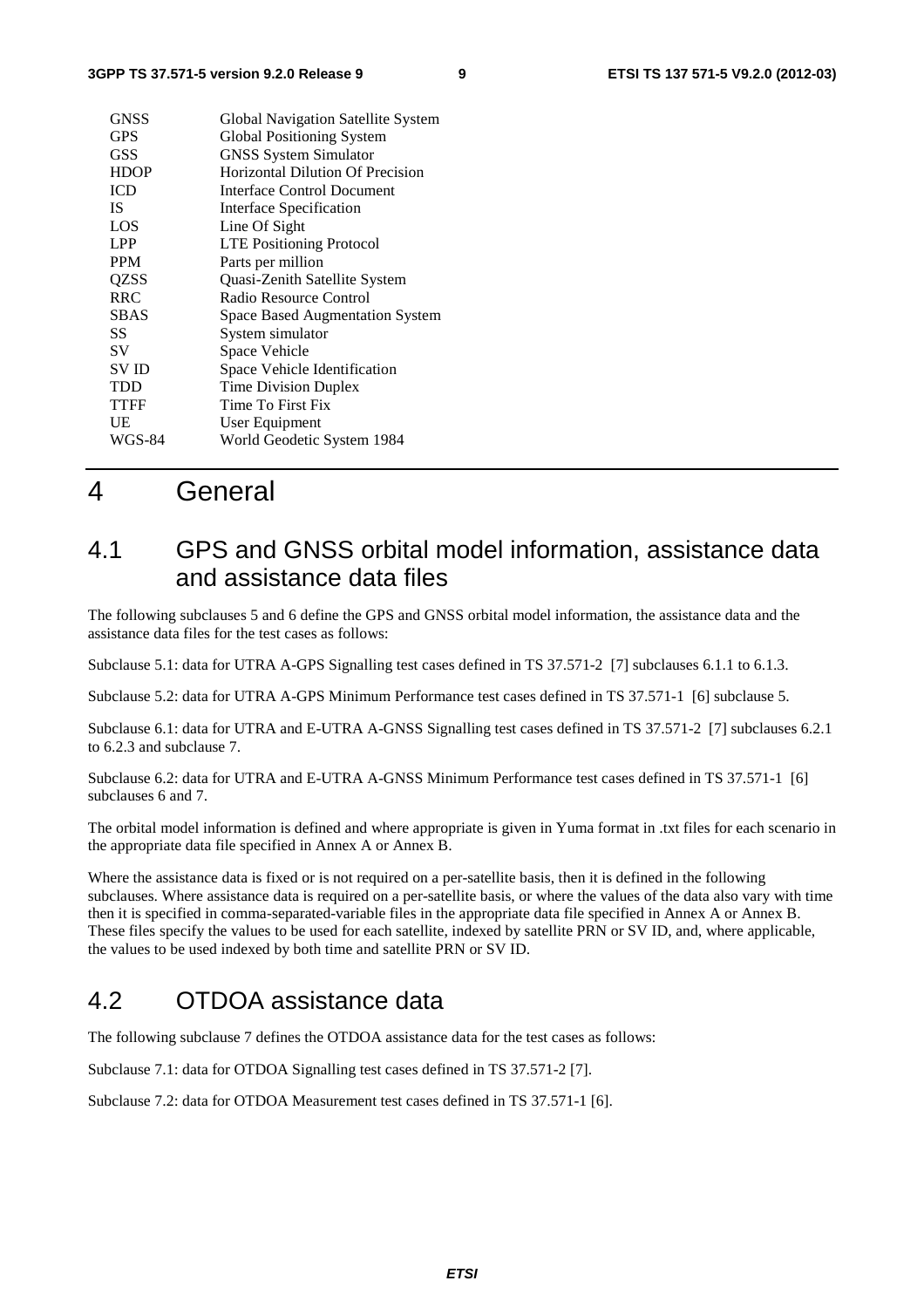| <b>GNSS</b>   | Global Navigation Satellite System |
|---------------|------------------------------------|
| <b>GPS</b>    | Global Positioning System          |
| <b>GSS</b>    | <b>GNSS System Simulator</b>       |
| <b>HDOP</b>   | Horizontal Dilution Of Precision   |
| <b>ICD</b>    | Interface Control Document         |
| IS.           | Interface Specification            |
| LOS           | Line Of Sight                      |
| LPP           | <b>LTE</b> Positioning Protocol    |
| <b>PPM</b>    | Parts per million                  |
| QZSS          | Quasi-Zenith Satellite System      |
| <b>RRC</b>    | Radio Resource Control             |
| <b>SBAS</b>   | Space Based Augmentation System    |
| SS            | System simulator                   |
| SV            | Space Vehicle                      |
| <b>SVID</b>   | Space Vehicle Identification       |
| TDD           | Time Division Duplex               |
| <b>TTFF</b>   | Time To First Fix                  |
| UE            | <b>User Equipment</b>              |
| <b>WGS-84</b> | World Geodetic System 1984         |
|               |                                    |

# 4 General

# 4.1 GPS and GNSS orbital model information, assistance data and assistance data files

The following subclauses 5 and 6 define the GPS and GNSS orbital model information, the assistance data and the assistance data files for the test cases as follows:

Subclause 5.1: data for UTRA A-GPS Signalling test cases defined in TS 37.571-2 [7] subclauses 6.1.1 to 6.1.3.

Subclause 5.2: data for UTRA A-GPS Minimum Performance test cases defined in TS 37.571-1 [6] subclause 5.

Subclause 6.1: data for UTRA and E-UTRA A-GNSS Signalling test cases defined in TS 37.571-2 [7] subclauses 6.2.1 to 6.2.3 and subclause 7.

Subclause 6.2: data for UTRA and E-UTRA A-GNSS Minimum Performance test cases defined in TS 37.571-1 [6] subclauses 6 and 7.

The orbital model information is defined and where appropriate is given in Yuma format in .txt files for each scenario in the appropriate data file specified in Annex A or Annex B.

Where the assistance data is fixed or is not required on a per-satellite basis, then it is defined in the following subclauses. Where assistance data is required on a per-satellite basis, or where the values of the data also vary with time then it is specified in comma-separated-variable files in the appropriate data file specified in Annex A or Annex B. These files specify the values to be used for each satellite, indexed by satellite PRN or SV ID, and, where applicable, the values to be used indexed by both time and satellite PRN or SV ID.

# 4.2 OTDOA assistance data

The following subclause 7 defines the OTDOA assistance data for the test cases as follows:

Subclause 7.1: data for OTDOA Signalling test cases defined in TS 37.571-2 [7].

Subclause 7.2: data for OTDOA Measurement test cases defined in TS 37.571-1 [6].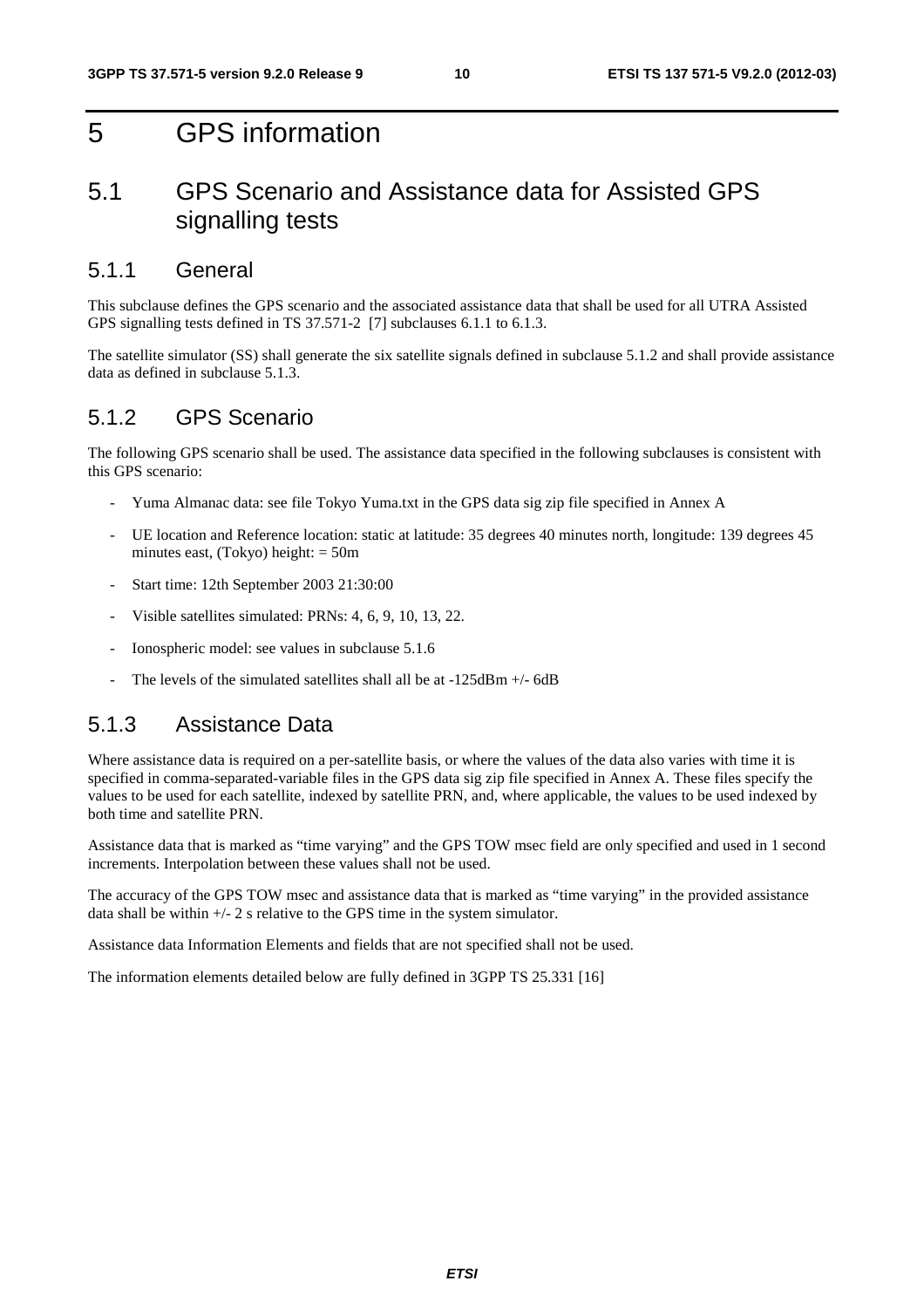# 5 GPS information

# 5.1 GPS Scenario and Assistance data for Assisted GPS signalling tests

# 5.1.1 General

This subclause defines the GPS scenario and the associated assistance data that shall be used for all UTRA Assisted GPS signalling tests defined in TS 37.571-2 [7] subclauses 6.1.1 to 6.1.3.

The satellite simulator (SS) shall generate the six satellite signals defined in subclause 5.1.2 and shall provide assistance data as defined in subclause 5.1.3.

# 5.1.2 GPS Scenario

The following GPS scenario shall be used. The assistance data specified in the following subclauses is consistent with this GPS scenario:

- Yuma Almanac data: see file Tokyo Yuma.txt in the GPS data sig zip file specified in Annex A
- UE location and Reference location: static at latitude: 35 degrees 40 minutes north, longitude: 139 degrees 45 minutes east, (Tokyo) height: = 50m
- Start time: 12th September 2003 21:30:00
- Visible satellites simulated: PRNs: 4, 6, 9, 10, 13, 22.
- Ionospheric model: see values in subclause 5.1.6
- The levels of the simulated satellites shall all be at  $-125dBm +$ /-6dB

# 5.1.3 Assistance Data

Where assistance data is required on a per-satellite basis, or where the values of the data also varies with time it is specified in comma-separated-variable files in the GPS data sig zip file specified in Annex A. These files specify the values to be used for each satellite, indexed by satellite PRN, and, where applicable, the values to be used indexed by both time and satellite PRN.

Assistance data that is marked as "time varying" and the GPS TOW msec field are only specified and used in 1 second increments. Interpolation between these values shall not be used.

The accuracy of the GPS TOW msec and assistance data that is marked as "time varying" in the provided assistance data shall be within  $+/- 2$  s relative to the GPS time in the system simulator.

Assistance data Information Elements and fields that are not specified shall not be used.

The information elements detailed below are fully defined in 3GPP TS 25.331 [16]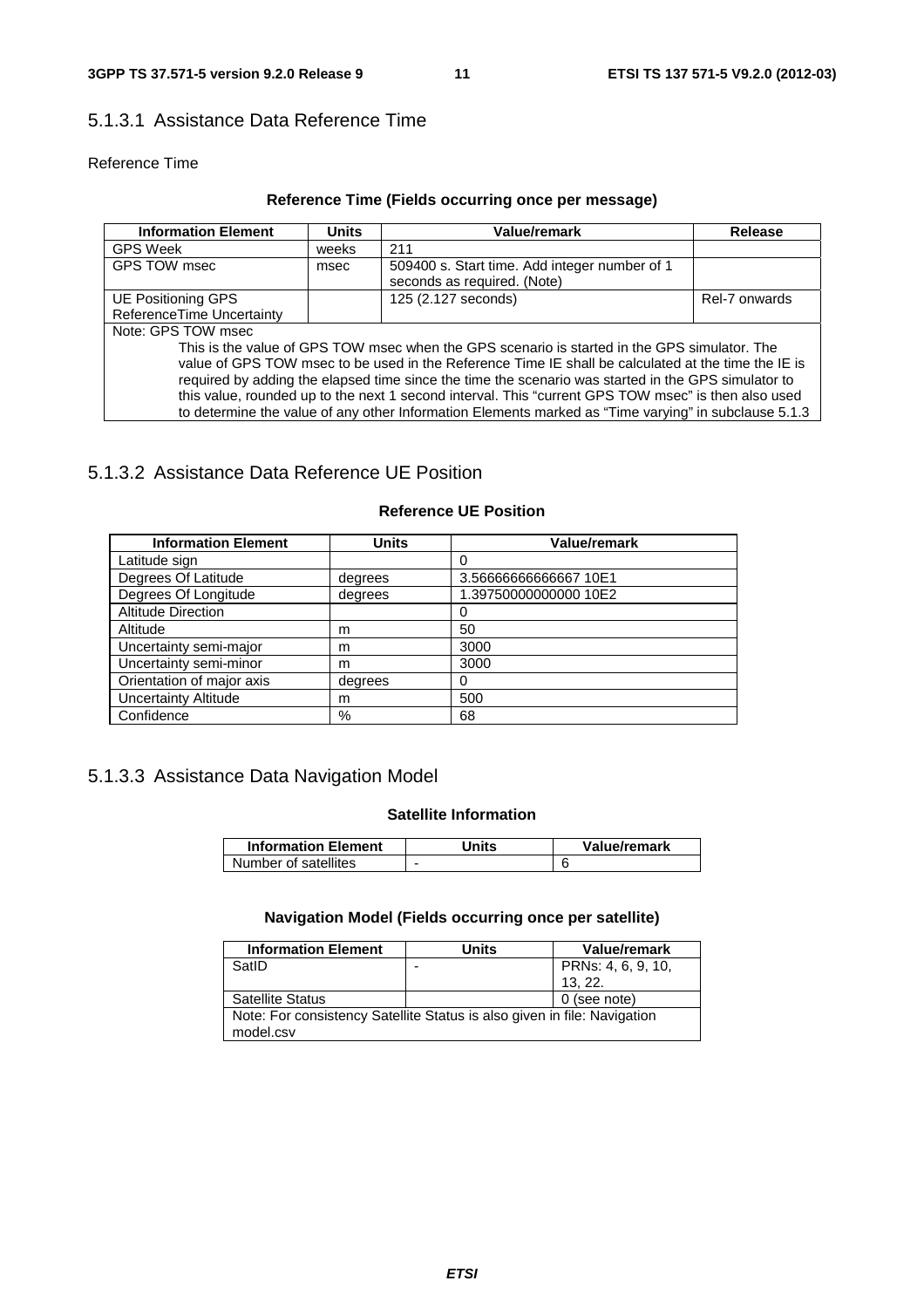# 5.1.3.1 Assistance Data Reference Time

#### Reference Time

# **Reference Time (Fields occurring once per message)**

| <b>Information Element</b>                                                                           | <b>Units</b> | Value/remark                                                                 | Release       |  |
|------------------------------------------------------------------------------------------------------|--------------|------------------------------------------------------------------------------|---------------|--|
| <b>GPS Week</b>                                                                                      | weeks        | 211                                                                          |               |  |
| GPS TOW msec                                                                                         | msec         | 509400 s. Start time. Add integer number of 1<br>seconds as required. (Note) |               |  |
| UE Positioning GPS                                                                                   |              | 125 (2.127 seconds)                                                          | Rel-7 onwards |  |
| ReferenceTime Uncertainty                                                                            |              |                                                                              |               |  |
| Note: GPS TOW msec                                                                                   |              |                                                                              |               |  |
| This is the value of GPS TOW msec when the GPS scenario is started in the GPS simulator. The         |              |                                                                              |               |  |
| value of GPS TOW msec to be used in the Reference Time IE shall be calculated at the time the IE is  |              |                                                                              |               |  |
| required by adding the elapsed time since the time the scenario was started in the GPS simulator to  |              |                                                                              |               |  |
| this value, rounded up to the next 1 second interval. This "current GPS TOW msec" is then also used  |              |                                                                              |               |  |
| to determine the value of any other Information Elements marked as "Time varying" in subclause 5.1.3 |              |                                                                              |               |  |

# 5.1.3.2 Assistance Data Reference UE Position

| <b>Information Element</b>  | <b>Units</b> | <b>Value/remark</b>   |
|-----------------------------|--------------|-----------------------|
| Latitude sign               |              |                       |
| Degrees Of Latitude         | degrees      | 3.56666666666667 10E1 |
| Degrees Of Longitude        | degrees      | 1.39750000000000 10E2 |
| <b>Altitude Direction</b>   |              |                       |
| Altitude                    | m            | 50                    |
| Uncertainty semi-major      | m            | 3000                  |
| Uncertainty semi-minor      | m            | 3000                  |
| Orientation of major axis   | degrees      | O)                    |
| <b>Uncertainty Altitude</b> | m            | 500                   |
| Confidence                  | %            | 68                    |

### **Reference UE Position**

# 5.1.3.3 Assistance Data Navigation Model

#### **Satellite Information**

| <b>Information Element</b> | Units                    | Value/remark |
|----------------------------|--------------------------|--------------|
| Number of satellites       | $\overline{\phantom{0}}$ |              |

## **Navigation Model (Fields occurring once per satellite)**

| <b>Information Element</b>                                               | Units | Value/remark       |
|--------------------------------------------------------------------------|-------|--------------------|
| SatID                                                                    |       | PRNs: 4, 6, 9, 10, |
|                                                                          |       | 13.22.             |
| <b>Satellite Status</b>                                                  |       | 0 (see note)       |
| Note: For consistency Satellite Status is also given in file: Navigation |       |                    |
| model.csv                                                                |       |                    |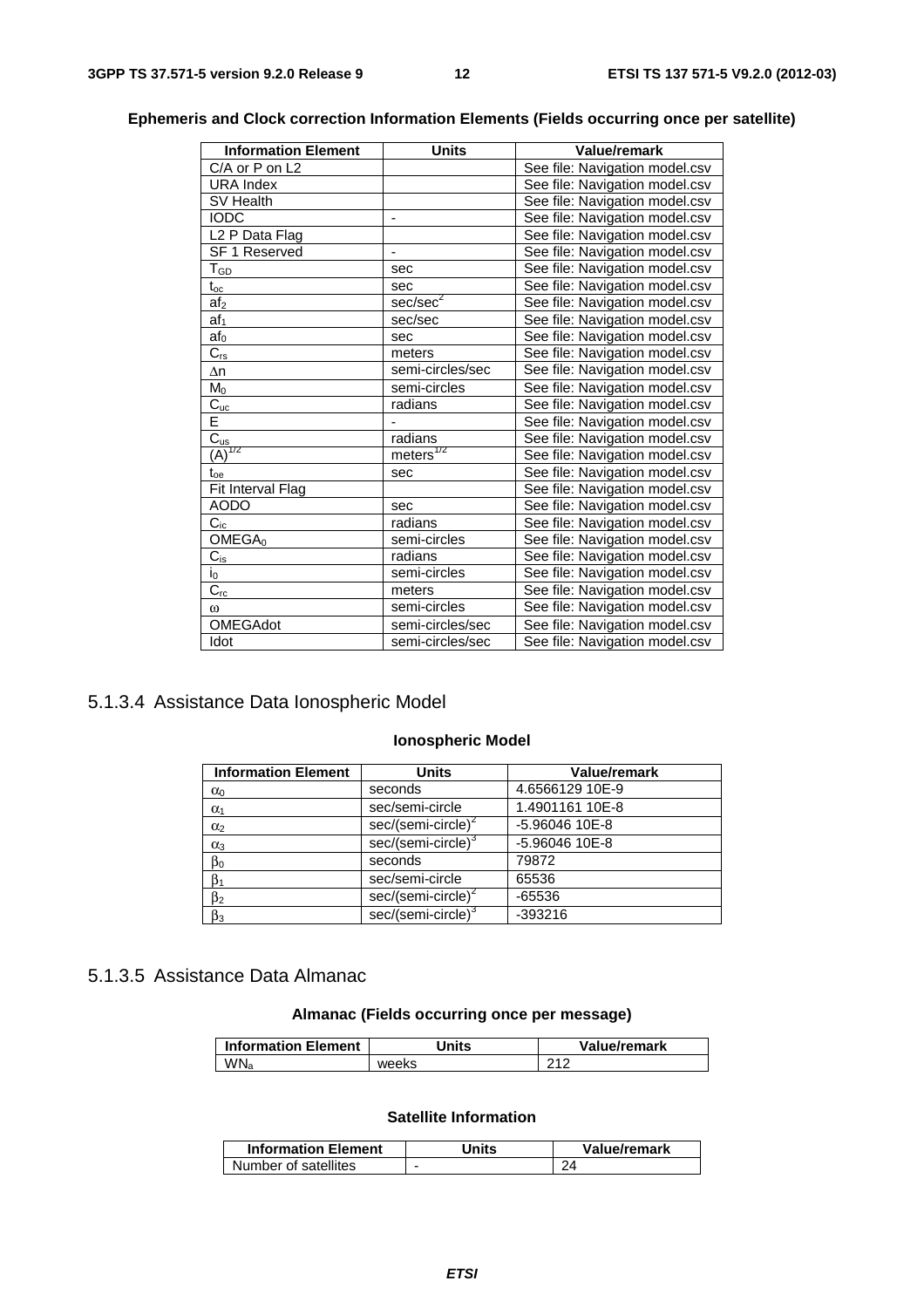| <b>Information Element</b> | <b>Units</b>             | <b>Value/remark</b>            |
|----------------------------|--------------------------|--------------------------------|
| C/A or P on L2             |                          | See file: Navigation model.csv |
| <b>URA</b> Index           |                          | See file: Navigation model.csv |
| SV Health                  |                          | See file: Navigation model.csv |
| <b>IODC</b>                | ÷,                       | See file: Navigation model.csv |
| L <sub>2</sub> P Data Flag |                          | See file: Navigation model.csv |
| <b>SF 1 Reserved</b>       |                          | See file: Navigation model.csv |
| $T_{GD}$                   | sec                      | See file: Navigation model.csv |
| $t_{oc}$                   | sec                      | See file: Navigation model.csv |
| af <sub>2</sub>            | sec/sec <sup>2</sup>     | See file: Navigation model.csv |
| af <sub>1</sub>            | sec/sec                  | See file: Navigation model.csv |
| af <sub>0</sub>            | sec                      | See file: Navigation model.csv |
| $\overline{C_{rs}}$        | meters                   | See file: Navigation model.csv |
| $\Delta n$                 | semi-circles/sec         | See file: Navigation model.csv |
| M <sub>0</sub>             | semi-circles             | See file: Navigation model.csv |
| $\overline{C_{uc}}$        | radians                  | See file: Navigation model.csv |
| Ē                          |                          | See file: Navigation model.csv |
| $\frac{C_{us}}{(A)^{1/2}}$ | radians                  | See file: Navigation model.csv |
|                            | $m$ eters <sup>1/2</sup> | See file: Navigation model.csv |
| $t_{oe}$                   | sec                      | See file: Navigation model.csv |
| Fit Interval Flag          |                          | See file: Navigation model.csv |
| <b>AODO</b>                | sec                      | See file: Navigation model.csv |
| $C_{ic}$                   | radians                  | See file: Navigation model.csv |
| OMEGA <sub>0</sub>         | semi-circles             | See file: Navigation model.csv |
| $C_{is}$                   | radians                  | See file: Navigation model.csv |
| $\overline{I_0}$           | semi-circles             | See file: Navigation model.csv |
| $\overline{C_{rc}}$        | meters                   | See file: Navigation model.csv |
| $\omega$                   | semi-circles             | See file: Navigation model.csv |
| OMEGAdot                   | semi-circles/sec         | See file: Navigation model.csv |
| Idot                       | semi-circles/sec         | See file: Navigation model.csv |

## **Ephemeris and Clock correction Information Elements (Fields occurring once per satellite)**

# 5.1.3.4 Assistance Data Ionospheric Model

### **Ionospheric Model**

| <b>Information Element</b> | <b>Units</b>                   | <b>Value/remark</b> |  |
|----------------------------|--------------------------------|---------------------|--|
| $\alpha_0$                 | seconds                        | 4.6566129 10E-9     |  |
| $\alpha_1$                 | sec/semi-circle                | 1.4901161 10E-8     |  |
| $\alpha_2$                 | $sec/(semi-circle)^2$          | -5.96046 10E-8      |  |
| $\alpha_3$                 | sec/(semi-circle) <sup>3</sup> | -5.96046 10E-8      |  |
| $\beta_0$                  | seconds                        | 79872               |  |
| $\beta_1$                  | sec/semi-circle                | 65536               |  |
| $\beta_2$                  | $sec/(semi-circle)^2$          | $-65536$            |  |
| $\beta_3$                  | sec/(semi-circle) <sup>3</sup> | $-393216$           |  |

# 5.1.3.5 Assistance Data Almanac

# **Almanac (Fields occurring once per message)**

| <b>Information Element</b> | Jnits | Value/remark |
|----------------------------|-------|--------------|
| WN <sub>a</sub>            | weeks | 210          |

#### **Satellite Information**

| <b>Information Element</b> | Jnits | Value/remark |
|----------------------------|-------|--------------|
| Number of satellites       | -     |              |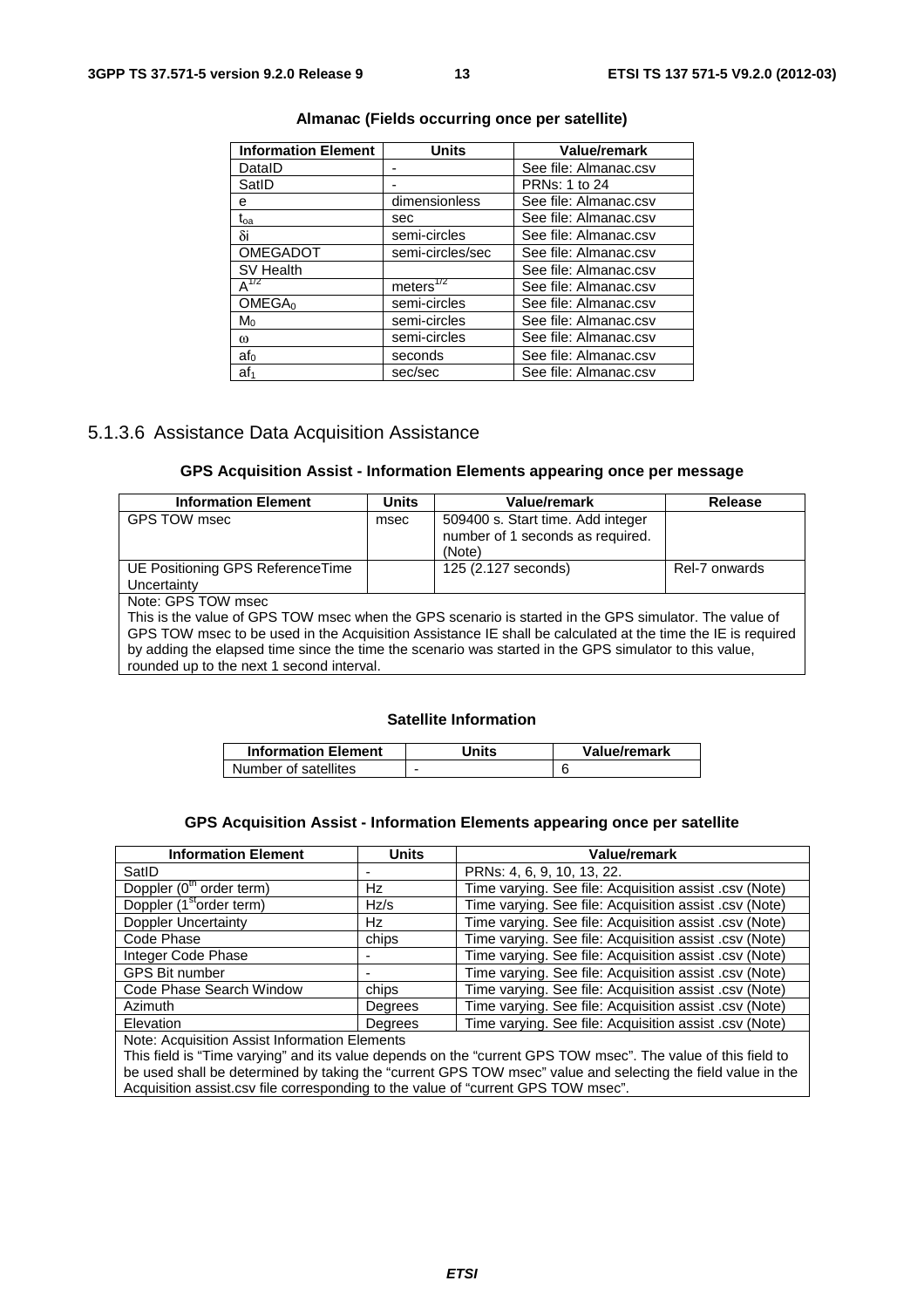| <b>Information Element</b> | <b>Units</b>     | Value/remark          |
|----------------------------|------------------|-----------------------|
| DataID                     |                  | See file: Almanac.csv |
| SatID                      |                  | <b>PRNs: 1 to 24</b>  |
| е                          | dimensionless    | See file: Almanac.csv |
| $\rm t_{oa}$               | sec              | See file: Almanac.csv |
| δi                         | semi-circles     | See file: Almanac.csv |
| <b>OMEGADOT</b>            | semi-circles/sec | See file: Almanac.csv |
| SV Health                  |                  | See file: Almanac.csv |
| $A^{1/2}$                  | meters $^{772}$  | See file: Almanac.csv |
| OMEGA <sub>0</sub>         | semi-circles     | See file: Almanac.csv |
| $M_0$                      | semi-circles     | See file: Almanac.csv |
| ω                          | semi-circles     | See file: Almanac.csv |
| af <sub>0</sub>            | seconds          | See file: Almanac.csv |
| af <sub>1</sub>            | sec/sec          | See file: Almanac.csv |

#### **Almanac (Fields occurring once per satellite)**

## 5.1.3.6 Assistance Data Acquisition Assistance

#### **GPS Acquisition Assist - Information Elements appearing once per message**

| <b>Information Element</b>                                                                                  | <b>Units</b> | Value/remark                                                          | <b>Release</b> |
|-------------------------------------------------------------------------------------------------------------|--------------|-----------------------------------------------------------------------|----------------|
| GPS TOW msec                                                                                                | msec         | 509400 s. Start time. Add integer<br>number of 1 seconds as required. |                |
|                                                                                                             |              | (Note)                                                                |                |
| UE Positioning GPS ReferenceTime                                                                            |              | 125 (2.127 seconds)                                                   | Rel-7 onwards  |
| Uncertainty                                                                                                 |              |                                                                       |                |
| Note: GPS TOW msec                                                                                          |              |                                                                       |                |
| This is the value of GPS TOW msec when the GPS scenario is started in the GPS simulator. The value of       |              |                                                                       |                |
| GPS TOW msec to be used in the Acquisition Assistance IE shall be calculated at the time the IE is required |              |                                                                       |                |
| by adding the elapsed time since the time the scenario was started in the GPS simulator to this value,      |              |                                                                       |                |

rounded up to the next 1 second interval.

#### **Satellite Information**

| <b>Information Element</b> | <b>Units</b> | Value/remark |
|----------------------------|--------------|--------------|
| Number of satellites       |              |              |

#### **GPS Acquisition Assist - Information Elements appearing once per satellite**

| <b>Information Element</b>                    | <b>Units</b> | Value/remark                                           |
|-----------------------------------------------|--------------|--------------------------------------------------------|
| SatID                                         |              | PRNs: 4, 6, 9, 10, 13, 22.                             |
| Doppler (0 <sup>th</sup> order term)          | Hz           | Time varying. See file: Acquisition assist .csv (Note) |
| Doppler (1 <sup>st</sup> order term)          | Hz/s         | Time varying. See file: Acquisition assist .csv (Note) |
| <b>Doppler Uncertainty</b>                    | Hz           | Time varying. See file: Acquisition assist .csv (Note) |
| Code Phase                                    | chips        | Time varying. See file: Acquisition assist .csv (Note) |
| Integer Code Phase                            |              | Time varying. See file: Acquisition assist .csv (Note) |
| <b>GPS Bit number</b>                         |              | Time varying. See file: Acquisition assist .csv (Note) |
| Code Phase Search Window                      | chips        | Time varying. See file: Acquisition assist .csv (Note) |
| Azimuth                                       | Degrees      | Time varying. See file: Acquisition assist .csv (Note) |
| Elevation                                     | Degrees      | Time varying. See file: Acquisition assist .csv (Note) |
| Nata: Agoudaition Agoint Information Flamente |              |                                                        |

Note: Acquisition Assist Information Elements

This field is "Time varying" and its value depends on the "current GPS TOW msec". The value of this field to be used shall be determined by taking the "current GPS TOW msec" value and selecting the field value in the Acquisition assist.csv file corresponding to the value of "current GPS TOW msec".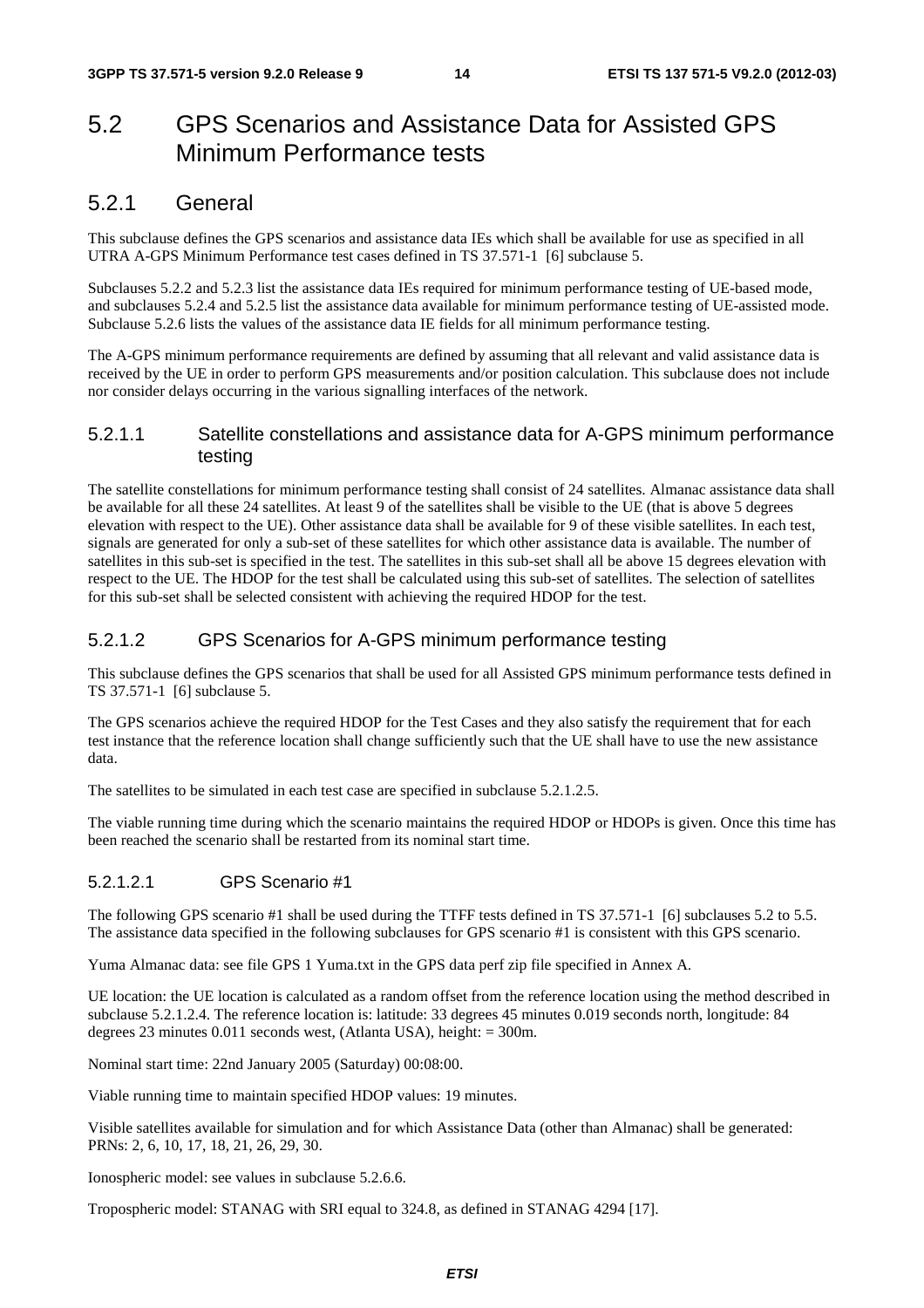# 5.2 GPS Scenarios and Assistance Data for Assisted GPS Minimum Performance tests

# 5.2.1 General

This subclause defines the GPS scenarios and assistance data IEs which shall be available for use as specified in all UTRA A-GPS Minimum Performance test cases defined in TS 37.571-1 [6] subclause 5.

Subclauses 5.2.2 and 5.2.3 list the assistance data IEs required for minimum performance testing of UE-based mode, and subclauses 5.2.4 and 5.2.5 list the assistance data available for minimum performance testing of UE-assisted mode. Subclause 5.2.6 lists the values of the assistance data IE fields for all minimum performance testing.

The A-GPS minimum performance requirements are defined by assuming that all relevant and valid assistance data is received by the UE in order to perform GPS measurements and/or position calculation. This subclause does not include nor consider delays occurring in the various signalling interfaces of the network.

### 5.2.1.1 Satellite constellations and assistance data for A-GPS minimum performance testing

The satellite constellations for minimum performance testing shall consist of 24 satellites. Almanac assistance data shall be available for all these 24 satellites. At least 9 of the satellites shall be visible to the UE (that is above 5 degrees elevation with respect to the UE). Other assistance data shall be available for 9 of these visible satellites. In each test, signals are generated for only a sub-set of these satellites for which other assistance data is available. The number of satellites in this sub-set is specified in the test. The satellites in this sub-set shall all be above 15 degrees elevation with respect to the UE. The HDOP for the test shall be calculated using this sub-set of satellites. The selection of satellites for this sub-set shall be selected consistent with achieving the required HDOP for the test.

# 5.2.1.2 GPS Scenarios for A-GPS minimum performance testing

This subclause defines the GPS scenarios that shall be used for all Assisted GPS minimum performance tests defined in TS 37.571-1 [6] subclause 5.

The GPS scenarios achieve the required HDOP for the Test Cases and they also satisfy the requirement that for each test instance that the reference location shall change sufficiently such that the UE shall have to use the new assistance data.

The satellites to be simulated in each test case are specified in subclause 5.2.1.2.5.

The viable running time during which the scenario maintains the required HDOP or HDOPs is given. Once this time has been reached the scenario shall be restarted from its nominal start time.

# 5.2.1.2.1 GPS Scenario #1

The following GPS scenario #1 shall be used during the TTFF tests defined in TS 37.571-1 [6] subclauses 5.2 to 5.5. The assistance data specified in the following subclauses for GPS scenario #1 is consistent with this GPS scenario.

Yuma Almanac data: see file GPS 1 Yuma.txt in the GPS data perf zip file specified in Annex A.

UE location: the UE location is calculated as a random offset from the reference location using the method described in subclause 5.2.1.2.4. The reference location is: latitude: 33 degrees 45 minutes 0.019 seconds north, longitude: 84 degrees 23 minutes 0.011 seconds west, (Atlanta USA), height: = 300m.

Nominal start time: 22nd January 2005 (Saturday) 00:08:00.

Viable running time to maintain specified HDOP values: 19 minutes.

Visible satellites available for simulation and for which Assistance Data (other than Almanac) shall be generated: PRNs: 2, 6, 10, 17, 18, 21, 26, 29, 30.

Ionospheric model: see values in subclause 5.2.6.6.

Tropospheric model: STANAG with SRI equal to 324.8, as defined in STANAG 4294 [17].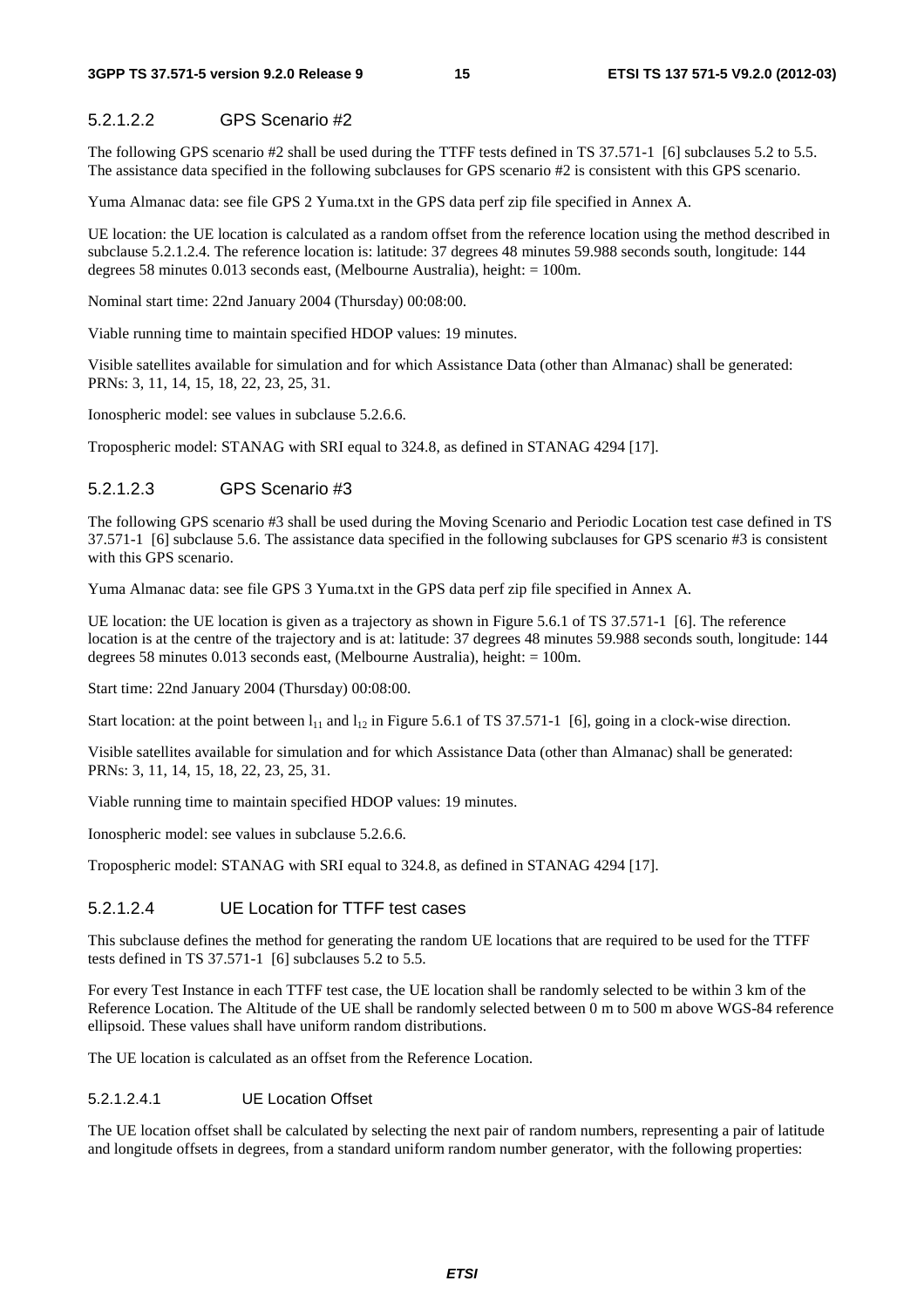#### 5.2.1.2.2 GPS Scenario #2

The following GPS scenario #2 shall be used during the TTFF tests defined in TS 37.571-1 [6] subclauses 5.2 to 5.5. The assistance data specified in the following subclauses for GPS scenario #2 is consistent with this GPS scenario.

Yuma Almanac data: see file GPS 2 Yuma.txt in the GPS data perf zip file specified in Annex A.

UE location: the UE location is calculated as a random offset from the reference location using the method described in subclause 5.2.1.2.4. The reference location is: latitude: 37 degrees 48 minutes 59.988 seconds south, longitude: 144 degrees 58 minutes 0.013 seconds east, (Melbourne Australia), height: = 100m.

Nominal start time: 22nd January 2004 (Thursday) 00:08:00.

Viable running time to maintain specified HDOP values: 19 minutes.

Visible satellites available for simulation and for which Assistance Data (other than Almanac) shall be generated: PRNs: 3, 11, 14, 15, 18, 22, 23, 25, 31.

Ionospheric model: see values in subclause 5.2.6.6.

Tropospheric model: STANAG with SRI equal to 324.8, as defined in STANAG 4294 [17].

#### 5.2.1.2.3 GPS Scenario #3

The following GPS scenario #3 shall be used during the Moving Scenario and Periodic Location test case defined in TS 37.571-1 [6] subclause 5.6. The assistance data specified in the following subclauses for GPS scenario #3 is consistent with this GPS scenario.

Yuma Almanac data: see file GPS 3 Yuma.txt in the GPS data perf zip file specified in Annex A.

UE location: the UE location is given as a trajectory as shown in Figure 5.6.1 of TS 37.571-1 [6]. The reference location is at the centre of the trajectory and is at: latitude: 37 degrees 48 minutes 59.988 seconds south, longitude: 144 degrees 58 minutes 0.013 seconds east, (Melbourne Australia), height: = 100m.

Start time: 22nd January 2004 (Thursday) 00:08:00.

Start location: at the point between  $l_{11}$  and  $l_{12}$  in Figure 5.6.1 of TS 37.571-1 [6], going in a clock-wise direction.

Visible satellites available for simulation and for which Assistance Data (other than Almanac) shall be generated: PRNs: 3, 11, 14, 15, 18, 22, 23, 25, 31.

Viable running time to maintain specified HDOP values: 19 minutes.

Ionospheric model: see values in subclause 5.2.6.6.

Tropospheric model: STANAG with SRI equal to 324.8, as defined in STANAG 4294 [17].

# 5.2.1.2.4 UE Location for TTFF test cases

This subclause defines the method for generating the random UE locations that are required to be used for the TTFF tests defined in TS 37.571-1 [6] subclauses 5.2 to 5.5.

For every Test Instance in each TTFF test case, the UE location shall be randomly selected to be within 3 km of the Reference Location. The Altitude of the UE shall be randomly selected between 0 m to 500 m above WGS-84 reference ellipsoid. These values shall have uniform random distributions.

The UE location is calculated as an offset from the Reference Location.

#### 5.2.1.2.4.1 UE Location Offset

The UE location offset shall be calculated by selecting the next pair of random numbers, representing a pair of latitude and longitude offsets in degrees, from a standard uniform random number generator, with the following properties: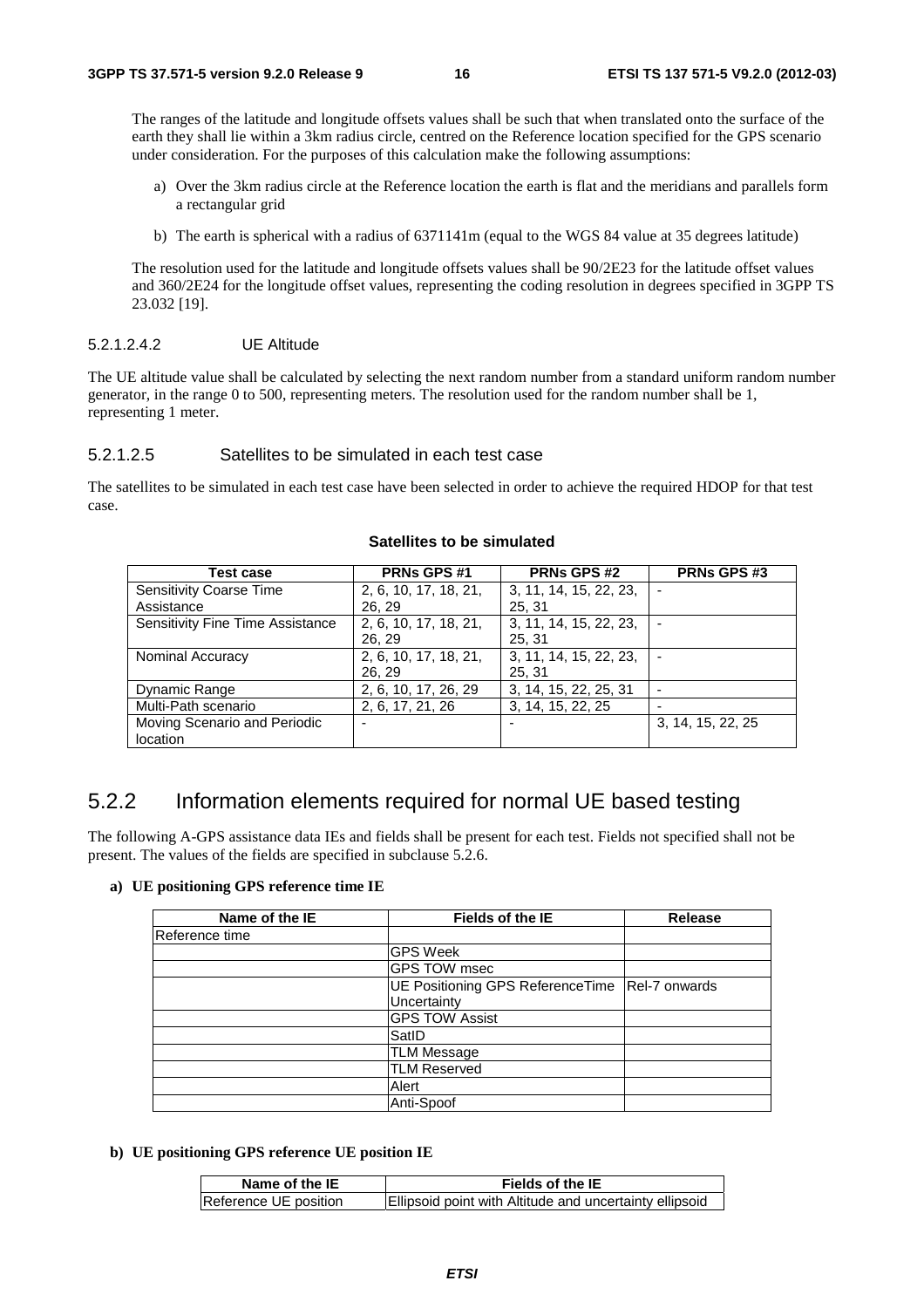The ranges of the latitude and longitude offsets values shall be such that when translated onto the surface of the earth they shall lie within a 3km radius circle, centred on the Reference location specified for the GPS scenario under consideration. For the purposes of this calculation make the following assumptions:

- a) Over the 3km radius circle at the Reference location the earth is flat and the meridians and parallels form a rectangular grid
- b) The earth is spherical with a radius of 6371141m (equal to the WGS 84 value at 35 degrees latitude)

 The resolution used for the latitude and longitude offsets values shall be 90/2E23 for the latitude offset values and 360/2E24 for the longitude offset values, representing the coding resolution in degrees specified in 3GPP TS 23.032 [19].

#### 5.2.1.2.4.2 UE Altitude

The UE altitude value shall be calculated by selecting the next random number from a standard uniform random number generator, in the range 0 to 500, representing meters. The resolution used for the random number shall be 1, representing 1 meter.

#### 5.2.1.2.5 Satellites to be simulated in each test case

The satellites to be simulated in each test case have been selected in order to achieve the required HDOP for that test case.

| Test case                        | PRNs GPS #1           | <b>PRNs GPS #2</b>     | <b>PRNs GPS #3</b> |
|----------------------------------|-----------------------|------------------------|--------------------|
| <b>Sensitivity Coarse Time</b>   | 2, 6, 10, 17, 18, 21, | 3, 11, 14, 15, 22, 23, |                    |
| Assistance                       | 26.29                 | 25, 31                 |                    |
| Sensitivity Fine Time Assistance | 2, 6, 10, 17, 18, 21, | 3, 11, 14, 15, 22, 23, |                    |
|                                  | 26, 29                | 25, 31                 |                    |
| <b>Nominal Accuracy</b>          | 2, 6, 10, 17, 18, 21, | 3, 11, 14, 15, 22, 23, |                    |
|                                  | 26.29                 | 25.31                  |                    |
| Dynamic Range                    | 2, 6, 10, 17, 26, 29  | 3, 14, 15, 22, 25, 31  |                    |
| Multi-Path scenario              | 2, 6, 17, 21, 26      | 3, 14, 15, 22, 25      |                    |
| Moving Scenario and Periodic     |                       |                        | 3, 14, 15, 22, 25  |
| location                         |                       |                        |                    |

#### **Satellites to be simulated**

# 5.2.2 Information elements required for normal UE based testing

The following A-GPS assistance data IEs and fields shall be present for each test. Fields not specified shall not be present. The values of the fields are specified in subclause 5.2.6.

#### **a) UE positioning GPS reference time IE**

| Name of the IE | Fields of the IE                 | <b>Release</b> |
|----------------|----------------------------------|----------------|
| Reference time |                                  |                |
|                | <b>GPS Week</b>                  |                |
|                | <b>GPS TOW msec</b>              |                |
|                | UE Positioning GPS ReferenceTime | Rel-7 onwards  |
|                | Uncertainty                      |                |
|                | <b>GPS TOW Assist</b>            |                |
|                | SatID                            |                |
|                | <b>TLM Message</b>               |                |
|                | <b>TLM Reserved</b>              |                |
|                | Alert                            |                |
|                | Anti-Spoof                       |                |

#### **b) UE positioning GPS reference UE position IE**

| Name of the IE        | Fields of the IE                                        |
|-----------------------|---------------------------------------------------------|
| Reference UE position | Ellipsoid point with Altitude and uncertainty ellipsoid |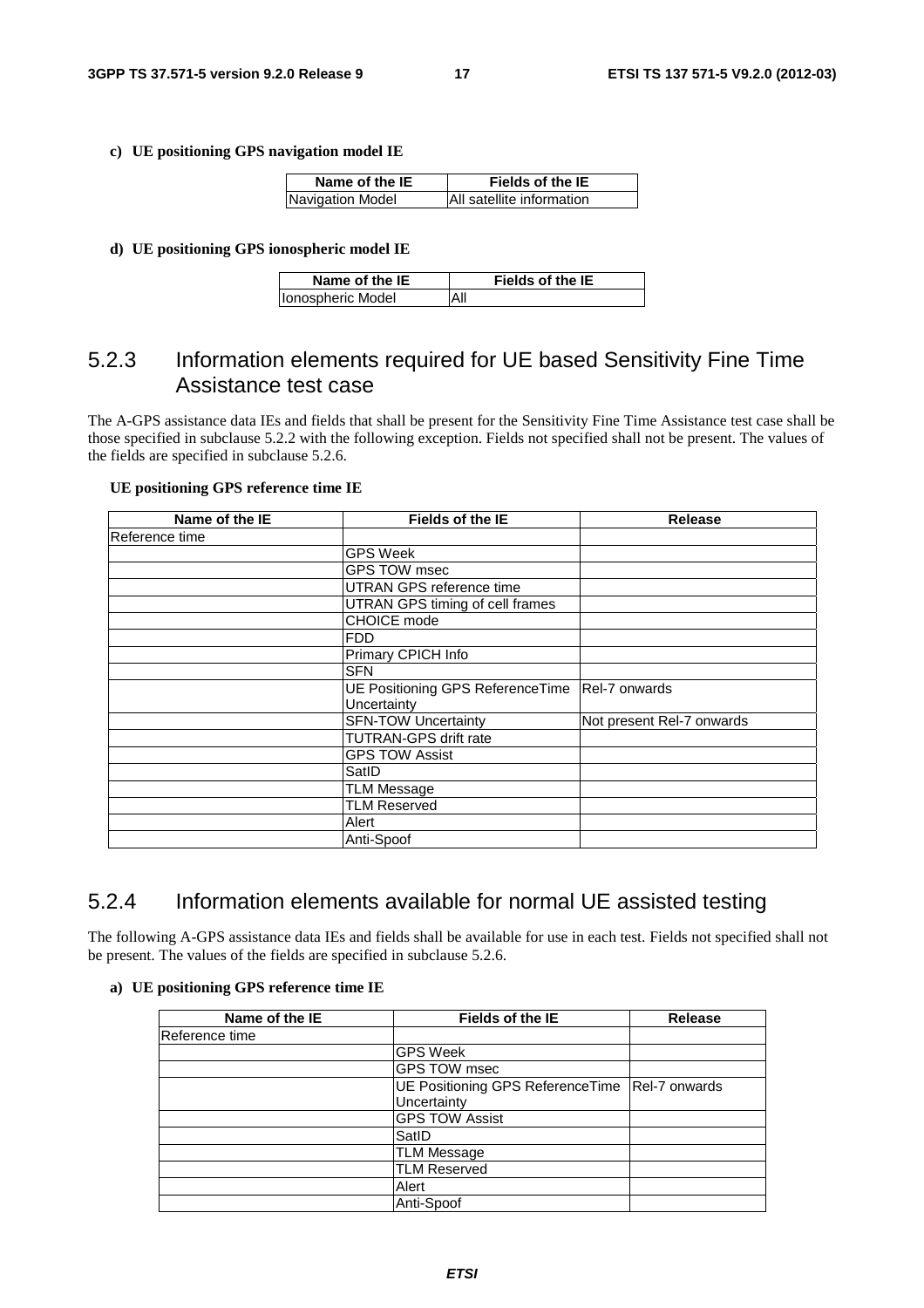#### **c) UE positioning GPS navigation model IE**

| Name of the IE          | Fields of the IE          |
|-------------------------|---------------------------|
| <b>Navigation Model</b> | All satellite information |

#### **d) UE positioning GPS ionospheric model IE**

| Name of the IE     | <b>Fields of the IE</b> |
|--------------------|-------------------------|
| Ilonospheric Model |                         |

# 5.2.3 Information elements required for UE based Sensitivity Fine Time Assistance test case

The A-GPS assistance data IEs and fields that shall be present for the Sensitivity Fine Time Assistance test case shall be those specified in subclause 5.2.2 with the following exception. Fields not specified shall not be present. The values of the fields are specified in subclause 5.2.6.

#### **UE positioning GPS reference time IE**

| Name of the IE | <b>Fields of the IE</b>          | Release                   |
|----------------|----------------------------------|---------------------------|
| Reference time |                                  |                           |
|                | <b>GPS Week</b>                  |                           |
|                | GPS TOW msec                     |                           |
|                | <b>UTRAN GPS reference time</b>  |                           |
|                | UTRAN GPS timing of cell frames  |                           |
|                | CHOICE mode                      |                           |
|                | <b>FDD</b>                       |                           |
|                | Primary CPICH Info               |                           |
|                | <b>SFN</b>                       |                           |
|                | UE Positioning GPS ReferenceTime | Rel-7 onwards             |
|                | Uncertainty                      |                           |
|                | <b>SFN-TOW Uncertainty</b>       | Not present Rel-7 onwards |
|                | <b>TUTRAN-GPS drift rate</b>     |                           |
|                | <b>GPS TOW Assist</b>            |                           |
|                | SatID                            |                           |
|                | <b>TLM Message</b>               |                           |
|                | <b>TLM Reserved</b>              |                           |
|                | Alert                            |                           |
|                | Anti-Spoof                       |                           |

# 5.2.4 Information elements available for normal UE assisted testing

The following A-GPS assistance data IEs and fields shall be available for use in each test. Fields not specified shall not be present. The values of the fields are specified in subclause 5.2.6.

#### **a) UE positioning GPS reference time IE**

| Name of the IE | <b>Fields of the IE</b>                                          | <b>Release</b> |
|----------------|------------------------------------------------------------------|----------------|
| Reference time |                                                                  |                |
|                | <b>GPS Week</b>                                                  |                |
|                | GPS TOW msec                                                     |                |
|                | UE Positioning GPS Reference Time   Rel-7 onwards<br>Uncertainty |                |
|                | <b>GPS TOW Assist</b>                                            |                |
|                | SatID                                                            |                |
|                | <b>TLM Message</b>                                               |                |
|                | <b>TLM Reserved</b>                                              |                |
|                | Alert                                                            |                |
|                | Anti-Spoof                                                       |                |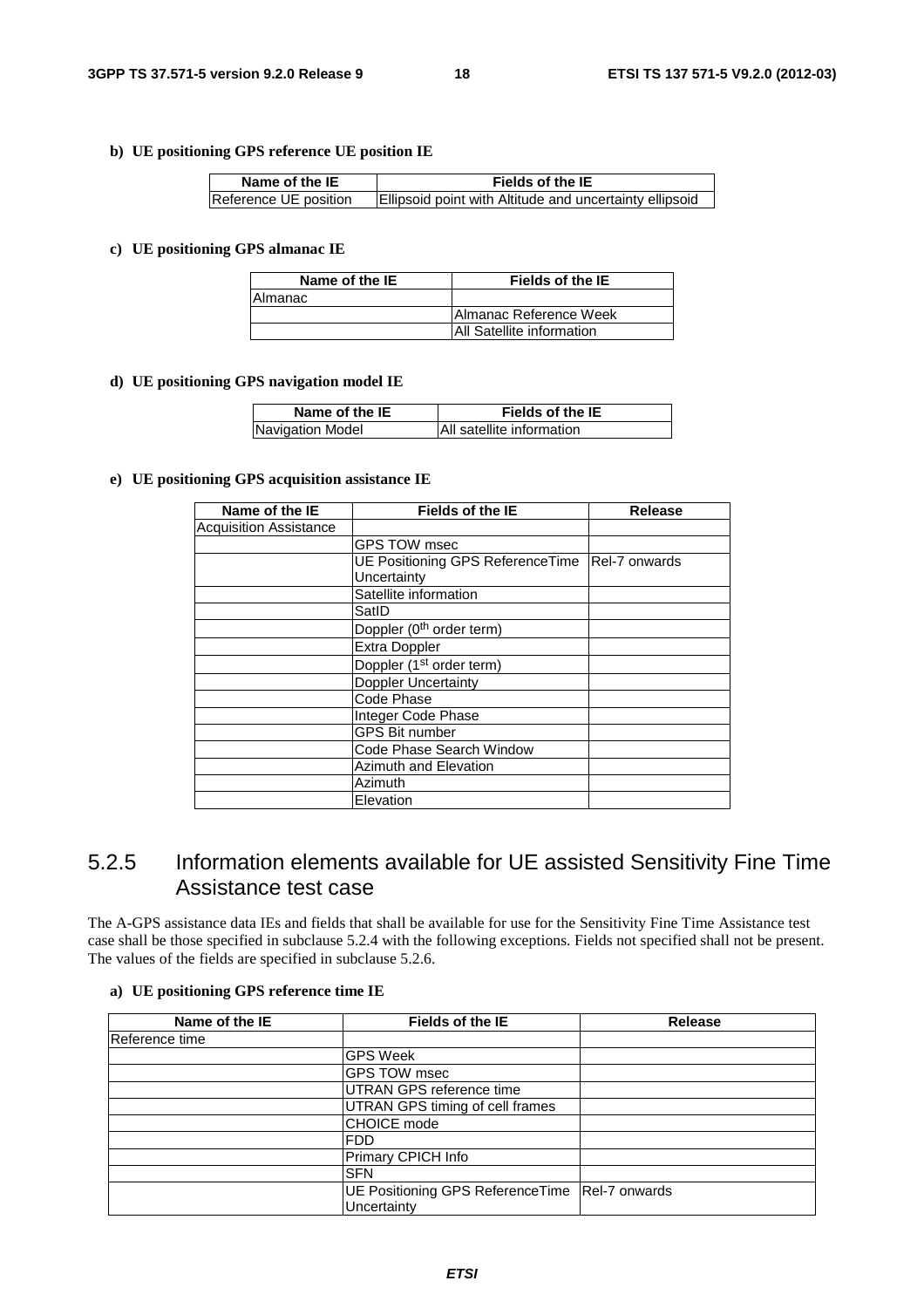#### **b) UE positioning GPS reference UE position IE**

| Name of the IE        | Fields of the IE                                        |
|-----------------------|---------------------------------------------------------|
| Reference UE position | Ellipsoid point with Altitude and uncertainty ellipsoid |

#### **c) UE positioning GPS almanac IE**

| Name of the IE | Fields of the IE                 |
|----------------|----------------------------------|
| IAlmanac       |                                  |
|                | <b>Almanac Reference Week</b>    |
|                | <b>All Satellite information</b> |

#### **d) UE positioning GPS navigation model IE**

| Name of the IE   | Fields of the IE          |
|------------------|---------------------------|
| Navigation Model | All satellite information |

#### **e) UE positioning GPS acquisition assistance IE**

| Name of the IE                | <b>Fields of the IE</b>              | <b>Release</b>        |
|-------------------------------|--------------------------------------|-----------------------|
| <b>Acquisition Assistance</b> |                                      |                       |
|                               | <b>GPS TOW msec</b>                  |                       |
|                               | UE Positioning GPS ReferenceTime     | <b>IRel-7 onwards</b> |
|                               | Uncertainty                          |                       |
|                               | Satellite information                |                       |
|                               | SatID                                |                       |
|                               | Doppler (0 <sup>th</sup> order term) |                       |
|                               | Extra Doppler                        |                       |
|                               | Doppler (1 <sup>st</sup> order term) |                       |
|                               | <b>Doppler Uncertainty</b>           |                       |
|                               | Code Phase                           |                       |
|                               | Integer Code Phase                   |                       |
|                               | <b>GPS Bit number</b>                |                       |
|                               | Code Phase Search Window             |                       |
|                               | Azimuth and Elevation                |                       |
|                               | Azimuth                              |                       |
|                               | Elevation                            |                       |

# 5.2.5 Information elements available for UE assisted Sensitivity Fine Time Assistance test case

The A-GPS assistance data IEs and fields that shall be available for use for the Sensitivity Fine Time Assistance test case shall be those specified in subclause 5.2.4 with the following exceptions. Fields not specified shall not be present. The values of the fields are specified in subclause 5.2.6.

### **a) UE positioning GPS reference time IE**

| Name of the IE | Fields of the IE                                                 | <b>Release</b> |
|----------------|------------------------------------------------------------------|----------------|
| Reference time |                                                                  |                |
|                | <b>GPS Week</b>                                                  |                |
|                | <b>GPS TOW msec</b>                                              |                |
|                | UTRAN GPS reference time                                         |                |
|                | UTRAN GPS timing of cell frames                                  |                |
|                | <b>CHOICE</b> mode                                               |                |
|                | <b>FDD</b>                                                       |                |
|                | Primary CPICH Info                                               |                |
|                | <b>SFN</b>                                                       |                |
|                | UE Positioning GPS Reference Time   Rel-7 onwards<br>Uncertainty |                |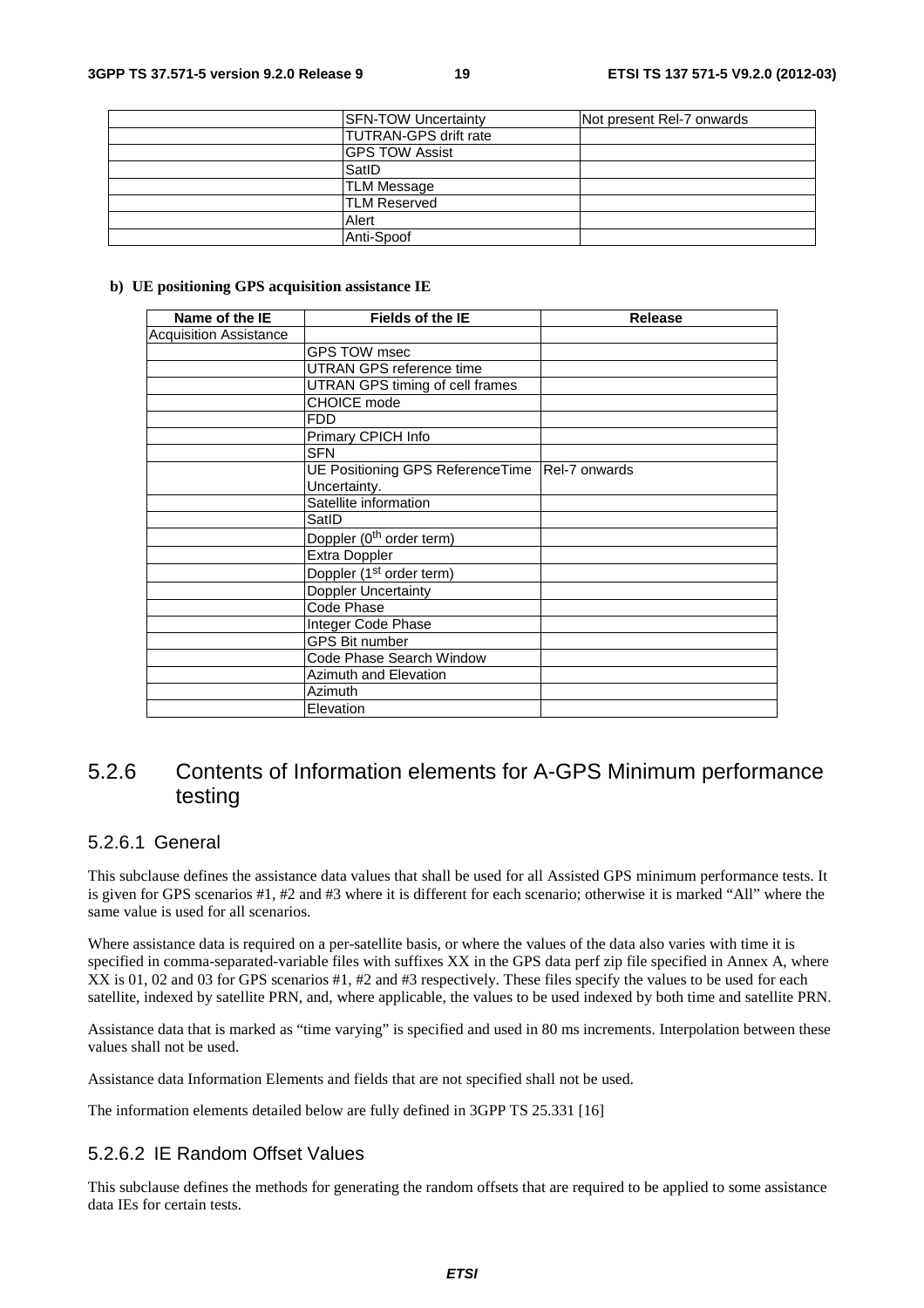| <b>SFN-TOW Uncertainty</b>    | Not present Rel-7 onwards |
|-------------------------------|---------------------------|
| <b>ITUTRAN-GPS drift rate</b> |                           |
| <b>GPS TOW Assist</b>         |                           |
| SatID                         |                           |
| <b>TLM Message</b>            |                           |
| <b>ITLM Reserved</b>          |                           |
| Alert                         |                           |
| Anti-Spoof                    |                           |

#### **b) UE positioning GPS acquisition assistance IE**

| Name of the IE                | <b>Fields of the IE</b>                          | <b>Release</b> |
|-------------------------------|--------------------------------------------------|----------------|
| <b>Acquisition Assistance</b> |                                                  |                |
|                               | GPS TOW msec                                     |                |
|                               | UTRAN GPS reference time                         |                |
|                               | UTRAN GPS timing of cell frames                  |                |
|                               | <b>CHOICE</b> mode                               |                |
|                               | <b>FDD</b>                                       |                |
|                               | Primary CPICH Info                               |                |
|                               | <b>SFN</b>                                       |                |
|                               | UE Positioning GPS ReferenceTime   Rel-7 onwards |                |
|                               | Uncertainty.                                     |                |
|                               | Satellite information                            |                |
|                               | SatID                                            |                |
|                               | Doppler (0 <sup>th</sup> order term)             |                |
|                               | Extra Doppler                                    |                |
|                               | Doppler (1 <sup>st</sup> order term)             |                |
|                               | <b>Doppler Uncertainty</b>                       |                |
|                               | Code Phase                                       |                |
|                               | Integer Code Phase                               |                |
|                               | <b>GPS Bit number</b>                            |                |
|                               | Code Phase Search Window                         |                |
|                               | Azimuth and Elevation                            |                |
|                               | <b>Azimuth</b>                                   |                |
|                               | Elevation                                        |                |

# 5.2.6 Contents of Information elements for A-GPS Minimum performance testing

## 5.2.6.1 General

This subclause defines the assistance data values that shall be used for all Assisted GPS minimum performance tests. It is given for GPS scenarios #1, #2 and #3 where it is different for each scenario; otherwise it is marked "All" where the same value is used for all scenarios.

Where assistance data is required on a per-satellite basis, or where the values of the data also varies with time it is specified in comma-separated-variable files with suffixes XX in the GPS data perf zip file specified in Annex A, where XX is 01, 02 and 03 for GPS scenarios #1, #2 and #3 respectively. These files specify the values to be used for each satellite, indexed by satellite PRN, and, where applicable, the values to be used indexed by both time and satellite PRN.

Assistance data that is marked as "time varying" is specified and used in 80 ms increments. Interpolation between these values shall not be used.

Assistance data Information Elements and fields that are not specified shall not be used.

The information elements detailed below are fully defined in 3GPP TS 25.331 [16]

## 5.2.6.2 IE Random Offset Values

This subclause defines the methods for generating the random offsets that are required to be applied to some assistance data IEs for certain tests.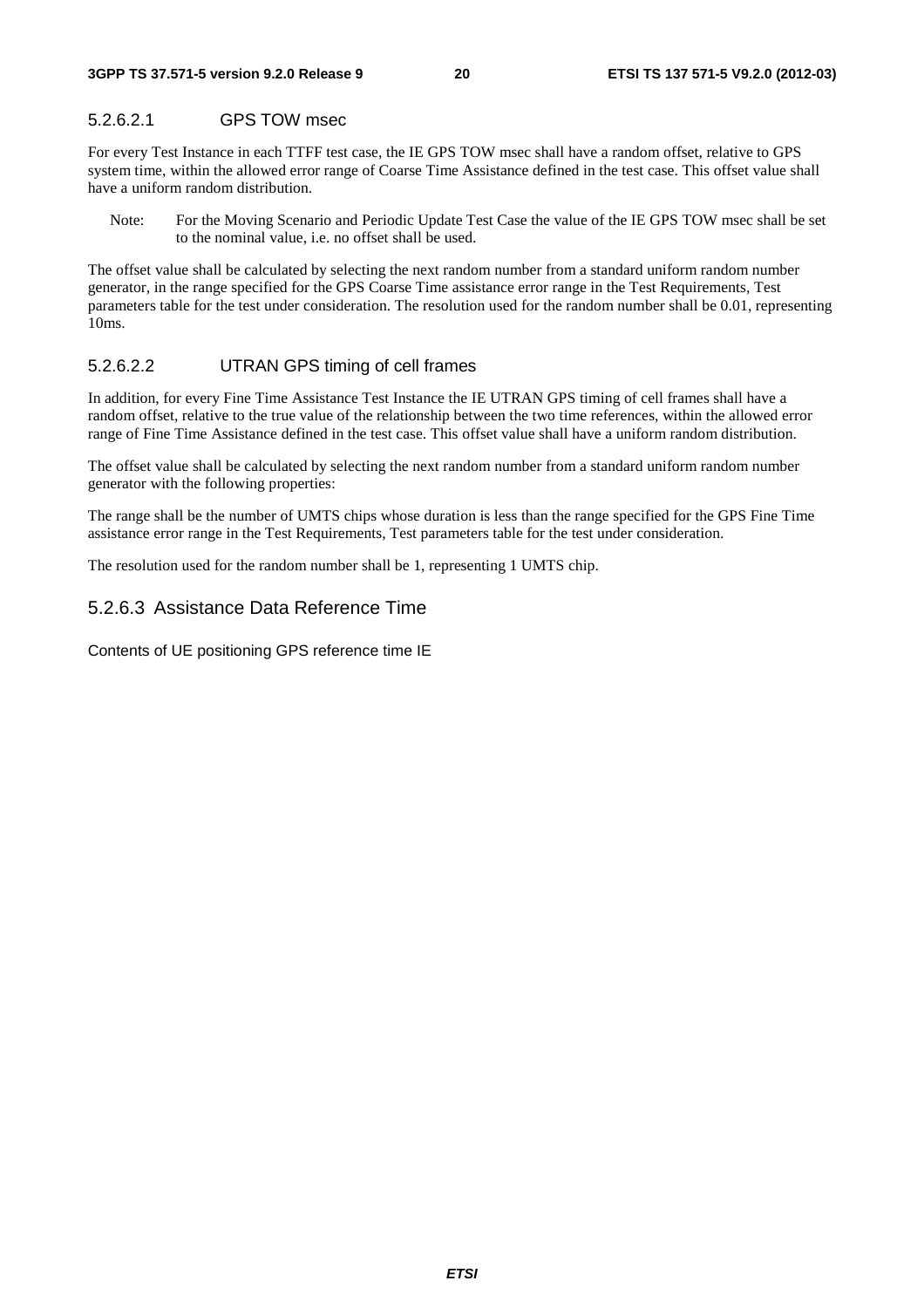### 5.2.6.2.1 GPS TOW msec

For every Test Instance in each TTFF test case, the IE GPS TOW msec shall have a random offset, relative to GPS system time, within the allowed error range of Coarse Time Assistance defined in the test case. This offset value shall have a uniform random distribution.

Note: For the Moving Scenario and Periodic Update Test Case the value of the IE GPS TOW msec shall be set to the nominal value, i.e. no offset shall be used.

The offset value shall be calculated by selecting the next random number from a standard uniform random number generator, in the range specified for the GPS Coarse Time assistance error range in the Test Requirements, Test parameters table for the test under consideration. The resolution used for the random number shall be 0.01, representing 10ms.

#### 5.2.6.2.2 UTRAN GPS timing of cell frames

In addition, for every Fine Time Assistance Test Instance the IE UTRAN GPS timing of cell frames shall have a random offset, relative to the true value of the relationship between the two time references, within the allowed error range of Fine Time Assistance defined in the test case. This offset value shall have a uniform random distribution.

The offset value shall be calculated by selecting the next random number from a standard uniform random number generator with the following properties:

The range shall be the number of UMTS chips whose duration is less than the range specified for the GPS Fine Time assistance error range in the Test Requirements, Test parameters table for the test under consideration.

The resolution used for the random number shall be 1, representing 1 UMTS chip.

### 5.2.6.3 Assistance Data Reference Time

Contents of UE positioning GPS reference time IE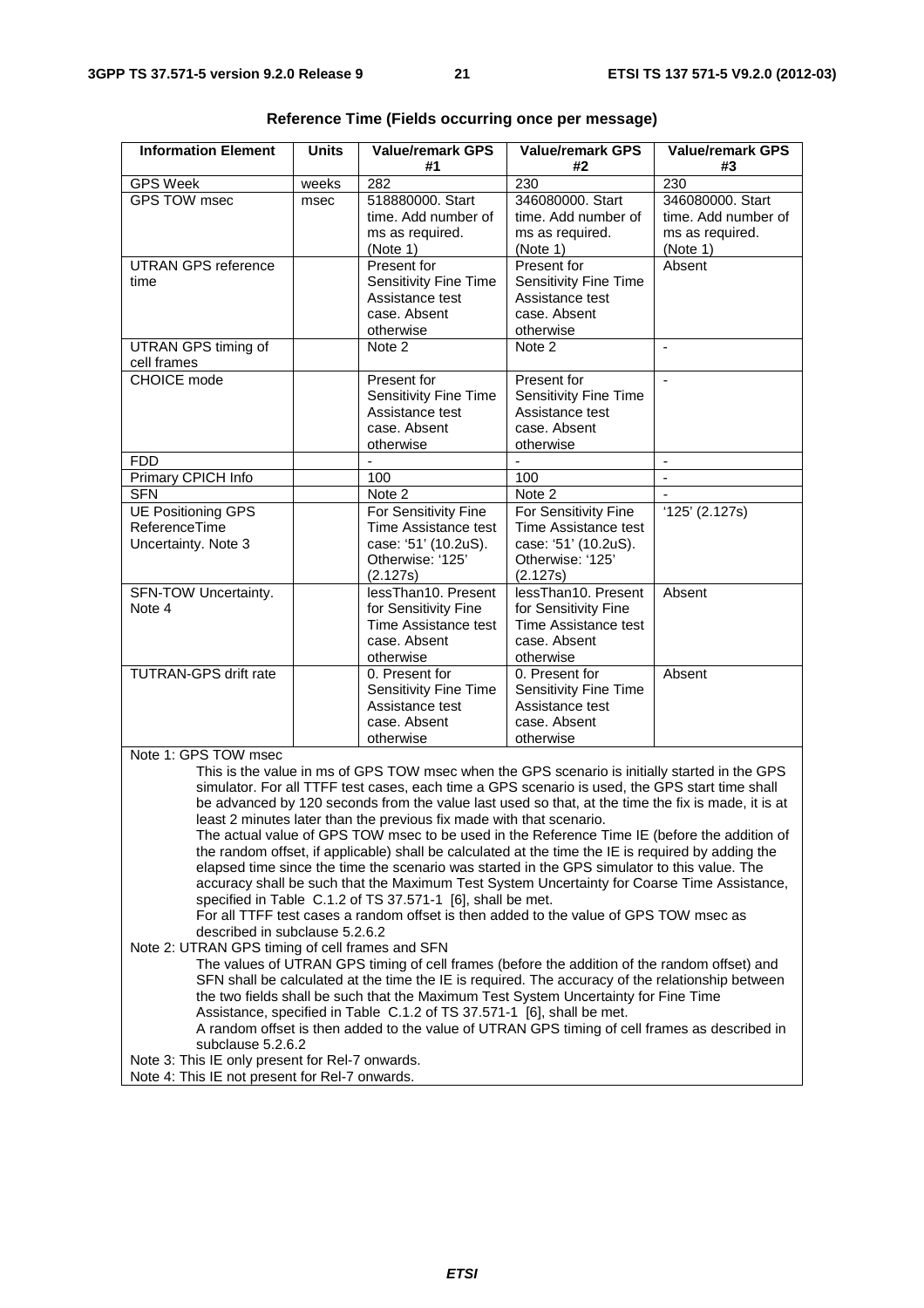| <b>Information Element</b>                                                                                                                                                 | <b>Units</b> | <b>Value/remark GPS</b>                                                                       | <b>Value/remark GPS</b>      | <b>Value/remark GPS</b>  |  |
|----------------------------------------------------------------------------------------------------------------------------------------------------------------------------|--------------|-----------------------------------------------------------------------------------------------|------------------------------|--------------------------|--|
|                                                                                                                                                                            |              | #1<br>282                                                                                     | #2                           | #3<br>230                |  |
| <b>GPS Week</b><br><b>GPS TOW msec</b>                                                                                                                                     | weeks        | 518880000. Start                                                                              | 230<br>346080000. Start      | 346080000. Start         |  |
|                                                                                                                                                                            | msec         | time. Add number of                                                                           | time. Add number of          | time. Add number of      |  |
|                                                                                                                                                                            |              | ms as required.                                                                               | ms as required.              | ms as required.          |  |
|                                                                                                                                                                            |              | (Note 1)                                                                                      | (Note 1)                     | (Note 1)                 |  |
| <b>UTRAN GPS reference</b>                                                                                                                                                 |              | Present for                                                                                   | Present for                  | Absent                   |  |
| time                                                                                                                                                                       |              | Sensitivity Fine Time                                                                         | Sensitivity Fine Time        |                          |  |
|                                                                                                                                                                            |              | Assistance test                                                                               | Assistance test              |                          |  |
|                                                                                                                                                                            |              | case. Absent                                                                                  | case. Absent                 |                          |  |
| <b>UTRAN GPS timing of</b>                                                                                                                                                 |              | otherwise<br>Note <sub>2</sub>                                                                | otherwise<br>Note 2          | $\mathbf{r}$             |  |
| cell frames                                                                                                                                                                |              |                                                                                               |                              |                          |  |
| CHOICE mode                                                                                                                                                                |              | Present for                                                                                   | Present for                  | $\mathbf{r}$             |  |
|                                                                                                                                                                            |              | <b>Sensitivity Fine Time</b>                                                                  | Sensitivity Fine Time        |                          |  |
|                                                                                                                                                                            |              | Assistance test                                                                               | Assistance test              |                          |  |
|                                                                                                                                                                            |              | case. Absent                                                                                  | case. Absent                 |                          |  |
|                                                                                                                                                                            |              | otherwise                                                                                     | otherwise                    |                          |  |
| <b>FDD</b>                                                                                                                                                                 |              |                                                                                               |                              | $\overline{\phantom{a}}$ |  |
| Primary CPICH Info<br><b>SFN</b>                                                                                                                                           |              | 100<br>Note 2                                                                                 | 100<br>Note 2                | $\mathbf{r}$             |  |
| <b>UE Positioning GPS</b>                                                                                                                                                  |              | For Sensitivity Fine                                                                          | For Sensitivity Fine         | (125)(2.127s)            |  |
| ReferenceTime                                                                                                                                                              |              | Time Assistance test                                                                          | Time Assistance test         |                          |  |
| Uncertainty. Note 3                                                                                                                                                        |              | case: '51' (10.2uS).                                                                          | case: '51' (10.2uS).         |                          |  |
|                                                                                                                                                                            |              | Otherwise: '125'                                                                              | Otherwise: '125'             |                          |  |
|                                                                                                                                                                            |              | (2.127s)                                                                                      | (2.127s)                     |                          |  |
| SFN-TOW Uncertainty.                                                                                                                                                       |              | lessThan10. Present                                                                           | lessThan10. Present          | Absent                   |  |
| Note 4                                                                                                                                                                     |              | for Sensitivity Fine                                                                          | for Sensitivity Fine         |                          |  |
|                                                                                                                                                                            |              | <b>Time Assistance test</b>                                                                   | Time Assistance test         |                          |  |
|                                                                                                                                                                            |              | case. Absent<br>otherwise                                                                     | case. Absent<br>otherwise    |                          |  |
| <b>TUTRAN-GPS drift rate</b>                                                                                                                                               |              | 0. Present for                                                                                | 0. Present for               | Absent                   |  |
|                                                                                                                                                                            |              | Sensitivity Fine Time                                                                         | <b>Sensitivity Fine Time</b> |                          |  |
|                                                                                                                                                                            |              | Assistance test                                                                               | Assistance test              |                          |  |
|                                                                                                                                                                            |              | case. Absent                                                                                  | case, Absent                 |                          |  |
|                                                                                                                                                                            |              | otherwise                                                                                     | otherwise                    |                          |  |
| Note 1: GPS TOW msec                                                                                                                                                       |              |                                                                                               |                              |                          |  |
|                                                                                                                                                                            |              | This is the value in ms of GPS TOW msec when the GPS scenario is initially started in the GPS |                              |                          |  |
| simulator. For all TTFF test cases, each time a GPS scenario is used, the GPS start time shall                                                                             |              |                                                                                               |                              |                          |  |
| be advanced by 120 seconds from the value last used so that, at the time the fix is made, it is at<br>least 2 minutes later than the previous fix made with that scenario. |              |                                                                                               |                              |                          |  |
| The actual value of GPS TOW msec to be used in the Reference Time IE (before the addition of                                                                               |              |                                                                                               |                              |                          |  |
| the random offset, if applicable) shall be calculated at the time the IE is required by adding the                                                                         |              |                                                                                               |                              |                          |  |
| elapsed time since the time the scenario was started in the GPS simulator to this value. The                                                                               |              |                                                                                               |                              |                          |  |
| accuracy shall be such that the Maximum Test System Uncertainty for Coarse Time Assistance,                                                                                |              |                                                                                               |                              |                          |  |

| Reference Time (Fields occurring once per message) |  |  |  |  |  |
|----------------------------------------------------|--|--|--|--|--|
|----------------------------------------------------|--|--|--|--|--|

specified in Table C.1.2 of TS 37.571-1 [6], shall be met. For all TTFF test cases a random offset is then added to the value of GPS TOW msec as described in subclause 5.2.6.2

Note 2: UTRAN GPS timing of cell frames and SFN

The values of UTRAN GPS timing of cell frames (before the addition of the random offset) and SFN shall be calculated at the time the IE is required. The accuracy of the relationship between the two fields shall be such that the Maximum Test System Uncertainty for Fine Time Assistance, specified in Table C.1.2 of TS 37.571-1 [6], shall be met. A random offset is then added to the value of UTRAN GPS timing of cell frames as described in

subclause 5.2.6.2

Note 3: This IE only present for Rel-7 onwards.

Note 4: This IE not present for Rel-7 onwards.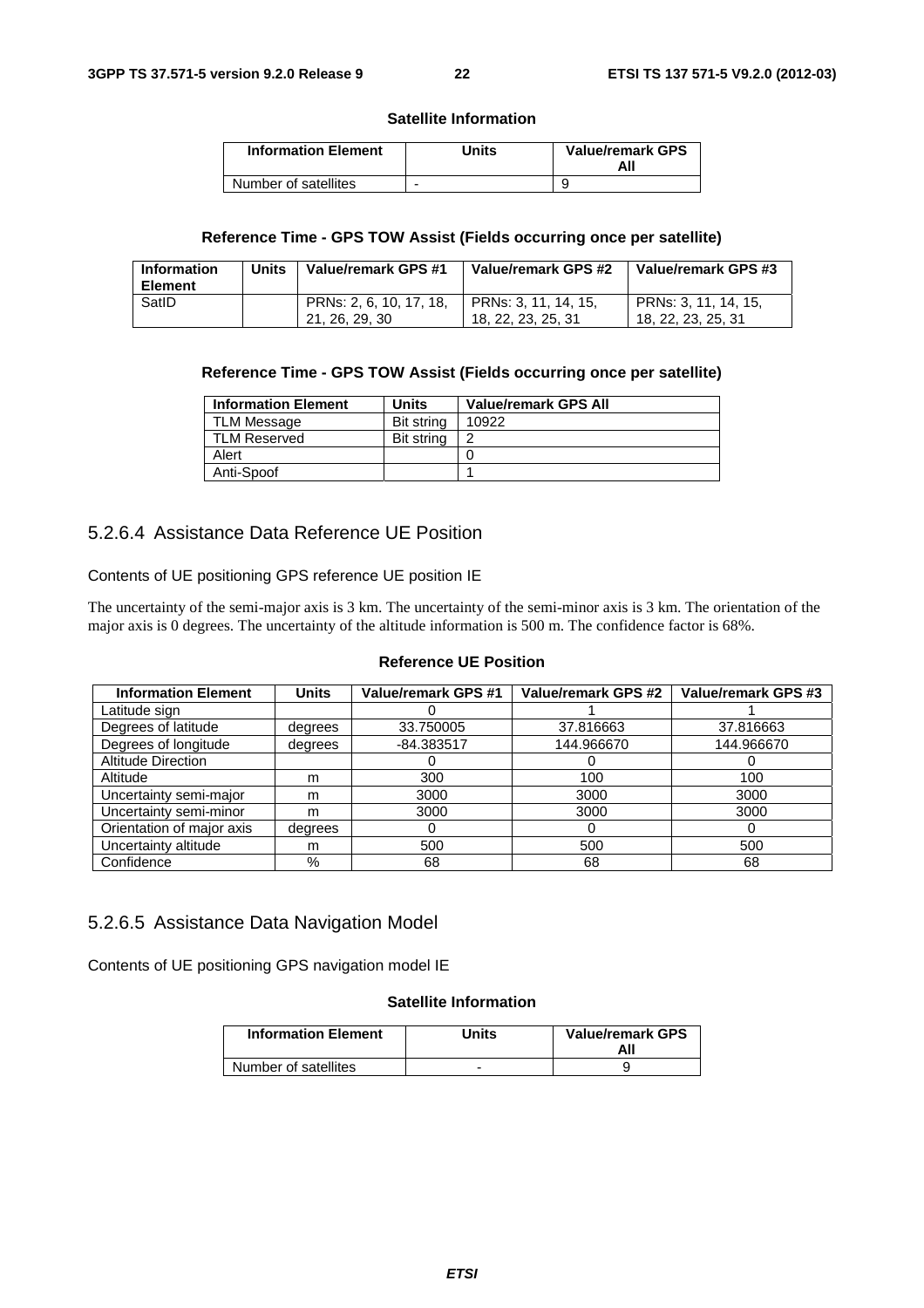#### **Satellite Information**

| <b>Information Element</b> | Units | <b>Value/remark GPS</b><br>All |
|----------------------------|-------|--------------------------------|
| Number of satellites       | -     |                                |

#### **Reference Time - GPS TOW Assist (Fields occurring once per satellite)**

| <b>Information</b><br><b>Element</b> | Units | Value/remark GPS #1                       | Value/remark GPS #2                        | Value/remark GPS #3                        |
|--------------------------------------|-------|-------------------------------------------|--------------------------------------------|--------------------------------------------|
| SatID                                |       | PRNs: 2, 6, 10, 17, 18,<br>21, 26, 29, 30 | PRNs: 3, 11, 14, 15,<br>18, 22, 23, 25, 31 | PRNs: 3, 11, 14, 15,<br>18, 22, 23, 25, 31 |

#### **Reference Time - GPS TOW Assist (Fields occurring once per satellite)**

| <b>Information Element</b> | Units      | <b>Value/remark GPS All</b> |
|----------------------------|------------|-----------------------------|
| <b>TLM Message</b>         | Bit string | 10922                       |
| <b>TLM Reserved</b>        | Bit string |                             |
| Alert                      |            |                             |
| Anti-Spoof                 |            |                             |

## 5.2.6.4 Assistance Data Reference UE Position

Contents of UE positioning GPS reference UE position IE

The uncertainty of the semi-major axis is 3 km. The uncertainty of the semi-minor axis is 3 km. The orientation of the major axis is 0 degrees. The uncertainty of the altitude information is 500 m. The confidence factor is 68%.

#### **Reference UE Position**

| <b>Information Element</b> | <b>Units</b> | Value/remark GPS #1 | Value/remark GPS #2 | Value/remark GPS #3 |
|----------------------------|--------------|---------------------|---------------------|---------------------|
| Latitude sign              |              |                     |                     |                     |
| Degrees of latitude        | degrees      | 33.750005           | 37.816663           | 37.816663           |
| Degrees of longitude       | degrees      | $-84.383517$        | 144.966670          | 144.966670          |
| <b>Altitude Direction</b>  |              |                     |                     |                     |
| Altitude                   | m            | 300                 | 100                 | 100                 |
| Uncertainty semi-major     | m            | 3000                | 3000                | 3000                |
| Uncertainty semi-minor     | m            | 3000                | 3000                | 3000                |
| Orientation of major axis  | degrees      | O                   | 0                   | $\cup$              |
| Uncertainty altitude       | m            | 500                 | 500                 | 500                 |
| Confidence                 | %            | 68                  | 68                  | 68                  |

### 5.2.6.5 Assistance Data Navigation Model

Contents of UE positioning GPS navigation model IE

#### **Satellite Information**

| <b>Information Element</b> | Units | <b>Value/remark GPS</b><br>All |
|----------------------------|-------|--------------------------------|
| Number of satellites       |       |                                |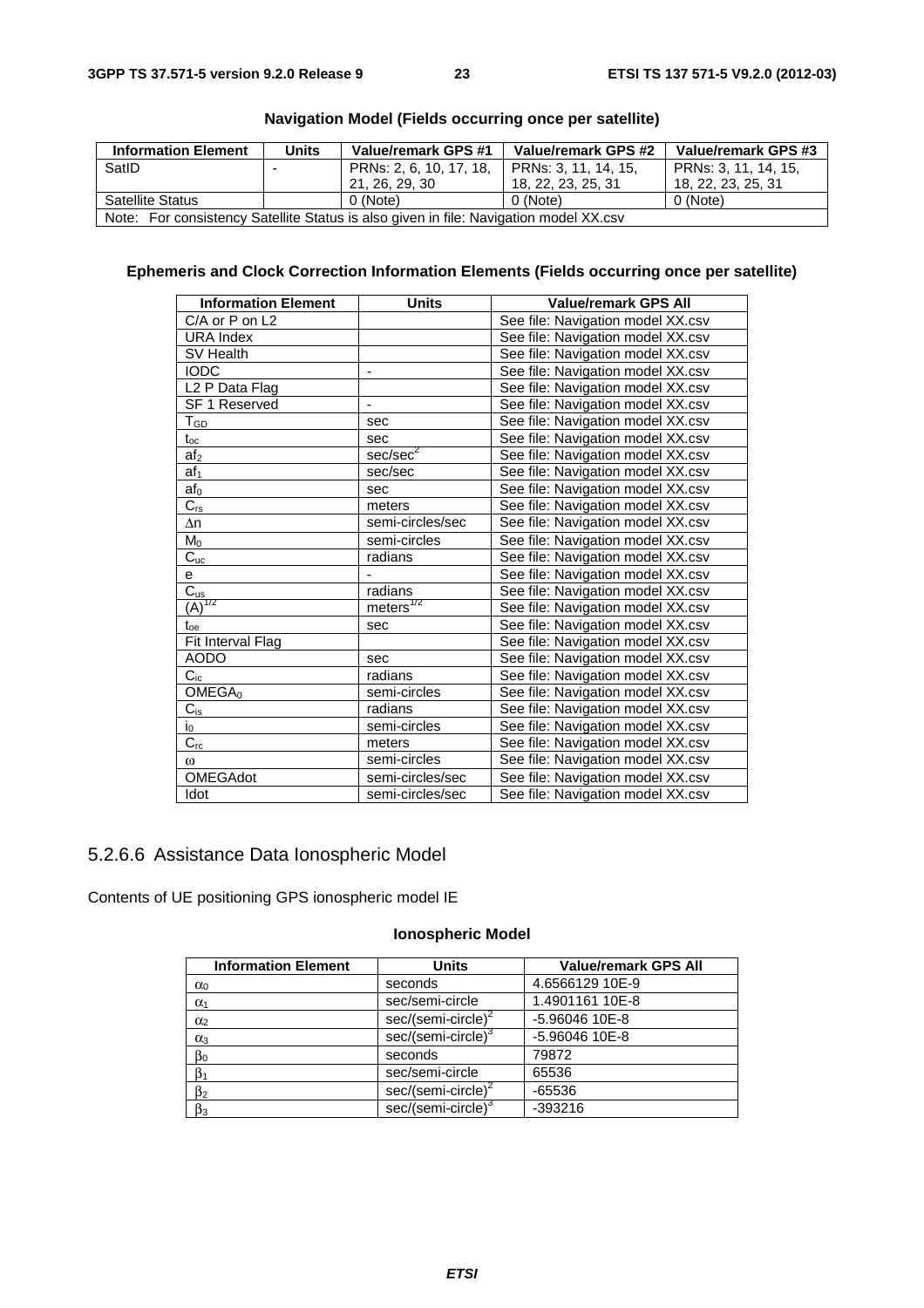| <b>Information Element</b>                                                            | <b>Units</b> | Value/remark GPS #1     | Value/remark GPS #2  | Value/remark GPS #3  |
|---------------------------------------------------------------------------------------|--------------|-------------------------|----------------------|----------------------|
| SatID                                                                                 |              | PRNs: 2, 6, 10, 17, 18, | PRNs: 3, 11, 14, 15, | PRNs: 3, 11, 14, 15, |
|                                                                                       |              | 21, 26, 29, 30          | 18, 22, 23, 25, 31   | 18, 22, 23, 25, 31   |
| <b>Satellite Status</b>                                                               |              | 0 (Note)                | 0 (Note)             | 0 (Note)             |
| Note: For consistency Satellite Status is also given in file: Navigation model XX.csv |              |                         |                      |                      |

## **Navigation Model (Fields occurring once per satellite)**

## **Ephemeris and Clock Correction Information Elements (Fields occurring once per satellite)**

| <b>Information Element</b> | <b>Units</b>                 | <b>Value/remark GPS All</b>       |
|----------------------------|------------------------------|-----------------------------------|
| C/A or P on L2             |                              | See file: Navigation model XX.csv |
| <b>URA Index</b>           |                              | See file: Navigation model XX.csv |
| SV Health                  |                              | See file: Navigation model XX.csv |
| <b>IODC</b>                | $\qquad \qquad \blacksquare$ | See file: Navigation model XX.csv |
| L <sub>2</sub> P Data Flag |                              | See file: Navigation model XX.csv |
| SF 1 Reserved              | $\qquad \qquad \blacksquare$ | See file: Navigation model XX.csv |
| $T_{\underline{GD}}$       | sec                          | See file: Navigation model XX.csv |
| $t_{\rm oc}$               | sec                          | See file: Navigation model XX.csv |
| af <sub>2</sub>            | sec/sec <sup>2</sup>         | See file: Navigation model XX.csv |
| af <sub>1</sub>            | sec/sec                      | See file: Navigation model XX.csv |
| af <sub>0</sub>            | sec                          | See file: Navigation model XX.csv |
| $C_{rs}$                   | meters                       | See file: Navigation model XX.csv |
| $\Delta n$                 | semi-circles/sec             | See file: Navigation model XX.csv |
| $M_0$                      | semi-circles                 | See file: Navigation model XX.csv |
| $C_{uc}$                   | radians                      | See file: Navigation model XX.csv |
| e                          |                              | See file: Navigation model XX.csv |
| $\overline{C_{us}}$        | radians                      | See file: Navigation model XX.csv |
| $\overline{(A)}^{1/2}$     | meters <sup>1/2</sup>        | See file: Navigation model XX.csv |
| $t_{oe}$                   | sec                          | See file: Navigation model XX.csv |
| Fit Interval Flag          |                              | See file: Navigation model XX.csv |
| <b>AODO</b>                | sec                          | See file: Navigation model XX.csv |
| $C_{ic}$                   | radians                      | See file: Navigation model XX.csv |
| OMEGA <sub>0</sub>         | semi-circles                 | See file: Navigation model XX.csv |
| $C_{is}$                   | radians                      | See file: Navigation model XX.csv |
| $i_0$                      | semi-circles                 | See file: Navigation model XX.csv |
| $C_{rc}$                   | meters                       | See file: Navigation model XX.csv |
| $\omega$                   | semi-circles                 | See file: Navigation model XX.csv |
| <b>OMEGAdot</b>            | semi-circles/sec             | See file: Navigation model XX.csv |
| Idot                       | semi-circles/sec             | See file: Navigation model XX.csv |

# 5.2.6.6 Assistance Data Ionospheric Model

Contents of UE positioning GPS ionospheric model IE

## **Ionospheric Model**

| <b>Information Element</b> | <b>Units</b>                   | <b>Value/remark GPS All</b> |
|----------------------------|--------------------------------|-----------------------------|
| $\alpha_0$                 | seconds                        | 4.6566129 10E-9             |
| $\alpha_1$                 | sec/semi-circle                | 1.4901161 10E-8             |
| $\alpha$ <sub>2</sub>      | $sec/(semi-circle)^2$          | -5.96046 10E-8              |
| $\alpha_3$                 | sec/(semi-circle) <sup>3</sup> | -5.96046 10E-8              |
| $\beta_0$                  | seconds                        | 79872                       |
| $\beta_1$                  | sec/semi-circle                | 65536                       |
| $\beta_2$                  | $sec/(semi-circle)^2$          | $-65536$                    |
| $\beta_3$                  | sec/(semi-circle) <sup>3</sup> | $-393216$                   |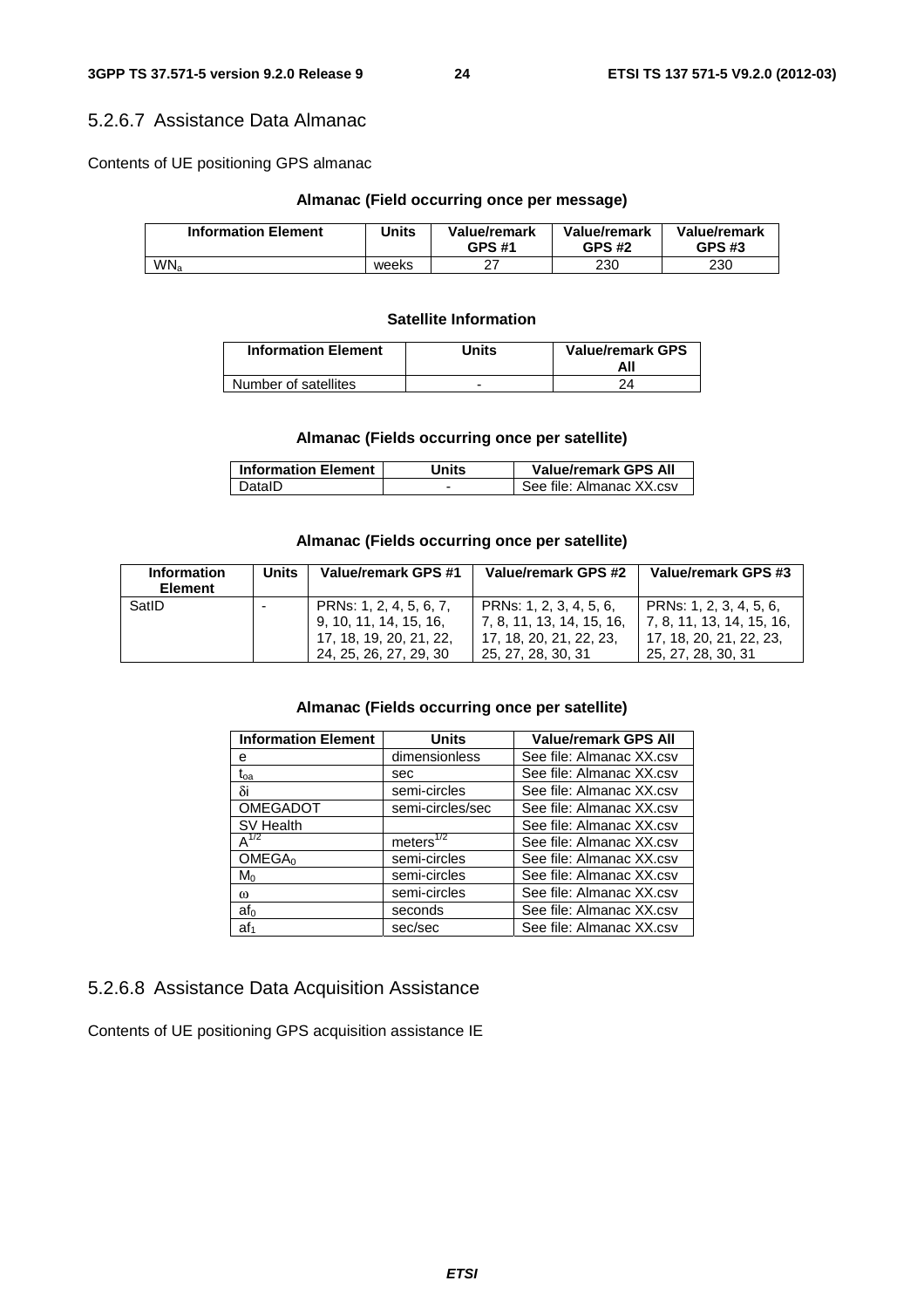# 5.2.6.7 Assistance Data Almanac

Contents of UE positioning GPS almanac

# **Almanac (Field occurring once per message)**

| <b>Information Element</b> | Units | Value/remark<br><b>GPS #1</b> | Value/remark<br><b>GPS #2</b> | Value/remark<br><b>GPS #3</b> |
|----------------------------|-------|-------------------------------|-------------------------------|-------------------------------|
| WN <sub>a</sub>            | weeks | $\sim$<br>∠                   | 230                           | 230                           |

# **Satellite Information**

| <b>Information Element</b> | Units | <b>Value/remark GPS</b> |
|----------------------------|-------|-------------------------|
| Number of satellites       | -     |                         |

# **Almanac (Fields occurring once per satellite)**

| <b>Information Element</b> | <b>Jnits</b> | <b>Value/remark GPS All</b> |
|----------------------------|--------------|-----------------------------|
| DataID                     |              | See file: Almanac XX.csv    |

# **Almanac (Fields occurring once per satellite)**

| <b>Information</b><br><b>Element</b> | <b>Units</b> | Value/remark GPS #1                                                                                    | Value/remark GPS #2                                                                                     | Value/remark GPS #3                                                                                     |
|--------------------------------------|--------------|--------------------------------------------------------------------------------------------------------|---------------------------------------------------------------------------------------------------------|---------------------------------------------------------------------------------------------------------|
| SatID                                |              | PRNs: 1, 2, 4, 5, 6, 7,<br>9, 10, 11, 14, 15, 16,<br>17, 18, 19, 20, 21, 22,<br>24, 25, 26, 27, 29, 30 | PRNs: 1, 2, 3, 4, 5, 6,<br>  7, 8, 11, 13, 14, 15, 16,<br>17, 18, 20, 21, 22, 23.<br>25, 27, 28, 30, 31 | PRNs: 1, 2, 3, 4, 5, 6,<br>  7, 8, 11, 13, 14, 15, 16,<br>17, 18, 20, 21, 22, 23,<br>25, 27, 28, 30, 31 |

# **Almanac (Fields occurring once per satellite)**

| <b>Information Element</b> | Units                 | <b>Value/remark GPS All</b> |
|----------------------------|-----------------------|-----------------------------|
| е                          | dimensionless         | See file: Almanac XX.csv    |
| $t_{oa}$                   | sec                   | See file: Almanac XX.csv    |
| δi                         | semi-circles          | See file: Almanac XX.csv    |
| <b>OMEGADOT</b>            | semi-circles/sec      | See file: Almanac XX.csv    |
| SV Health                  |                       | See file: Almanac XX.csv    |
| $A^{1/2}$                  | meters <sup>172</sup> | See file: Almanac XX.csv    |
| OMEGA <sub>0</sub>         | semi-circles          | See file: Almanac XX.csv    |
| $M_0$                      | semi-circles          | See file: Almanac XX.csv    |
| $\omega$                   | semi-circles          | See file: Almanac XX.csv    |
| $af_0$                     | seconds               | See file: Almanac XX.csv    |
| af <sub>1</sub>            | sec/sec               | See file: Almanac XX.csv    |

# 5.2.6.8 Assistance Data Acquisition Assistance

Contents of UE positioning GPS acquisition assistance IE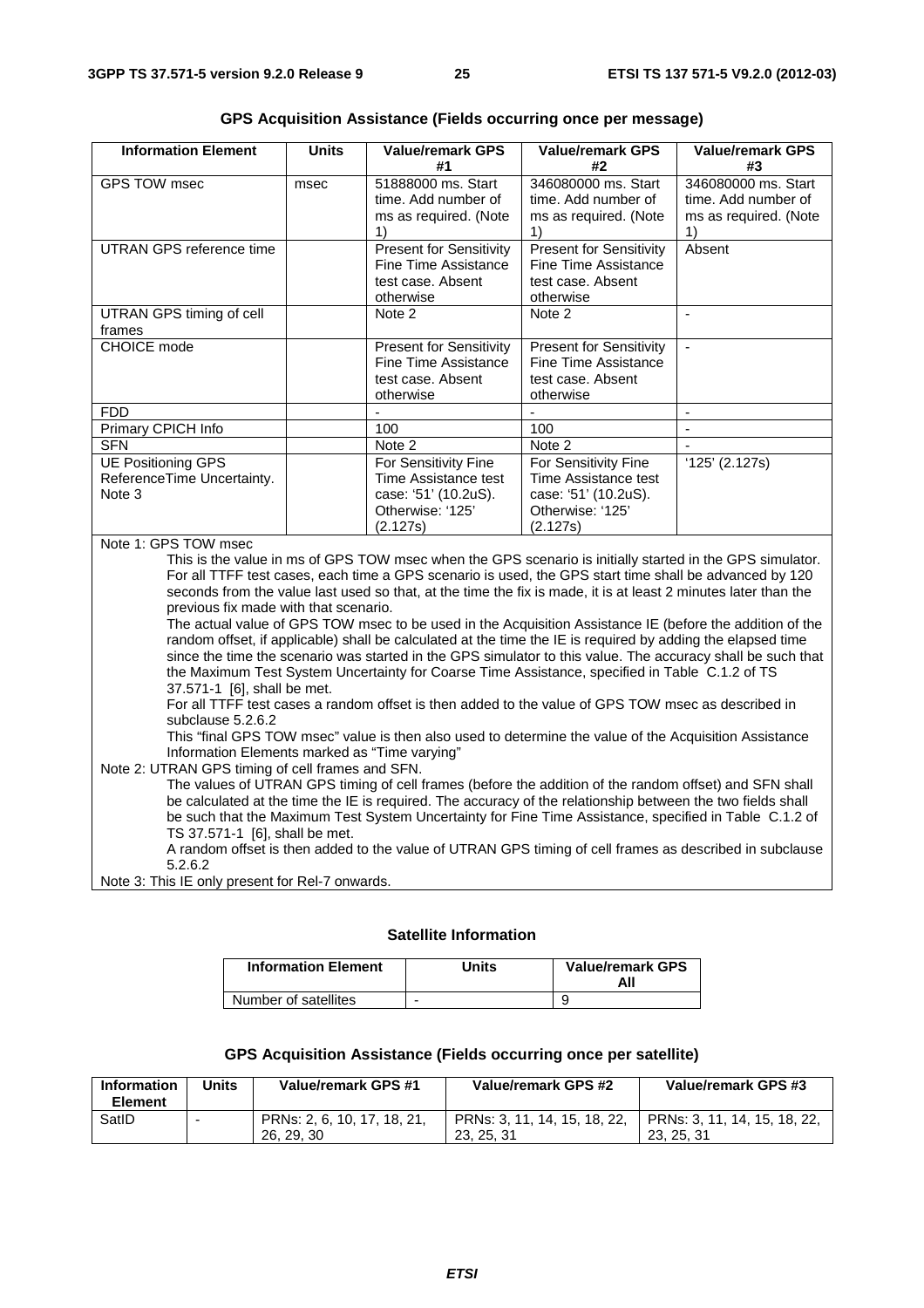| <b>Information Element</b>                                                                                                                                                                                                                                                                                                                                                                                                                                                                                                                                                                                                                                                                                                                                                                                                                                                                                                                                                                                                                                                                                                                                             | <b>Units</b> | <b>Value/remark GPS</b><br>#1                                                                                                                                                                                         | <b>Value/remark GPS</b><br>#2                                                                   | <b>Value/remark GPS</b><br>#3 |
|------------------------------------------------------------------------------------------------------------------------------------------------------------------------------------------------------------------------------------------------------------------------------------------------------------------------------------------------------------------------------------------------------------------------------------------------------------------------------------------------------------------------------------------------------------------------------------------------------------------------------------------------------------------------------------------------------------------------------------------------------------------------------------------------------------------------------------------------------------------------------------------------------------------------------------------------------------------------------------------------------------------------------------------------------------------------------------------------------------------------------------------------------------------------|--------------|-----------------------------------------------------------------------------------------------------------------------------------------------------------------------------------------------------------------------|-------------------------------------------------------------------------------------------------|-------------------------------|
| <b>GPS TOW msec</b>                                                                                                                                                                                                                                                                                                                                                                                                                                                                                                                                                                                                                                                                                                                                                                                                                                                                                                                                                                                                                                                                                                                                                    | msec         | 51888000 ms. Start                                                                                                                                                                                                    | 346080000 ms. Start                                                                             | 346080000 ms. Start           |
|                                                                                                                                                                                                                                                                                                                                                                                                                                                                                                                                                                                                                                                                                                                                                                                                                                                                                                                                                                                                                                                                                                                                                                        |              | time. Add number of                                                                                                                                                                                                   | time. Add number of                                                                             | time. Add number of           |
|                                                                                                                                                                                                                                                                                                                                                                                                                                                                                                                                                                                                                                                                                                                                                                                                                                                                                                                                                                                                                                                                                                                                                                        |              | ms as required. (Note                                                                                                                                                                                                 | ms as required. (Note                                                                           | ms as required. (Note         |
|                                                                                                                                                                                                                                                                                                                                                                                                                                                                                                                                                                                                                                                                                                                                                                                                                                                                                                                                                                                                                                                                                                                                                                        |              | 1)                                                                                                                                                                                                                    | 1)                                                                                              | 1)                            |
| <b>UTRAN GPS reference time</b>                                                                                                                                                                                                                                                                                                                                                                                                                                                                                                                                                                                                                                                                                                                                                                                                                                                                                                                                                                                                                                                                                                                                        |              | <b>Present for Sensitivity</b><br><b>Fine Time Assistance</b><br>test case. Absent<br>otherwise                                                                                                                       | <b>Present for Sensitivity</b><br><b>Fine Time Assistance</b><br>test case. Absent<br>otherwise | Absent                        |
| UTRAN GPS timing of cell<br>frames                                                                                                                                                                                                                                                                                                                                                                                                                                                                                                                                                                                                                                                                                                                                                                                                                                                                                                                                                                                                                                                                                                                                     |              | Note 2                                                                                                                                                                                                                | Note 2                                                                                          | $\blacksquare$                |
| <b>CHOICE</b> mode                                                                                                                                                                                                                                                                                                                                                                                                                                                                                                                                                                                                                                                                                                                                                                                                                                                                                                                                                                                                                                                                                                                                                     |              | <b>Present for Sensitivity</b><br>Fine Time Assistance<br>test case. Absent<br>otherwise                                                                                                                              | <b>Present for Sensitivity</b><br>Fine Time Assistance<br>test case. Absent<br>otherwise        | $\overline{a}$                |
| <b>FDD</b>                                                                                                                                                                                                                                                                                                                                                                                                                                                                                                                                                                                                                                                                                                                                                                                                                                                                                                                                                                                                                                                                                                                                                             |              | ÷,                                                                                                                                                                                                                    | L.                                                                                              | $\sim$                        |
| Primary CPICH Info                                                                                                                                                                                                                                                                                                                                                                                                                                                                                                                                                                                                                                                                                                                                                                                                                                                                                                                                                                                                                                                                                                                                                     |              | 100                                                                                                                                                                                                                   | 100                                                                                             |                               |
| <b>SFN</b>                                                                                                                                                                                                                                                                                                                                                                                                                                                                                                                                                                                                                                                                                                                                                                                                                                                                                                                                                                                                                                                                                                                                                             |              | Note 2                                                                                                                                                                                                                | Note 2                                                                                          | $\mathbf{r}$                  |
| <b>UE Positioning GPS</b>                                                                                                                                                                                                                                                                                                                                                                                                                                                                                                                                                                                                                                                                                                                                                                                                                                                                                                                                                                                                                                                                                                                                              |              | For Sensitivity Fine                                                                                                                                                                                                  | For Sensitivity Fine                                                                            | $'125'$ (2.127s)              |
| ReferenceTime Uncertainty.<br>Note 3                                                                                                                                                                                                                                                                                                                                                                                                                                                                                                                                                                                                                                                                                                                                                                                                                                                                                                                                                                                                                                                                                                                                   |              | Time Assistance test<br>case: '51' (10.2uS).<br>Otherwise: '125'                                                                                                                                                      | Time Assistance test<br>case: '51' (10.2uS).<br>Otherwise: '125'                                |                               |
|                                                                                                                                                                                                                                                                                                                                                                                                                                                                                                                                                                                                                                                                                                                                                                                                                                                                                                                                                                                                                                                                                                                                                                        |              | (2.127s)                                                                                                                                                                                                              | (2.127s)                                                                                        |                               |
| Note 1: GPS TOW msec<br>This is the value in ms of GPS TOW msec when the GPS scenario is initially started in the GPS simulator.<br>For all TTFF test cases, each time a GPS scenario is used, the GPS start time shall be advanced by 120<br>seconds from the value last used so that, at the time the fix is made, it is at least 2 minutes later than the<br>previous fix made with that scenario.<br>The actual value of GPS TOW msec to be used in the Acquisition Assistance IE (before the addition of the<br>random offset, if applicable) shall be calculated at the time the IE is required by adding the elapsed time<br>since the time the scenario was started in the GPS simulator to this value. The accuracy shall be such that<br>the Maximum Test System Uncertainty for Coarse Time Assistance, specified in Table C.1.2 of TS<br>37.571-1 [6], shall be met.<br>For all TTFF test cases a random offset is then added to the value of GPS TOW msec as described in<br>subclause 5.2.6.2<br>This "final GPS TOW msec" value is then also used to determine the value of the Acquisition Assistance<br>Information Elements marked as "Time varying" |              |                                                                                                                                                                                                                       |                                                                                                 |                               |
| Note 2: UTRAN GPS timing of cell frames and SFN.                                                                                                                                                                                                                                                                                                                                                                                                                                                                                                                                                                                                                                                                                                                                                                                                                                                                                                                                                                                                                                                                                                                       |              | The values of UTRAN GPS timing of cell frames (before the addition of the random offset) and SFN shall<br>be calculated at the time the IE is required. The accuracy of the relationship between the two fields shall |                                                                                                 |                               |

**GPS Acquisition Assistance (Fields occurring once per message)** 

TS 37.571-1 [6], shall be met. A random offset is then added to the value of UTRAN GPS timing of cell frames as described in subclause 5.2.6.2

be such that the Maximum Test System Uncertainty for Fine Time Assistance, specified in Table C.1.2 of

Note 3: This IE only present for Rel-7 onwards.

#### **Satellite Information**

| <b>Information Element</b> | Units | <b>Value/remark GPS</b><br>All |
|----------------------------|-------|--------------------------------|
| Number of satellites       | -     |                                |

#### **GPS Acquisition Assistance (Fields occurring once per satellite)**

| <b>Information</b><br>Element | Units | Value/remark GPS #1                       | Value/remark GPS #2                        | Value/remark GPS #3                        |
|-------------------------------|-------|-------------------------------------------|--------------------------------------------|--------------------------------------------|
| SatID                         |       | PRNs: 2, 6, 10, 17, 18, 21,<br>26, 29, 30 | PRNs: 3, 11, 14, 15, 18, 22,<br>23, 25, 31 | PRNs: 3, 11, 14, 15, 18, 22,<br>23, 25, 31 |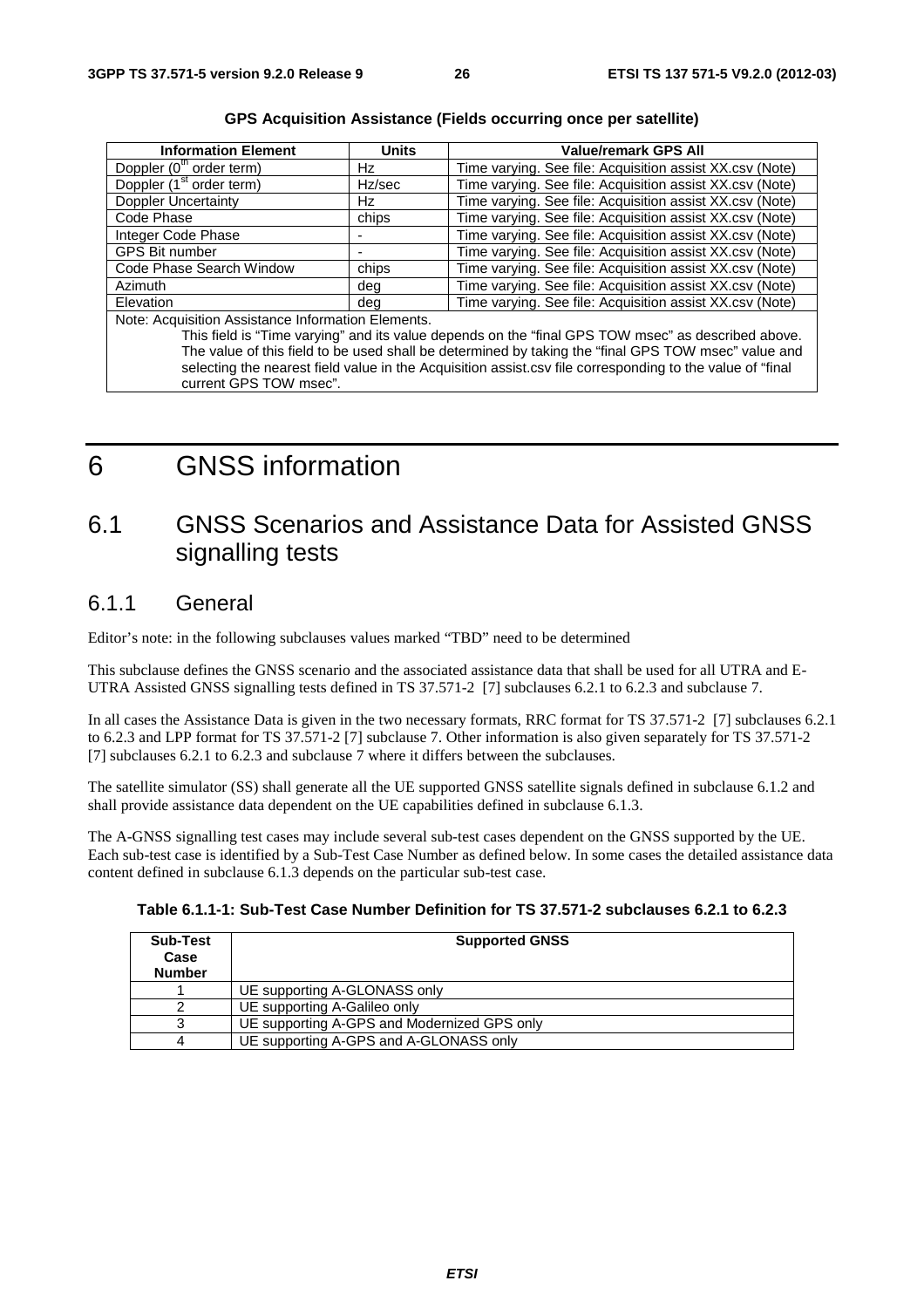| <b>Information Element</b>                         | <b>Units</b> | <b>Value/remark GPS All</b>                                                                               |
|----------------------------------------------------|--------------|-----------------------------------------------------------------------------------------------------------|
| Doppler (0 <sup>th</sup> order term)               | Hz           | Time varying. See file: Acquisition assist XX.csv (Note)                                                  |
| Doppler (1 <sup>st</sup> order term)               | Hz/sec       | Time varying. See file: Acquisition assist XX.csv (Note)                                                  |
| Doppler Uncertainty                                | Hz           | Time varying. See file: Acquisition assist XX.csv (Note)                                                  |
| Code Phase                                         | chips        | Time varying. See file: Acquisition assist XX.csv (Note)                                                  |
| Integer Code Phase                                 |              | Time varying. See file: Acquisition assist XX.csv (Note)                                                  |
| <b>GPS Bit number</b>                              | ٠            | Time varying. See file: Acquisition assist XX.csv (Note)                                                  |
| Code Phase Search Window                           | chips        | Time varying. See file: Acquisition assist XX.csv (Note)                                                  |
| <b>Azimuth</b>                                     | dea          | Time varying. See file: Acquisition assist XX.csv (Note)                                                  |
| Elevation                                          | dea          | Time varying. See file: Acquisition assist XX.csv (Note)                                                  |
| Note: Acquisition Assistance Information Elements. |              |                                                                                                           |
|                                                    |              | This field is "Time varying" and its value depends on the "final GPS TOW msec" as described above.        |
|                                                    |              | The value of this field to be used shall be determined by taking the "final GPS TOW msec" value and       |
|                                                    |              | selecting the nearest field value in the Acquisition assist.csv file corresponding to the value of "final |
| current GPS TOW msec".                             |              |                                                                                                           |

**GPS Acquisition Assistance (Fields occurring once per satellite)** 

# 6 GNSS information

# 6.1 GNSS Scenarios and Assistance Data for Assisted GNSS signalling tests

# 6.1.1 General

Editor's note: in the following subclauses values marked "TBD" need to be determined

This subclause defines the GNSS scenario and the associated assistance data that shall be used for all UTRA and E-UTRA Assisted GNSS signalling tests defined in TS 37.571-2 [7] subclauses 6.2.1 to 6.2.3 and subclause 7.

In all cases the Assistance Data is given in the two necessary formats, RRC format for TS 37.571-2 [7] subclauses 6.2.1 to 6.2.3 and LPP format for TS 37.571-2 [7] subclause 7. Other information is also given separately for TS 37.571-2 [7] subclauses 6.2.1 to 6.2.3 and subclause 7 where it differs between the subclauses.

The satellite simulator (SS) shall generate all the UE supported GNSS satellite signals defined in subclause 6.1.2 and shall provide assistance data dependent on the UE capabilities defined in subclause 6.1.3.

The A-GNSS signalling test cases may include several sub-test cases dependent on the GNSS supported by the UE. Each sub-test case is identified by a Sub-Test Case Number as defined below. In some cases the detailed assistance data content defined in subclause 6.1.3 depends on the particular sub-test case.

| Table 6.1.1-1: Sub-Test Case Number Definition for TS 37.571-2 subclauses 6.2.1 to 6.2.3 |  |  |
|------------------------------------------------------------------------------------------|--|--|
|------------------------------------------------------------------------------------------|--|--|

| <b>Sub-Test</b><br>Case<br><b>Number</b> | <b>Supported GNSS</b>                       |
|------------------------------------------|---------------------------------------------|
|                                          | UE supporting A-GLONASS only                |
|                                          | UE supporting A-Galileo only                |
|                                          | UE supporting A-GPS and Modernized GPS only |
|                                          | UE supporting A-GPS and A-GLONASS only      |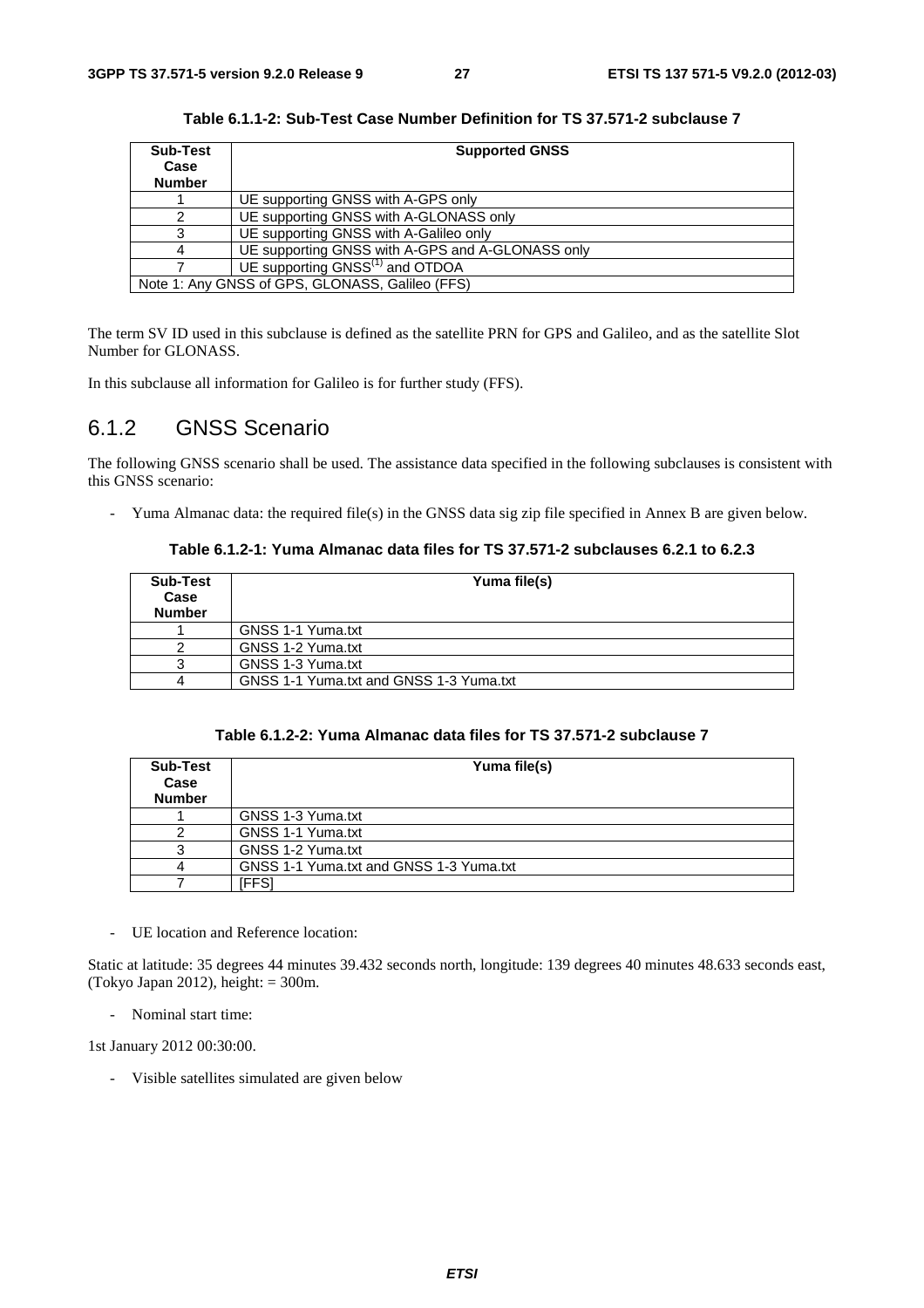| Sub-Test      | <b>Supported GNSS</b>                            |
|---------------|--------------------------------------------------|
| Case          |                                                  |
| <b>Number</b> |                                                  |
|               | UE supporting GNSS with A-GPS only               |
|               | UE supporting GNSS with A-GLONASS only           |
|               | UE supporting GNSS with A-Galileo only           |
|               | UE supporting GNSS with A-GPS and A-GLONASS only |
|               | UE supporting GNSS <sup>(1)</sup> and OTDOA      |
|               | Note 1: Any GNSS of GPS, GLONASS, Galileo (FFS)  |

**Table 6.1.1-2: Sub-Test Case Number Definition for TS 37.571-2 subclause 7** 

The term SV ID used in this subclause is defined as the satellite PRN for GPS and Galileo, and as the satellite Slot Number for GLONASS.

In this subclause all information for Galileo is for further study (FFS).

# 6.1.2 GNSS Scenario

The following GNSS scenario shall be used. The assistance data specified in the following subclauses is consistent with this GNSS scenario:

- Yuma Almanac data: the required file(s) in the GNSS data sig zip file specified in Annex B are given below.

#### **Table 6.1.2-1: Yuma Almanac data files for TS 37.571-2 subclauses 6.2.1 to 6.2.3**

| Sub-Test<br>Case<br><b>Number</b> | Yuma file(s)                            |
|-----------------------------------|-----------------------------------------|
|                                   | GNSS 1-1 Yuma.txt                       |
|                                   | GNSS 1-2 Yuma.txt                       |
|                                   | GNSS 1-3 Yuma.txt                       |
|                                   | GNSS 1-1 Yuma.txt and GNSS 1-3 Yuma.txt |

| Table 6.1.2-2: Yuma Almanac data files for TS 37.571-2 subclause 7 |  |  |
|--------------------------------------------------------------------|--|--|
|--------------------------------------------------------------------|--|--|

| <b>Sub-Test</b><br>Case<br><b>Number</b> | Yuma file(s)                            |
|------------------------------------------|-----------------------------------------|
|                                          | GNSS 1-3 Yuma.txt                       |
|                                          | GNSS 1-1 Yuma.txt                       |
|                                          | GNSS 1-2 Yuma.txt                       |
|                                          | GNSS 1-1 Yuma.txt and GNSS 1-3 Yuma.txt |
|                                          | [FFS]                                   |

- UE location and Reference location:

Static at latitude: 35 degrees 44 minutes 39.432 seconds north, longitude: 139 degrees 40 minutes 48.633 seconds east, (Tokyo Japan 2012), height:  $= 300$ m.

- Nominal start time:

1st January 2012 00:30:00.

- Visible satellites simulated are given below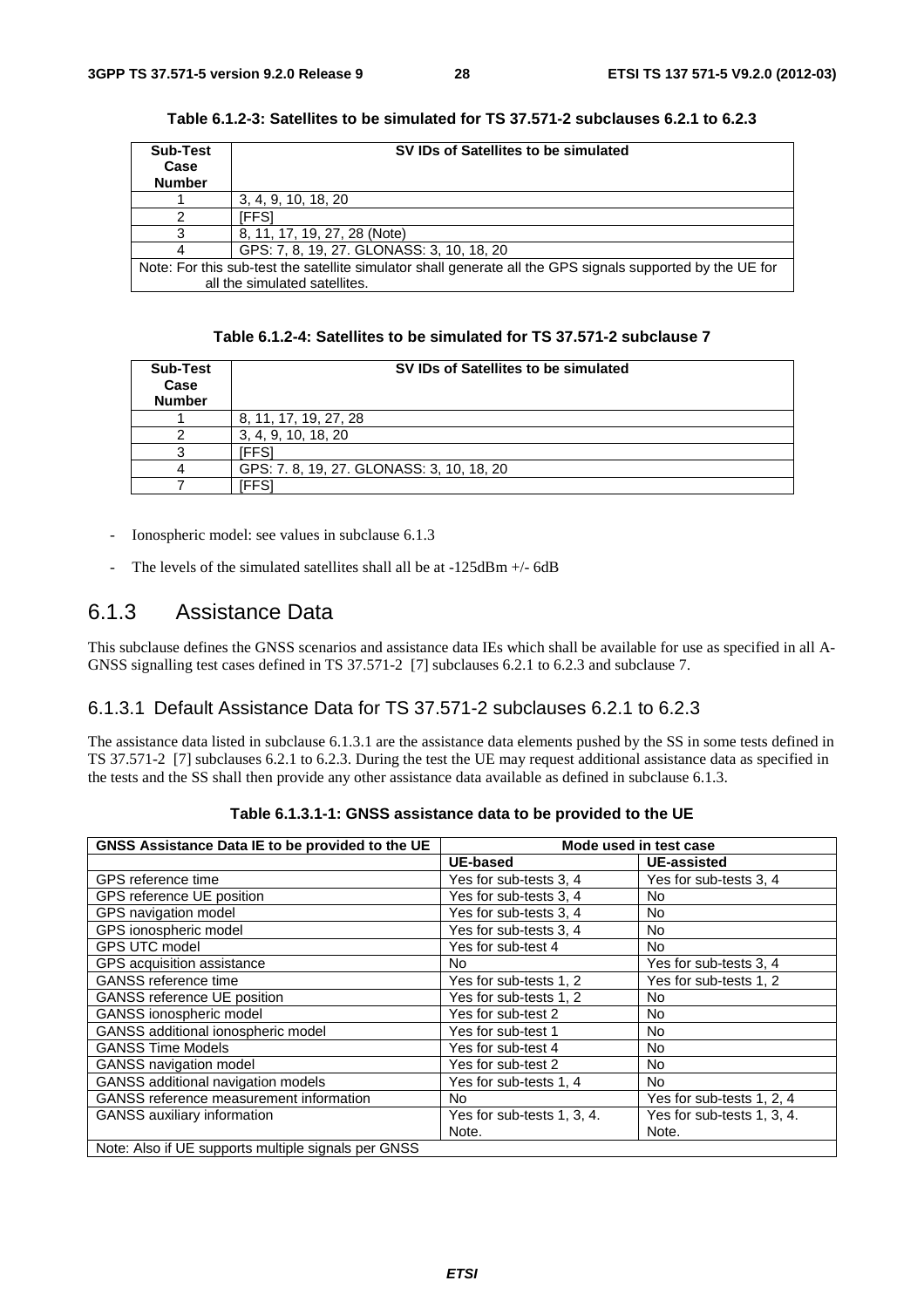| <b>Sub-Test</b><br>Case | SV IDs of Satellites to be simulated                                                                       |
|-------------------------|------------------------------------------------------------------------------------------------------------|
| <b>Number</b>           |                                                                                                            |
|                         | 3, 4, 9, 10, 18, 20                                                                                        |
|                         | [FFS]                                                                                                      |
|                         | 8, 11, 17, 19, 27, 28 (Note)                                                                               |
|                         | GPS: 7, 8, 19, 27. GLONASS: 3, 10, 18, 20                                                                  |
|                         | Note: For this sub-test the satellite simulator shall generate all the GPS signals supported by the UE for |
|                         | all the simulated satellites.                                                                              |

**Table 6.1.2-3: Satellites to be simulated for TS 37.571-2 subclauses 6.2.1 to 6.2.3** 

| Table 6.1.2-4: Satellites to be simulated for TS 37.571-2 subclause 7 |  |  |
|-----------------------------------------------------------------------|--|--|
|-----------------------------------------------------------------------|--|--|

| Sub-Test<br>Case<br><b>Number</b> | SV IDs of Satellites to be simulated     |
|-----------------------------------|------------------------------------------|
|                                   | 8, 11, 17, 19, 27, 28                    |
|                                   | 3, 4, 9, 10, 18, 20                      |
|                                   | [FFS]                                    |
|                                   | GPS: 7.8, 19, 27. GLONASS: 3, 10, 18, 20 |
|                                   | iFFS                                     |

- Ionospheric model: see values in subclause 6.1.3
- The levels of the simulated satellites shall all be at  $-125dBm + (-6dB)$

# 6.1.3 Assistance Data

This subclause defines the GNSS scenarios and assistance data IEs which shall be available for use as specified in all A-GNSS signalling test cases defined in TS 37.571-2 [7] subclauses 6.2.1 to 6.2.3 and subclause 7.

# 6.1.3.1 Default Assistance Data for TS 37.571-2 subclauses 6.2.1 to 6.2.3

The assistance data listed in subclause 6.1.3.1 are the assistance data elements pushed by the SS in some tests defined in TS 37.571-2 [7] subclauses 6.2.1 to 6.2.3. During the test the UE may request additional assistance data as specified in the tests and the SS shall then provide any other assistance data available as defined in subclause 6.1.3.

| GNSS Assistance Data IE to be provided to the UE    |                            | Mode used in test case     |
|-----------------------------------------------------|----------------------------|----------------------------|
|                                                     | <b>UE-based</b>            | <b>UE-assisted</b>         |
| GPS reference time                                  | Yes for sub-tests 3, 4     | Yes for sub-tests 3, 4     |
| GPS reference UE position                           | Yes for sub-tests 3, 4     | No                         |
| GPS navigation model                                | Yes for sub-tests 3, 4     | No                         |
| GPS ionospheric model                               | Yes for sub-tests 3, 4     | No                         |
| <b>GPS UTC model</b>                                | Yes for sub-test 4         | No.                        |
| GPS acquisition assistance                          | No.                        | Yes for sub-tests 3, 4     |
| <b>GANSS</b> reference time                         | Yes for sub-tests 1, 2     | Yes for sub-tests 1, 2     |
| <b>GANSS reference UE position</b>                  | Yes for sub-tests 1, 2     | No                         |
| GANSS ionospheric model                             | Yes for sub-test 2         | No.                        |
| GANSS additional ionospheric model                  | Yes for sub-test 1         | No.                        |
| <b>GANSS Time Models</b>                            | Yes for sub-test 4         | <b>No</b>                  |
| GANSS navigation model                              | Yes for sub-test 2         | No.                        |
| GANSS additional navigation models                  | Yes for sub-tests 1, 4     | No.                        |
| GANSS reference measurement information             | No.                        | Yes for sub-tests 1, 2, 4  |
| <b>GANSS</b> auxiliary information                  | Yes for sub-tests 1, 3, 4. | Yes for sub-tests 1, 3, 4. |
|                                                     | Note.                      | Note.                      |
| Note: Also if UE supports multiple signals per GNSS |                            |                            |

**Table 6.1.3.1-1: GNSS assistance data to be provided to the UE**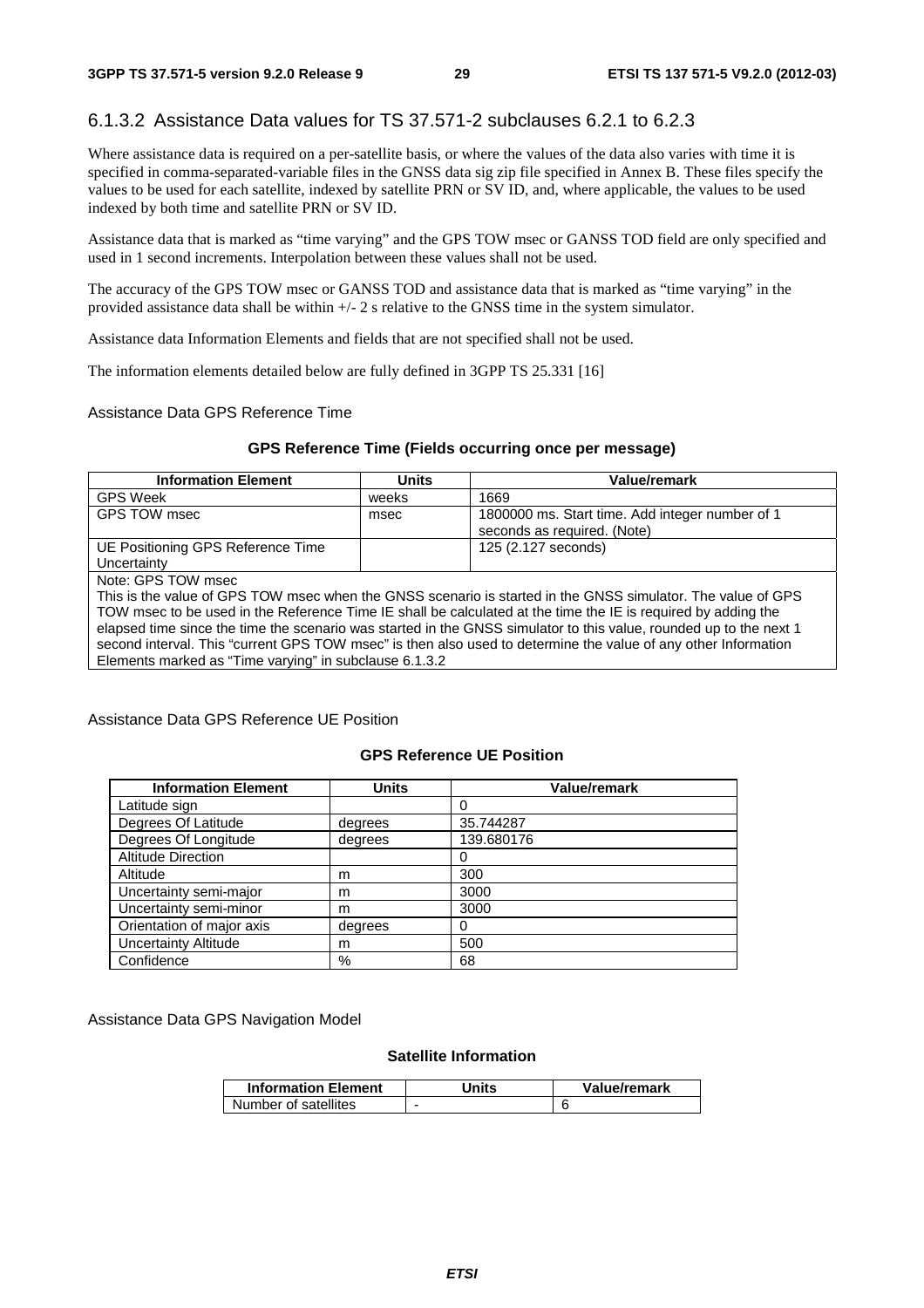# 6.1.3.2 Assistance Data values for TS 37.571-2 subclauses 6.2.1 to 6.2.3

Where assistance data is required on a per-satellite basis, or where the values of the data also varies with time it is specified in comma-separated-variable files in the GNSS data sig zip file specified in Annex B. These files specify the values to be used for each satellite, indexed by satellite PRN or SV ID, and, where applicable, the values to be used indexed by both time and satellite PRN or SV ID.

Assistance data that is marked as "time varying" and the GPS TOW msec or GANSS TOD field are only specified and used in 1 second increments. Interpolation between these values shall not be used.

The accuracy of the GPS TOW msec or GANSS TOD and assistance data that is marked as "time varying" in the provided assistance data shall be within +/- 2 s relative to the GNSS time in the system simulator.

Assistance data Information Elements and fields that are not specified shall not be used.

The information elements detailed below are fully defined in 3GPP TS 25.331 [16]

#### Assistance Data GPS Reference Time

#### **GPS Reference Time (Fields occurring once per message)**

| <b>Information Element</b>                       | Units | Value/remark                                                                   |
|--------------------------------------------------|-------|--------------------------------------------------------------------------------|
| GPS Week                                         | weeks | 1669                                                                           |
| GPS TOW msec                                     | msec  | 1800000 ms. Start time. Add integer number of 1<br>seconds as required. (Note) |
| UE Positioning GPS Reference Time<br>Uncertainty |       | 125 (2.127 seconds)                                                            |

Note: GPS TOW msec

This is the value of GPS TOW msec when the GNSS scenario is started in the GNSS simulator. The value of GPS TOW msec to be used in the Reference Time IE shall be calculated at the time the IE is required by adding the elapsed time since the time the scenario was started in the GNSS simulator to this value, rounded up to the next 1 second interval. This "current GPS TOW msec" is then also used to determine the value of any other Information Elements marked as "Time varying" in subclause 6.1.3.2

#### Assistance Data GPS Reference UE Position

#### **GPS Reference UE Position**

| <b>Information Element</b>  | <b>Units</b> | <b>Value/remark</b> |
|-----------------------------|--------------|---------------------|
| Latitude sign               |              | 0                   |
| Degrees Of Latitude         | degrees      | 35.744287           |
| Degrees Of Longitude        | degrees      | 139.680176          |
| <b>Altitude Direction</b>   |              |                     |
| Altitude                    | m            | 300                 |
| Uncertainty semi-major      | m            | 3000                |
| Uncertainty semi-minor      | m            | 3000                |
| Orientation of major axis   | degrees      | 0                   |
| <b>Uncertainty Altitude</b> | m            | 500                 |
| Confidence                  | %            | 68                  |

Assistance Data GPS Navigation Model

#### **Satellite Information**

| <b>Information Element</b> | Units | Value/remark |
|----------------------------|-------|--------------|
| Number of satellites       | -     |              |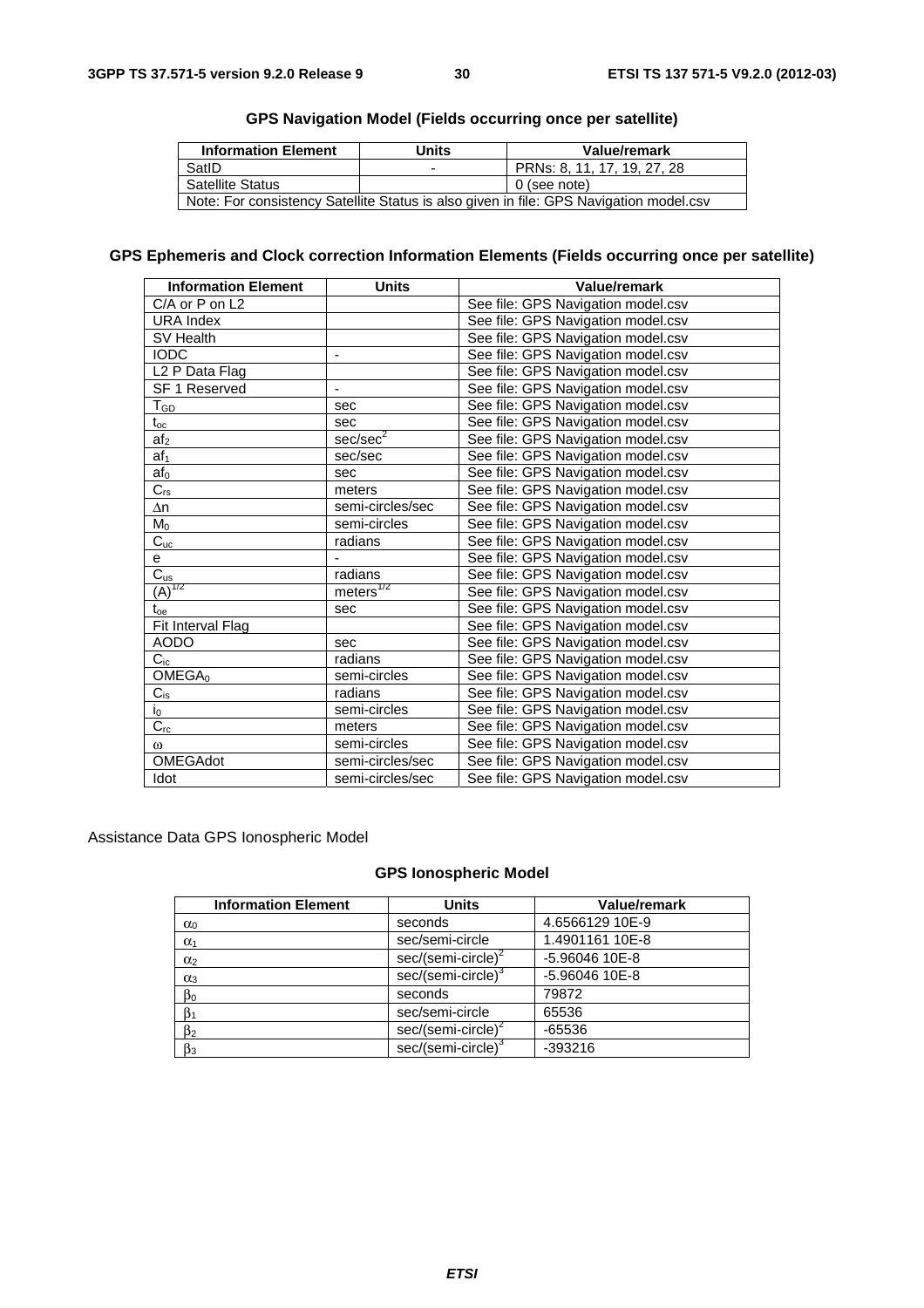| <b>Information Element</b>                                                             | Units | Value/remark                |
|----------------------------------------------------------------------------------------|-------|-----------------------------|
| SatID                                                                                  | -     | PRNs: 8, 11, 17, 19, 27, 28 |
| <b>Satellite Status</b>                                                                |       | 0 (see note)                |
| Note: For consistency Satellite Status is also given in file: GPS Navigation model.csv |       |                             |

## **GPS Navigation Model (Fields occurring once per satellite)**

# **GPS Ephemeris and Clock correction Information Elements (Fields occurring once per satellite)**

| <b>Information Element</b> | <b>Units</b>             | Value/remark                       |
|----------------------------|--------------------------|------------------------------------|
| C/A or P on L2             |                          | See file: GPS Navigation model.csv |
| <b>URA Index</b>           |                          | See file: GPS Navigation model.csv |
| <b>SV Health</b>           |                          | See file: GPS Navigation model.csv |
| <b>IODC</b>                | $\overline{\phantom{a}}$ | See file: GPS Navigation model.csv |
| L <sub>2</sub> P Data Flag |                          | See file: GPS Navigation model.csv |
| SF 1 Reserved              |                          | See file: GPS Navigation model.csv |
| $T_{GD}$                   | sec                      | See file: GPS Navigation model.csv |
| $t_{\rm oc}$               | sec                      | See file: GPS Navigation model.csv |
| af <sub>2</sub>            | sec/sec <sup>2</sup>     | See file: GPS Navigation model.csv |
| af <sub>1</sub>            | sec/sec                  | See file: GPS Navigation model.csv |
| af $_{\rm 0}$              | sec                      | See file: GPS Navigation model.csv |
| $\overline{C_{rs}}$        | meters                   | See file: GPS Navigation model.csv |
| Δn                         | semi-circles/sec         | See file: GPS Navigation model.csv |
| $M_0$                      | semi-circles             | See file: GPS Navigation model.csv |
| $C_{uc}$                   | radians                  | See file: GPS Navigation model.csv |
| e                          |                          | See file: GPS Navigation model.csv |
| $\overline{C_{\text{us}}}$ | radians                  | See file: GPS Navigation model.csv |
| $(A)^{1/2}$                | meters <sup>1/2</sup>    | See file: GPS Navigation model.csv |
| $t_{oe}$                   | sec                      | See file: GPS Navigation model.csv |
| Fit Interval Flag          |                          | See file: GPS Navigation model.csv |
| <b>AODO</b>                | sec                      | See file: GPS Navigation model.csv |
| $C_{ic}$                   | radians                  | See file: GPS Navigation model.csv |
| OMEGA <sub>0</sub>         | semi-circles             | See file: GPS Navigation model.csv |
| $C_{is}$                   | radians                  | See file: GPS Navigation model.csv |
| $\mathsf{i}_0$             | semi-circles             | See file: GPS Navigation model.csv |
| $\overline{C_{rc}}$        | meters                   | See file: GPS Navigation model.csv |
| $\omega$                   | semi-circles             | See file: GPS Navigation model.csv |
| <b>OMEGAdot</b>            | semi-circles/sec         | See file: GPS Navigation model.csv |
| Idot                       | semi-circles/sec         | See file: GPS Navigation model.csv |

Assistance Data GPS Ionospheric Model

## **GPS Ionospheric Model**

| <b>Information Element</b> | <b>Units</b>                   | Value/remark    |
|----------------------------|--------------------------------|-----------------|
| $\alpha_0$                 | seconds                        | 4.6566129 10E-9 |
| $\alpha_1$                 | sec/semi-circle                | 1.4901161 10E-8 |
| $\alpha_2$                 | sec/(semi-circle) <sup>2</sup> | -5.96046 10E-8  |
| $\alpha_3$                 | sec/(semi-circle) <sup>3</sup> | -5.96046 10E-8  |
| $\beta_0$                  | seconds                        | 79872           |
| $\beta_1$                  | sec/semi-circle                | 65536           |
| $\beta_2$                  | sec/(semi-circle) <sup>2</sup> | $-65536$        |
| $\beta_3$                  | sec/(semi-circle) <sup>3</sup> | $-393216$       |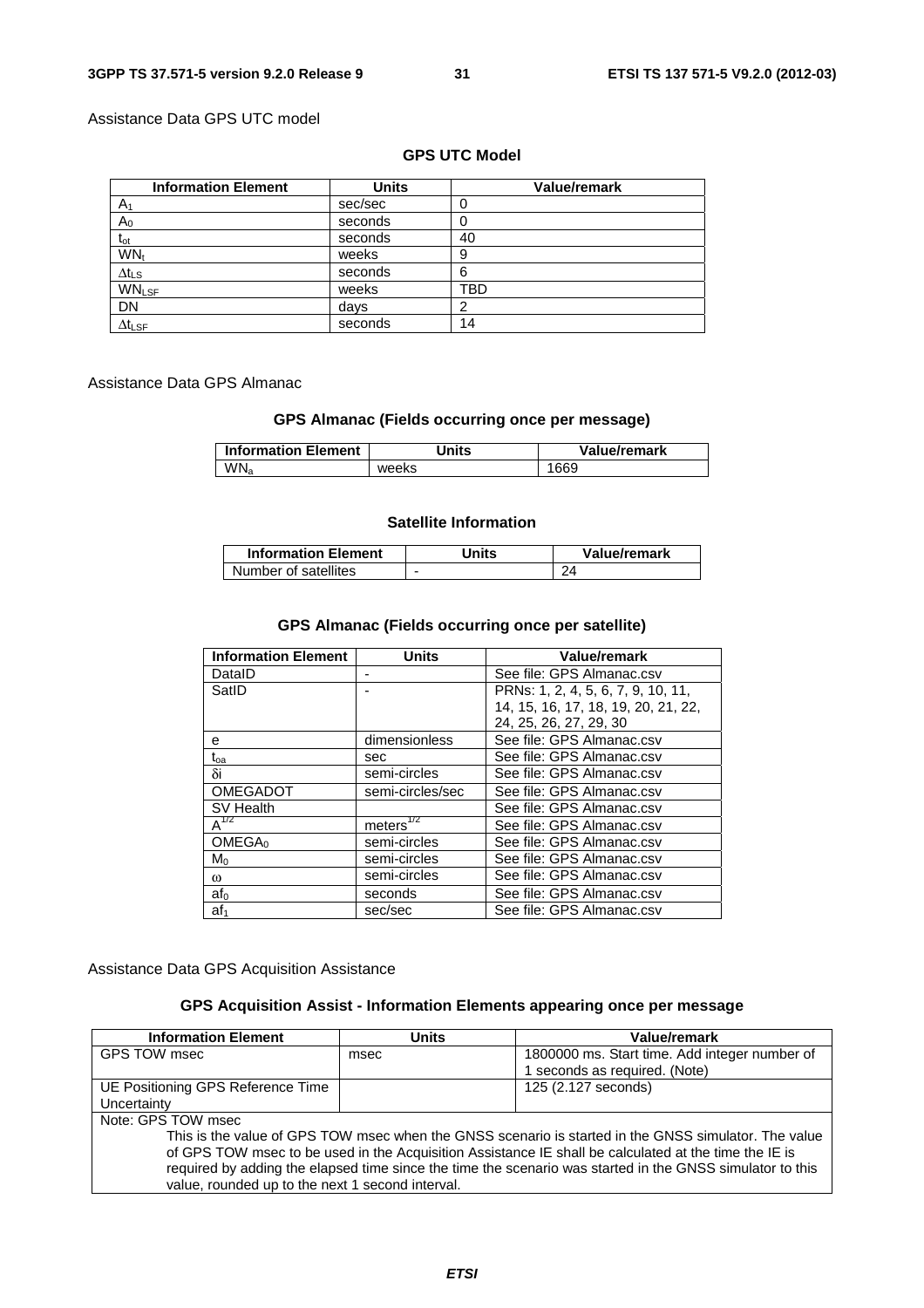#### Assistance Data GPS UTC model

### **GPS UTC Model**

| <b>Information Element</b> | <b>Units</b> | Value/remark |
|----------------------------|--------------|--------------|
| A <sub>1</sub>             | sec/sec      |              |
| $\mathsf A_0$              | seconds      |              |
| t <sub>ot</sub>            | seconds      | 40           |
| WN <sub>t</sub>            | weeks        | 9            |
| $\Delta t_{\text{LS}}$     | seconds      | 6            |
| <b>WNLSF</b>               | weeks        | TBD          |
| <b>DN</b>                  | days         |              |
| $\Delta t_{\text{LSF}}$    | seconds      | 14           |

#### Assistance Data GPS Almanac

## **GPS Almanac (Fields occurring once per message)**

| <b>Information Element</b> | Units | Value/remark |
|----------------------------|-------|--------------|
| WN <sub>a</sub>            | weeks | 1669         |

#### **Satellite Information**

| <b>Information Element</b> | Units | Value/remark |
|----------------------------|-------|--------------|
| Number of satellites       | -     |              |

## **GPS Almanac (Fields occurring once per satellite)**

| <b>Information Element</b> | <b>Units</b>           | Value/remark                        |
|----------------------------|------------------------|-------------------------------------|
| DataID                     |                        | See file: GPS Almanac.csv           |
| SatID                      |                        | PRNs: 1, 2, 4, 5, 6, 7, 9, 10, 11,  |
|                            |                        | 14, 15, 16, 17, 18, 19, 20, 21, 22, |
|                            |                        | 24, 25, 26, 27, 29, 30              |
| е                          | dimensionless          | See file: GPS Almanac.csv           |
| t <sub>oa</sub>            | sec                    | See file: GPS Almanac.csv           |
| δi                         | semi-circles           | See file: GPS Almanac.csv           |
| <b>OMEGADOT</b>            | semi-circles/sec       | See file: GPS Almanac.csv           |
| SV Health                  |                        | See file: GPS Almanac.csv           |
| $A^{1/2}$                  | meters $\sqrt[1/2]{2}$ | See file: GPS Almanac.csv           |
| OMEGA <sub>0</sub>         | semi-circles           | See file: GPS Almanac.csv           |
| $M_0$                      | semi-circles           | See file: GPS Almanac.csv           |
| $\omega$                   | semi-circles           | See file: GPS Almanac.csv           |
| af <sub>0</sub>            | seconds                | See file: GPS Almanac.csv           |
| af <sub>1</sub>            | sec/sec                | See file: GPS Almanac.csv           |

Assistance Data GPS Acquisition Assistance

## **GPS Acquisition Assist - Information Elements appearing once per message**

| <b>Information Element</b>                                                                                                                                                                                    | <b>Units</b> | Value/remark                                  |
|---------------------------------------------------------------------------------------------------------------------------------------------------------------------------------------------------------------|--------------|-----------------------------------------------|
| GPS TOW msec                                                                                                                                                                                                  | msec         | 1800000 ms. Start time. Add integer number of |
|                                                                                                                                                                                                               |              | 1 seconds as required. (Note)                 |
| UE Positioning GPS Reference Time                                                                                                                                                                             |              | 125 (2.127 seconds)                           |
| Uncertainty                                                                                                                                                                                                   |              |                                               |
| Note: GPS TOW msec                                                                                                                                                                                            |              |                                               |
| This is the value of GPS TOW msec when the GNSS scenario is started in the GNSS simulator. The value<br>of GPS TOW msec to be used in the Acquisition Assistance IE shall be calculated at the time the IE is |              |                                               |
| required by adding the elapsed time since the time the scenario was started in the GNSS simulator to this<br>value, rounded up to the next 1 second interval.                                                 |              |                                               |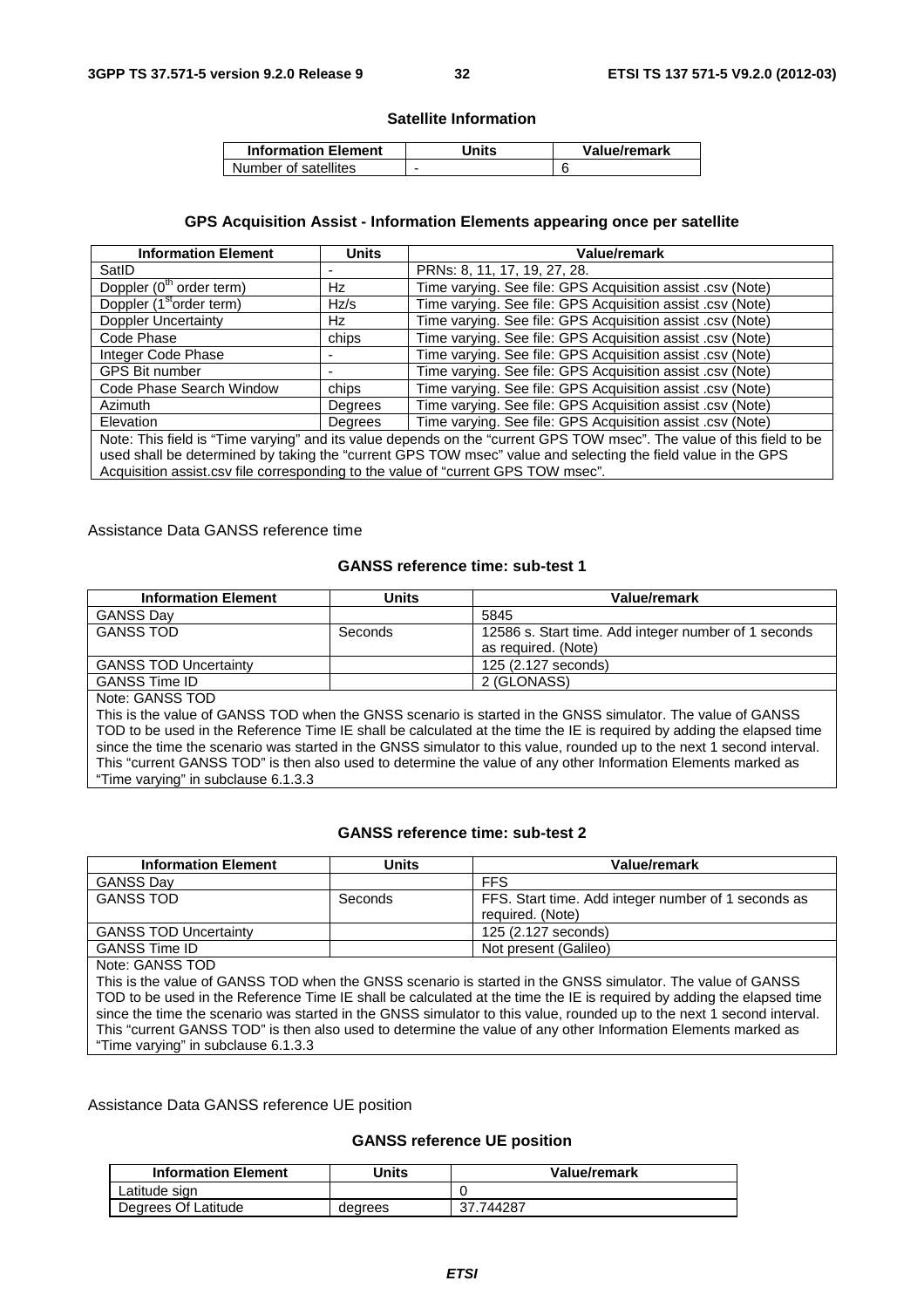#### **Satellite Information**

| <b>Information Element</b> | Jnits | Value/remark |
|----------------------------|-------|--------------|
| Number of satellites       | -     |              |

#### **GPS Acquisition Assist - Information Elements appearing once per satellite**

| <b>Information Element</b>                                                                                                                                                                                                                                                                                                 | <b>Units</b> | Value/remark                                               |
|----------------------------------------------------------------------------------------------------------------------------------------------------------------------------------------------------------------------------------------------------------------------------------------------------------------------------|--------------|------------------------------------------------------------|
| SatID                                                                                                                                                                                                                                                                                                                      |              | PRNs: 8, 11, 17, 19, 27, 28.                               |
| Doppler (0 <sup>th</sup> order term)                                                                                                                                                                                                                                                                                       | Hz           | Time varying. See file: GPS Acquisition assist .csv (Note) |
| Doppler (1 <sup>st</sup> order term)                                                                                                                                                                                                                                                                                       | Hz/s         | Time varying. See file: GPS Acquisition assist .csv (Note) |
| <b>Doppler Uncertainty</b>                                                                                                                                                                                                                                                                                                 | Hz           | Time varying. See file: GPS Acquisition assist .csv (Note) |
| Code Phase                                                                                                                                                                                                                                                                                                                 | chips        | Time varying. See file: GPS Acquisition assist .csv (Note) |
| Integer Code Phase                                                                                                                                                                                                                                                                                                         |              | Time varying. See file: GPS Acquisition assist .csv (Note) |
| <b>GPS Bit number</b>                                                                                                                                                                                                                                                                                                      |              | Time varying. See file: GPS Acquisition assist .csv (Note) |
| Code Phase Search Window                                                                                                                                                                                                                                                                                                   | chips        | Time varying. See file: GPS Acquisition assist .csv (Note) |
| <b>Azimuth</b>                                                                                                                                                                                                                                                                                                             | Degrees      | Time varying. See file: GPS Acquisition assist .csv (Note) |
| Elevation                                                                                                                                                                                                                                                                                                                  | Degrees      | Time varying. See file: GPS Acquisition assist .csv (Note) |
| Note: This field is "Time varying" and its value depends on the "current GPS TOW msec". The value of this field to be<br>used shall be determined by taking the "current GPS TOW msec" value and selecting the field value in the GPS<br>Acquisition assist.csv file corresponding to the value of "current GPS TOW msec". |              |                                                            |

#### Assistance Data GANSS reference time

#### **GANSS reference time: sub-test 1**

| <b>Information Element</b>                                                                                             | <b>Units</b> | Value/remark                                                                                                          |
|------------------------------------------------------------------------------------------------------------------------|--------------|-----------------------------------------------------------------------------------------------------------------------|
| <b>GANSS Day</b>                                                                                                       |              | 5845                                                                                                                  |
| <b>GANSS TOD</b>                                                                                                       | Seconds      | 12586 s. Start time. Add integer number of 1 seconds<br>as required. (Note)                                           |
| <b>GANSS TOD Uncertainty</b>                                                                                           |              | 125 (2.127 seconds)                                                                                                   |
| <b>GANSS Time ID</b>                                                                                                   |              | 2 (GLONASS)                                                                                                           |
| Note: GANSS TOD                                                                                                        |              |                                                                                                                       |
| This is the value of GANSS TOD when the GNSS scenario is started in the GNSS simulator. The value of GANSS             |              |                                                                                                                       |
|                                                                                                                        |              | TOD to be used in the Reference Time IE shall be calculated at the time the IE is required by adding the elapsed time |
| since the time the scenario was started in the GNSS simulator to this value, rounded up to the next 1 second interval. |              |                                                                                                                       |
|                                                                                                                        |              | This "current GANSS TOD" is then also used to determine the value of any other Information Elements marked as         |

Time varying" in subclause 6.1.3.3

#### **GANSS reference time: sub-test 2**

| <b>Information Element</b>   | Units   | Value/remark                                                            |
|------------------------------|---------|-------------------------------------------------------------------------|
| <b>GANSS Day</b>             |         | <b>FFS</b>                                                              |
| <b>GANSS TOD</b>             | Seconds | FFS. Start time. Add integer number of 1 seconds as<br>required. (Note) |
| <b>GANSS TOD Uncertainty</b> |         | 125 (2.127 seconds)                                                     |
| <b>GANSS Time ID</b>         |         | Not present (Galileo)                                                   |
| Notal CANICO TOD             |         |                                                                         |

Note: GANSS TOD

This is the value of GANSS TOD when the GNSS scenario is started in the GNSS simulator. The value of GANSS TOD to be used in the Reference Time IE shall be calculated at the time the IE is required by adding the elapsed time since the time the scenario was started in the GNSS simulator to this value, rounded up to the next 1 second interval. This "current GANSS TOD" is then also used to determine the value of any other Information Elements marked as "Time varying" in subclause 6.1.3.3

#### Assistance Data GANSS reference UE position

#### **GANSS reference UE position**

| <b>Information Element</b> | Jnits   | <b>Value/remark</b> |
|----------------------------|---------|---------------------|
| Latitude sign              |         |                     |
| Degrees Of Latitude        | degrees | 744287<br>37.       |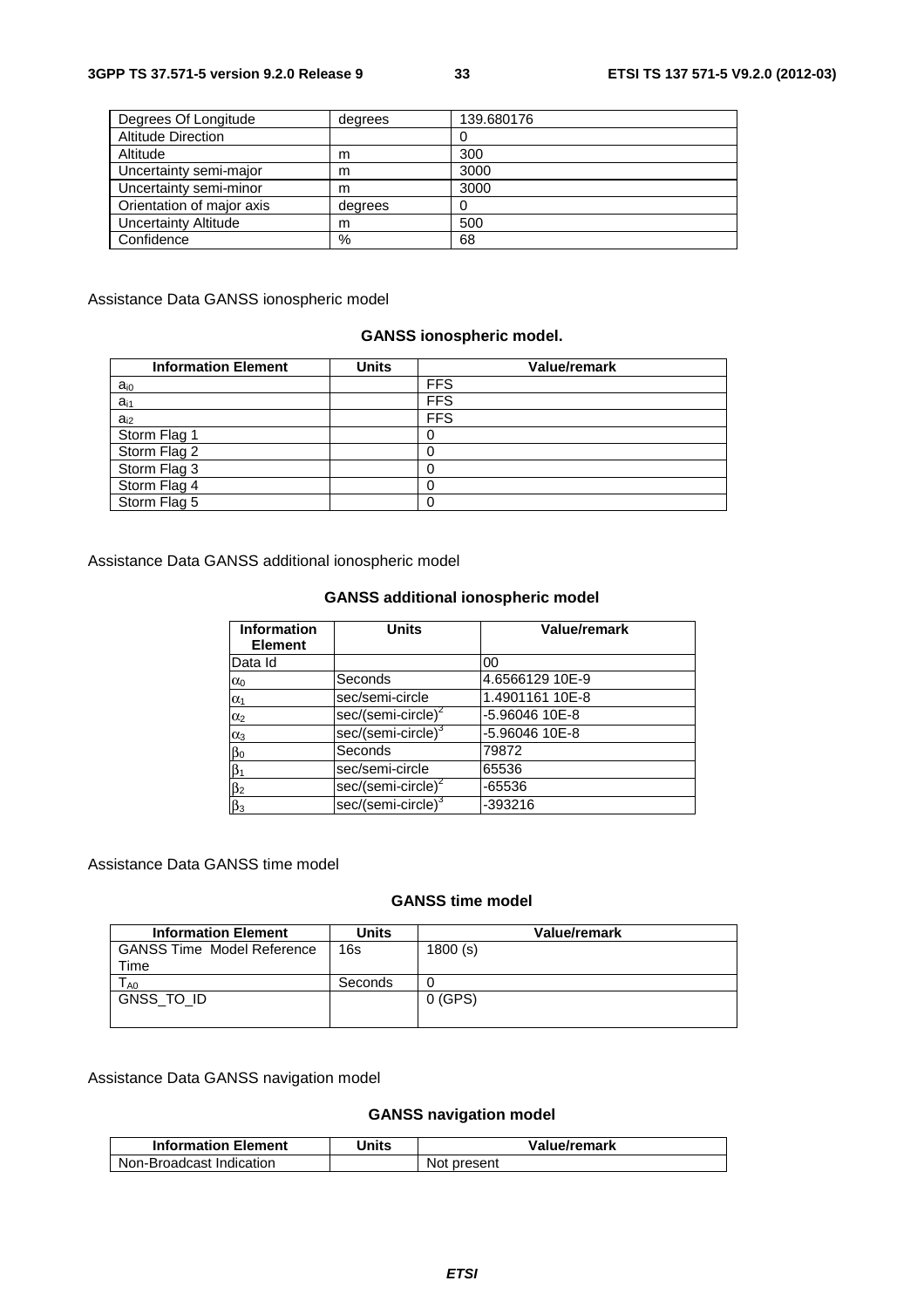| Degrees Of Longitude      | degrees | 139.680176 |
|---------------------------|---------|------------|
| <b>Altitude Direction</b> |         |            |
| Altitude                  | m       | 300        |
| Uncertainty semi-major    | m       | 3000       |
| Uncertainty semi-minor    | m       | 3000       |
| Orientation of major axis | degrees |            |
| Uncertainty Altitude      | m       | 500        |
| Confidence                | %       | 68         |

Assistance Data GANSS ionospheric model

## **GANSS ionospheric model.**

| <b>Information Element</b> | <b>Units</b> | <b>Value/remark</b> |
|----------------------------|--------------|---------------------|
| $a_{i0}$                   |              | <b>FFS</b>          |
| $a_{i1}$                   |              | <b>FFS</b>          |
| $a_{i2}$                   |              | <b>FFS</b>          |
| Storm Flag 1               |              |                     |
| Storm Flag 2               |              |                     |
| Storm Flag 3               |              |                     |
| Storm Flag 4               |              |                     |
| Storm Flag 5               |              |                     |

Assistance Data GANSS additional ionospheric model

#### **GANSS additional ionospheric model**

| <b>Information</b><br><b>Element</b> | <b>Units</b>                   | Value/remark    |
|--------------------------------------|--------------------------------|-----------------|
| Data Id                              |                                | 00              |
| $\alpha_0$                           | Seconds                        | 4.6566129 10E-9 |
| $\alpha_1$                           | sec/semi-circle                | 1.4901161 10E-8 |
| $\alpha_2$                           | sec/(semi-circle) <sup>2</sup> | -5.96046 10E-8  |
| $\alpha_3$                           | sec/(semi-circle) <sup>3</sup> | -5.96046 10E-8  |
| βο                                   | Seconds                        | 79872           |
| $\beta_1$                            | sec/semi-circle                | 65536           |
| $\beta_2$                            | sec/(semi-circle) <sup>2</sup> | $-65536$        |
| $\beta_3$                            | sec/(semi-circle) <sup>3</sup> | -393216         |

### Assistance Data GANSS time model

### **GANSS time model**

| <b>Information Element</b>        | Units   | Value/remark |
|-----------------------------------|---------|--------------|
| <b>GANSS Time Model Reference</b> | 16s     | 1800(s)      |
| Time                              |         |              |
| $\mathsf{T}_{\mathsf{A}0}$        | Seconds |              |
| GNSS_TO_ID                        |         | $0$ (GPS)    |
|                                   |         |              |

Assistance Data GANSS navigation model

# **GANSS navigation model**

| <b>Information Element</b> | Units | Value/remark |
|----------------------------|-------|--------------|
| Non-Broadcast Indication   |       | Not present  |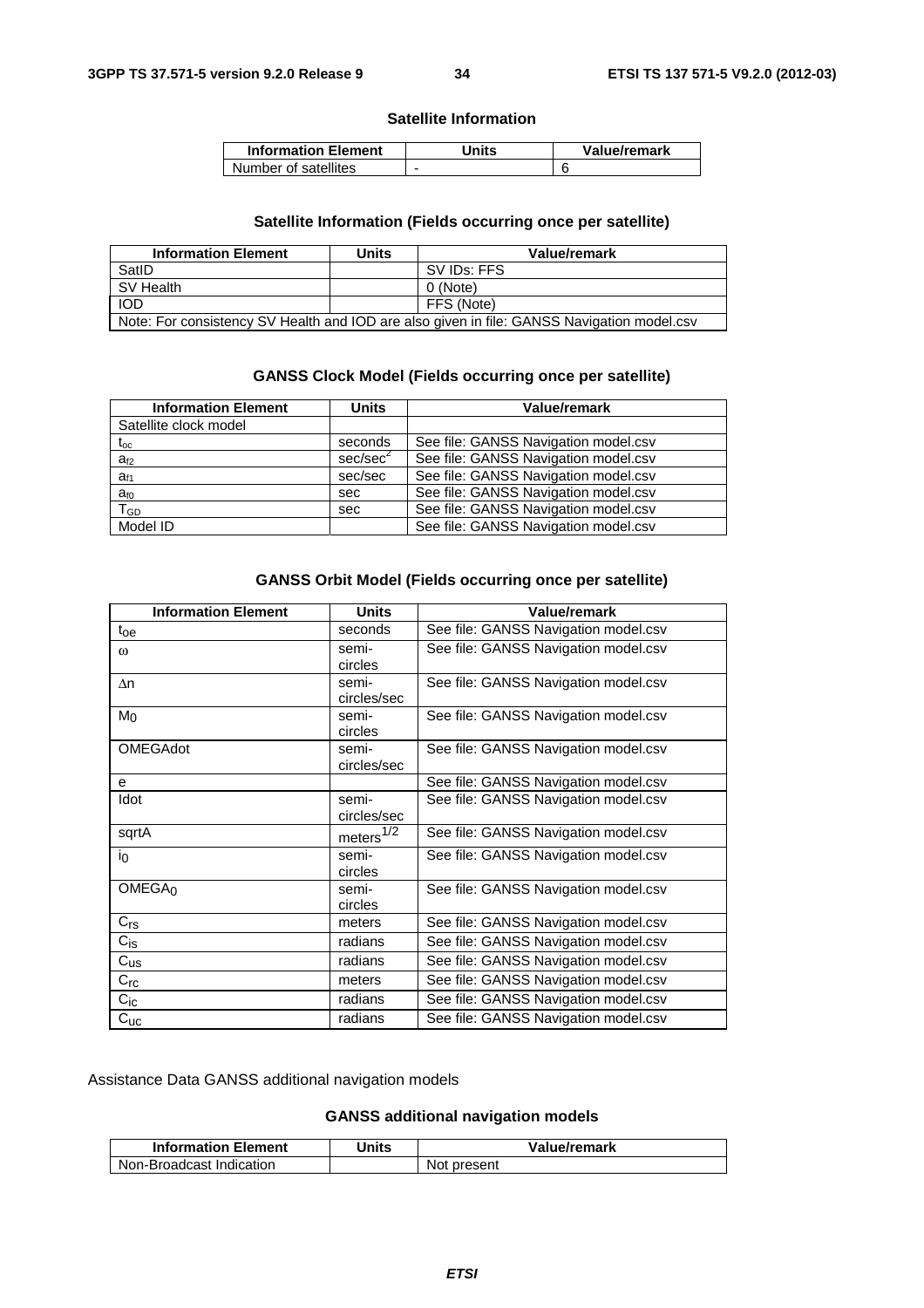#### **Satellite Information**

| <b>Information Element</b> | Units | Value/remark |
|----------------------------|-------|--------------|
| Number of satellites       |       |              |

## **Satellite Information (Fields occurring once per satellite)**

| <b>Information Element</b>                                                                 | Units      | Value/remark |  |
|--------------------------------------------------------------------------------------------|------------|--------------|--|
| SatID                                                                                      |            | SV IDs: FFS  |  |
| SV Health                                                                                  |            | 0 (Note)     |  |
| <b>IOD</b>                                                                                 | FFS (Note) |              |  |
| Note: For consistency SV Health and IOD are also given in file: GANSS Navigation model.csv |            |              |  |

#### **GANSS Clock Model (Fields occurring once per satellite)**

| <b>Information Element</b> | <b>Units</b>         | <b>Value/remark</b>                  |
|----------------------------|----------------------|--------------------------------------|
| Satellite clock model      |                      |                                      |
| $\rm t_{oc}$               | seconds              | See file: GANSS Navigation model.csv |
| $a_{f2}$                   | sec/sec <sup>2</sup> | See file: GANSS Navigation model.csv |
| $a_{f1}$                   | sec/sec              | See file: GANSS Navigation model.csv |
| $a_{f0}$                   | sec                  | See file: GANSS Navigation model.csv |
| $T_{GD}$                   | sec                  | See file: GANSS Navigation model.csv |
| Model ID                   |                      | See file: GANSS Navigation model.csv |

#### **GANSS Orbit Model (Fields occurring once per satellite)**

| <b>Information Element</b><br><b>Units</b> |                       | Value/remark                         |  |
|--------------------------------------------|-----------------------|--------------------------------------|--|
| $t_{\rm oe}$                               | seconds               | See file: GANSS Navigation model.csv |  |
| $\omega$                                   | semi-                 | See file: GANSS Navigation model.csv |  |
|                                            | circles               |                                      |  |
| $\Delta n$                                 | semi-                 | See file: GANSS Navigation model.csv |  |
|                                            | circles/sec           |                                      |  |
| M <sub>Ω</sub>                             | semi-                 | See file: GANSS Navigation model.csv |  |
|                                            | circles               |                                      |  |
| <b>OMEGAdot</b>                            | semi-                 | See file: GANSS Navigation model.csv |  |
|                                            | circles/sec           |                                      |  |
| е                                          |                       | See file: GANSS Navigation model.csv |  |
| Idot                                       | semi-                 | See file: GANSS Navigation model.csv |  |
|                                            | circles/sec           |                                      |  |
| sqrtA                                      | meters <sup>1/2</sup> | See file: GANSS Navigation model.csv |  |
| in                                         | semi-                 | See file: GANSS Navigation model.csv |  |
|                                            | circles               |                                      |  |
| OMEGA <sub>0</sub>                         | semi-                 | See file: GANSS Navigation model.csv |  |
|                                            | circles               |                                      |  |
| $C_{rs}$                                   | meters                | See file: GANSS Navigation model.csv |  |
| $C_{iS}$                                   | radians               | See file: GANSS Navigation model.csv |  |
| $C_{US}$                                   | radians               | See file: GANSS Navigation model.csv |  |
| $C_{rc}$                                   | meters                | See file: GANSS Navigation model.csv |  |
| $C_{\text{ic}}$                            | radians               | See file: GANSS Navigation model.csv |  |
| $C_{\text{UC}}$                            | radians               | See file: GANSS Navigation model.csv |  |

Assistance Data GANSS additional navigation models

### **GANSS additional navigation models**

| <b>Information Element</b> | Units | Value/remark |
|----------------------------|-------|--------------|
| Non-Broadcast Indication   |       | Not present  |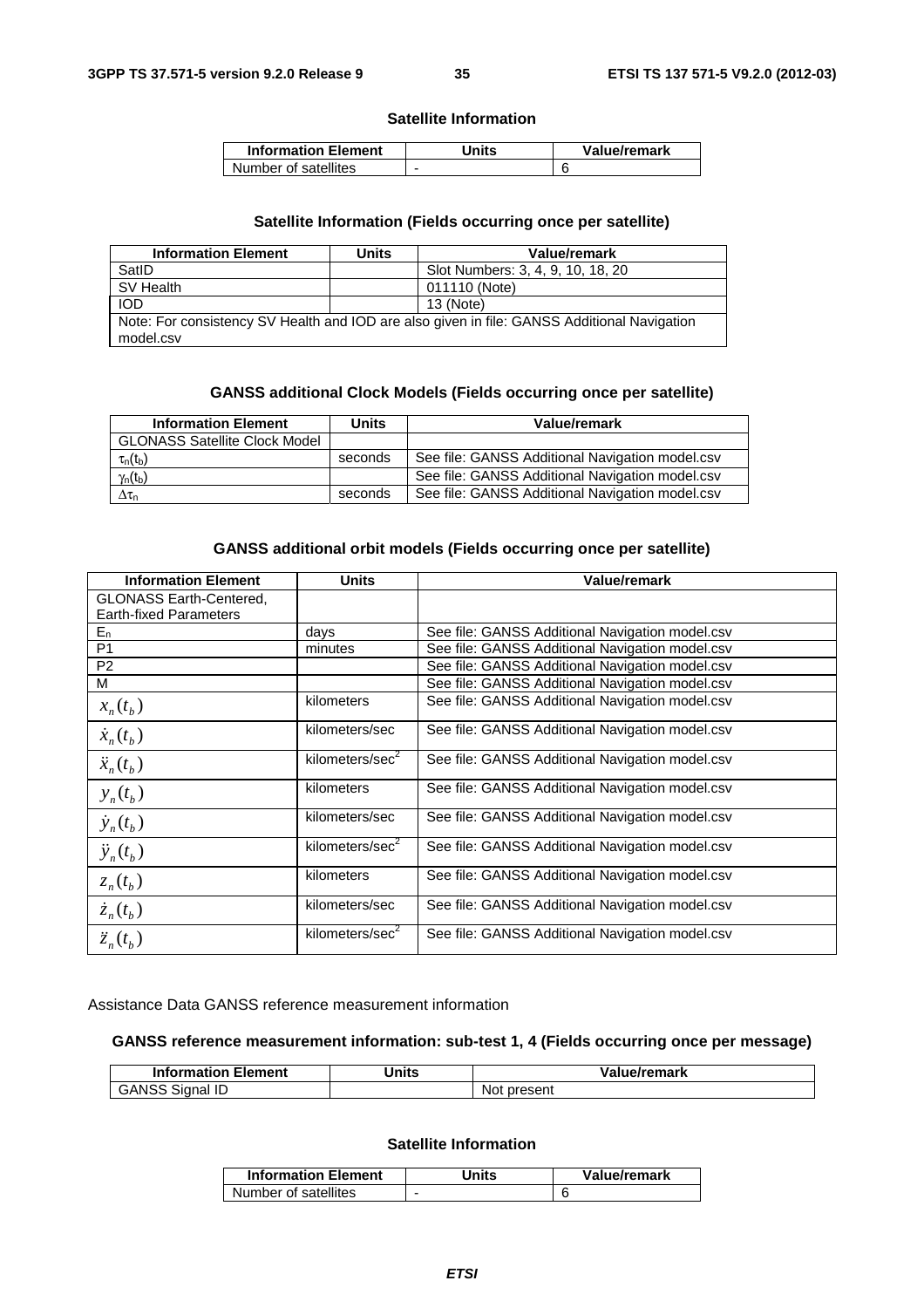#### **Satellite Information**

| <b>Information Element</b> | Units | Value/remark |
|----------------------------|-------|--------------|
| Number of satellites       |       |              |

#### **Satellite Information (Fields occurring once per satellite)**

| <b>Information Element</b>                                                                  | Units | Value/remark                      |  |
|---------------------------------------------------------------------------------------------|-------|-----------------------------------|--|
| SatID                                                                                       |       | Slot Numbers: 3, 4, 9, 10, 18, 20 |  |
| SV Health                                                                                   |       | 011110 (Note)                     |  |
| <b>IOD</b>                                                                                  |       | 13 (Note)                         |  |
| Note: For consistency SV Health and IOD are also given in file: GANSS Additional Navigation |       |                                   |  |
| model.csv                                                                                   |       |                                   |  |

#### **GANSS additional Clock Models (Fields occurring once per satellite)**

| <b>Information Element</b>           | Units   | Value/remark                                    |
|--------------------------------------|---------|-------------------------------------------------|
| <b>GLONASS Satellite Clock Model</b> |         |                                                 |
| $\tau_n(t_b)$                        | seconds | See file: GANSS Additional Navigation model.csv |
| $\gamma_n(t_b)$                      |         | See file: GANSS Additional Navigation model.csv |
| $\Delta\tau_{\rm n}$                 | seconds | See file: GANSS Additional Navigation model.csv |

#### **GANSS additional orbit models (Fields occurring once per satellite)**

| <b>Information Element</b>     | <b>Units</b>                | <b>Value/remark</b>                             |
|--------------------------------|-----------------------------|-------------------------------------------------|
| <b>GLONASS Earth-Centered,</b> |                             |                                                 |
| <b>Earth-fixed Parameters</b>  |                             |                                                 |
| $E_n$                          | days                        | See file: GANSS Additional Navigation model.csv |
| P <sub>1</sub>                 | minutes                     | See file: GANSS Additional Navigation model.csv |
| P <sub>2</sub>                 |                             | See file: GANSS Additional Navigation model.csv |
| M                              |                             | See file: GANSS Additional Navigation model.csv |
| $x_n(t_b)$                     | kilometers                  | See file: GANSS Additional Navigation model.csv |
| $\dot{x}_n(t_b)$               | kilometers/sec              | See file: GANSS Additional Navigation model.csv |
| $\ddot{x}_n(t_b)$              | kilometers/sec <sup>2</sup> | See file: GANSS Additional Navigation model.csv |
| $y_n(t_b)$                     | kilometers                  | See file: GANSS Additional Navigation model.csv |
| $\dot{y}_n(t_b)$               | kilometers/sec              | See file: GANSS Additional Navigation model.csv |
| $\ddot{y}_n(t_b)$              | kilometers/sec <sup>2</sup> | See file: GANSS Additional Navigation model.csv |
| $z_n(t_h)$                     | kilometers                  | See file: GANSS Additional Navigation model.csv |
| $\dot{z}_n(t_h)$               | kilometers/sec              | See file: GANSS Additional Navigation model.csv |
| $\ddot{z}_n(t_b)$              | kilometers/sec <sup>2</sup> | See file: GANSS Additional Navigation model.csv |

Assistance Data GANSS reference measurement information

#### **GANSS reference measurement information: sub-test 1, 4 (Fields occurring once per message)**

| <b>Information Element</b>          | Units | alue/remark/   |
|-------------------------------------|-------|----------------|
| <b>GANSS</b><br>Sianal ID<br>$\sim$ |       | Not<br>present |

#### **Satellite Information**

| <b>Information Element</b> | Jnits | Value/remark |
|----------------------------|-------|--------------|
| Number of satellites       | -     |              |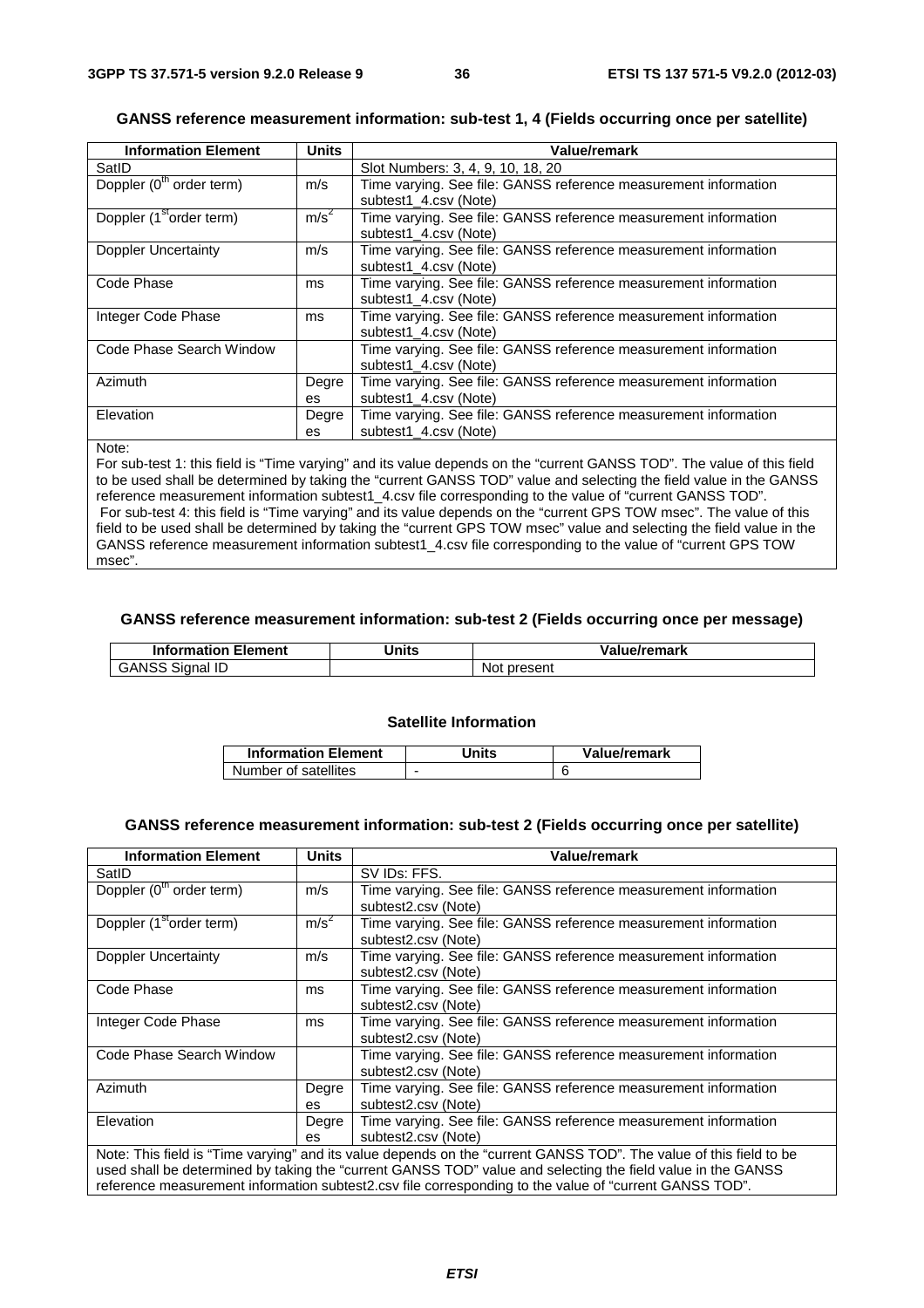# **GANSS reference measurement information: sub-test 1, 4 (Fields occurring once per satellite)**

| <b>Information Element</b>           | <b>Units</b>     | <b>Value/remark</b>                                             |
|--------------------------------------|------------------|-----------------------------------------------------------------|
| SatID                                |                  | Slot Numbers: 3, 4, 9, 10, 18, 20                               |
| Doppler (0 <sup>th</sup> order term) | m/s              | Time varying. See file: GANSS reference measurement information |
|                                      |                  | subtest1 4.csv (Note)                                           |
| Doppler (1 <sup>st</sup> order term) | m/s <sup>2</sup> | Time varying. See file: GANSS reference measurement information |
|                                      |                  | subtest1 4.csv (Note)                                           |
| <b>Doppler Uncertainty</b>           | m/s              | Time varying. See file: GANSS reference measurement information |
|                                      |                  | subtest1 4.csv (Note)                                           |
| Code Phase                           | ms               | Time varying. See file: GANSS reference measurement information |
|                                      |                  | subtest1 4.csv (Note)                                           |
| Integer Code Phase                   | ms               | Time varying. See file: GANSS reference measurement information |
|                                      |                  | subtest1 4.csv (Note)                                           |
| Code Phase Search Window             |                  | Time varying. See file: GANSS reference measurement information |
|                                      |                  | subtest1 4.csv (Note)                                           |
| Azimuth                              | Degre            | Time varying. See file: GANSS reference measurement information |
|                                      | es               | subtest1 4.csv (Note)                                           |
| Elevation                            | Degre            | Time varying. See file: GANSS reference measurement information |
|                                      | es               | subtest1 4.csv (Note)                                           |

#### Note:

For sub-test 1: this field is "Time varying" and its value depends on the "current GANSS TOD". The value of this field to be used shall be determined by taking the "current GANSS TOD" value and selecting the field value in the GANSS reference measurement information subtest1\_4.csv file corresponding to the value of "current GANSS TOD". For sub-test 4: this field is "Time varying" and its value depends on the "current GPS TOW msec". The value of this field to be used shall be determined by taking the "current GPS TOW msec" value and selecting the field value in the GANSS reference measurement information subtest1\_4.csv file corresponding to the value of "current GPS TOW msec".

#### **GANSS reference measurement information: sub-test 2 (Fields occurring once per message)**

| <b>Information Element</b> | <b>Jnits</b> | Value/remark    |
|----------------------------|--------------|-----------------|
| <b>GANSS</b><br>Signal ID  |              | present<br>Not. |

## **Satellite Information**

| <b>Information Element</b> | Jnits | Value/remark |
|----------------------------|-------|--------------|
| Number of satellites       | -     |              |

### **GANSS reference measurement information: sub-test 2 (Fields occurring once per satellite)**

| <b>Information Element</b>                                                                                         | <b>Units</b>     | Value/remark                                                                                           |  |
|--------------------------------------------------------------------------------------------------------------------|------------------|--------------------------------------------------------------------------------------------------------|--|
| SatID                                                                                                              |                  | SV IDs: FFS.                                                                                           |  |
| Doppler (0 <sup>th</sup> order term)                                                                               | m/s              | Time varying. See file: GANSS reference measurement information                                        |  |
|                                                                                                                    |                  | subtest2.csv (Note)                                                                                    |  |
| Doppler (1 <sup>st</sup> order term)                                                                               | m/s <sup>2</sup> | Time varying. See file: GANSS reference measurement information                                        |  |
|                                                                                                                    |                  | subtest2.csv (Note)                                                                                    |  |
| Doppler Uncertainty                                                                                                | m/s              | Time varying. See file: GANSS reference measurement information                                        |  |
|                                                                                                                    |                  | subtest2.csv (Note)                                                                                    |  |
| Code Phase                                                                                                         | ms               | Time varying. See file: GANSS reference measurement information                                        |  |
|                                                                                                                    |                  | subtest2.csv (Note)                                                                                    |  |
| Integer Code Phase                                                                                                 | ms               | Time varying. See file: GANSS reference measurement information                                        |  |
|                                                                                                                    |                  | subtest2.csv (Note)                                                                                    |  |
| Code Phase Search Window                                                                                           |                  | Time varying. See file: GANSS reference measurement information                                        |  |
|                                                                                                                    |                  | subtest2.csv (Note)                                                                                    |  |
| Azimuth                                                                                                            | Degre            | Time varying. See file: GANSS reference measurement information                                        |  |
|                                                                                                                    | es               | subtest2.csv (Note)                                                                                    |  |
| Elevation                                                                                                          | Degre            | Time varying. See file: GANSS reference measurement information                                        |  |
|                                                                                                                    | es               | subtest2.csv (Note)                                                                                    |  |
| Note: This field is "Time varying" and its value depends on the "current GANSS TOD". The value of this field to be |                  |                                                                                                        |  |
| used shall be determined by taking the "current GANSS TOD" value and selecting the field value in the GANSS        |                  |                                                                                                        |  |
|                                                                                                                    |                  | reference measurement information subtest2.csv file corresponding to the value of "current GANSS TOD". |  |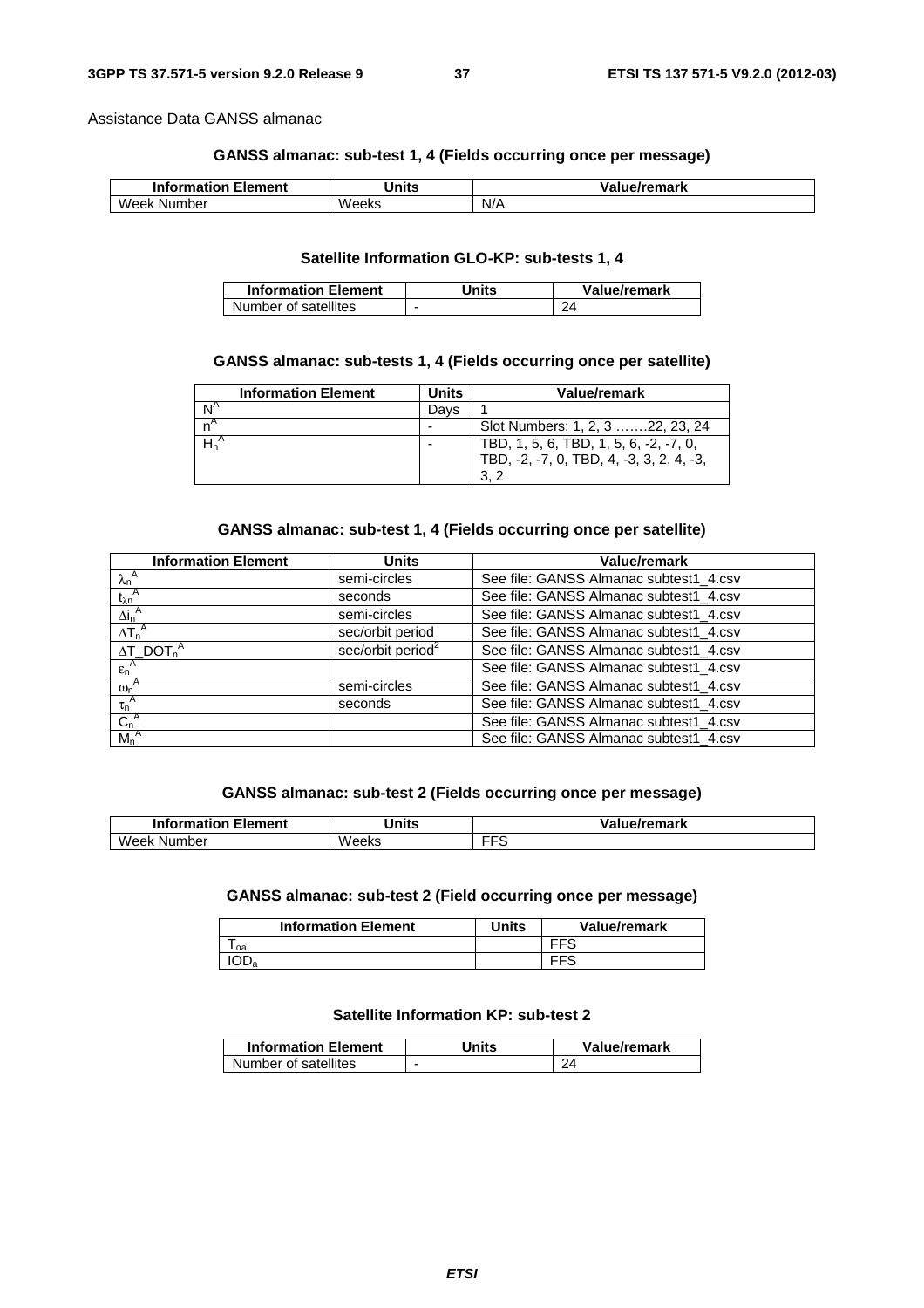Assistance Data GANSS almanac

### **GANSS almanac: sub-test 1, 4 (Fields occurring once per message)**

| Information <b>I</b><br>Element | <b>'Jnits</b> | /alue/remark |
|---------------------------------|---------------|--------------|
| Week<br>Number                  | Weeks         | N/A          |

### **Satellite Information GLO-KP: sub-tests 1, 4**

| <b>Information Element</b> | Units | Value/remark |
|----------------------------|-------|--------------|
| Number of satellites       |       |              |

### **GANSS almanac: sub-tests 1, 4 (Fields occurring once per satellite)**

| <b>Information Element</b> | Units | Value/remark                             |
|----------------------------|-------|------------------------------------------|
|                            | Davs  |                                          |
|                            |       | Slot Numbers: 1, 2, 3 22, 23, 24         |
|                            |       | TBD, 1, 5, 6, TBD, 1, 5, 6, -2, -7, 0,   |
|                            |       | TBD, -2, -7, 0, TBD, 4, -3, 3, 2, 4, -3, |
|                            |       | 3.2                                      |

### **GANSS almanac: sub-test 1, 4 (Fields occurring once per satellite)**

| <b>Information Element</b>               | Units                         | <b>Value/remark</b>                    |
|------------------------------------------|-------------------------------|----------------------------------------|
| $\lambda_n^A$                            | semi-circles                  | See file: GANSS Almanac subtest1_4.csv |
| $t_{\lambda n}^{\quad A}$                | seconds                       | See file: GANSS Almanac subtest1_4.csv |
| $\Delta i_n^{\ A}$                       | semi-circles                  | See file: GANSS Almanac subtest1_4.csv |
| $\Delta T_n^A$                           | sec/orbit period              | See file: GANSS Almanac subtest1_4.csv |
| $\Delta T$ DOT <sub>n</sub> <sup>A</sup> | sec/orbit period <sup>2</sup> | See file: GANSS Almanac subtest1_4.csv |
| $\epsilon_n^A$                           |                               | See file: GANSS Almanac subtest1_4.csv |
| $\omega_n^A$                             | semi-circles                  | See file: GANSS Almanac subtest1_4.csv |
| $\tau_n^A$                               | seconds                       | See file: GANSS Almanac subtest1_4.csv |
| $C_n^A$                                  |                               | See file: GANSS Almanac subtest1_4.csv |
| $M_n^A$                                  |                               | See file: GANSS Almanac subtest1_4.csv |

### **GANSS almanac: sub-test 2 (Fields occurring once per message)**

| <b>Element</b><br><b>Information I</b> | <b>Minits</b><br>שווי | /remark  |
|----------------------------------------|-----------------------|----------|
| Week<br>Number                         | Weeks                 | ---<br>~ |

# **GANSS almanac: sub-test 2 (Field occurring once per message)**

| <b>Information Element</b> | Jnits | Value/remark |
|----------------------------|-------|--------------|
| oa                         |       | EES          |
| ⊣∪⊔a                       |       |              |

# **Satellite Information KP: sub-test 2**

| <b>Information Element</b> | Units | Value/remark |
|----------------------------|-------|--------------|
| Number of satellites       | -     |              |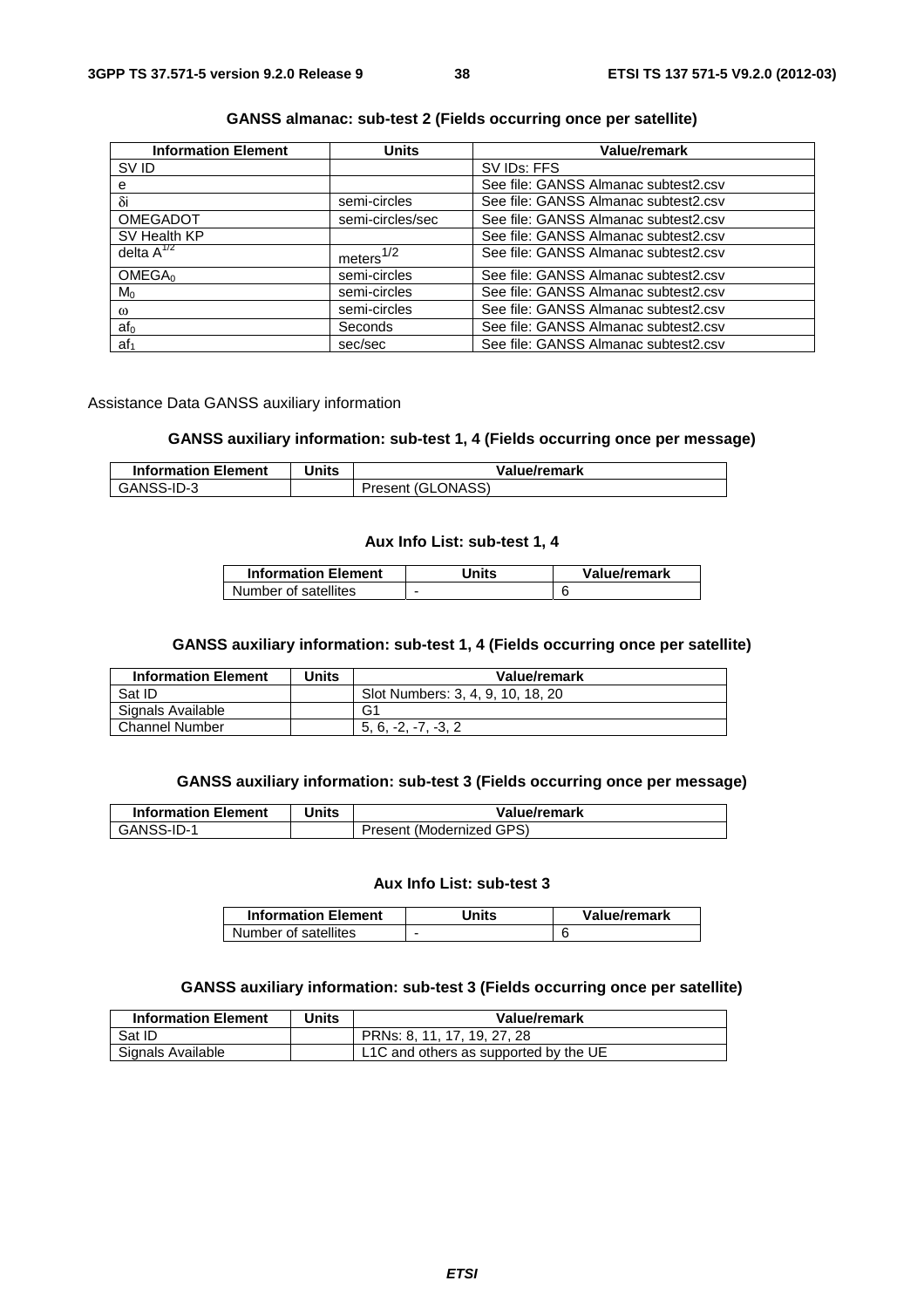| <b>Information Element</b> | <b>Units</b>     | <b>Value/remark</b>                  |
|----------------------------|------------------|--------------------------------------|
| SV ID                      |                  | SV IDs: FFS                          |
| е                          |                  | See file: GANSS Almanac subtest2.csv |
| $\delta i$                 | semi-circles     | See file: GANSS Almanac subtest2.csv |
| <b>OMEGADOT</b>            | semi-circles/sec | See file: GANSS Almanac subtest2.csv |
| SV Health KP               |                  | See file: GANSS Almanac subtest2.csv |
| delta $A^{1/2}$            | meters $1/2$     | See file: GANSS Almanac subtest2.csv |
| OMEGA <sub>0</sub>         | semi-circles     | See file: GANSS Almanac subtest2.csv |
| $M_0$                      | semi-circles     | See file: GANSS Almanac subtest2.csv |
| $\omega$                   | semi-circles     | See file: GANSS Almanac subtest2.csv |
| af <sub>0</sub>            | Seconds          | See file: GANSS Almanac subtest2.csv |
| af <sub>1</sub>            | sec/sec          | See file: GANSS Almanac subtest2.csv |

### **GANSS almanac: sub-test 2 (Fields occurring once per satellite)**

Assistance Data GANSS auxiliary information

## **GANSS auxiliary information: sub-test 1, 4 (Fields occurring once per message)**

| <b>Information Element</b> | Units | Value/remark      |
|----------------------------|-------|-------------------|
| GANSS-ID-3                 |       | Present (GLONASS) |

#### **Aux Info List: sub-test 1, 4**

| <b>Information Element</b> | Units | Value/remark |
|----------------------------|-------|--------------|
| Number of satellites       | -     |              |

#### **GANSS auxiliary information: sub-test 1, 4 (Fields occurring once per satellite)**

| <b>Information Element</b> | Units | Value/remark                      |
|----------------------------|-------|-----------------------------------|
| Sat ID                     |       | Slot Numbers: 3, 4, 9, 10, 18, 20 |
| Signals Available          |       | G1                                |
| <b>Channel Number</b>      |       | $5.6. -2. -7. -3.2$               |

### **GANSS auxiliary information: sub-test 3 (Fields occurring once per message)**

| <b>Information Element</b> | Units | Value/remark             |
|----------------------------|-------|--------------------------|
| GANSS-ID-1                 |       | Present (Modernized GPS) |

#### **Aux Info List: sub-test 3**

| <b>Information Element</b> | Units | Value/remark |
|----------------------------|-------|--------------|
| Number of satellites       | -     |              |

# **GANSS auxiliary information: sub-test 3 (Fields occurring once per satellite)**

| <b>Information Element</b> | Units | Value/remark                          |
|----------------------------|-------|---------------------------------------|
| Sat ID                     |       | PRNs: 8, 11, 17, 19, 27, 28           |
| Signals Available          |       | L1C and others as supported by the UE |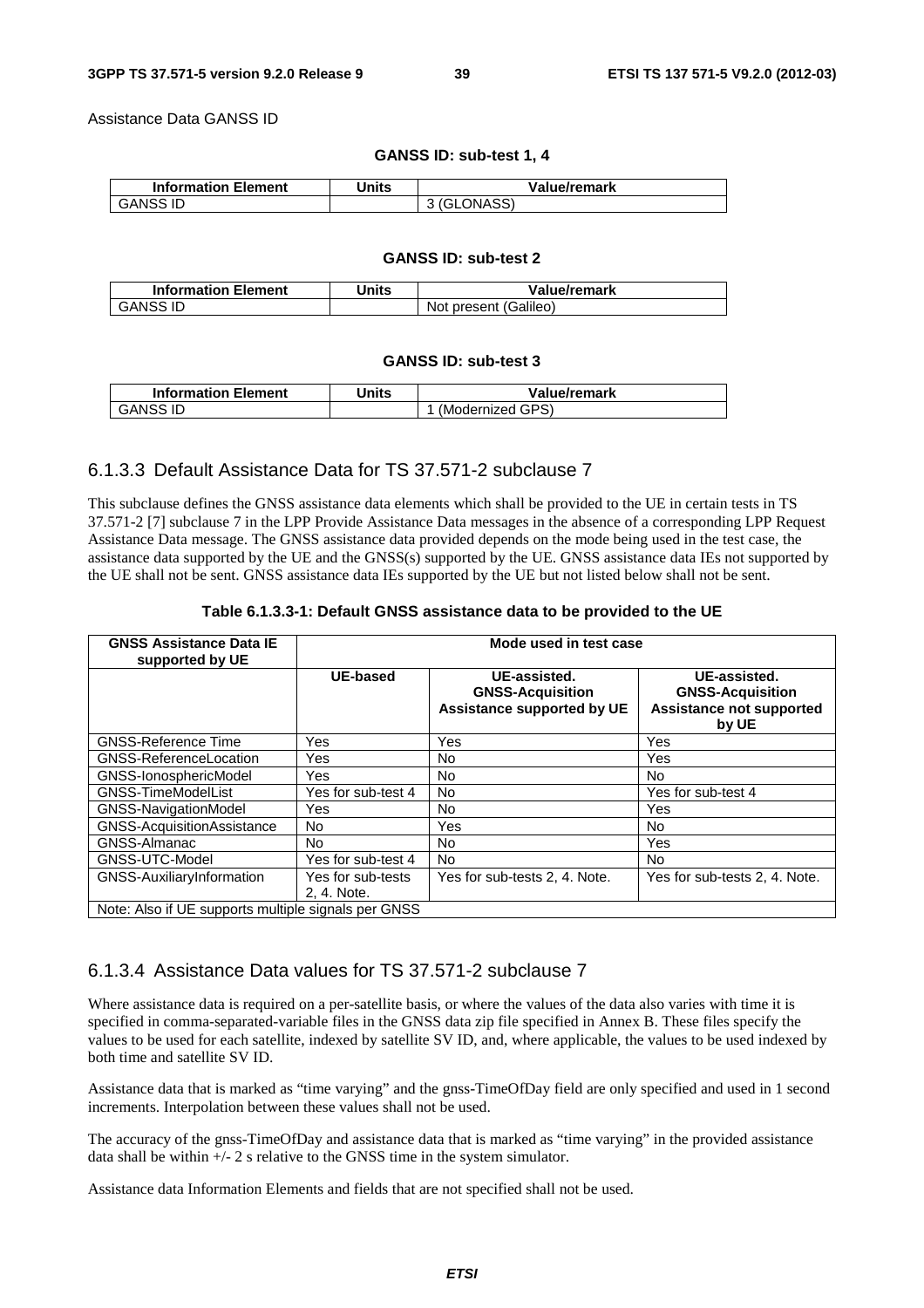Assistance Data GANSS ID

#### **GANSS ID: sub-test 1, 4**

| <b>Information Element</b> | Units | Value/remark |
|----------------------------|-------|--------------|
| <b>GANSS ID</b>            |       | 3 (GLONASS)  |

#### **GANSS ID: sub-test 2**

| <b>Information Element</b> | Units | Value/remark          |
|----------------------------|-------|-----------------------|
| GANSS ID                   |       | Not present (Galileo) |

#### **GANSS ID: sub-test 3**

| <b>Information Element</b> | Units | Value/remark     |
|----------------------------|-------|------------------|
| <b>GANSS ID</b>            |       | (Modernized GPS) |

# 6.1.3.3 Default Assistance Data for TS 37.571-2 subclause 7

This subclause defines the GNSS assistance data elements which shall be provided to the UE in certain tests in TS 37.571-2 [7] subclause 7 in the LPP Provide Assistance Data messages in the absence of a corresponding LPP Request Assistance Data message. The GNSS assistance data provided depends on the mode being used in the test case, the assistance data supported by the UE and the GNSS(s) supported by the UE. GNSS assistance data IEs not supported by the UE shall not be sent. GNSS assistance data IEs supported by the UE but not listed below shall not be sent.

| Table 6.1.3.3-1: Default GNSS assistance data to be provided to the UE |  |
|------------------------------------------------------------------------|--|
|------------------------------------------------------------------------|--|

| <b>GNSS Assistance Data IE</b><br>supported by UE   | Mode used in test case           |                                                                              |                                                                                     |  |
|-----------------------------------------------------|----------------------------------|------------------------------------------------------------------------------|-------------------------------------------------------------------------------------|--|
|                                                     | <b>UE-based</b>                  | UE-assisted.<br><b>GNSS-Acquisition</b><br><b>Assistance supported by UE</b> | UE-assisted.<br><b>GNSS-Acquisition</b><br><b>Assistance not supported</b><br>by UE |  |
| <b>GNSS-Reference Time</b>                          | Yes                              | Yes                                                                          | Yes                                                                                 |  |
| <b>GNSS-ReferenceLocation</b>                       | Yes                              | No                                                                           | Yes                                                                                 |  |
| GNSS-IonosphericModel                               | Yes                              | <b>No</b>                                                                    | No.                                                                                 |  |
| <b>GNSS-TimeModelList</b>                           | Yes for sub-test 4               | No.                                                                          | Yes for sub-test 4                                                                  |  |
| GNSS-NavigationModel                                | Yes                              | No                                                                           | Yes                                                                                 |  |
| GNSS-AcquisitionAssistance                          | N <sub>o</sub>                   | Yes                                                                          | No.                                                                                 |  |
| <b>GNSS-Almanac</b>                                 | No.                              | No                                                                           | Yes                                                                                 |  |
| GNSS-UTC-Model                                      | Yes for sub-test 4               | <b>No</b>                                                                    | No.                                                                                 |  |
| GNSS-AuxiliaryInformation                           | Yes for sub-tests<br>2. 4. Note. | Yes for sub-tests 2, 4. Note.                                                | Yes for sub-tests 2, 4. Note.                                                       |  |
| Note: Also if UE supports multiple signals per GNSS |                                  |                                                                              |                                                                                     |  |

# 6.1.3.4 Assistance Data values for TS 37.571-2 subclause 7

Where assistance data is required on a per-satellite basis, or where the values of the data also varies with time it is specified in comma-separated-variable files in the GNSS data zip file specified in Annex B. These files specify the values to be used for each satellite, indexed by satellite SV ID, and, where applicable, the values to be used indexed by both time and satellite SV ID.

Assistance data that is marked as "time varying" and the gnss-TimeOfDay field are only specified and used in 1 second increments. Interpolation between these values shall not be used.

The accuracy of the gnss-TimeOfDay and assistance data that is marked as "time varying" in the provided assistance data shall be within +/- 2 s relative to the GNSS time in the system simulator.

Assistance data Information Elements and fields that are not specified shall not be used.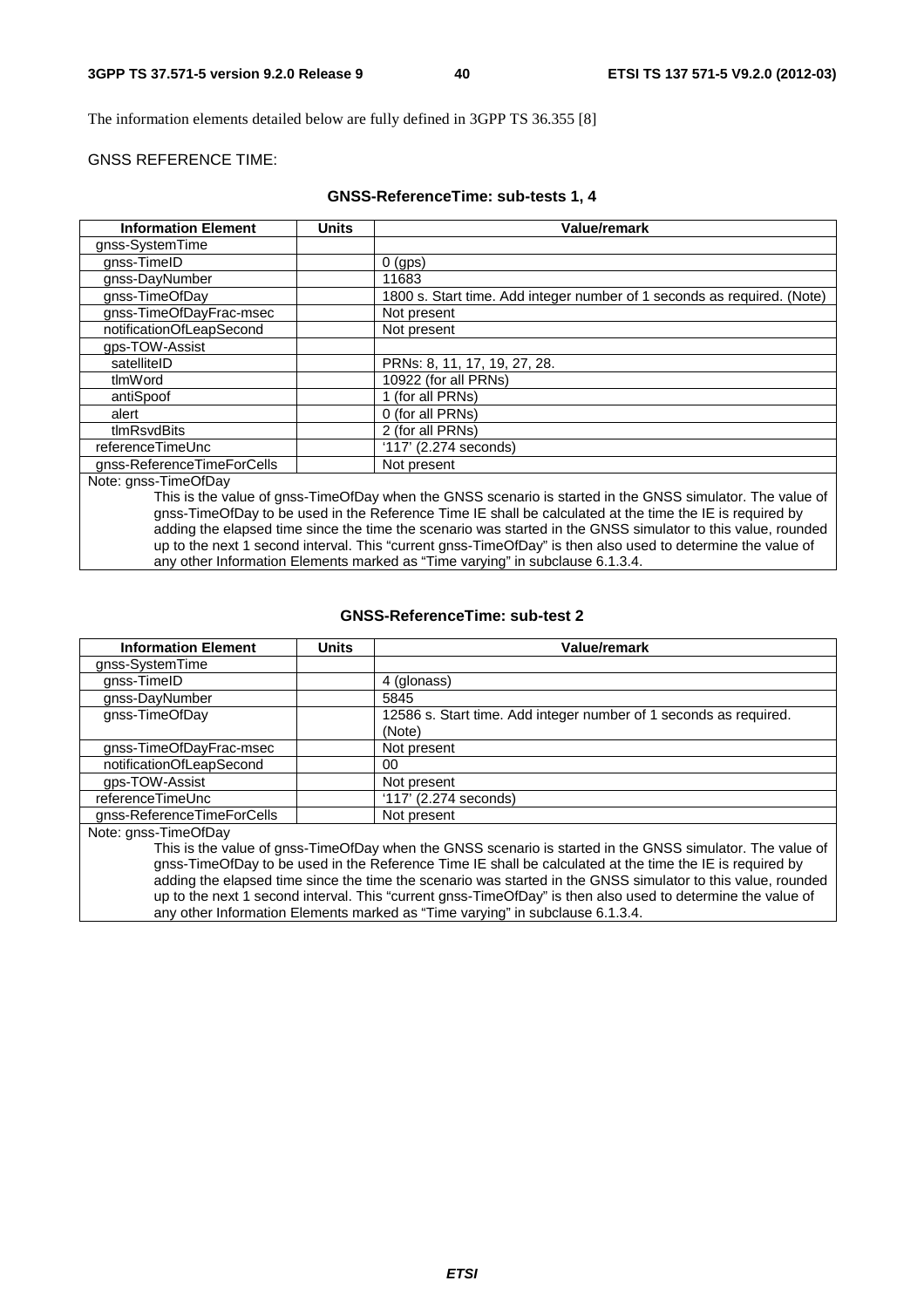The information elements detailed below are fully defined in 3GPP TS 36.355 [8]

### GNSS REFERENCE TIME:

#### **GNSS-ReferenceTime: sub-tests 1, 4**

| <b>Units</b> | Value/remark                                                                                                                                                           |
|--------------|------------------------------------------------------------------------------------------------------------------------------------------------------------------------|
|              |                                                                                                                                                                        |
|              | $0$ (gps)                                                                                                                                                              |
|              | 11683                                                                                                                                                                  |
|              | 1800 s. Start time. Add integer number of 1 seconds as required. (Note)                                                                                                |
|              | Not present                                                                                                                                                            |
|              | Not present                                                                                                                                                            |
|              |                                                                                                                                                                        |
|              | PRNs: 8, 11, 17, 19, 27, 28.                                                                                                                                           |
|              | 10922 (for all PRNs)                                                                                                                                                   |
|              | 1 (for all PRNs)                                                                                                                                                       |
|              | 0 (for all PRNs)                                                                                                                                                       |
|              | 2 (for all PRNs)                                                                                                                                                       |
|              | '117' (2.274 seconds)                                                                                                                                                  |
|              | Not present                                                                                                                                                            |
|              |                                                                                                                                                                        |
|              | This is the value of gnss-TimeOfDay when the GNSS scenario is started in the GNSS simulator. The value of                                                              |
|              | gnss-TimeOfDay to be used in the Reference Time IE shall be calculated at the time the IE is required by                                                               |
|              | <u>in a la tanàna mpikambana amin'ny fivondronan-paositra 2008. Ilay kaominina dia kaominina mpikambana amin'ny fivondronan-paositra 2014. Ilay kaominin'i Pas-de-</u> |

adding the elapsed time since the time the scenario was started in the GNSS simulator to this value, rounded up to the next 1 second interval. This "current gnss-TimeOfDay" is then also used to determine the value of any other Information Elements marked as "Time varying" in subclause 6.1.3.4.

#### **GNSS-ReferenceTime: sub-test 2**

| <b>Information Element</b> | <b>Units</b> | Value/remark                                                                                                               |
|----------------------------|--------------|----------------------------------------------------------------------------------------------------------------------------|
| gnss-SystemTime            |              |                                                                                                                            |
| gnss-TimeID                |              | 4 (glonass)                                                                                                                |
| gnss-DayNumber             |              | 5845                                                                                                                       |
| gnss-TimeOfDay             |              | 12586 s. Start time. Add integer number of 1 seconds as required.                                                          |
|                            |              | (Note)                                                                                                                     |
| gnss-TimeOfDayFrac-msec    |              | Not present                                                                                                                |
| notificationOfLeapSecond   |              | 00                                                                                                                         |
| qps-TOW-Assist             |              | Not present                                                                                                                |
| referenceTimeUnc           |              | '117' (2.274 seconds)                                                                                                      |
| gnss-ReferenceTimeForCells |              | Not present                                                                                                                |
| Note: gnss-TimeOfDay       |              |                                                                                                                            |
|                            |              | This is the value of gnss-TimeOfDay when the GNSS scenario is started in the GNSS simulator. The value of                  |
|                            |              | $\sim$ . The efficients to consider the finite state of the effect that is a standard state that the HT is associated to a |

gnss-TimeOfDay to be used in the Reference Time IE shall be calculated at the time the IE is required by adding the elapsed time since the time the scenario was started in the GNSS simulator to this value, rounded up to the next 1 second interval. This "current gnss-TimeOfDay" is then also used to determine the value of any other Information Elements marked as "Time varying" in subclause 6.1.3.4.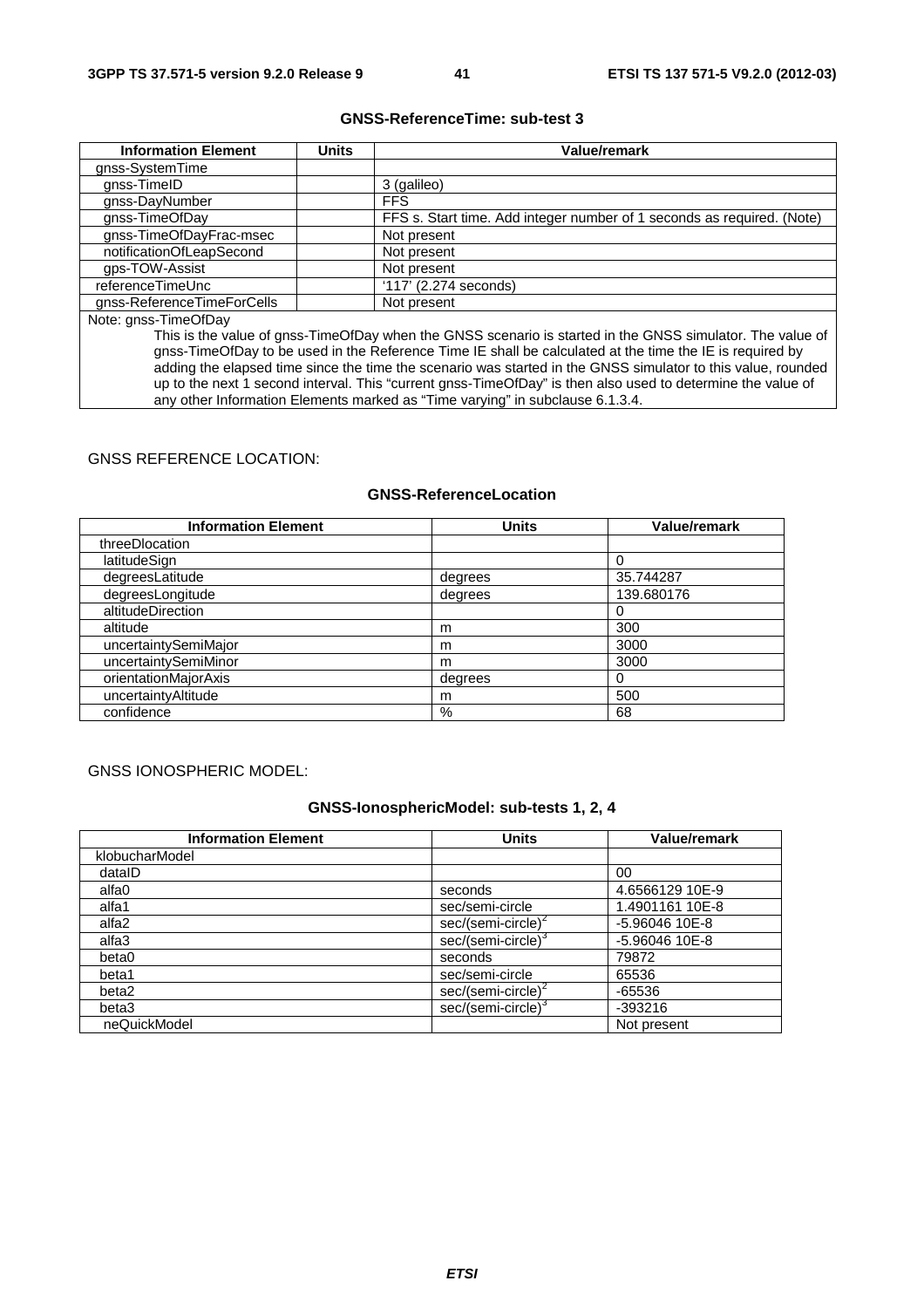### **GNSS-ReferenceTime: sub-test 3**

| <b>Information Element</b> | Units | <b>Value/remark</b>                                                    |
|----------------------------|-------|------------------------------------------------------------------------|
| gnss-SystemTime            |       |                                                                        |
| gnss-TimeID                |       | 3 (galileo)                                                            |
| gnss-DayNumber             |       | <b>FFS</b>                                                             |
| gnss-TimeOfDay             |       | FFS s. Start time. Add integer number of 1 seconds as required. (Note) |
| gnss-TimeOfDayFrac-msec    |       | Not present                                                            |
| notificationOfLeapSecond   |       | Not present                                                            |
| gps-TOW-Assist             |       | Not present                                                            |
| referenceTimeUnc           |       | $'117'$ (2.274 seconds)                                                |
| gnss-ReferenceTimeForCells |       | Not present                                                            |
| $N = 1$                    |       |                                                                        |

Note: gnss-TimeOfDay

This is the value of gnss-TimeOfDay when the GNSS scenario is started in the GNSS simulator. The value of gnss-TimeOfDay to be used in the Reference Time IE shall be calculated at the time the IE is required by adding the elapsed time since the time the scenario was started in the GNSS simulator to this value, rounded up to the next 1 second interval. This "current gnss-TimeOfDay" is then also used to determine the value of any other Information Elements marked as "Time varying" in subclause 6.1.3.4.

# GNSS REFERENCE LOCATION:

### **GNSS-ReferenceLocation**

| <b>Information Element</b> | <b>Units</b> | <b>Value/remark</b> |
|----------------------------|--------------|---------------------|
| threeDlocation             |              |                     |
| latitudeSign               |              |                     |
| degreesLatitude            | degrees      | 35.744287           |
| degreesLongitude           | degrees      | 139.680176          |
| altitudeDirection          |              |                     |
| altitude                   | m            | 300                 |
| uncertaintySemiMajor       | m            | 3000                |
| uncertaintySemiMinor       | m            | 3000                |
| orientationMajorAxis       | degrees      | 0                   |
| uncertaintyAltitude        | m            | 500                 |
| confidence                 | %            | 68                  |

#### GNSS IONOSPHERIC MODEL:

### **GNSS-IonosphericModel: sub-tests 1, 2, 4**

| <b>Information Element</b> | <b>Units</b>                   | <b>Value/remark</b> |
|----------------------------|--------------------------------|---------------------|
| klobucharModel             |                                |                     |
| datalD                     |                                | 00                  |
| alfa0                      | seconds                        | 4.6566129 10E-9     |
| alfa1                      | sec/semi-circle                | 1.4901161 10E-8     |
| alfa2                      | sec/(semi-circle) <sup>2</sup> | $-5.96046$ 10E-8    |
| alfa3                      | sec/(semi-circle)              | $-5.96046$ 10E-8    |
| beta0                      | seconds                        | 79872               |
| beta1                      | sec/semi-circle                | 65536               |
| beta2                      | sec/(semi-circle) <sup>2</sup> | $-65536$            |
| beta3                      | sec/(semi-circle) <sup>c</sup> | $-393216$           |
| neQuickModel               |                                | Not present         |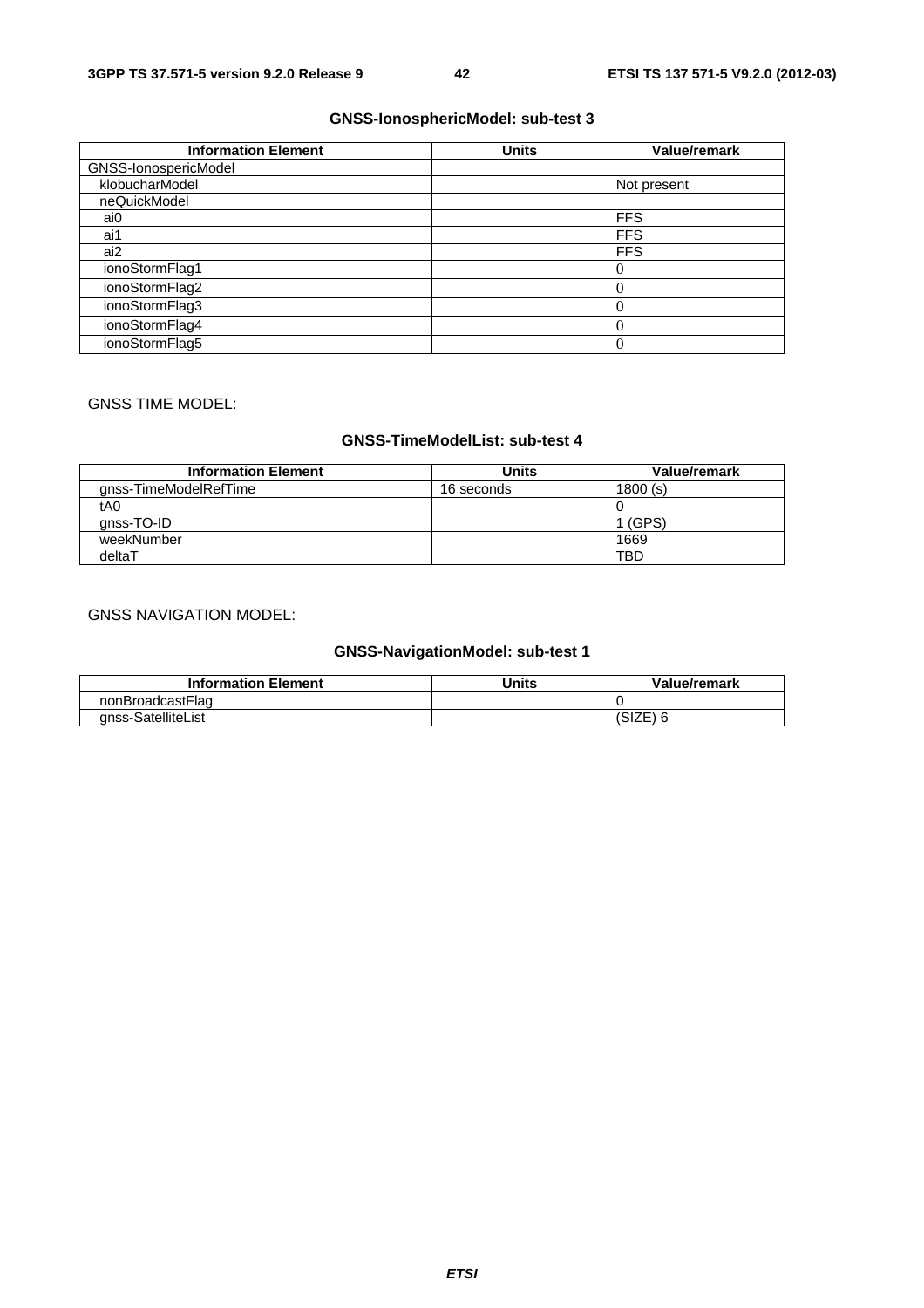# **GNSS-IonosphericModel: sub-test 3**

| <b>Information Element</b> | <b>Units</b> | Value/remark |
|----------------------------|--------------|--------------|
| GNSS-IonospericModel       |              |              |
| klobucharModel             |              | Not present  |
| neQuickModel               |              |              |
| ai0                        |              | <b>FFS</b>   |
| ai1                        |              | <b>FFS</b>   |
| ai2                        |              | <b>FFS</b>   |
| ionoStormFlag1             |              | O            |
| ionoStormFlag2             |              | $\left($     |
| ionoStormFlag3             |              | $\left($     |
| ionoStormFlag4             |              | $\left($     |
| ionoStormFlag5             |              | 0            |

# GNSS TIME MODEL:

# **GNSS-TimeModelList: sub-test 4**

| <b>Information Element</b> | <b>Units</b> | Value/remark |
|----------------------------|--------------|--------------|
| anss-TimeModelRefTime      | 16 seconds   | 1800(s)      |
| tA0                        |              |              |
| gnss-TO-ID                 |              | (GPS)        |
| weekNumber                 |              | 1669         |
| deltaT                     |              | <b>TBD</b>   |

# GNSS NAVIGATION MODEL:

# **GNSS-NavigationModel: sub-test 1**

| <b>Information Element</b> | <b>Units</b> | Value/remark |
|----------------------------|--------------|--------------|
| nonBroadcastFlag           |              |              |
| gnss-SatelliteList         |              | ∴∟∠וטו       |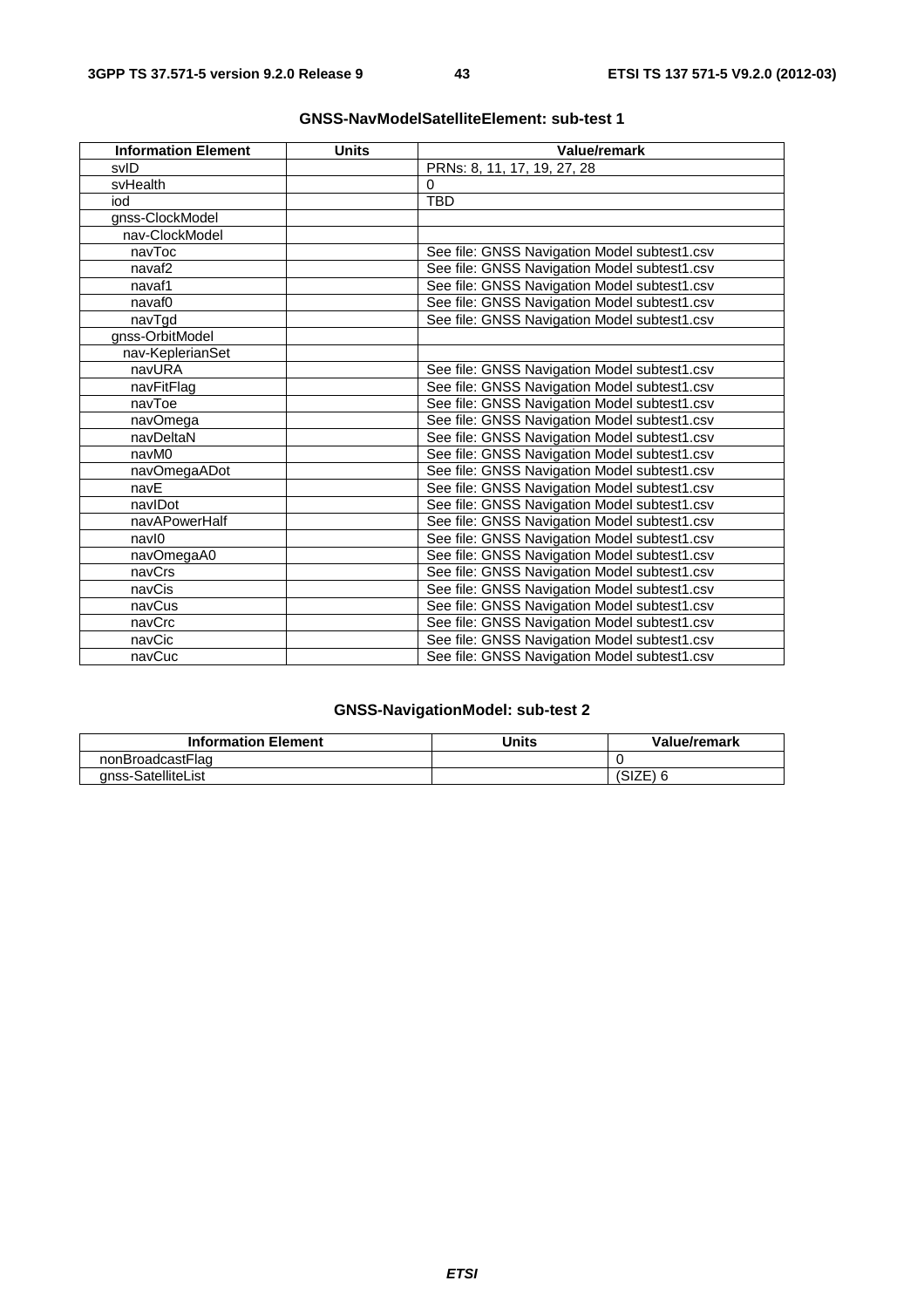| <b>Information Element</b> | <b>Units</b> | Value/remark                                 |
|----------------------------|--------------|----------------------------------------------|
| svID                       |              | PRNs: 8, 11, 17, 19, 27, 28                  |
| svHealth                   |              | $\Omega$                                     |
| iod                        |              | <b>TBD</b>                                   |
| gnss-ClockModel            |              |                                              |
| nav-ClockModel             |              |                                              |
| navToc                     |              | See file: GNSS Navigation Model subtest1.csv |
| navaf <sub>2</sub>         |              | See file: GNSS Navigation Model subtest1.csv |
| navaf1                     |              | See file: GNSS Navigation Model subtest1.csv |
| navaf0                     |              | See file: GNSS Navigation Model subtest1.csv |
| navTgd                     |              | See file: GNSS Navigation Model subtest1.csv |
| gnss-OrbitModel            |              |                                              |
| nav-KeplerianSet           |              |                                              |
| navURA                     |              | See file: GNSS Navigation Model subtest1.csv |
| navFitFlag                 |              | See file: GNSS Navigation Model subtest1.csv |
| navToe                     |              | See file: GNSS Navigation Model subtest1.csv |
| navOmega                   |              | See file: GNSS Navigation Model subtest1.csv |
| navDeltaN                  |              | See file: GNSS Navigation Model subtest1.csv |
| navM0                      |              | See file: GNSS Navigation Model subtest1.csv |
| navOmegaADot               |              | See file: GNSS Navigation Model subtest1.csv |
| navE                       |              | See file: GNSS Navigation Model subtest1.csv |
| navIDot                    |              | See file: GNSS Navigation Model subtest1.csv |
| navAPowerHalf              |              | See file: GNSS Navigation Model subtest1.csv |
| navl0                      |              | See file: GNSS Navigation Model subtest1.csv |
| navOmegaA0                 |              | See file: GNSS Navigation Model subtest1.csv |
| navCrs                     |              | See file: GNSS Navigation Model subtest1.csv |
| navCis                     |              | See file: GNSS Navigation Model subtest1.csv |
| navCus                     |              | See file: GNSS Navigation Model subtest1.csv |
| navCrc                     |              | See file: GNSS Navigation Model subtest1.csv |
| navCic                     |              | See file: GNSS Navigation Model subtest1.csv |
| navCuc                     |              | See file: GNSS Navigation Model subtest1.csv |

# **GNSS-NavModelSatelliteElement: sub-test 1**

# **GNSS-NavigationModel: sub-test 2**

| <b>Information Element</b> | <b>Units</b> | Value/remark |
|----------------------------|--------------|--------------|
| nonBroadcastFlag           |              |              |
| anss-SatelliteList         |              | ا ∟ا ان      |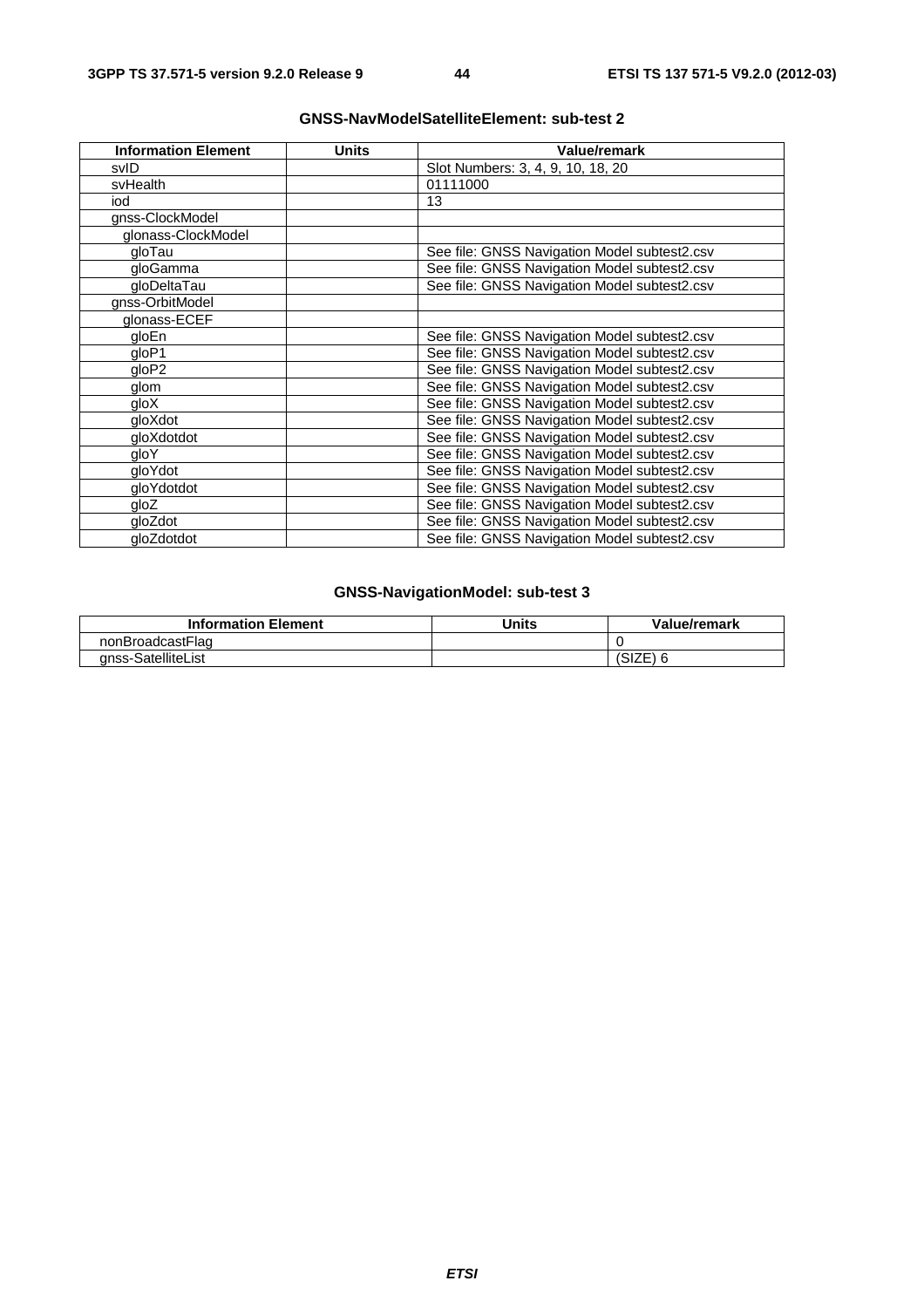| <b>Information Element</b> | <b>Units</b> | Value/remark                                 |
|----------------------------|--------------|----------------------------------------------|
| svID                       |              | Slot Numbers: 3, 4, 9, 10, 18, 20            |
| svHealth                   |              | 01111000                                     |
| iod                        |              | 13                                           |
| gnss-ClockModel            |              |                                              |
| glonass-ClockModel         |              |                                              |
| gloTau                     |              | See file: GNSS Navigation Model subtest2.csv |
| gloGamma                   |              | See file: GNSS Navigation Model subtest2.csv |
| gloDeltaTau                |              | See file: GNSS Navigation Model subtest2.csv |
| gnss-OrbitModel            |              |                                              |
| glonass-ECEF               |              |                                              |
| gloEn                      |              | See file: GNSS Navigation Model subtest2.csv |
| qloP1                      |              | See file: GNSS Navigation Model subtest2.csv |
| qloP2                      |              | See file: GNSS Navigation Model subtest2.csv |
| glom                       |              | See file: GNSS Navigation Model subtest2.csv |
| qloX                       |              | See file: GNSS Navigation Model subtest2.csv |
| gloXdot                    |              | See file: GNSS Navigation Model subtest2.csv |
| gloXdotdot                 |              | See file: GNSS Navigation Model subtest2.csv |
| gloY                       |              | See file: GNSS Navigation Model subtest2.csv |
| gloYdot                    |              | See file: GNSS Navigation Model subtest2.csv |
| gloYdotdot                 |              | See file: GNSS Navigation Model subtest2.csv |
| gloZ                       |              | See file: GNSS Navigation Model subtest2.csv |
| gloZdot                    |              | See file: GNSS Navigation Model subtest2.csv |
| gloZdotdot                 |              | See file: GNSS Navigation Model subtest2.csv |

# **GNSS-NavModelSatelliteElement: sub-test 2**

# **GNSS-NavigationModel: sub-test 3**

| <b>Information Element</b> | Jnits | Value/remark |
|----------------------------|-------|--------------|
| nonBroadcastFlag           |       |              |
| anss-SatelliteList         |       | . ۱۷۱ ب      |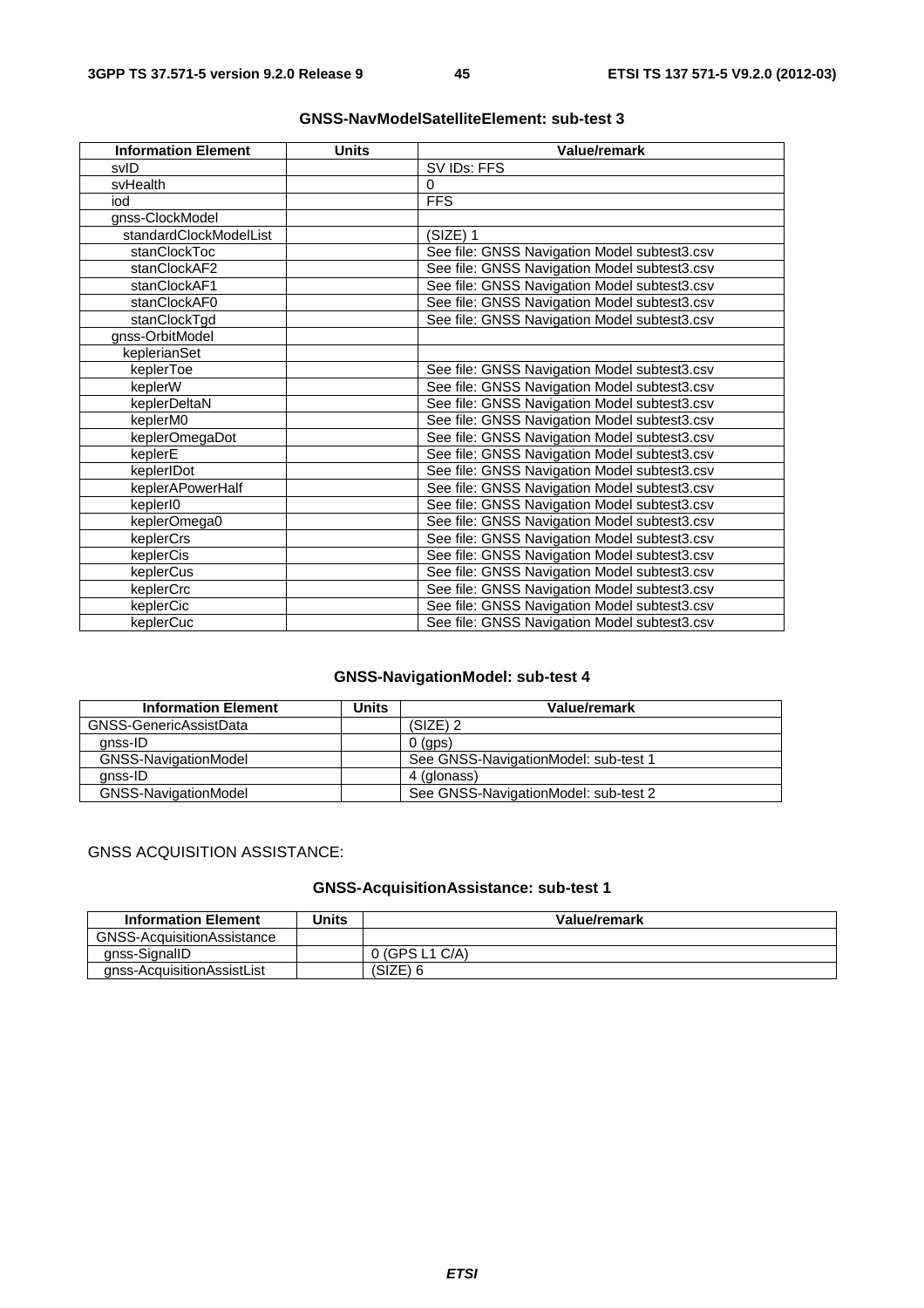| <b>Information Element</b> | <b>Units</b> | Value/remark                                 |
|----------------------------|--------------|----------------------------------------------|
| svID                       |              | SV IDs: FFS                                  |
| svHealth                   |              | $\Omega$                                     |
| iod                        |              | <b>FFS</b>                                   |
| gnss-ClockModel            |              |                                              |
| standardClockModelList     |              | (SIZE) 1                                     |
| stanClockToc               |              | See file: GNSS Navigation Model subtest3.csv |
| stanClockAF2               |              | See file: GNSS Navigation Model subtest3.csv |
| stanClockAF1               |              | See file: GNSS Navigation Model subtest3.csv |
| stanClockAF0               |              | See file: GNSS Navigation Model subtest3.csv |
| stanClockTgd               |              | See file: GNSS Navigation Model subtest3.csv |
| gnss-OrbitModel            |              |                                              |
| keplerianSet               |              |                                              |
| keplerToe                  |              | See file: GNSS Navigation Model subtest3.csv |
| keplerW                    |              | See file: GNSS Navigation Model subtest3.csv |
| keplerDeltaN               |              | See file: GNSS Navigation Model subtest3.csv |
| keplerM0                   |              | See file: GNSS Navigation Model subtest3.csv |
| keplerOmegaDot             |              | See file: GNSS Navigation Model subtest3.csv |
| keplerE                    |              | See file: GNSS Navigation Model subtest3.csv |
| keplerIDot                 |              | See file: GNSS Navigation Model subtest3.csv |
| keplerAPowerHalf           |              | See file: GNSS Navigation Model subtest3.csv |
| keplerI0                   |              | See file: GNSS Navigation Model subtest3.csv |
| keplerOmega0               |              | See file: GNSS Navigation Model subtest3.csv |
| keplerCrs                  |              | See file: GNSS Navigation Model subtest3.csv |
| keplerCis                  |              | See file: GNSS Navigation Model subtest3.csv |
| keplerCus                  |              | See file: GNSS Navigation Model subtest3.csv |
| keplerCrc                  |              | See file: GNSS Navigation Model subtest3.csv |
| keplerCic                  |              | See file: GNSS Navigation Model subtest3.csv |
| keplerCuc                  |              | See file: GNSS Navigation Model subtest3.csv |

# **GNSS-NavModelSatelliteElement: sub-test 3**

# **GNSS-NavigationModel: sub-test 4**

| <b>Information Element</b>  | Units | Value/remark                         |
|-----------------------------|-------|--------------------------------------|
| GNSS-GenericAssistData      |       | $(SIZE)$ 2                           |
| anss-ID                     |       | $0$ (aps)                            |
| <b>GNSS-NavigationModel</b> |       | See GNSS-NavigationModel: sub-test 1 |
| anss-ID                     |       | 4 (glonass)                          |
| <b>GNSS-NavigationModel</b> |       | See GNSS-NavigationModel: sub-test 2 |

# GNSS ACQUISITION ASSISTANCE:

# **GNSS-AcquisitionAssistance: sub-test 1**

| <b>Information Element</b>        | Units | Value/remark     |
|-----------------------------------|-------|------------------|
| <b>GNSS-AcquisitionAssistance</b> |       |                  |
| anss-SignallD                     |       | $0$ (GPS L1 C/A) |
| gnss-AcquisitionAssistList        |       | (SIZE)           |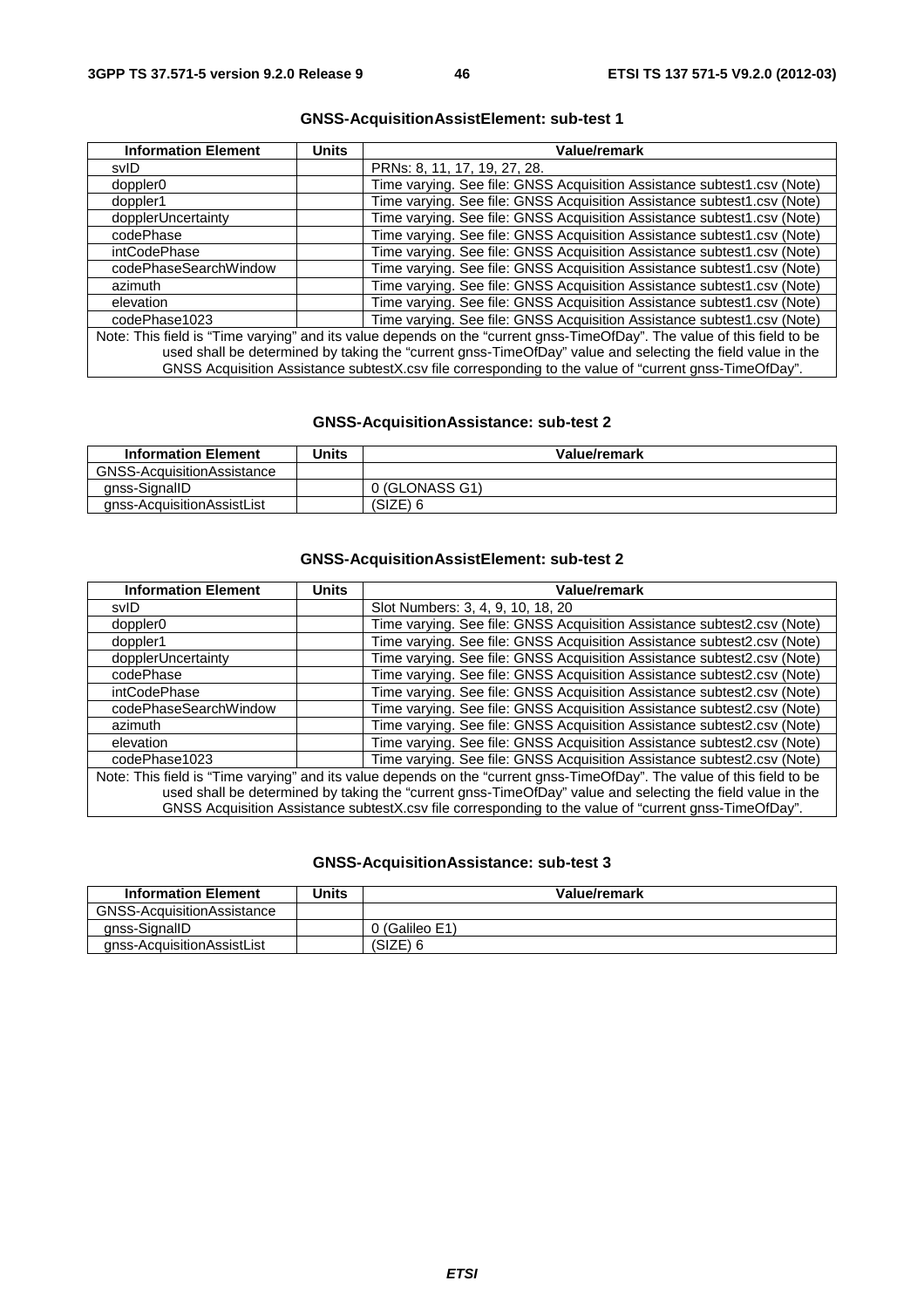| <b>Information Element</b>                                                                                              | Units | <b>Value/remark</b>                                                                                   |
|-------------------------------------------------------------------------------------------------------------------------|-------|-------------------------------------------------------------------------------------------------------|
| svID                                                                                                                    |       | PRNs: 8, 11, 17, 19, 27, 28.                                                                          |
| doppler <sub>0</sub>                                                                                                    |       | Time varying. See file: GNSS Acquisition Assistance subtest1.csv (Note)                               |
| doppler1                                                                                                                |       | Time varying. See file: GNSS Acquisition Assistance subtest1.csv (Note)                               |
| dopplerUncertainty                                                                                                      |       | Time varying. See file: GNSS Acquisition Assistance subtest1.csv (Note)                               |
| codePhase                                                                                                               |       | Time varying. See file: GNSS Acquisition Assistance subtest1.csv (Note)                               |
| intCodePhase                                                                                                            |       | Time varying. See file: GNSS Acquisition Assistance subtest1.csv (Note)                               |
| codePhaseSearchWindow                                                                                                   |       | Time varying. See file: GNSS Acquisition Assistance subtest1.csv (Note)                               |
| azimuth                                                                                                                 |       | Time varying. See file: GNSS Acquisition Assistance subtest1.csv (Note)                               |
| elevation                                                                                                               |       | Time varying. See file: GNSS Acquisition Assistance subtest1.csv (Note)                               |
| codePhase1023                                                                                                           |       | Time varying. See file: GNSS Acquisition Assistance subtest1.csv (Note)                               |
| Note: This field is "Time varying" and its value depends on the "current gnss-TimeOfDay". The value of this field to be |       |                                                                                                       |
| used shall be determined by taking the "current gnss-TimeOfDay" value and selecting the field value in the              |       |                                                                                                       |
|                                                                                                                         |       | GNSS Acquisition Assistance subtestX.csv file corresponding to the value of "current gnss-TimeOfDay". |

# **GNSS-AcquisitionAssistElement: sub-test 1**

# **GNSS-AcquisitionAssistance: sub-test 2**

| <b>Information Element</b>        | Units | Value/remark   |
|-----------------------------------|-------|----------------|
| <b>GNSS-AcquisitionAssistance</b> |       |                |
| anss-SignallD                     |       | 0 (GLONASS G1) |
| anss-AcquisitionAssistList        |       | (SIZE)         |

# **GNSS-AcquisitionAssistElement: sub-test 2**

| <b>Information Element</b>                                                                                              | <b>Units</b> | Value/remark                                                                                               |
|-------------------------------------------------------------------------------------------------------------------------|--------------|------------------------------------------------------------------------------------------------------------|
| svID                                                                                                                    |              | Slot Numbers: 3, 4, 9, 10, 18, 20                                                                          |
| doppler0                                                                                                                |              | Time varying. See file: GNSS Acquisition Assistance subtest2.csv (Note)                                    |
| doppler1                                                                                                                |              | Time varying. See file: GNSS Acquisition Assistance subtest2.csv (Note)                                    |
| dopplerUncertainty                                                                                                      |              | Time varying. See file: GNSS Acquisition Assistance subtest2.csv (Note)                                    |
| codePhase                                                                                                               |              | Time varying. See file: GNSS Acquisition Assistance subtest2.csv (Note)                                    |
| intCodePhase                                                                                                            |              | Time varying. See file: GNSS Acquisition Assistance subtest2.csv (Note)                                    |
| codePhaseSearchWindow                                                                                                   |              | Time varying. See file: GNSS Acquisition Assistance subtest2.csv (Note)                                    |
| azimuth                                                                                                                 |              | Time varying. See file: GNSS Acquisition Assistance subtest2.csv (Note)                                    |
| elevation                                                                                                               |              | Time varying. See file: GNSS Acquisition Assistance subtest2.csv (Note)                                    |
| codePhase1023                                                                                                           |              | Time varying. See file: GNSS Acquisition Assistance subtest2.csv (Note)                                    |
| Note: This field is "Time varying" and its value depends on the "current gnss-TimeOfDay". The value of this field to be |              |                                                                                                            |
|                                                                                                                         |              | used shall be determined by taking the "current gnss-TimeOfDay" value and selecting the field value in the |
|                                                                                                                         |              | GNSS Acquisition Assistance subtestX.csv file corresponding to the value of "current gnss-TimeOfDay".      |

# **GNSS-AcquisitionAssistance: sub-test 3**

| <b>Information Element</b>        | Units | Value/remark   |
|-----------------------------------|-------|----------------|
| <b>GNSS-AcquisitionAssistance</b> |       |                |
| anss-SignallD                     |       | 0 (Galileo E1) |
| anss-AcquisitionAssistList        |       | (SIZE) 6       |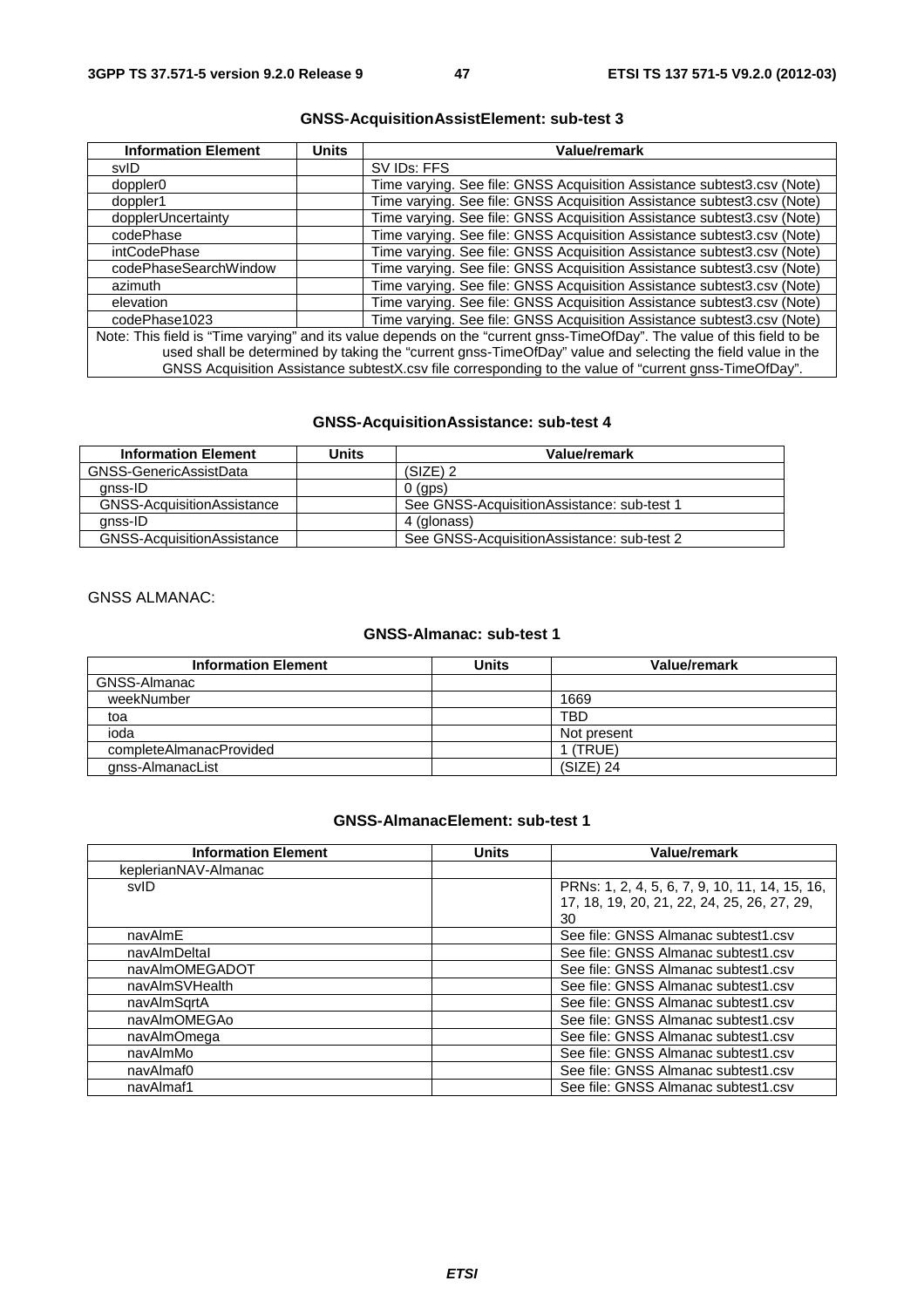| <b>Information Element</b>                                                                                              | <b>Units</b> | <b>Value/remark</b>                                                     |
|-------------------------------------------------------------------------------------------------------------------------|--------------|-------------------------------------------------------------------------|
| svID                                                                                                                    |              | SV IDs: FFS                                                             |
| doppler <sub>0</sub>                                                                                                    |              | Time varying. See file: GNSS Acquisition Assistance subtest3.csv (Note) |
| doppler1                                                                                                                |              | Time varying. See file: GNSS Acquisition Assistance subtest3.csv (Note) |
| dopplerUncertainty                                                                                                      |              | Time varying. See file: GNSS Acquisition Assistance subtest3.csv (Note) |
| codePhase                                                                                                               |              | Time varying. See file: GNSS Acquisition Assistance subtest3.csv (Note) |
| intCodePhase                                                                                                            |              | Time varying. See file: GNSS Acquisition Assistance subtest3.csv (Note) |
| codePhaseSearchWindow                                                                                                   |              | Time varying. See file: GNSS Acquisition Assistance subtest3.csv (Note) |
| azimuth                                                                                                                 |              | Time varying. See file: GNSS Acquisition Assistance subtest3.csv (Note) |
| elevation                                                                                                               |              | Time varying. See file: GNSS Acquisition Assistance subtest3.csv (Note) |
| codePhase1023                                                                                                           |              | Time varying. See file: GNSS Acquisition Assistance subtest3.csv (Note) |
| Note: This field is "Time varying" and its value depends on the "current gnss-TimeOfDay". The value of this field to be |              |                                                                         |
| used shall be determined by taking the "current gnss-TimeOfDay" value and selecting the field value in the              |              |                                                                         |
| GNSS Acquisition Assistance subtestX.csv file corresponding to the value of "current gnss-TimeOfDay".                   |              |                                                                         |

# **GNSS-AcquisitionAssistElement: sub-test 3**

# **GNSS-AcquisitionAssistance: sub-test 4**

| <b>Information Element</b>        | Units | Value/remark                                |
|-----------------------------------|-------|---------------------------------------------|
| GNSS-GenericAssistData            |       | $(SIZE)$ 2                                  |
| gnss-ID                           |       | $0$ (gps)                                   |
| <b>GNSS-AcquisitionAssistance</b> |       | See GNSS-AcquisitionAssistance: sub-test 1  |
| anss-ID                           |       | 4 (glonass)                                 |
| <b>GNSS-AcquisitionAssistance</b> |       | See GNSS-Acquisition Assistance: sub-test 2 |

# GNSS ALMANAC:

## **GNSS-Almanac: sub-test 1**

| <b>Information Element</b> | Units | Value/remark |
|----------------------------|-------|--------------|
| GNSS-Almanac               |       |              |
| weekNumber                 |       | 1669         |
| toa                        |       | <b>TBD</b>   |
| ioda                       |       | Not present  |
| completeAlmanacProvided    |       | 1 (TRUE)     |
| gnss-AlmanacList           |       | (SIZE) 24    |

# **GNSS-AlmanacElement: sub-test 1**

| <b>Information Element</b> | <b>Units</b> | Value/remark                                   |
|----------------------------|--------------|------------------------------------------------|
| keplerianNAV-Almanac       |              |                                                |
| svID                       |              | PRNs: 1, 2, 4, 5, 6, 7, 9, 10, 11, 14, 15, 16, |
|                            |              | 17, 18, 19, 20, 21, 22, 24, 25, 26, 27, 29,    |
|                            |              | 30                                             |
| navAlmE                    |              | See file: GNSS Almanac subtest1.csv            |
| navAlmDeltal               |              | See file: GNSS Almanac subtest1.csv            |
| navAlmOMEGADOT             |              | See file: GNSS Almanac subtest1.csv            |
| navAlmSVHealth             |              | See file: GNSS Almanac subtest1.csv            |
| navAlmSqrtA                |              | See file: GNSS Almanac subtest1.csv            |
| navAlmOMEGAo               |              | See file: GNSS Almanac subtest1.csv            |
| navAlmOmega                |              | See file: GNSS Almanac subtest1.csv            |
| navAlmMo                   |              | See file: GNSS Almanac subtest1.csv            |
| navAlmaf0                  |              | See file: GNSS Almanac subtest1.csv            |
| navAlmaf1                  |              | See file: GNSS Almanac subtest1.csv            |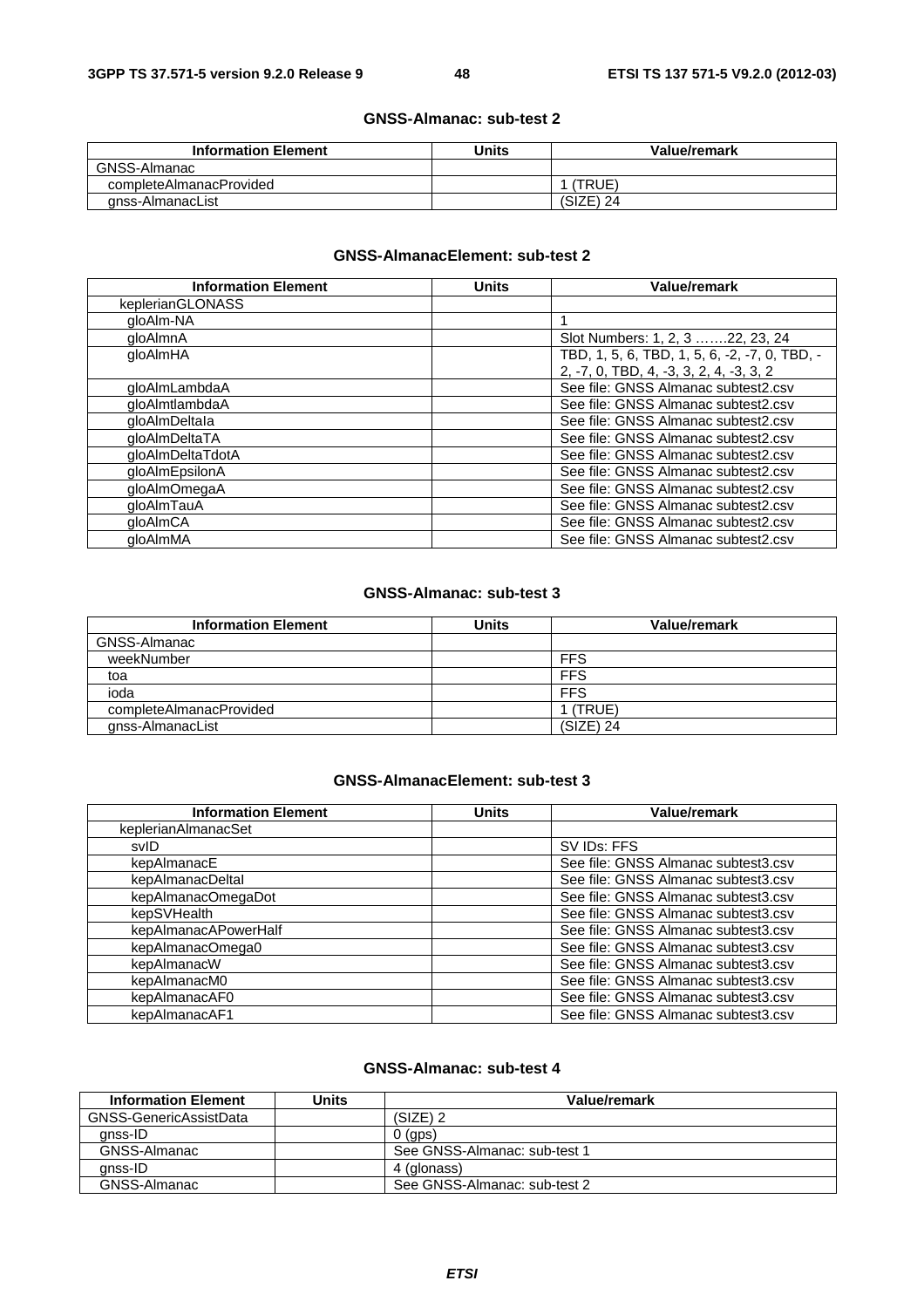#### **GNSS-Almanac: sub-test 2**

| <b>Information Element</b> | Units | Value/remark |
|----------------------------|-------|--------------|
| GNSS-Almanac               |       |              |
| completeAlmanacProvided    |       | (TRUE)       |
| anss-AlmanacList           |       | $(SIZE)$ 24  |

## **GNSS-AlmanacElement: sub-test 2**

| <b>Information Element</b> | <b>Units</b> | Value/remark                                  |
|----------------------------|--------------|-----------------------------------------------|
| keplerianGLONASS           |              |                                               |
| gloAlm-NA                  |              |                                               |
| gloAlmnA                   |              | Slot Numbers: 1, 2, 3 22, 23, 24              |
| qloAlmHA                   |              | TBD, 1, 5, 6, TBD, 1, 5, 6, -2, -7, 0, TBD, - |
|                            |              | 2, -7, 0, TBD, 4, -3, 3, 2, 4, -3, 3, 2       |
| qloAlmLambdaA              |              | See file: GNSS Almanac subtest2.csv           |
| qloAlmtlambdaA             |              | See file: GNSS Almanac subtest2.csv           |
| gloAlmDeltala              |              | See file: GNSS Almanac subtest2.csv           |
| qloAlmDeltaTA              |              | See file: GNSS Almanac subtest2.csv           |
| qloAlmDeltaTdotA           |              | See file: GNSS Almanac subtest2.csv           |
| gloAlmEpsilonA             |              | See file: GNSS Almanac subtest2.csv           |
| gloAlmOmegaA               |              | See file: GNSS Almanac subtest2.csv           |
| gloAlmTauA                 |              | See file: GNSS Almanac subtest2.csv           |
| qloAlmCA                   |              | See file: GNSS Almanac subtest2.csv           |
| aloAlmMA                   |              | See file: GNSS Almanac subtest2.csv           |

#### **GNSS-Almanac: sub-test 3**

| <b>Information Element</b> | Units | <b>Value/remark</b> |
|----------------------------|-------|---------------------|
| GNSS-Almanac               |       |                     |
| weekNumber                 |       | <b>FFS</b>          |
| toa                        |       | <b>FFS</b>          |
| ioda                       |       | <b>FFS</b>          |
| completeAlmanacProvided    |       | (TRUE)              |
| gnss-AlmanacList           |       | (SIZE) 24           |

### **GNSS-AlmanacElement: sub-test 3**

| <b>Information Element</b> | <b>Units</b> | Value/remark                        |
|----------------------------|--------------|-------------------------------------|
| keplerianAlmanacSet        |              |                                     |
| svID                       |              | SV IDs: FFS                         |
| kepAlmanacE                |              | See file: GNSS Almanac subtest3.csv |
| kepAlmanacDeltal           |              | See file: GNSS Almanac subtest3.csv |
| kepAlmanacOmegaDot         |              | See file: GNSS Almanac subtest3.csv |
| kepSVHealth                |              | See file: GNSS Almanac subtest3.csv |
| kepAlmanacAPowerHalf       |              | See file: GNSS Almanac subtest3.csv |
| kepAlmanacOmega0           |              | See file: GNSS Almanac subtest3.csv |
| kepAlmanacW                |              | See file: GNSS Almanac subtest3.csv |
| kepAlmanacM0               |              | See file: GNSS Almanac subtest3.csv |
| kepAlmanacAF0              |              | See file: GNSS Almanac subtest3.csv |
| kepAlmanacAF1              |              | See file: GNSS Almanac subtest3.csv |

#### **GNSS-Almanac: sub-test 4**

| <b>Information Element</b> | Units | Value/remark                 |
|----------------------------|-------|------------------------------|
| GNSS-GenericAssistData     |       | (SIZE) 2                     |
| anss-ID                    |       | $0$ (aps)                    |
| GNSS-Almanac               |       | See GNSS-Almanac: sub-test 1 |
| anss-ID                    |       | 4 (glonass)                  |
| GNSS-Almanac               |       | See GNSS-Almanac: sub-test 2 |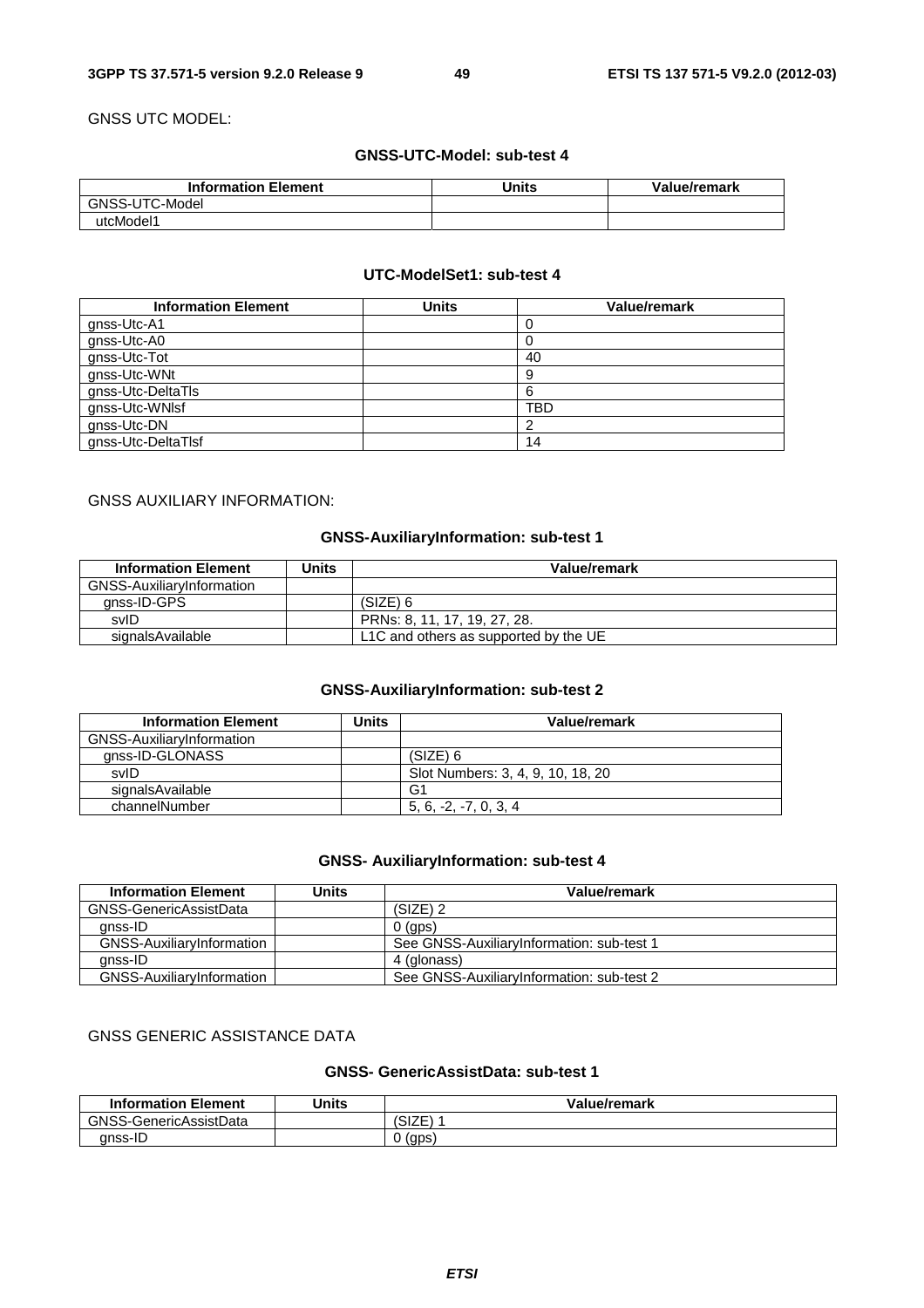GNSS UTC MODEL:

# **GNSS-UTC-Model: sub-test 4**

| <b>Information Element</b> | Units | Value/remark |
|----------------------------|-------|--------------|
| GNSS-UTC-Model             |       |              |
| utcModel1                  |       |              |

#### **UTC-ModelSet1: sub-test 4**

| <b>Information Element</b> | <b>Units</b> | <b>Value/remark</b> |
|----------------------------|--------------|---------------------|
| gnss-Utc-A1                |              |                     |
| gnss-Utc-A0                |              |                     |
| gnss-Utc-Tot               |              | 40                  |
| gnss-Utc-WNt               |              | 9                   |
| gnss-Utc-DeltaTls          |              | 6                   |
| gnss-Utc-WNIsf             |              | TBD                 |
| gnss-Utc-DN                |              |                     |
| gnss-Utc-DeltaTlsf         |              | 14                  |

# GNSS AUXILIARY INFORMATION:

# **GNSS-AuxiliaryInformation: sub-test 1**

| <b>Information Element</b> | Units | Value/remark                          |
|----------------------------|-------|---------------------------------------|
| GNSS-AuxiliaryInformation  |       |                                       |
| anss-ID-GPS                |       | $(SIZE)$ 6                            |
| svID                       |       | PRNs: 8, 11, 17, 19, 27, 28,          |
| signalsAvailable           |       | L1C and others as supported by the UE |

## **GNSS-AuxiliaryInformation: sub-test 2**

| <b>Information Element</b> | Units | Value/remark                      |
|----------------------------|-------|-----------------------------------|
| GNSS-AuxiliaryInformation  |       |                                   |
| gnss-ID-GLONASS            |       | (SIZE) 6                          |
| svID                       |       | Slot Numbers: 3, 4, 9, 10, 18, 20 |
| signalsAvailable           |       | G1                                |
| channelNumber              |       | $5, 6, -2, -7, 0, 3, 4$           |

# **GNSS- AuxiliaryInformation: sub-test 4**

| <b>Information Element</b>       | Units | Value/remark                              |
|----------------------------------|-------|-------------------------------------------|
| GNSS-GenericAssistData           |       | $(SIZE)$ 2                                |
| anss-ID                          |       | $0$ (gps)                                 |
| GNSS-AuxiliaryInformation        |       | See GNSS-AuxiliaryInformation: sub-test 1 |
| anss-ID                          |       | 4 (glonass)                               |
| <b>GNSS-AuxiliaryInformation</b> |       | See GNSS-AuxiliaryInformation: sub-test 2 |

# GNSS GENERIC ASSISTANCE DATA

# **GNSS- GenericAssistData: sub-test 1**

| <b>Information Element</b> | <b>Units</b> | Value/remark                           |
|----------------------------|--------------|----------------------------------------|
| GNSS-GenericAssistData     |              | $\rightarrow$ $  \rightarrow$<br>ISIZE |
| gnss-ID                    |              | (gps)                                  |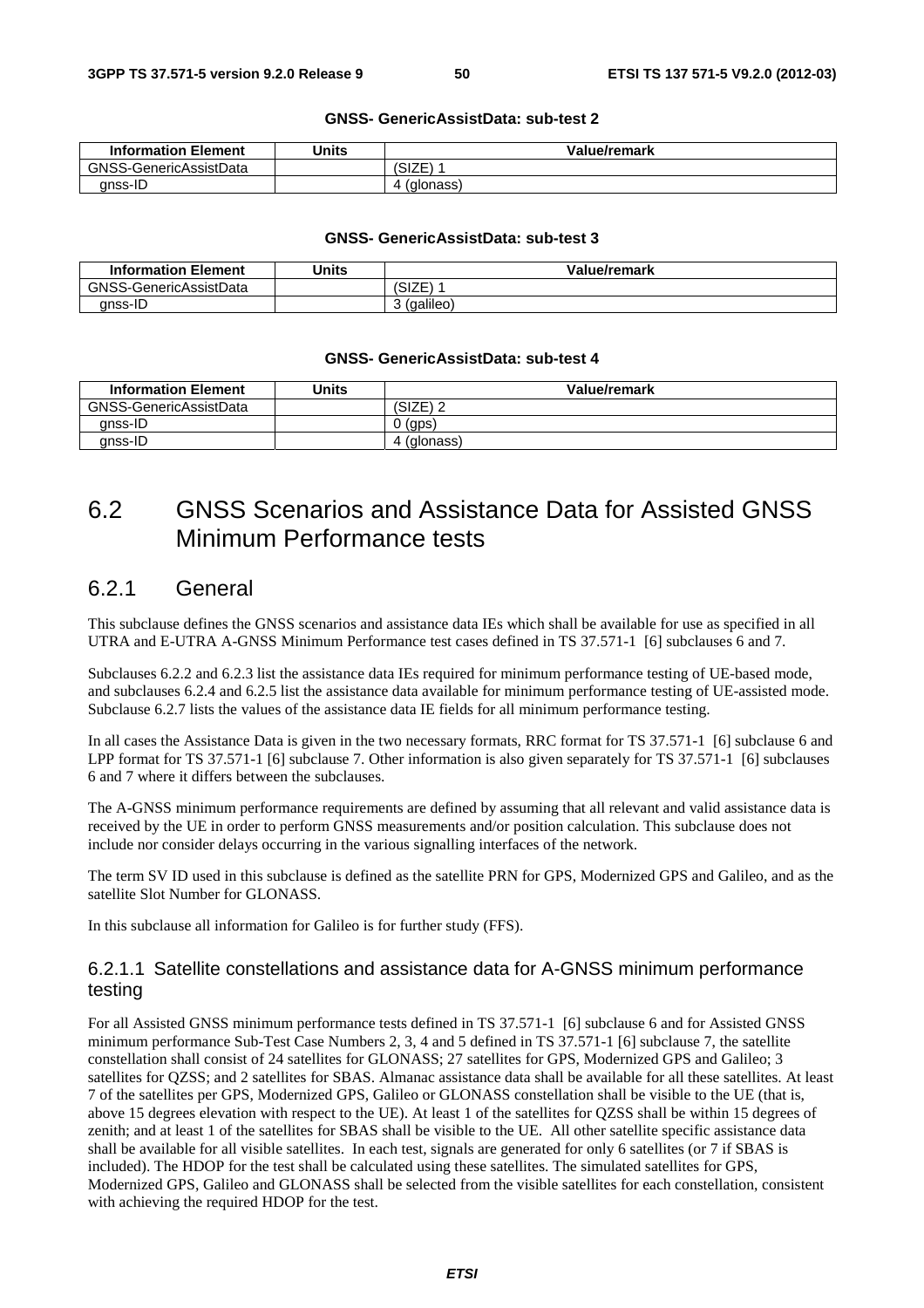#### **GNSS- GenericAssistData: sub-test 2**

| <b>Information Element</b> | Units | Value/remark  |
|----------------------------|-------|---------------|
| GNSS-GenericAssistData     |       | コフロー<br>'SIZE |
| anss-ID                    |       | (glonass)     |

#### **GNSS- GenericAssistData: sub-test 3**

| <b>Information Element</b> | Units | Value/remark   |
|----------------------------|-------|----------------|
| GNSS-GenericAssistData     |       | .১i∠⊵          |
| anss-ID                    |       | (galileo)<br>ີ |

#### **GNSS- GenericAssistData: sub-test 4**

| <b>Information Element</b> | Units | Value/remark |
|----------------------------|-------|--------------|
| GNSS-GenericAssistData     |       | (SIZE) 2     |
| anss-ID                    |       | (gps)        |
| gnss-ID                    |       | (glonass)    |

# 6.2 GNSS Scenarios and Assistance Data for Assisted GNSS Minimum Performance tests

# 6.2.1 General

This subclause defines the GNSS scenarios and assistance data IEs which shall be available for use as specified in all UTRA and E-UTRA A-GNSS Minimum Performance test cases defined in TS 37.571-1 [6] subclauses 6 and 7.

Subclauses 6.2.2 and 6.2.3 list the assistance data IEs required for minimum performance testing of UE-based mode, and subclauses 6.2.4 and 6.2.5 list the assistance data available for minimum performance testing of UE-assisted mode. Subclause 6.2.7 lists the values of the assistance data IE fields for all minimum performance testing.

In all cases the Assistance Data is given in the two necessary formats, RRC format for TS 37.571-1 [6] subclause 6 and LPP format for TS 37.571-1 [6] subclause 7. Other information is also given separately for TS 37.571-1 [6] subclauses 6 and 7 where it differs between the subclauses.

The A-GNSS minimum performance requirements are defined by assuming that all relevant and valid assistance data is received by the UE in order to perform GNSS measurements and/or position calculation. This subclause does not include nor consider delays occurring in the various signalling interfaces of the network.

The term SV ID used in this subclause is defined as the satellite PRN for GPS, Modernized GPS and Galileo, and as the satellite Slot Number for GLONASS.

In this subclause all information for Galileo is for further study (FFS).

# 6.2.1.1 Satellite constellations and assistance data for A-GNSS minimum performance testing

For all Assisted GNSS minimum performance tests defined in TS 37.571-1 [6] subclause 6 and for Assisted GNSS minimum performance Sub-Test Case Numbers 2, 3, 4 and 5 defined in TS 37.571-1 [6] subclause 7, the satellite constellation shall consist of 24 satellites for GLONASS; 27 satellites for GPS, Modernized GPS and Galileo; 3 satellites for QZSS; and 2 satellites for SBAS. Almanac assistance data shall be available for all these satellites. At least 7 of the satellites per GPS, Modernized GPS, Galileo or GLONASS constellation shall be visible to the UE (that is, above 15 degrees elevation with respect to the UE). At least 1 of the satellites for QZSS shall be within 15 degrees of zenith; and at least 1 of the satellites for SBAS shall be visible to the UE. All other satellite specific assistance data shall be available for all visible satellites. In each test, signals are generated for only 6 satellites (or 7 if SBAS is included). The HDOP for the test shall be calculated using these satellites. The simulated satellites for GPS, Modernized GPS, Galileo and GLONASS shall be selected from the visible satellites for each constellation, consistent with achieving the required HDOP for the test.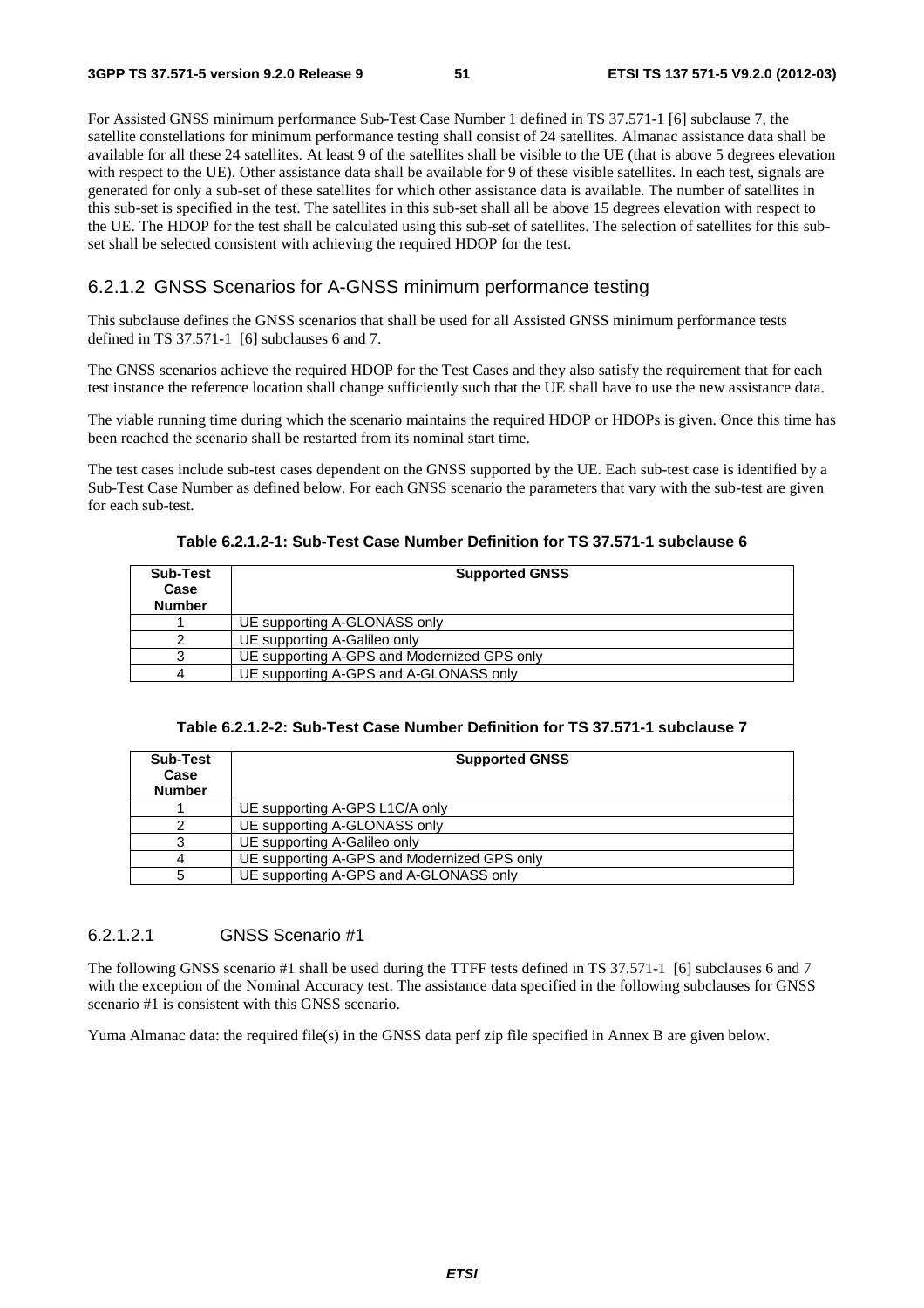For Assisted GNSS minimum performance Sub-Test Case Number 1 defined in TS 37.571-1 [6] subclause 7, the satellite constellations for minimum performance testing shall consist of 24 satellites. Almanac assistance data shall be available for all these 24 satellites. At least 9 of the satellites shall be visible to the UE (that is above 5 degrees elevation with respect to the UE). Other assistance data shall be available for 9 of these visible satellites. In each test, signals are generated for only a sub-set of these satellites for which other assistance data is available. The number of satellites in this sub-set is specified in the test. The satellites in this sub-set shall all be above 15 degrees elevation with respect to the UE. The HDOP for the test shall be calculated using this sub-set of satellites. The selection of satellites for this subset shall be selected consistent with achieving the required HDOP for the test.

# 6.2.1.2 GNSS Scenarios for A-GNSS minimum performance testing

This subclause defines the GNSS scenarios that shall be used for all Assisted GNSS minimum performance tests defined in TS 37.571-1 [6] subclauses 6 and 7.

The GNSS scenarios achieve the required HDOP for the Test Cases and they also satisfy the requirement that for each test instance the reference location shall change sufficiently such that the UE shall have to use the new assistance data.

The viable running time during which the scenario maintains the required HDOP or HDOPs is given. Once this time has been reached the scenario shall be restarted from its nominal start time.

The test cases include sub-test cases dependent on the GNSS supported by the UE. Each sub-test case is identified by a Sub-Test Case Number as defined below. For each GNSS scenario the parameters that vary with the sub-test are given for each sub-test.

|  | Table 6.2.1.2-1: Sub-Test Case Number Definition for TS 37.571-1 subclause 6 |
|--|------------------------------------------------------------------------------|
|--|------------------------------------------------------------------------------|

| <b>Sub-Test</b><br>Case<br><b>Number</b> | <b>Supported GNSS</b>                       |
|------------------------------------------|---------------------------------------------|
|                                          | UE supporting A-GLONASS only                |
|                                          | UE supporting A-Galileo only                |
|                                          | UE supporting A-GPS and Modernized GPS only |
|                                          | UE supporting A-GPS and A-GLONASS only      |

**Table 6.2.1.2-2: Sub-Test Case Number Definition for TS 37.571-1 subclause 7** 

| Sub-Test<br>Case<br><b>Number</b> | <b>Supported GNSS</b>                       |  |
|-----------------------------------|---------------------------------------------|--|
|                                   | UE supporting A-GPS L1C/A only              |  |
|                                   | UE supporting A-GLONASS only                |  |
|                                   | UE supporting A-Galileo only                |  |
|                                   | UE supporting A-GPS and Modernized GPS only |  |
|                                   | UE supporting A-GPS and A-GLONASS only      |  |

### 6.2.1.2.1 GNSS Scenario #1

The following GNSS scenario #1 shall be used during the TTFF tests defined in TS 37.571-1 [6] subclauses 6 and 7 with the exception of the Nominal Accuracy test. The assistance data specified in the following subclauses for GNSS scenario #1 is consistent with this GNSS scenario.

Yuma Almanac data: the required file(s) in the GNSS data perf zip file specified in Annex B are given below.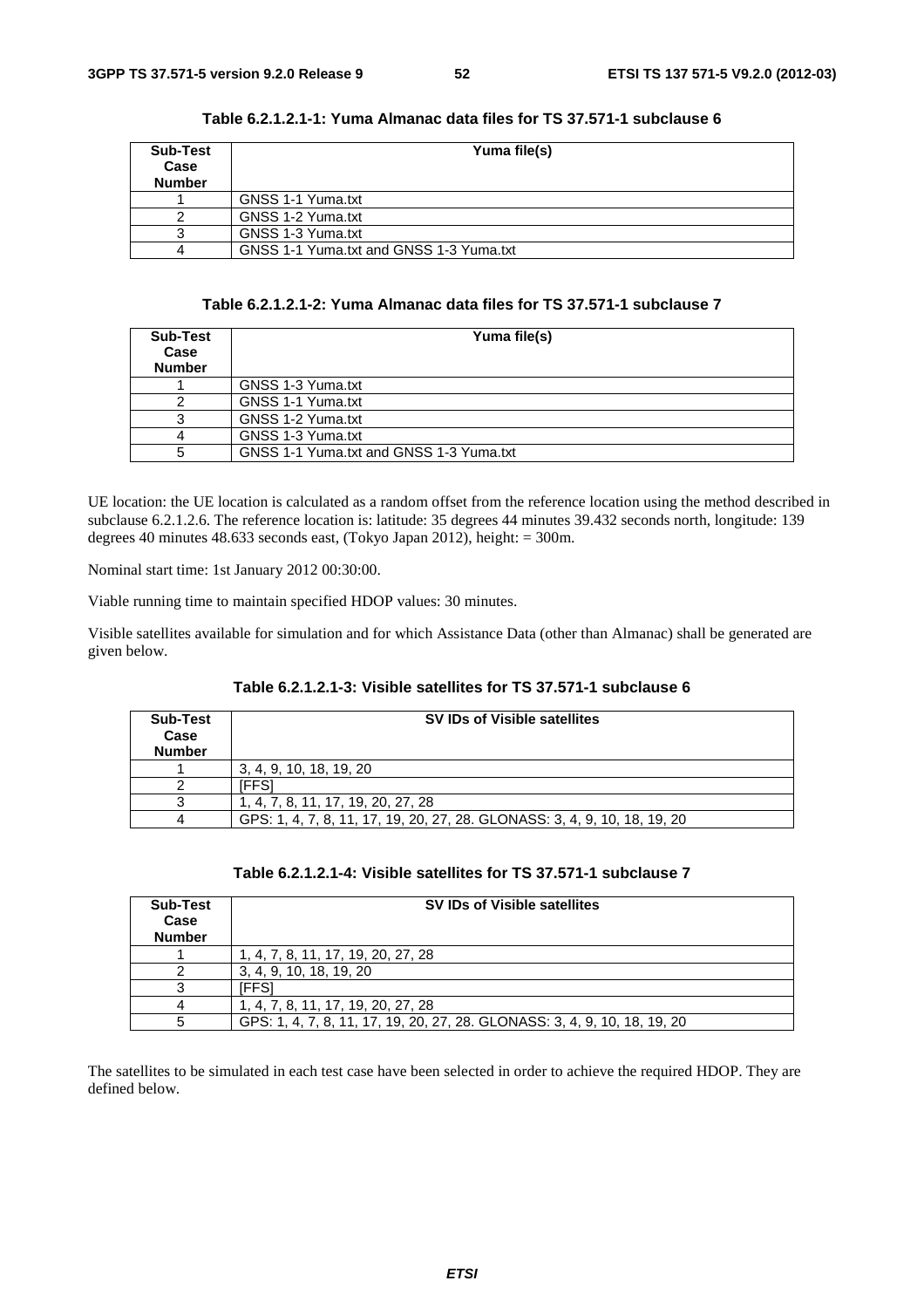| Sub-Test<br>Case<br><b>Number</b> | Yuma file(s)                            |
|-----------------------------------|-----------------------------------------|
|                                   | GNSS 1-1 Yuma.txt                       |
|                                   | GNSS 1-2 Yuma.txt                       |
|                                   | GNSS 1-3 Yuma.txt                       |
|                                   | GNSS 1-1 Yuma.txt and GNSS 1-3 Yuma.txt |

| Table 6.2.1.2.1-1: Yuma Almanac data files for TS 37.571-1 subclause 6 |  |  |  |
|------------------------------------------------------------------------|--|--|--|
|------------------------------------------------------------------------|--|--|--|

# **Table 6.2.1.2.1-2: Yuma Almanac data files for TS 37.571-1 subclause 7**

| <b>Sub-Test</b><br>Case<br><b>Number</b> | Yuma file(s)                            |
|------------------------------------------|-----------------------------------------|
|                                          | GNSS 1-3 Yuma.txt                       |
|                                          | GNSS 1-1 Yuma.txt                       |
|                                          | GNSS 1-2 Yuma.txt                       |
|                                          | GNSS 1-3 Yuma.txt                       |
| 5                                        | GNSS 1-1 Yuma.txt and GNSS 1-3 Yuma.txt |

UE location: the UE location is calculated as a random offset from the reference location using the method described in subclause 6.2.1.2.6. The reference location is: latitude: 35 degrees 44 minutes 39.432 seconds north, longitude: 139 degrees 40 minutes 48.633 seconds east, (Tokyo Japan 2012), height: = 300m.

Nominal start time: 1st January 2012 00:30:00.

Viable running time to maintain specified HDOP values: 30 minutes.

Visible satellites available for simulation and for which Assistance Data (other than Almanac) shall be generated are given below.

|--|--|--|

| <b>Sub-Test</b><br>Case<br><b>Number</b> | <b>SV IDs of Visible satellites</b>                                       |
|------------------------------------------|---------------------------------------------------------------------------|
|                                          | 3, 4, 9, 10, 18, 19, 20                                                   |
|                                          | <b>FFS1</b>                                                               |
|                                          | 1, 4, 7, 8, 11, 17, 19, 20, 27, 28                                        |
|                                          | GPS: 1, 4, 7, 8, 11, 17, 19, 20, 27, 28. GLONASS: 3, 4, 9, 10, 18, 19, 20 |

### **Table 6.2.1.2.1-4: Visible satellites for TS 37.571-1 subclause 7**

| <b>Sub-Test</b><br>Case<br><b>Number</b> | <b>SV IDs of Visible satellites</b>                                       |
|------------------------------------------|---------------------------------------------------------------------------|
|                                          | 1, 4, 7, 8, 11, 17, 19, 20, 27, 28                                        |
|                                          | 3, 4, 9, 10, 18, 19, 20                                                   |
|                                          | FFS.                                                                      |
|                                          | 1, 4, 7, 8, 11, 17, 19, 20, 27, 28                                        |
|                                          | GPS: 1, 4, 7, 8, 11, 17, 19, 20, 27, 28. GLONASS: 3, 4, 9, 10, 18, 19, 20 |

The satellites to be simulated in each test case have been selected in order to achieve the required HDOP. They are defined below.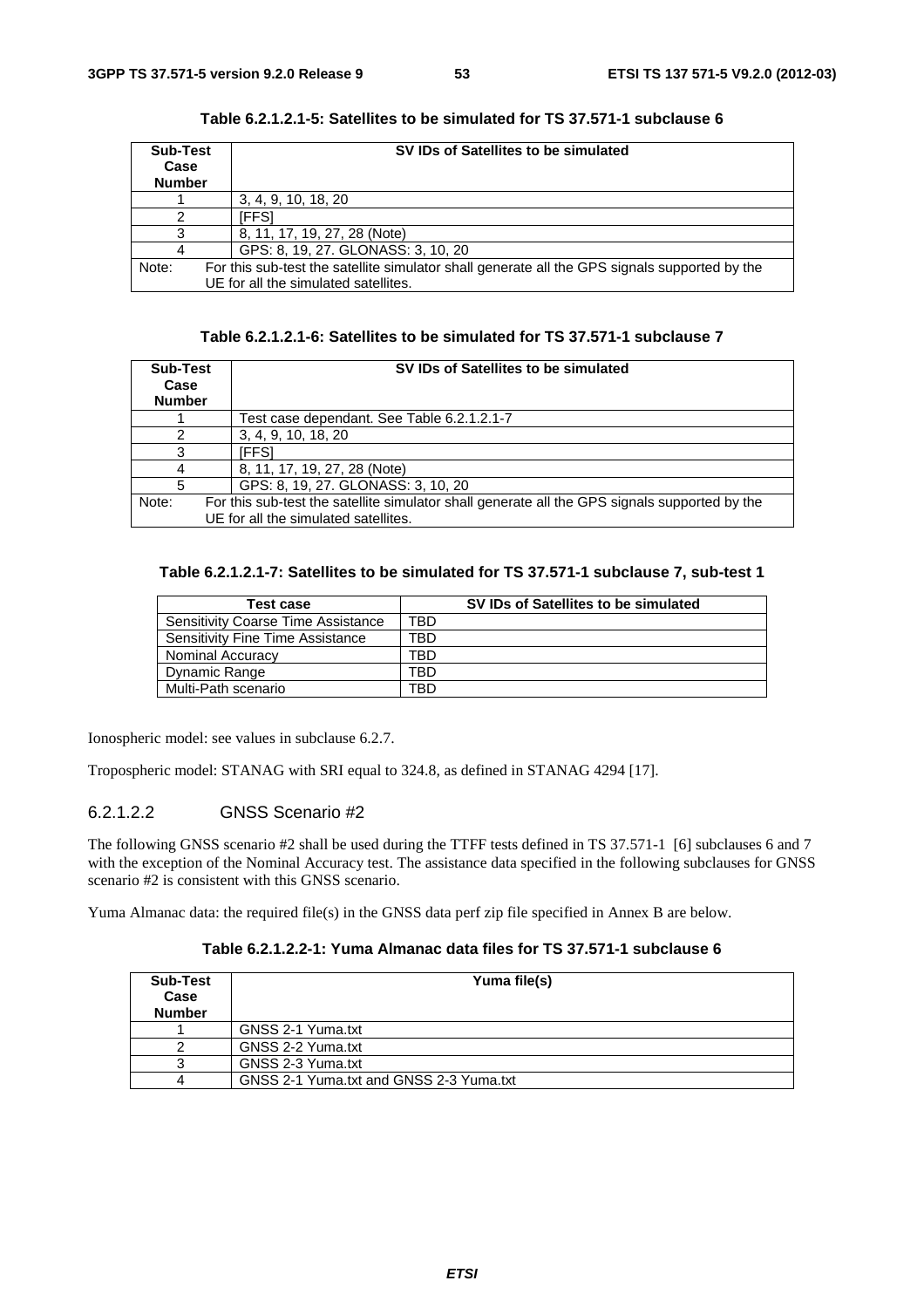| Sub-Test<br>Case<br><b>Number</b> | SV IDs of Satellites to be simulated                                                          |  |
|-----------------------------------|-----------------------------------------------------------------------------------------------|--|
|                                   | 3, 4, 9, 10, 18, 20                                                                           |  |
|                                   | IFFS1                                                                                         |  |
|                                   | 8, 11, 17, 19, 27, 28 (Note)                                                                  |  |
|                                   | GPS: 8, 19, 27. GLONASS: 3, 10, 20                                                            |  |
| Note:                             | For this sub-test the satellite simulator shall generate all the GPS signals supported by the |  |
|                                   | UE for all the simulated satellites.                                                          |  |

**Table 6.2.1.2.1-5: Satellites to be simulated for TS 37.571-1 subclause 6** 

| Table 6.2.1.2.1-6: Satellites to be simulated for TS 37.571-1 subclause 7 |  |  |  |
|---------------------------------------------------------------------------|--|--|--|
|---------------------------------------------------------------------------|--|--|--|

| Sub-Test<br>Case<br><b>Number</b> | SV IDs of Satellites to be simulated                                                                                                  |
|-----------------------------------|---------------------------------------------------------------------------------------------------------------------------------------|
|                                   | Test case dependant. See Table 6.2.1.2.1-7                                                                                            |
|                                   | 3, 4, 9, 10, 18, 20                                                                                                                   |
|                                   | iFFS1                                                                                                                                 |
|                                   | 8, 11, 17, 19, 27, 28 (Note)                                                                                                          |
| 5                                 | GPS: 8, 19, 27. GLONASS: 3, 10, 20                                                                                                    |
| Note:                             | For this sub-test the satellite simulator shall generate all the GPS signals supported by the<br>UE for all the simulated satellites. |

# **Table 6.2.1.2.1-7: Satellites to be simulated for TS 37.571-1 subclause 7, sub-test 1**

| <b>Test case</b>                          |     | SV IDs of Satellites to be simulated |
|-------------------------------------------|-----|--------------------------------------|
| <b>Sensitivity Coarse Time Assistance</b> | TBD |                                      |
| Sensitivity Fine Time Assistance          | TBD |                                      |
| Nominal Accuracy                          | TBD |                                      |
| Dynamic Range                             | TBD |                                      |
| Multi-Path scenario                       | TBD |                                      |

Ionospheric model: see values in subclause 6.2.7.

Tropospheric model: STANAG with SRI equal to 324.8, as defined in STANAG 4294 [17].

# 6.2.1.2.2 GNSS Scenario #2

The following GNSS scenario #2 shall be used during the TTFF tests defined in TS 37.571-1 [6] subclauses 6 and 7 with the exception of the Nominal Accuracy test. The assistance data specified in the following subclauses for GNSS scenario #2 is consistent with this GNSS scenario.

Yuma Almanac data: the required file(s) in the GNSS data perf zip file specified in Annex B are below.

# **Table 6.2.1.2.2-1: Yuma Almanac data files for TS 37.571-1 subclause 6**

| Sub-Test<br>Case<br><b>Number</b> | Yuma file(s)                            |
|-----------------------------------|-----------------------------------------|
|                                   | GNSS 2-1 Yuma.txt                       |
|                                   | GNSS 2-2 Yuma.txt                       |
|                                   | GNSS 2-3 Yuma.txt                       |
|                                   | GNSS 2-1 Yuma.txt and GNSS 2-3 Yuma.txt |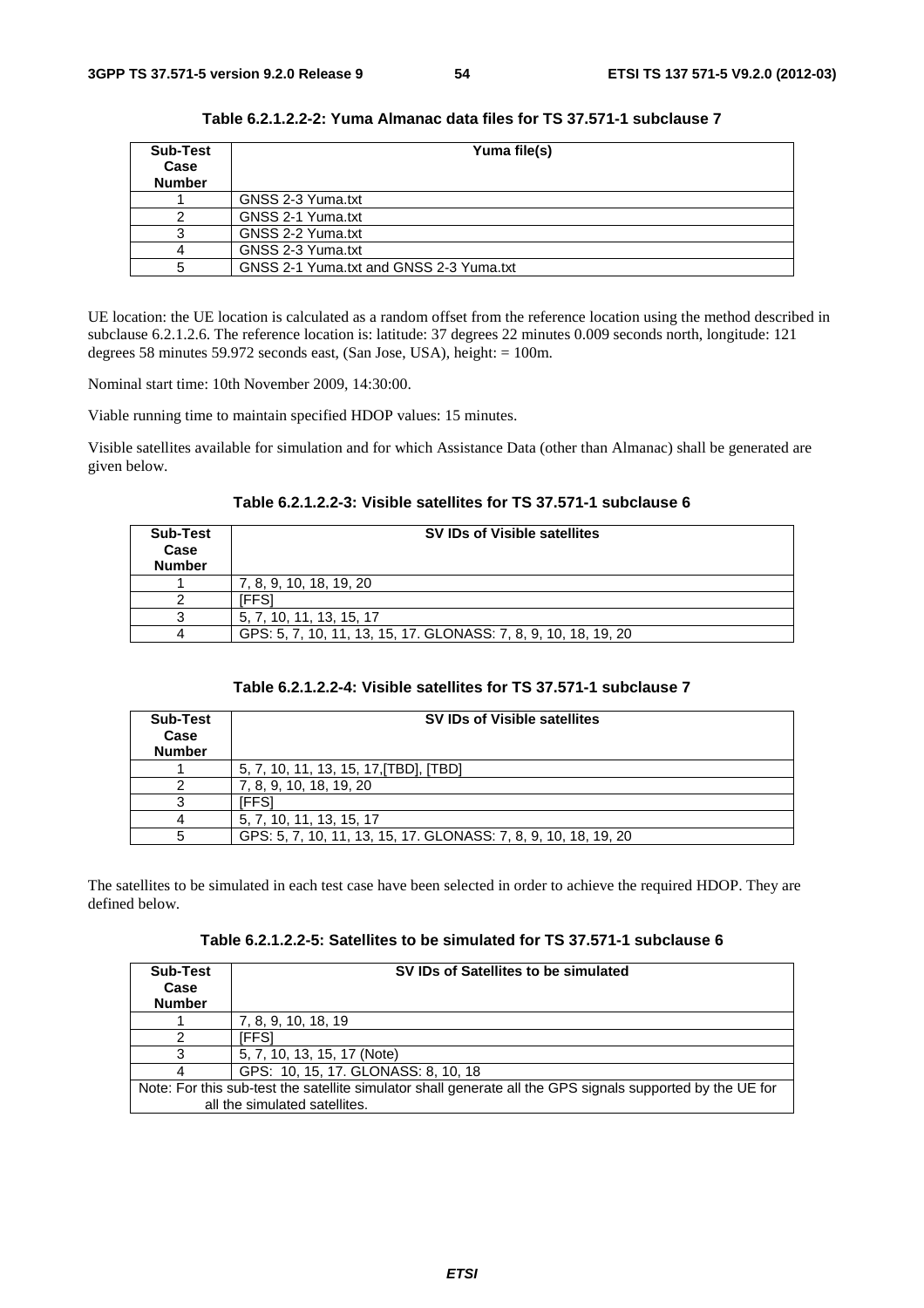| Sub-Test<br>Case<br><b>Number</b> | Yuma file(s)                            |
|-----------------------------------|-----------------------------------------|
|                                   | GNSS 2-3 Yuma.txt                       |
|                                   | GNSS 2-1 Yuma.txt                       |
|                                   | GNSS 2-2 Yuma.txt                       |
|                                   | GNSS 2-3 Yuma.txt                       |
|                                   | GNSS 2-1 Yuma.txt and GNSS 2-3 Yuma.txt |

**Table 6.2.1.2.2-2: Yuma Almanac data files for TS 37.571-1 subclause 7** 

UE location: the UE location is calculated as a random offset from the reference location using the method described in subclause 6.2.1.2.6. The reference location is: latitude: 37 degrees 22 minutes 0.009 seconds north, longitude: 121 degrees 58 minutes 59.972 seconds east, (San Jose, USA), height: = 100m.

Nominal start time: 10th November 2009, 14:30:00.

Viable running time to maintain specified HDOP values: 15 minutes.

Visible satellites available for simulation and for which Assistance Data (other than Almanac) shall be generated are given below.

|  |  | Table 6.2.1.2.2-3: Visible satellites for TS 37.571-1 subclause 6 |
|--|--|-------------------------------------------------------------------|
|--|--|-------------------------------------------------------------------|

| <b>Sub-Test</b><br>Case<br><b>Number</b> | <b>SV IDs of Visible satellites</b>                             |
|------------------------------------------|-----------------------------------------------------------------|
|                                          | 7, 8, 9, 10, 18, 19, 20                                         |
|                                          | IFFS.                                                           |
|                                          | 5, 7, 10, 11, 13, 15, 17                                        |
|                                          | GPS: 5, 7, 10, 11, 13, 15, 17, GLONASS: 7, 8, 9, 10, 18, 19, 20 |

### **Table 6.2.1.2.2-4: Visible satellites for TS 37.571-1 subclause 7**

| Sub-Test<br>Case<br><b>Number</b> | <b>SV IDs of Visible satellites</b>                             |
|-----------------------------------|-----------------------------------------------------------------|
|                                   | 5, 7, 10, 11, 13, 15, 17, [TBD], [TBD]                          |
|                                   | 7, 8, 9, 10, 18, 19, 20                                         |
|                                   | 'FFS                                                            |
|                                   | 5, 7, 10, 11, 13, 15, 17                                        |
|                                   | GPS: 5, 7, 10, 11, 13, 15, 17, GLONASS: 7, 8, 9, 10, 18, 19, 20 |

The satellites to be simulated in each test case have been selected in order to achieve the required HDOP. They are defined below.

| Sub-Test<br>Case<br><b>Number</b> | SV IDs of Satellites to be simulated                                                                       |  |
|-----------------------------------|------------------------------------------------------------------------------------------------------------|--|
|                                   | 7, 8, 9, 10, 18, 19                                                                                        |  |
|                                   | 'FFS1                                                                                                      |  |
|                                   | 5, 7, 10, 13, 15, 17 (Note)                                                                                |  |
|                                   | GPS: 10, 15, 17. GLONASS: 8, 10, 18                                                                        |  |
|                                   | Note: For this sub-test the satellite simulator shall generate all the GPS signals supported by the UE for |  |
|                                   | all the simulated satellites.                                                                              |  |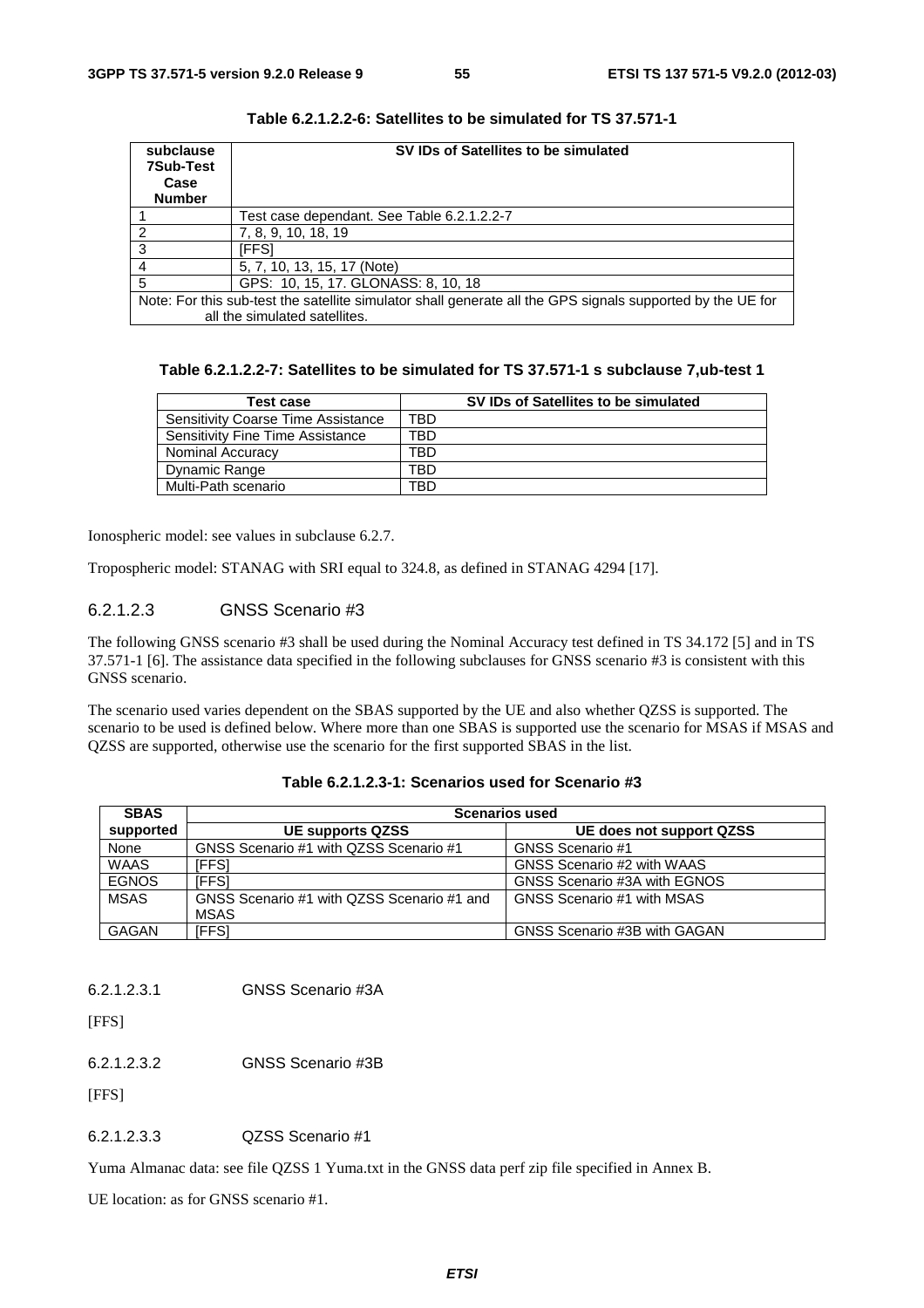| subclause<br><b>7Sub-Test</b> | SV IDs of Satellites to be simulated                                                                       |  |
|-------------------------------|------------------------------------------------------------------------------------------------------------|--|
| Case                          |                                                                                                            |  |
| <b>Number</b>                 |                                                                                                            |  |
|                               | Test case dependant. See Table 6.2.1.2.2-7                                                                 |  |
|                               | 7, 8, 9, 10, 18, 19                                                                                        |  |
| 3                             | IFFS <sup>.</sup>                                                                                          |  |
|                               | 5, 7, 10, 13, 15, 17 (Note)                                                                                |  |
| 5                             | GPS: 10, 15, 17. GLONASS: 8, 10, 18                                                                        |  |
|                               | Note: For this sub-test the satellite simulator shall generate all the GPS signals supported by the UE for |  |
|                               | all the simulated satellites.                                                                              |  |

**Table 6.2.1.2.2-6: Satellites to be simulated for TS 37.571-1** 

| Table 6.2.1.2.2-7: Satellites to be simulated for TS 37.571-1 s subclause 7,ub-test 1 |  |
|---------------------------------------------------------------------------------------|--|
|---------------------------------------------------------------------------------------|--|

| Test case                                 | SV IDs of Satellites to be simulated |
|-------------------------------------------|--------------------------------------|
| <b>Sensitivity Coarse Time Assistance</b> | TBD                                  |
| <b>Sensitivity Fine Time Assistance</b>   | TBD                                  |
| Nominal Accuracy                          | TBD                                  |
| Dynamic Range                             | TBD                                  |
| Multi-Path scenario                       | TBD.                                 |

Ionospheric model: see values in subclause 6.2.7.

Tropospheric model: STANAG with SRI equal to 324.8, as defined in STANAG 4294 [17].

# 6.2.1.2.3 GNSS Scenario #3

The following GNSS scenario #3 shall be used during the Nominal Accuracy test defined in TS 34.172 [5] and in TS 37.571-1 [6]. The assistance data specified in the following subclauses for GNSS scenario #3 is consistent with this GNSS scenario.

The scenario used varies dependent on the SBAS supported by the UE and also whether QZSS is supported. The scenario to be used is defined below. Where more than one SBAS is supported use the scenario for MSAS if MSAS and QZSS are supported, otherwise use the scenario for the first supported SBAS in the list.

| <b>SBAS</b>  | <b>Scenarios used</b>                      |                              |  |
|--------------|--------------------------------------------|------------------------------|--|
| supported    | <b>UE supports QZSS</b>                    | UE does not support QZSS     |  |
| None         | GNSS Scenario #1 with QZSS Scenario #1     | GNSS Scenario #1             |  |
| <b>WAAS</b>  | IFFSI                                      | GNSS Scenario #2 with WAAS   |  |
| <b>EGNOS</b> | <b>IFFSI</b>                               | GNSS Scenario #3A with EGNOS |  |
| <b>MSAS</b>  | GNSS Scenario #1 with QZSS Scenario #1 and | GNSS Scenario #1 with MSAS   |  |
|              | MSAS                                       |                              |  |
| GAGAN        | IFFSI                                      | GNSS Scenario #3B with GAGAN |  |

| Table 6.2.1.2.3-1: Scenarios used for Scenario #3 |  |  |  |  |
|---------------------------------------------------|--|--|--|--|
|---------------------------------------------------|--|--|--|--|

6.2.1.2.3.1 GNSS Scenario #3A

[FFS]

6.2.1.2.3.2 GNSS Scenario #3B

[FFS]

6.2.1.2.3.3 QZSS Scenario #1

Yuma Almanac data: see file QZSS 1 Yuma.txt in the GNSS data perf zip file specified in Annex B.

UE location: as for GNSS scenario #1.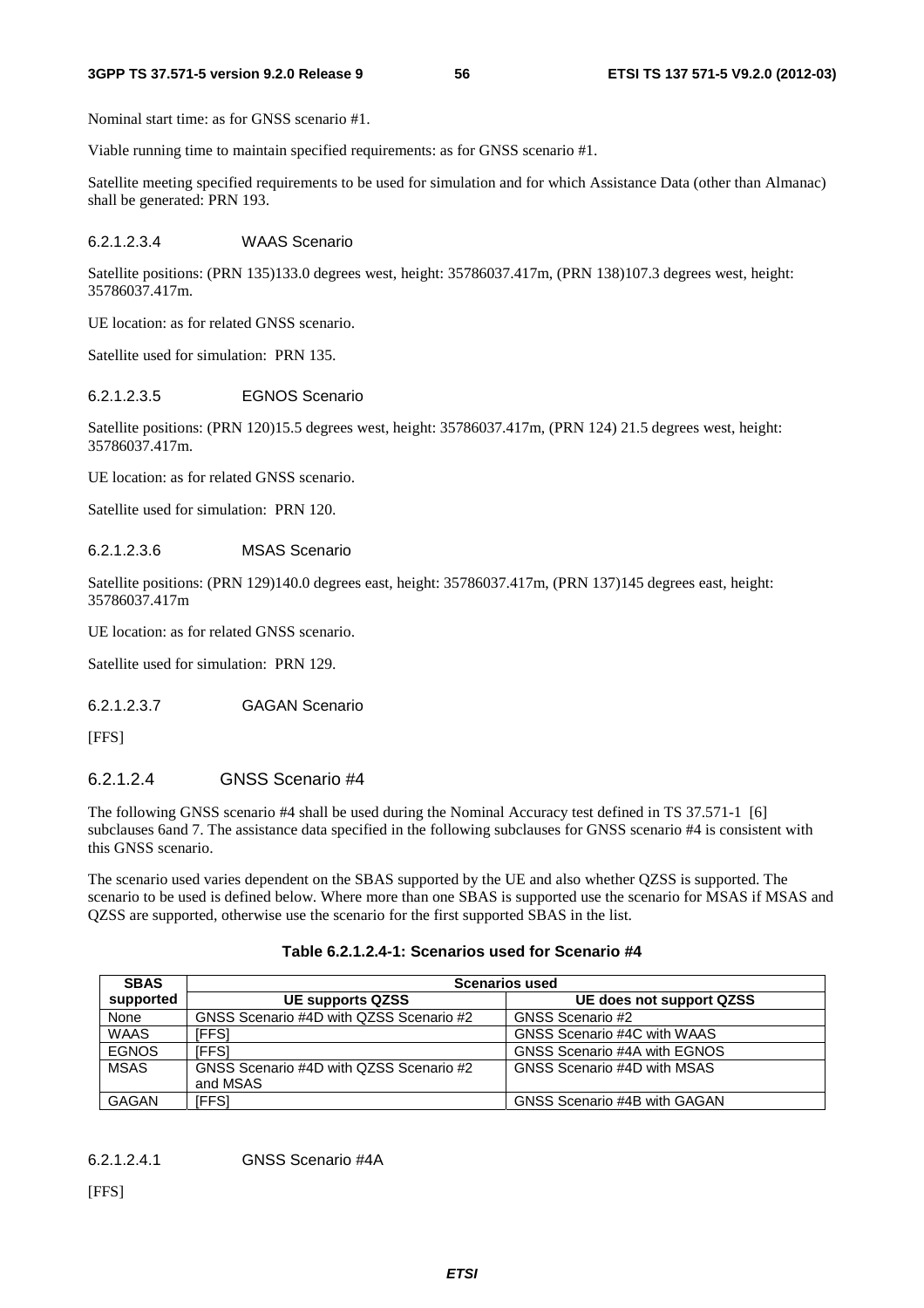#### **3GPP TS 37.571-5 version 9.2.0 Release 9 56 ETSI TS 137 571-5 V9.2.0 (2012-03)**

Nominal start time: as for GNSS scenario #1.

Viable running time to maintain specified requirements: as for GNSS scenario #1.

Satellite meeting specified requirements to be used for simulation and for which Assistance Data (other than Almanac) shall be generated: PRN 193.

# 6.2.1.2.3.4 WAAS Scenario

Satellite positions: (PRN 135)133.0 degrees west, height: 35786037.417m, (PRN 138)107.3 degrees west, height: 35786037.417m.

UE location: as for related GNSS scenario.

Satellite used for simulation: PRN 135.

# 6.2.1.2.3.5 EGNOS Scenario

Satellite positions: (PRN 120)15.5 degrees west, height: 35786037.417m, (PRN 124) 21.5 degrees west, height: 35786037.417m.

UE location: as for related GNSS scenario.

Satellite used for simulation: PRN 120.

# 6.2.1.2.3.6 MSAS Scenario

Satellite positions: (PRN 129)140.0 degrees east, height: 35786037.417m, (PRN 137)145 degrees east, height: 35786037.417m

UE location: as for related GNSS scenario.

Satellite used for simulation: PRN 129.

# 6.2.1.2.3.7 GAGAN Scenario

[FFS]

# 6.2.1.2.4 GNSS Scenario #4

The following GNSS scenario #4 shall be used during the Nominal Accuracy test defined in TS 37.571-1 [6] subclauses 6and 7. The assistance data specified in the following subclauses for GNSS scenario #4 is consistent with this GNSS scenario.

The scenario used varies dependent on the SBAS supported by the UE and also whether QZSS is supported. The scenario to be used is defined below. Where more than one SBAS is supported use the scenario for MSAS if MSAS and QZSS are supported, otherwise use the scenario for the first supported SBAS in the list.

| Table 6.2.1.2.4-1: Scenarios used for Scenario #4 |  |  |
|---------------------------------------------------|--|--|
|---------------------------------------------------|--|--|

| <b>SBAS</b>  | <b>Scenarios used</b>                               |                              |  |
|--------------|-----------------------------------------------------|------------------------------|--|
| supported    | <b>UE supports QZSS</b>                             | UE does not support QZSS     |  |
| None         | GNSS Scenario #4D with QZSS Scenario #2             | GNSS Scenario #2             |  |
| <b>WAAS</b>  | [FFS]                                               | GNSS Scenario #4C with WAAS  |  |
| <b>EGNOS</b> | IFFS1                                               | GNSS Scenario #4A with EGNOS |  |
| <b>MSAS</b>  | GNSS Scenario #4D with QZSS Scenario #2<br>and MSAS | GNSS Scenario #4D with MSAS  |  |
| GAGAN        | [FFS]                                               | GNSS Scenario #4B with GAGAN |  |

6.2.1.2.4.1 GNSS Scenario #4A

[FFS]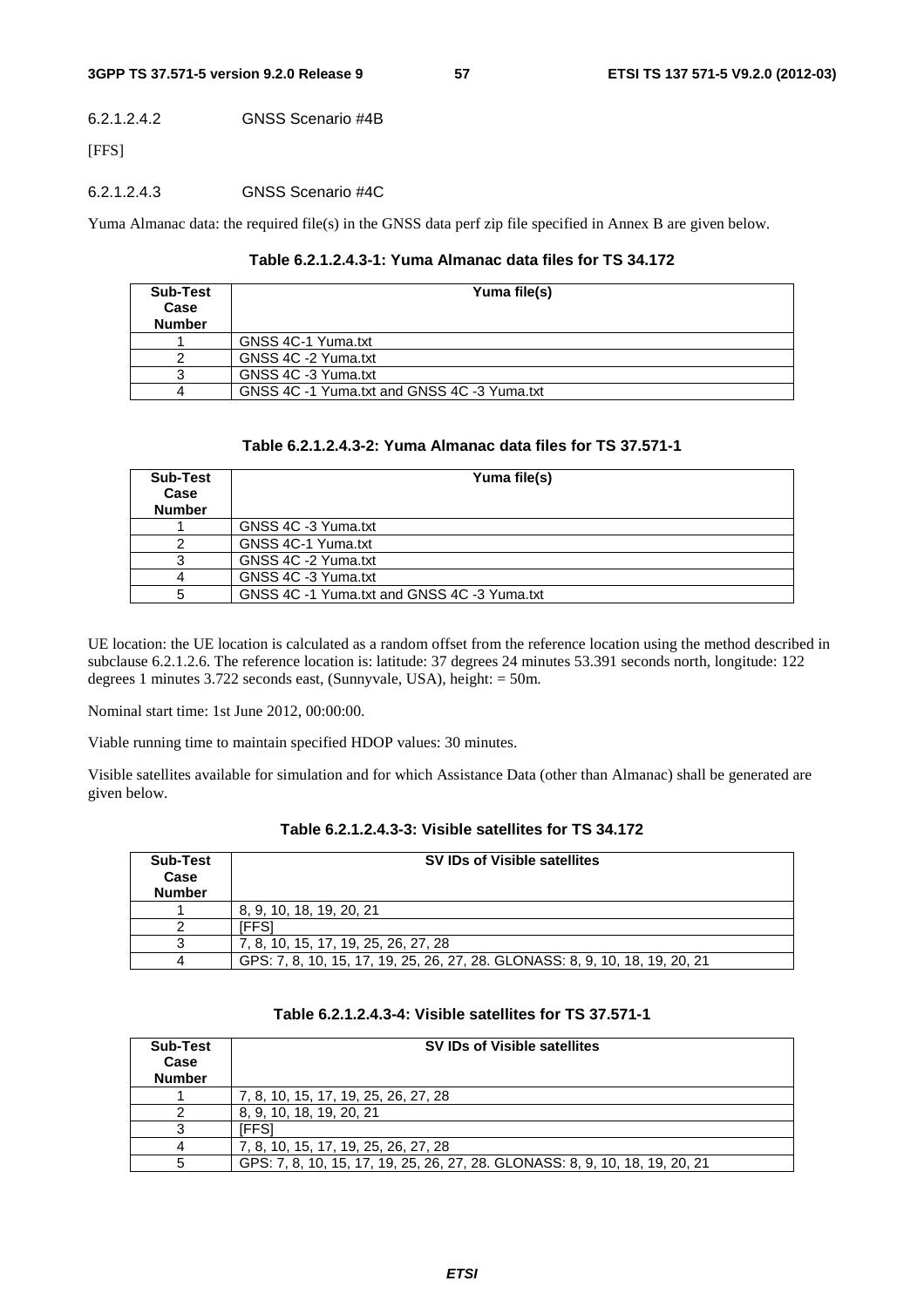#### 6.2.1.2.4.2 GNSS Scenario #4B

[FFS]

#### 6.2.1.2.4.3 GNSS Scenario #4C

Yuma Almanac data: the required file(s) in the GNSS data perf zip file specified in Annex B are given below.

#### **Table 6.2.1.2.4.3-1: Yuma Almanac data files for TS 34.172**

| <b>Sub-Test</b><br>Case<br><b>Number</b> | Yuma file(s)                                |
|------------------------------------------|---------------------------------------------|
|                                          | GNSS 4C-1 Yuma.txt                          |
|                                          | GNSS 4C -2 Yuma.txt                         |
|                                          | GNSS 4C -3 Yuma.txt                         |
|                                          | GNSS 4C -1 Yuma.txt and GNSS 4C -3 Yuma.txt |

#### **Table 6.2.1.2.4.3-2: Yuma Almanac data files for TS 37.571-1**

| <b>Sub-Test</b><br>Case<br><b>Number</b> | Yuma file(s)                                |
|------------------------------------------|---------------------------------------------|
|                                          | GNSS 4C -3 Yuma.txt                         |
|                                          | GNSS 4C-1 Yuma.txt                          |
|                                          | GNSS 4C -2 Yuma.txt                         |
|                                          | GNSS 4C -3 Yuma.txt                         |
|                                          | GNSS 4C -1 Yuma.txt and GNSS 4C -3 Yuma.txt |

UE location: the UE location is calculated as a random offset from the reference location using the method described in subclause 6.2.1.2.6. The reference location is: latitude: 37 degrees 24 minutes 53.391 seconds north, longitude: 122 degrees 1 minutes 3.722 seconds east, (Sunnyvale, USA), height: = 50m.

Nominal start time: 1st June 2012, 00:00:00.

Viable running time to maintain specified HDOP values: 30 minutes.

Visible satellites available for simulation and for which Assistance Data (other than Almanac) shall be generated are given below.

| <b>Sub-Test</b><br>Case<br><b>Number</b> | SV IDs of Visible satellites                                                 |
|------------------------------------------|------------------------------------------------------------------------------|
|                                          | 8, 9, 10, 18, 19, 20, 21                                                     |
|                                          | FFSI                                                                         |
|                                          | 7, 8, 10, 15, 17, 19, 25, 26, 27, 28                                         |
|                                          | GPS: 7, 8, 10, 15, 17, 19, 25, 26, 27, 28. GLONASS: 8, 9, 10, 18, 19, 20, 21 |

### **Table 6.2.1.2.4.3-3: Visible satellites for TS 34.172**

| Sub-Test<br>Case<br><b>Number</b> | SV IDs of Visible satellites                                                 |
|-----------------------------------|------------------------------------------------------------------------------|
|                                   | 7, 8, 10, 15, 17, 19, 25, 26, 27, 28                                         |
|                                   | 8, 9, 10, 18, 19, 20, 21                                                     |
|                                   | 'FFS                                                                         |
|                                   | 7, 8, 10, 15, 17, 19, 25, 26, 27, 28                                         |
| 5                                 | GPS: 7, 8, 10, 15, 17, 19, 25, 26, 27, 28. GLONASS: 8, 9, 10, 18, 19, 20, 21 |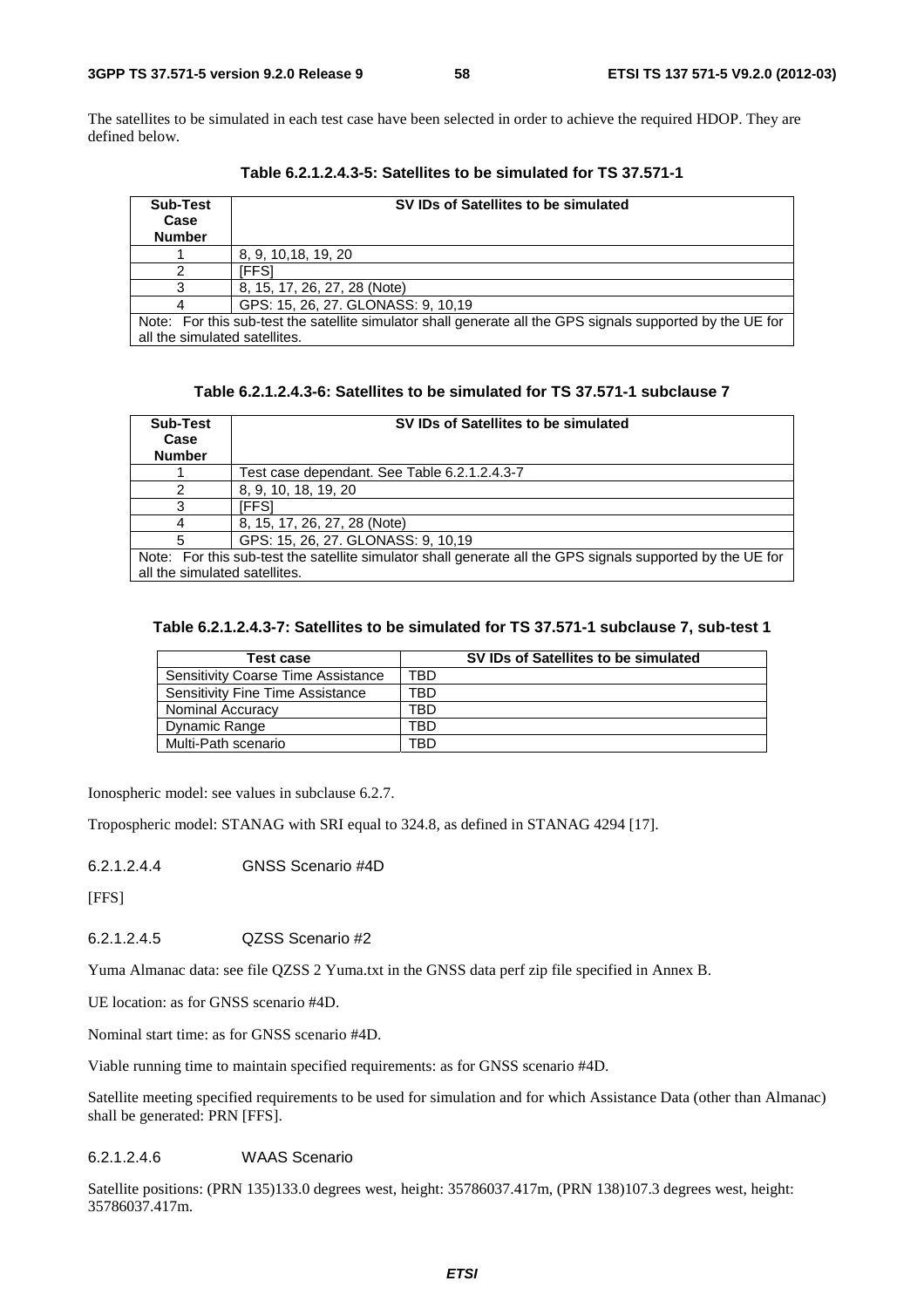The satellites to be simulated in each test case have been selected in order to achieve the required HDOP. They are defined below.

| Sub-Test<br>Case<br><b>Number</b>                                                                          | SV IDs of Satellites to be simulated |  |
|------------------------------------------------------------------------------------------------------------|--------------------------------------|--|
|                                                                                                            | 8, 9, 10, 18, 19, 20                 |  |
|                                                                                                            | 'FFS1                                |  |
|                                                                                                            | 8, 15, 17, 26, 27, 28 (Note)         |  |
|                                                                                                            | GPS: 15, 26, 27. GLONASS: 9, 10,19   |  |
| Note: For this sub-test the satellite simulator shall generate all the GPS signals supported by the UE for |                                      |  |
| all the simulated satellites.                                                                              |                                      |  |

**Table 6.2.1.2.4.3-5: Satellites to be simulated for TS 37.571-1** 

| Table 6.2.1.2.4.3-6: Satellites to be simulated for TS 37.571-1 subclause 7 |  |
|-----------------------------------------------------------------------------|--|
|-----------------------------------------------------------------------------|--|

| <b>Sub-Test</b>                                                                                            | SV IDs of Satellites to be simulated         |  |  |
|------------------------------------------------------------------------------------------------------------|----------------------------------------------|--|--|
| Case                                                                                                       |                                              |  |  |
| <b>Number</b>                                                                                              |                                              |  |  |
|                                                                                                            | Test case dependant. See Table 6.2.1.2.4.3-7 |  |  |
|                                                                                                            | 8, 9, 10, 18, 19, 20                         |  |  |
|                                                                                                            | [FFS]                                        |  |  |
|                                                                                                            | 8, 15, 17, 26, 27, 28 (Note)                 |  |  |
|                                                                                                            | GPS: 15, 26, 27. GLONASS: 9, 10,19           |  |  |
| Note: For this sub-test the satellite simulator shall generate all the GPS signals supported by the UE for |                                              |  |  |
| all the simulated satellites.                                                                              |                                              |  |  |

#### **Table 6.2.1.2.4.3-7: Satellites to be simulated for TS 37.571-1 subclause 7, sub-test 1**

| Test case                                 | SV IDs of Satellites to be simulated |  |
|-------------------------------------------|--------------------------------------|--|
| <b>Sensitivity Coarse Time Assistance</b> | TBD                                  |  |
| <b>Sensitivity Fine Time Assistance</b>   | TBD                                  |  |
| Nominal Accuracy                          | TBD                                  |  |
| Dynamic Range                             | TBD                                  |  |
| Multi-Path scenario                       | TBD                                  |  |

Ionospheric model: see values in subclause 6.2.7.

Tropospheric model: STANAG with SRI equal to 324.8, as defined in STANAG 4294 [17].

6.2.1.2.4.4 GNSS Scenario #4D

[FFS]

6.2.1.2.4.5 QZSS Scenario #2

Yuma Almanac data: see file QZSS 2 Yuma.txt in the GNSS data perf zip file specified in Annex B.

UE location: as for GNSS scenario #4D.

Nominal start time: as for GNSS scenario #4D.

Viable running time to maintain specified requirements: as for GNSS scenario #4D.

Satellite meeting specified requirements to be used for simulation and for which Assistance Data (other than Almanac) shall be generated: PRN [FFS].

### 6.2.1.2.4.6 WAAS Scenario

Satellite positions: (PRN 135)133.0 degrees west, height: 35786037.417m, (PRN 138)107.3 degrees west, height: 35786037.417m.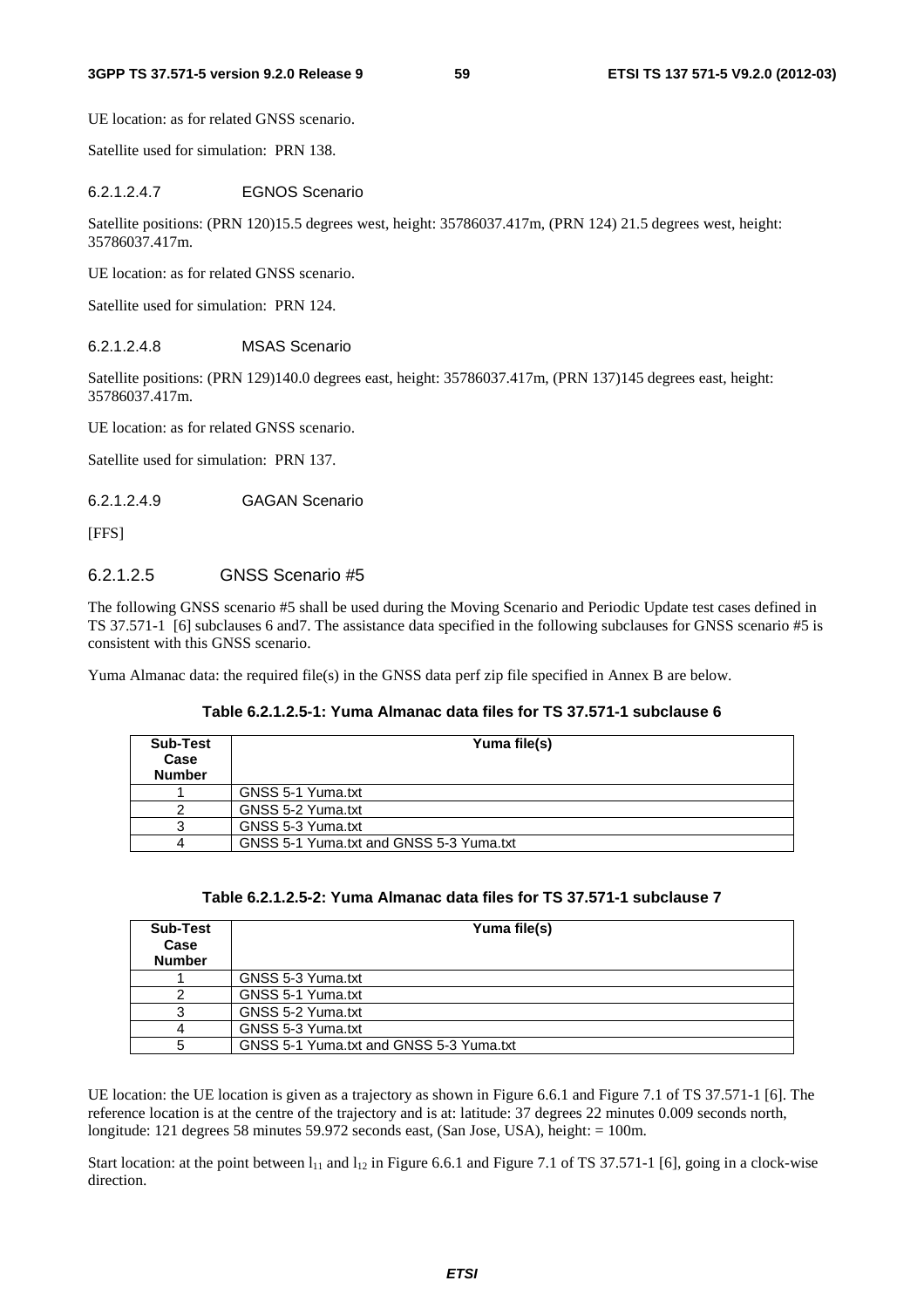UE location: as for related GNSS scenario.

Satellite used for simulation: PRN 138.

#### 6.2.1.2.4.7 EGNOS Scenario

Satellite positions: (PRN 120)15.5 degrees west, height: 35786037.417m, (PRN 124) 21.5 degrees west, height: 35786037.417m.

UE location: as for related GNSS scenario.

Satellite used for simulation: PRN 124.

### 6.2.1.2.4.8 MSAS Scenario

Satellite positions: (PRN 129)140.0 degrees east, height: 35786037.417m, (PRN 137)145 degrees east, height: 35786037.417m.

UE location: as for related GNSS scenario.

Satellite used for simulation: PRN 137.

#### 6.2.1.2.4.9 GAGAN Scenario

[FFS]

# 6.2.1.2.5 GNSS Scenario #5

The following GNSS scenario #5 shall be used during the Moving Scenario and Periodic Update test cases defined in TS 37.571-1 [6] subclauses 6 and7. The assistance data specified in the following subclauses for GNSS scenario #5 is consistent with this GNSS scenario.

Yuma Almanac data: the required file(s) in the GNSS data perf zip file specified in Annex B are below.

### **Table 6.2.1.2.5-1: Yuma Almanac data files for TS 37.571-1 subclause 6**

| Sub-Test<br>Case<br><b>Number</b> | Yuma file(s)                            |
|-----------------------------------|-----------------------------------------|
|                                   | GNSS 5-1 Yuma.txt                       |
|                                   | GNSS 5-2 Yuma.txt                       |
|                                   | GNSS 5-3 Yuma.txt                       |
|                                   | GNSS 5-1 Yuma.txt and GNSS 5-3 Yuma.txt |

| Table 6.2.1.2.5-2: Yuma Almanac data files for TS 37.571-1 subclause 7 |  |  |  |
|------------------------------------------------------------------------|--|--|--|
|------------------------------------------------------------------------|--|--|--|

| Sub-Test<br>Case<br><b>Number</b> | Yuma file(s)                            |
|-----------------------------------|-----------------------------------------|
|                                   | GNSS 5-3 Yuma.txt                       |
|                                   | GNSS 5-1 Yuma.txt                       |
|                                   | GNSS 5-2 Yuma.txt                       |
|                                   | GNSS 5-3 Yuma.txt                       |
|                                   | GNSS 5-1 Yuma.txt and GNSS 5-3 Yuma.txt |

UE location: the UE location is given as a trajectory as shown in Figure 6.6.1 and Figure 7.1 of TS 37.571-1 [6]. The reference location is at the centre of the trajectory and is at: latitude: 37 degrees 22 minutes 0.009 seconds north, longitude: 121 degrees 58 minutes 59.972 seconds east, (San Jose, USA), height: = 100m.

Start location: at the point between  $l_{11}$  and  $l_{12}$  in Figure 6.6.1 and Figure 7.1 of TS 37.571-1 [6], going in a clock-wise direction.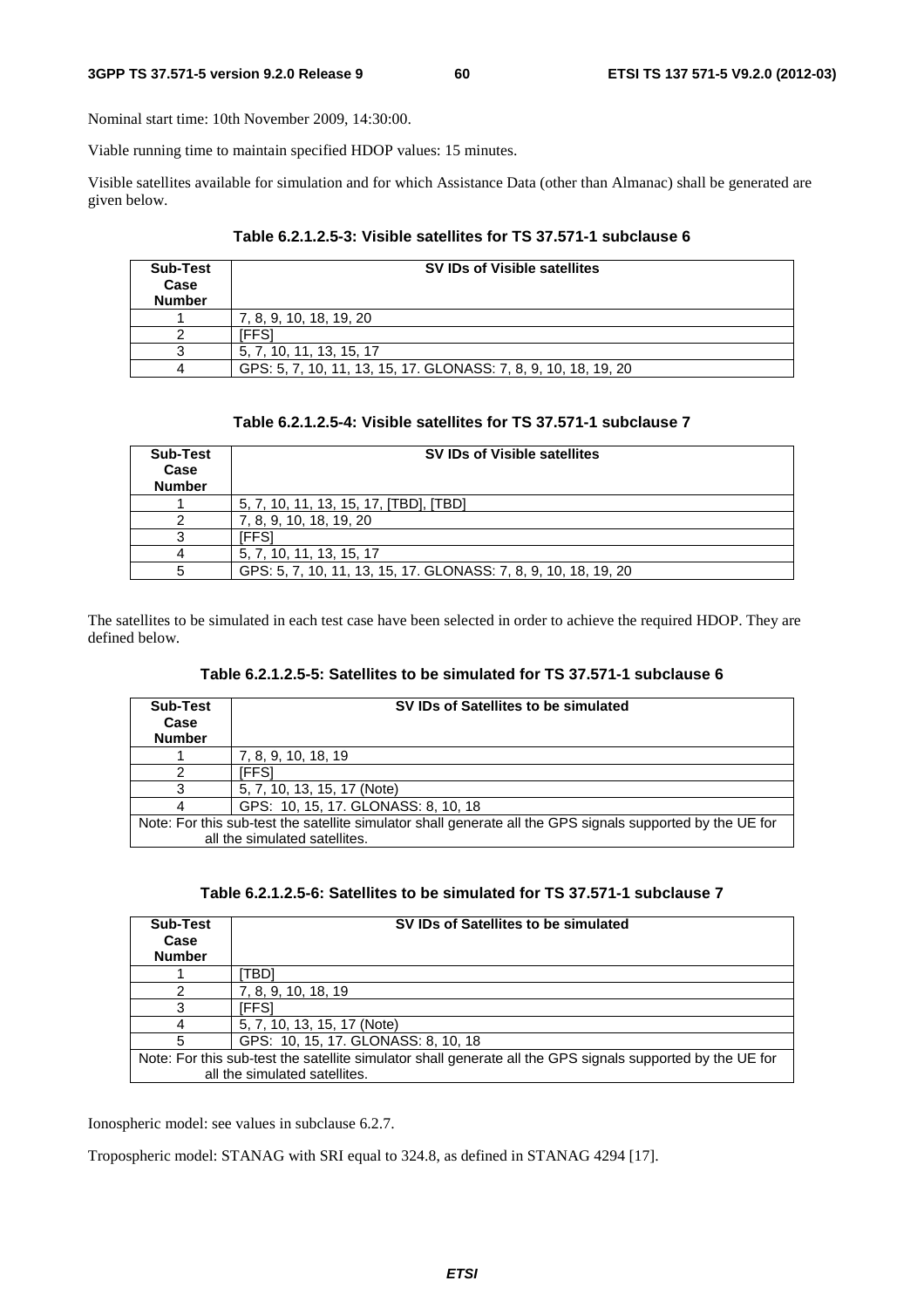Nominal start time: 10th November 2009, 14:30:00.

Viable running time to maintain specified HDOP values: 15 minutes.

Visible satellites available for simulation and for which Assistance Data (other than Almanac) shall be generated are given below.

| <b>Sub-Test</b><br>Case<br><b>Number</b> | SV IDs of Visible satellites                                    |
|------------------------------------------|-----------------------------------------------------------------|
|                                          | 7, 8, 9, 10, 18, 19, 20                                         |
|                                          | FFS1                                                            |
|                                          | 5, 7, 10, 11, 13, 15, 17                                        |
|                                          | GPS: 5, 7, 10, 11, 13, 15, 17. GLONASS: 7, 8, 9, 10, 18, 19, 20 |

| Table 6.2.1.2.5-3: Visible satellites for TS 37.571-1 subclause 6 |  |  |
|-------------------------------------------------------------------|--|--|
|-------------------------------------------------------------------|--|--|

| <b>Sub-Test</b><br>Case<br><b>Number</b> | SV IDs of Visible satellites                                    |
|------------------------------------------|-----------------------------------------------------------------|
|                                          | 5, 7, 10, 11, 13, 15, 17, [TBD], [TBD]                          |
|                                          | 7, 8, 9, 10, 18, 19, 20                                         |
|                                          | FFSI                                                            |
|                                          | 5, 7, 10, 11, 13, 15, 17                                        |
|                                          | GPS: 5, 7, 10, 11, 13, 15, 17, GLONASS: 7, 8, 9, 10, 18, 19, 20 |

The satellites to be simulated in each test case have been selected in order to achieve the required HDOP. They are defined below.

| <b>Sub-Test</b><br>Case<br><b>Number</b> | SV IDs of Satellites to be simulated                                                                                                        |
|------------------------------------------|---------------------------------------------------------------------------------------------------------------------------------------------|
|                                          | 7, 8, 9, 10, 18, 19                                                                                                                         |
|                                          | [FFS]                                                                                                                                       |
|                                          | 5, 7, 10, 13, 15, 17 (Note)                                                                                                                 |
|                                          | GPS: 10, 15, 17. GLONASS: 8, 10, 18                                                                                                         |
|                                          | Note: For this sub-test the satellite simulator shall generate all the GPS signals supported by the UE for<br>all the simulated satellites. |

| Table 6.2.1.2.5-6: Satellites to be simulated for TS 37.571-1 subclause 7 |  |  |  |
|---------------------------------------------------------------------------|--|--|--|
|---------------------------------------------------------------------------|--|--|--|

| Sub-Test<br>Case<br><b>Number</b>                                                                                                           | SV IDs of Satellites to be simulated |  |
|---------------------------------------------------------------------------------------------------------------------------------------------|--------------------------------------|--|
|                                                                                                                                             | TBDI                                 |  |
|                                                                                                                                             | 7, 8, 9, 10, 18, 19                  |  |
|                                                                                                                                             | [FFS]                                |  |
|                                                                                                                                             | 5, 7, 10, 13, 15, 17 (Note)          |  |
|                                                                                                                                             | GPS: 10, 15, 17. GLONASS: 8, 10, 18  |  |
| Note: For this sub-test the satellite simulator shall generate all the GPS signals supported by the UE for<br>all the simulated satellites. |                                      |  |

Ionospheric model: see values in subclause 6.2.7.

Tropospheric model: STANAG with SRI equal to 324.8, as defined in STANAG 4294 [17].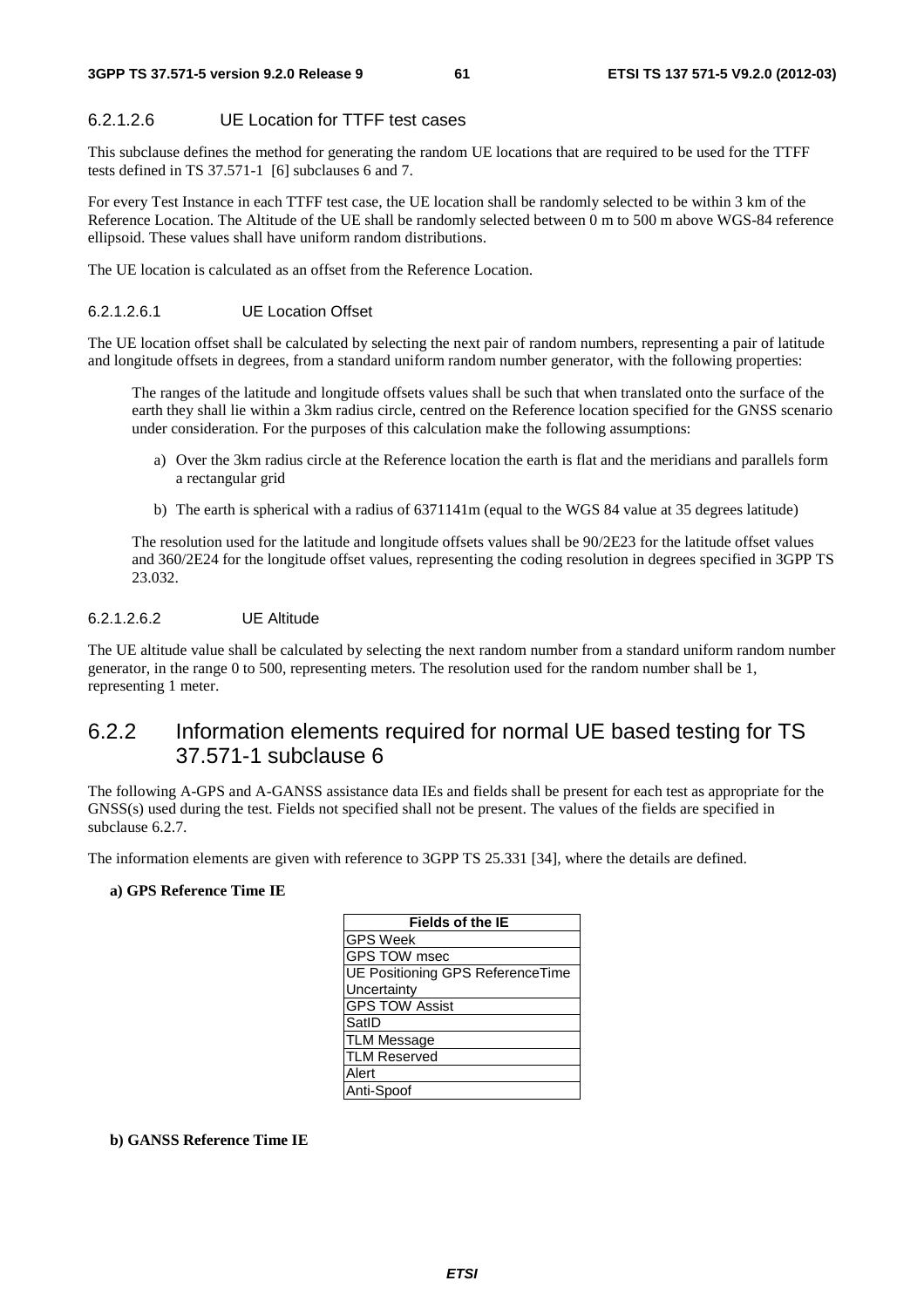# 6.2.1.2.6 UE Location for TTFF test cases

This subclause defines the method for generating the random UE locations that are required to be used for the TTFF tests defined in TS 37.571-1 [6] subclauses 6 and 7.

For every Test Instance in each TTFF test case, the UE location shall be randomly selected to be within 3 km of the Reference Location. The Altitude of the UE shall be randomly selected between 0 m to 500 m above WGS-84 reference ellipsoid. These values shall have uniform random distributions.

The UE location is calculated as an offset from the Reference Location.

#### 6.2.1.2.6.1 UE Location Offset

The UE location offset shall be calculated by selecting the next pair of random numbers, representing a pair of latitude and longitude offsets in degrees, from a standard uniform random number generator, with the following properties:

 The ranges of the latitude and longitude offsets values shall be such that when translated onto the surface of the earth they shall lie within a 3km radius circle, centred on the Reference location specified for the GNSS scenario under consideration. For the purposes of this calculation make the following assumptions:

- a) Over the 3km radius circle at the Reference location the earth is flat and the meridians and parallels form a rectangular grid
- b) The earth is spherical with a radius of 6371141m (equal to the WGS 84 value at 35 degrees latitude)

 The resolution used for the latitude and longitude offsets values shall be 90/2E23 for the latitude offset values and 360/2E24 for the longitude offset values, representing the coding resolution in degrees specified in 3GPP TS 23.032.

#### 6.2.1.2.6.2 UE Altitude

The UE altitude value shall be calculated by selecting the next random number from a standard uniform random number generator, in the range 0 to 500, representing meters. The resolution used for the random number shall be 1, representing 1 meter.

# 6.2.2 Information elements required for normal UE based testing for TS 37.571-1 subclause 6

The following A-GPS and A-GANSS assistance data IEs and fields shall be present for each test as appropriate for the GNSS(s) used during the test. Fields not specified shall not be present. The values of the fields are specified in subclause 6.2.7.

The information elements are given with reference to 3GPP TS 25.331 [34], where the details are defined.

#### **a) GPS Reference Time IE**

| <b>Fields of the IE</b>          |
|----------------------------------|
| GPS Week                         |
| GPS TOW msec                     |
| UE Positioning GPS ReferenceTime |
| Uncertainty                      |
| <b>GPS TOW Assist</b>            |
| SatID                            |
| <b>TLM Message</b>               |
| <b>TLM Reserved</b>              |
| Alert                            |
| Anti-Spoof                       |
|                                  |

**b) GANSS Reference Time IE**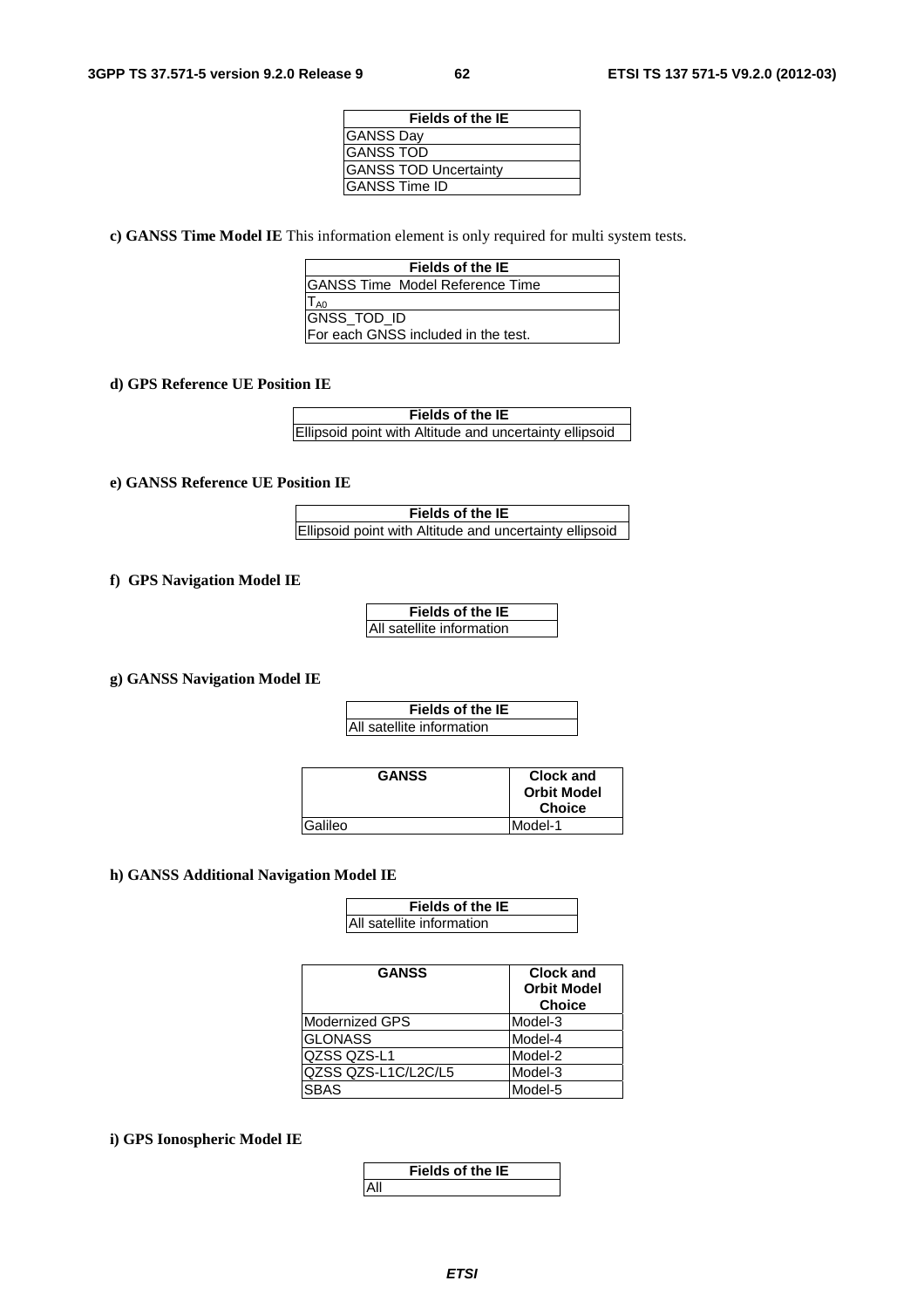| <b>Fields of the IE</b>      |
|------------------------------|
| <b>GANSS Day</b>             |
| <b>GANSS TOD</b>             |
| <b>GANSS TOD Uncertainty</b> |
| <b>GANSS Time ID</b>         |

**c) GANSS Time Model IE** This information element is only required for multi system tests.

| Fields of the IE                       |
|----------------------------------------|
| <b>GANSS Time Model Reference Time</b> |
| T <sub>A0</sub>                        |
| <b>GNSS TOD ID</b>                     |
| For each GNSS included in the test.    |

#### **d) GPS Reference UE Position IE**

| Fields of the IE                                        |
|---------------------------------------------------------|
| Ellipsoid point with Altitude and uncertainty ellipsoid |

#### **e) GANSS Reference UE Position IE**

**Fields of the IE** Ellipsoid point with Altitude and uncertainty ellipsoid

### **f) GPS Navigation Model IE**

| <b>Fields of the IE</b>   |  |
|---------------------------|--|
| All satellite information |  |

**g) GANSS Navigation Model IE**

| Fields of the IE          |
|---------------------------|
| All satellite information |

| <b>GANSS</b> | Clock and          |
|--------------|--------------------|
|              | <b>Orbit Model</b> |
|              | <b>Choice</b>      |
| Galileo      | Model-1            |

#### **h) GANSS Additional Navigation Model IE**

| <b>Fields of the IE</b>   |
|---------------------------|
| All satellite information |

| <b>GANSS</b>        | <b>Clock and</b><br><b>Orbit Model</b><br><b>Choice</b> |
|---------------------|---------------------------------------------------------|
| Modernized GPS      | Model-3                                                 |
| <b>GLONASS</b>      | Model-4                                                 |
| <b>QZSS QZS-L1</b>  | Model-2                                                 |
| QZSS QZS-L1C/L2C/L5 | Model-3                                                 |
| <b>SBAS</b>         | Model-5                                                 |

### **i) GPS Ionospheric Model IE**

|      | <b>Fields of the IE</b> |  |
|------|-------------------------|--|
| 'All |                         |  |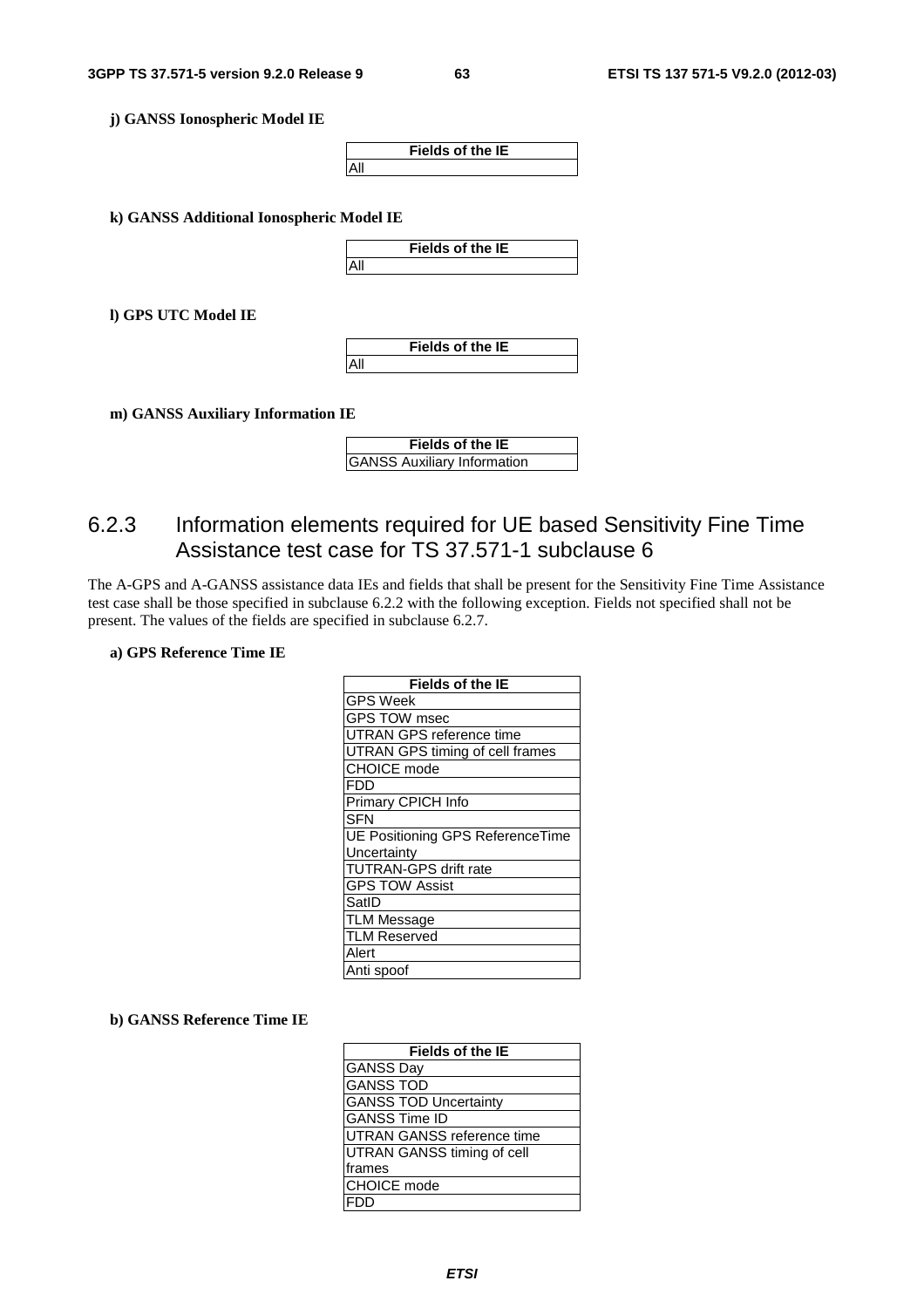**j) GANSS Ionospheric Model IE**



**k) GANSS Additional Ionospheric Model IE**



**l) GPS UTC Model IE**

**Fields of the IE** All

**m) GANSS Auxiliary Information IE**

| <b>Fields of the IE</b>            |  |
|------------------------------------|--|
| <b>GANSS Auxiliary Information</b> |  |

# 6.2.3 Information elements required for UE based Sensitivity Fine Time Assistance test case for TS 37.571-1 subclause 6

The A-GPS and A-GANSS assistance data IEs and fields that shall be present for the Sensitivity Fine Time Assistance test case shall be those specified in subclause 6.2.2 with the following exception. Fields not specified shall not be present. The values of the fields are specified in subclause 6.2.7.

#### **a) GPS Reference Time IE**

| <b>Fields of the IE</b>          |
|----------------------------------|
| <b>GPS Week</b>                  |
| <b>GPS TOW msec</b>              |
| <b>UTRAN GPS reference time</b>  |
| UTRAN GPS timing of cell frames  |
| CHOICE mode                      |
| <b>FDD</b>                       |
| Primary CPICH Info               |
| <b>SFN</b>                       |
| UE Positioning GPS ReferenceTime |
| Uncertainty                      |
| <b>TUTRAN-GPS drift rate</b>     |
| <b>GPS TOW Assist</b>            |
| SatID                            |
| <b>TLM Message</b>               |
| <b>TLM Reserved</b>              |
| Alert                            |
| Anti spoof                       |

#### **b) GANSS Reference Time IE**

| <b>Fields of the IE</b>      |
|------------------------------|
| <b>GANSS Day</b>             |
| <b>GANSS TOD</b>             |
| <b>GANSS TOD Uncertainty</b> |
| <b>GANSS Time ID</b>         |
| UTRAN GANSS reference time   |
| UTRAN GANSS timing of cell   |
| frames                       |
| CHOICE mode                  |
|                              |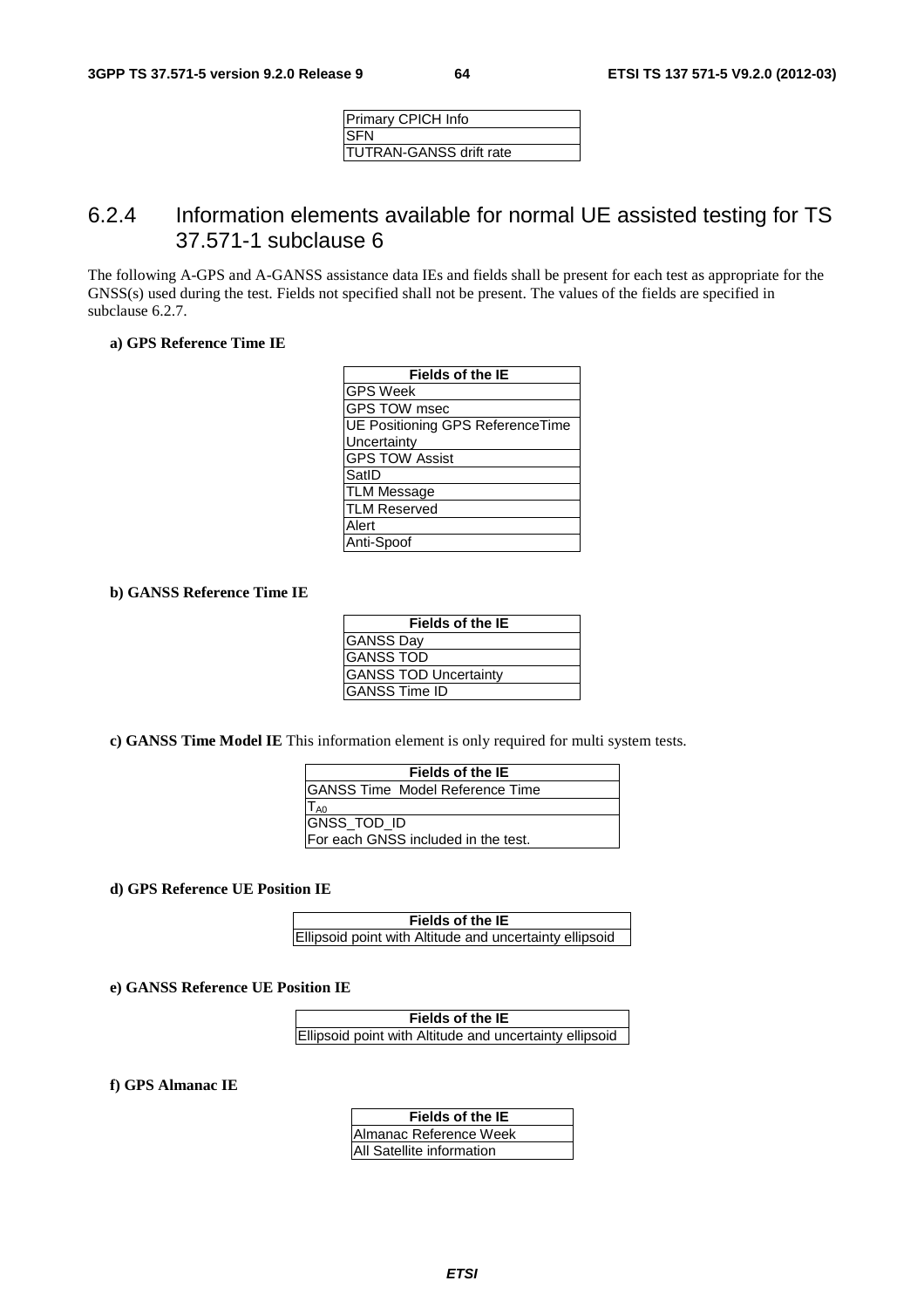| Primary CPICH Info      |
|-------------------------|
| ISFN                    |
| TUTRAN-GANSS drift rate |

# 6.2.4 Information elements available for normal UE assisted testing for TS 37.571-1 subclause 6

The following A-GPS and A-GANSS assistance data IEs and fields shall be present for each test as appropriate for the GNSS(s) used during the test. Fields not specified shall not be present. The values of the fields are specified in subclause 6.2.7.

#### **a) GPS Reference Time IE**

| <b>Fields of the IE</b>                 |
|-----------------------------------------|
| <b>GPS Week</b>                         |
| <b>GPS TOW msec</b>                     |
| <b>UE Positioning GPS ReferenceTime</b> |
| Uncertainty                             |
| <b>GPS TOW Assist</b>                   |
| SatID                                   |
| <b>TLM Message</b>                      |
| <b>TLM Reserved</b>                     |
| Alert                                   |
| Anti-Spoof                              |

### **b) GANSS Reference Time IE**

| <b>Fields of the IE</b>      |  |
|------------------------------|--|
| <b>GANSS Day</b>             |  |
| <b>GANSS TOD</b>             |  |
| <b>GANSS TOD Uncertainty</b> |  |
| IGANSS Time ID               |  |

**c) GANSS Time Model IE** This information element is only required for multi system tests.

| Fields of the IE                       |  |
|----------------------------------------|--|
| <b>GANSS Time Model Reference Time</b> |  |
| T <sub>A0</sub>                        |  |
| GNSS_TOD_ID                            |  |
| For each GNSS included in the test.    |  |

**d) GPS Reference UE Position IE**

| Fields of the IE                                        |
|---------------------------------------------------------|
| Ellipsoid point with Altitude and uncertainty ellipsoid |

#### **e) GANSS Reference UE Position IE**

| Fields of the IE                                        |  |
|---------------------------------------------------------|--|
| Ellipsoid point with Altitude and uncertainty ellipsoid |  |

**f) GPS Almanac IE**

| Fields of the IE          |
|---------------------------|
| Almanac Reference Week    |
| All Satellite information |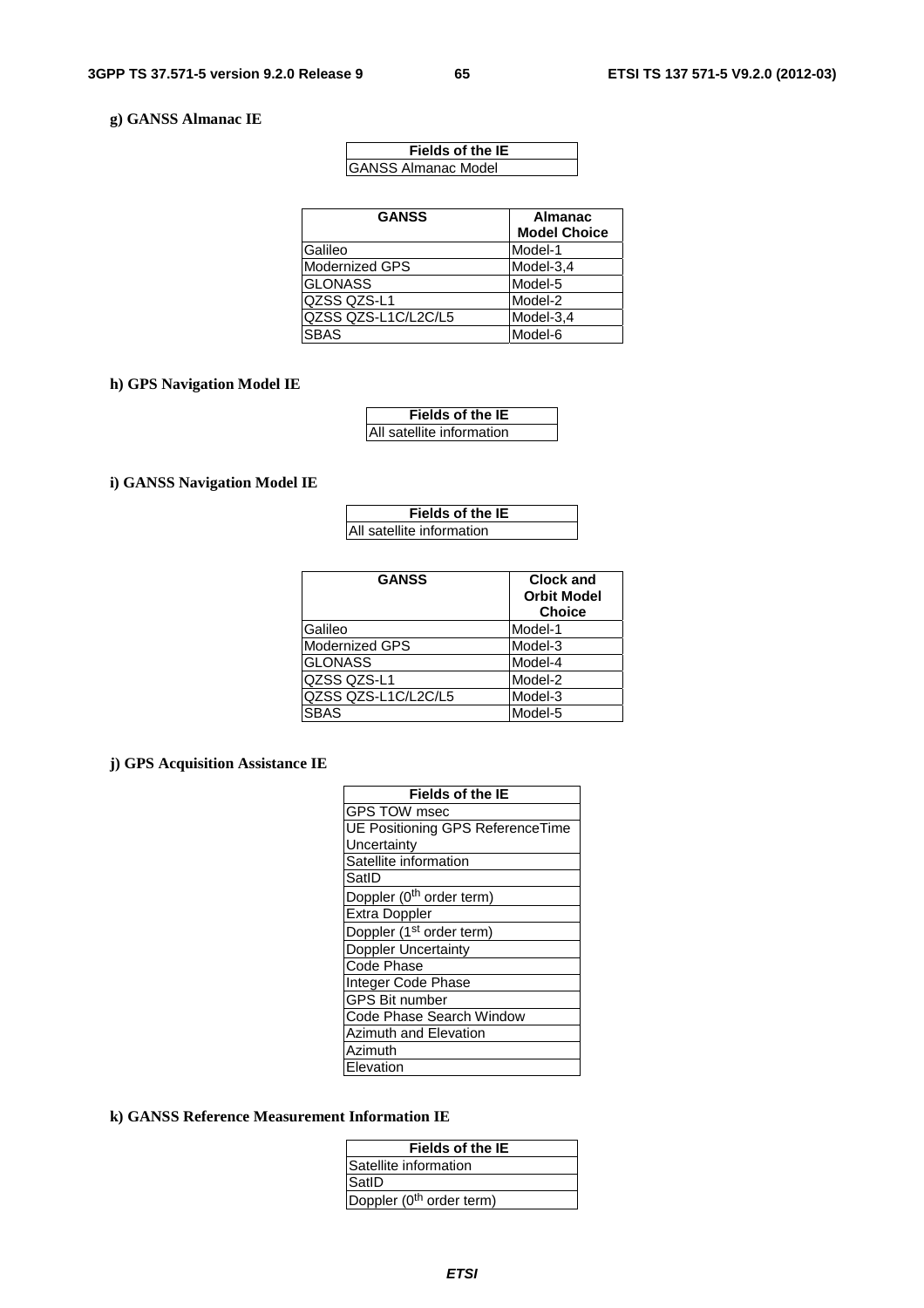### **g) GANSS Almanac IE**

| <b>Fields of the IE</b>     |
|-----------------------------|
| <b>IGANSS Almanac Model</b> |

| <b>GANSS</b>          | <b>Almanac</b><br><b>Model Choice</b> |
|-----------------------|---------------------------------------|
| Galileo               | Model-1                               |
| <b>Modernized GPS</b> | Model-3,4                             |
| <b>GLONASS</b>        | Model-5                               |
| QZSS QZS-L1           | Model-2                               |
| QZSS QZS-L1C/L2C/L5   | Model-3,4                             |
| <b>SBAS</b>           | Model-6                               |

# **h) GPS Navigation Model IE**

| <b>Fields of the IE</b>   |
|---------------------------|
| All satellite information |

## **i) GANSS Navigation Model IE**

| Fields of the IE          |  |
|---------------------------|--|
| All satellite information |  |

| <b>GANSS</b>        | <b>Clock and</b><br><b>Orbit Model</b><br><b>Choice</b> |
|---------------------|---------------------------------------------------------|
| Galileo             | Model-1                                                 |
| Modernized GPS      | Model-3                                                 |
| <b>GLONASS</b>      | Model-4                                                 |
| QZSS QZS-L1         | Model-2                                                 |
| QZSS QZS-L1C/L2C/L5 | Model-3                                                 |
| SBAS                | Model-5                                                 |

# **j) GPS Acquisition Assistance IE**

| <b>Fields of the IE</b>                 |
|-----------------------------------------|
| <b>GPS TOW msec</b>                     |
| <b>UE Positioning GPS ReferenceTime</b> |
| Uncertainty                             |
| Satellite information                   |
| SatID                                   |
| Doppler (0 <sup>th</sup> order term)    |
| <b>Extra Doppler</b>                    |
| Doppler (1 <sup>st</sup> order term)    |
| <b>Doppler Uncertainty</b>              |
| <b>Code Phase</b>                       |
| Integer Code Phase                      |
| <b>GPS Bit number</b>                   |
| Code Phase Search Window                |
| <b>Azimuth and Elevation</b>            |
| Azimuth                                 |
| Elevation                               |

# **k) GANSS Reference Measurement Information IE**

| Fields of the IE                     |
|--------------------------------------|
| Satellite information                |
| SatID                                |
| Doppler (0 <sup>th</sup> order term) |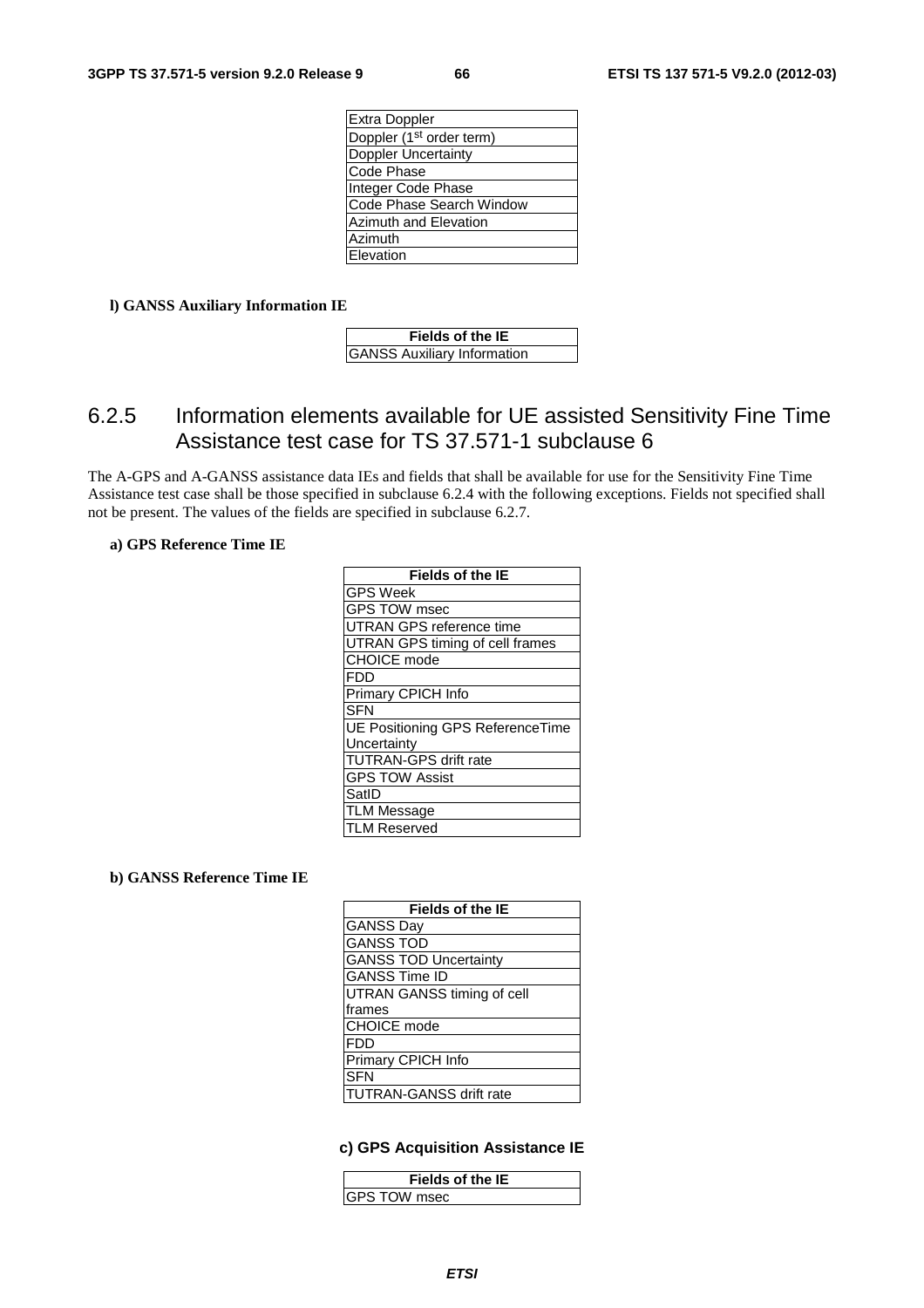| Extra Doppler                        |
|--------------------------------------|
| Doppler (1 <sup>st</sup> order term) |
| Doppler Uncertainty                  |
| Code Phase                           |
| Integer Code Phase                   |
| Code Phase Search Window             |
| <b>Azimuth and Elevation</b>         |
| Azimuth                              |
| Elevation                            |
|                                      |

### **l) GANSS Auxiliary Information IE**

| <b>Fields of the IE</b>            |  |
|------------------------------------|--|
| <b>GANSS Auxiliary Information</b> |  |

# 6.2.5 Information elements available for UE assisted Sensitivity Fine Time Assistance test case for TS 37.571-1 subclause 6

The A-GPS and A-GANSS assistance data IEs and fields that shall be available for use for the Sensitivity Fine Time Assistance test case shall be those specified in subclause 6.2.4 with the following exceptions. Fields not specified shall not be present. The values of the fields are specified in subclause 6.2.7.

#### **a) GPS Reference Time IE**

| <b>Fields of the IE</b>          |
|----------------------------------|
| <b>GPS Week</b>                  |
| GPS TOW msec                     |
| UTRAN GPS reference time         |
| UTRAN GPS timing of cell frames  |
| CHOICE mode                      |
| <b>FDD</b>                       |
| Primary CPICH Info               |
| <b>SFN</b>                       |
| UE Positioning GPS ReferenceTime |
| Uncertainty                      |
| <b>TUTRAN-GPS drift rate</b>     |
| <b>GPS TOW Assist</b>            |
| SatID                            |
| <b>TLM Message</b>               |
| <b>LM Reserved</b>               |

### **b) GANSS Reference Time IE**

| <b>Fields of the IE</b>        |
|--------------------------------|
| <b>GANSS Day</b>               |
| <b>GANSS TOD</b>               |
| <b>GANSS TOD Uncertainty</b>   |
| <b>GANSS Time ID</b>           |
| UTRAN GANSS timing of cell     |
| frames                         |
| <b>CHOICE</b> mode             |
| <b>FDD</b>                     |
| Primary CPICH Info             |
| <b>SFN</b>                     |
| <b>TUTRAN-GANSS drift rate</b> |

### **c) GPS Acquisition Assistance IE**

| <b>Fields of the IE</b> |  |
|-------------------------|--|
| IGPS TOW msec           |  |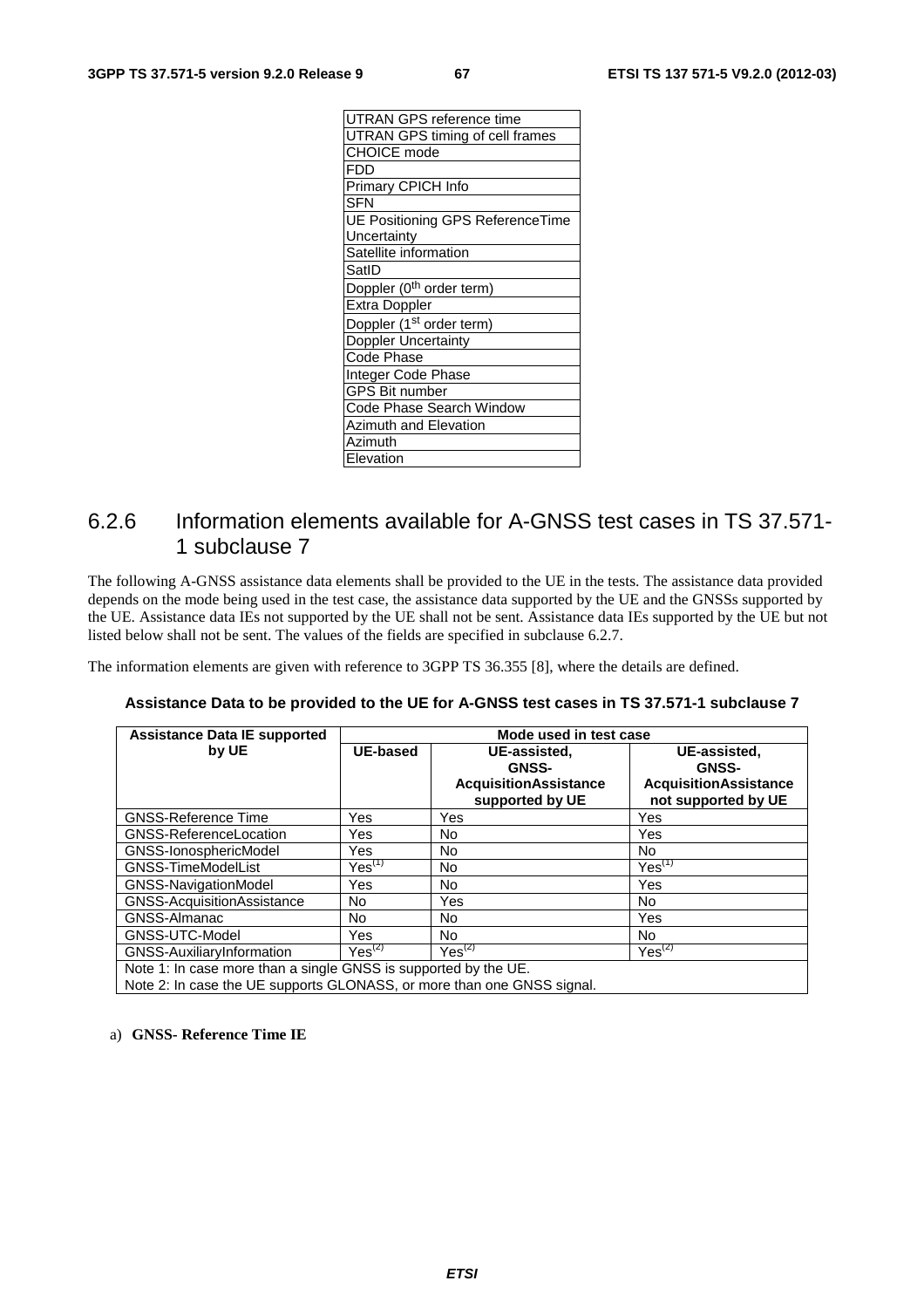| UTRAN GPS reference time                |
|-----------------------------------------|
| <b>UTRAN GPS timing of cell frames</b>  |
| <b>CHOICE</b> mode                      |
| <b>FDD</b>                              |
| Primary CPICH Info                      |
| <b>SFN</b>                              |
| <b>UE Positioning GPS ReferenceTime</b> |
| Uncertainty                             |
| Satellite information                   |
| SatID                                   |
| Doppler (0 <sup>th</sup> order term)    |
| <b>Extra Doppler</b>                    |
| Doppler (1 <sup>st</sup> order term)    |
| <b>Doppler Uncertainty</b>              |
| Code Phase                              |
| Integer Code Phase                      |
| <b>GPS Bit number</b>                   |
| Code Phase Search Window                |
| Azimuth and Elevation                   |
| Azimuth                                 |
| Elevation                               |

# 6.2.6 Information elements available for A-GNSS test cases in TS 37.571- 1 subclause 7

The following A-GNSS assistance data elements shall be provided to the UE in the tests. The assistance data provided depends on the mode being used in the test case, the assistance data supported by the UE and the GNSSs supported by the UE. Assistance data IEs not supported by the UE shall not be sent. Assistance data IEs supported by the UE but not listed below shall not be sent. The values of the fields are specified in subclause 6.2.7.

The information elements are given with reference to 3GPP TS 36.355 [8], where the details are defined.

| <b>Assistance Data IE supported</b>                                                 | Mode used in test case |                                                                                 |                                                                                     |
|-------------------------------------------------------------------------------------|------------------------|---------------------------------------------------------------------------------|-------------------------------------------------------------------------------------|
| by UE                                                                               | UE-based               | UE-assisted.<br><b>GNSS-</b><br><b>AcquisitionAssistance</b><br>supported by UE | UE-assisted.<br><b>GNSS-</b><br><b>AcquisitionAssistance</b><br>not supported by UE |
| <b>GNSS-Reference Time</b>                                                          | Yes                    | Yes                                                                             | Yes                                                                                 |
| GNSS-ReferenceLocation                                                              | Yes                    | No.                                                                             | Yes                                                                                 |
| GNSS-IonosphericModel                                                               | Yes                    | No                                                                              | No.                                                                                 |
| <b>GNSS-TimeModelList</b>                                                           | $Yes^{(1)}$            | No.                                                                             | $Yes^{(1)}$                                                                         |
| <b>GNSS-NavigationModel</b>                                                         | Yes                    | No                                                                              | Yes                                                                                 |
| GNSS-AcquisitionAssistance                                                          | No                     | Yes                                                                             | No.                                                                                 |
| GNSS-Almanac                                                                        | No.                    | No                                                                              | Yes                                                                                 |
| GNSS-UTC-Model                                                                      | Yes.                   | No.                                                                             | No.                                                                                 |
| <b>GNSS-AuxiliaryInformation</b>                                                    | Yes <sup>(2)</sup>     | $Yes^{(2)}$                                                                     | $Yes^{(2)}$                                                                         |
| Note 1: In case more than a single GNSS is supported by the $\overline{\text{IIF}}$ |                        |                                                                                 |                                                                                     |

# **Assistance Data to be provided to the UE for A-GNSS test cases in TS 37.571-1 subclause 7**

 $\,$  n a single GNSS is supported by the L

Note 2: In case the UE supports GLONASS, or more than one GNSS signal.

### a) **GNSS- Reference Time IE**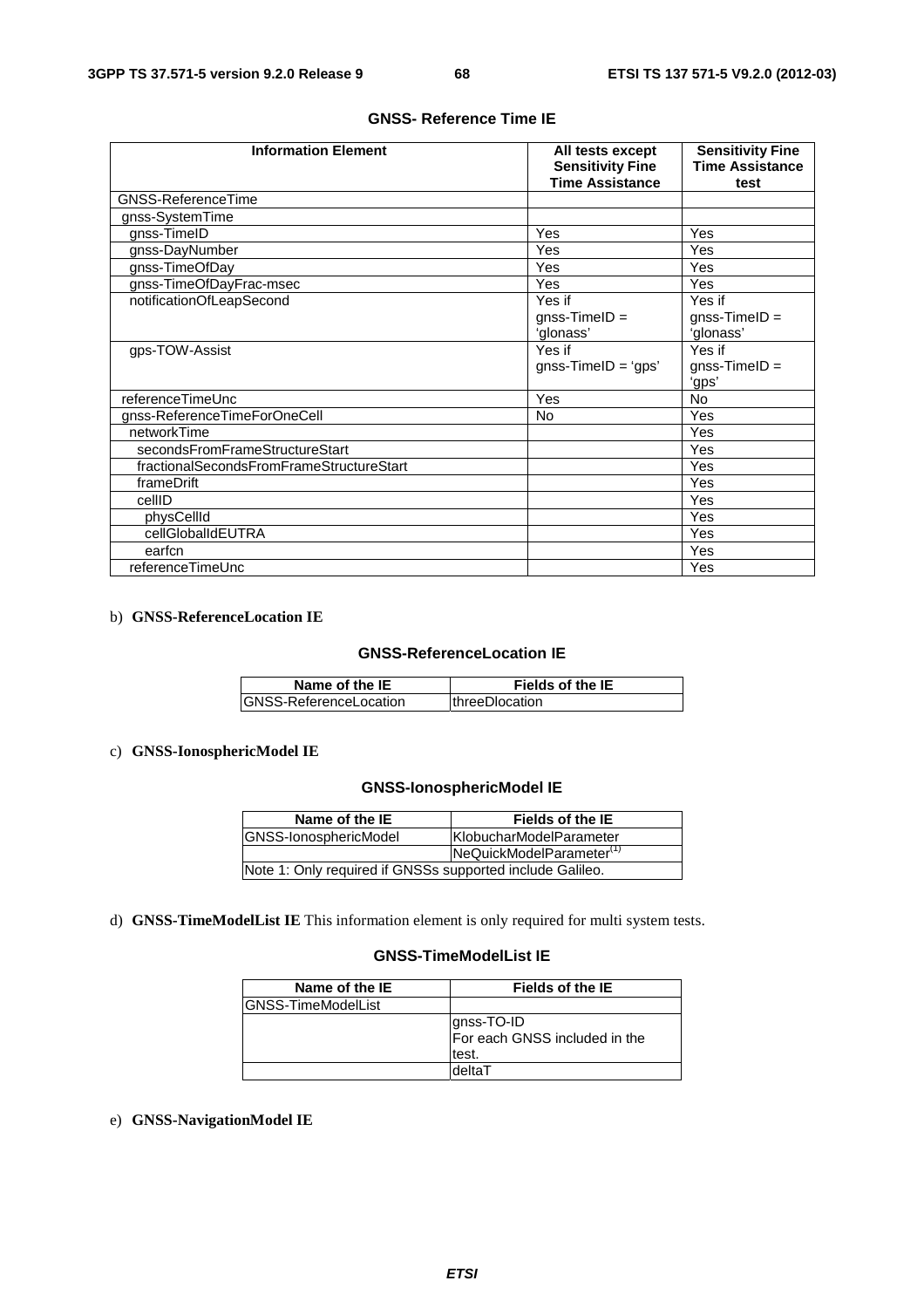| <b>Information Element</b>               | All tests except<br><b>Sensitivity Fine</b><br><b>Time Assistance</b> | <b>Sensitivity Fine</b><br><b>Time Assistance</b><br>test |
|------------------------------------------|-----------------------------------------------------------------------|-----------------------------------------------------------|
| <b>GNSS-ReferenceTime</b>                |                                                                       |                                                           |
| gnss-SystemTime                          |                                                                       |                                                           |
| gnss-TimeID                              | Yes                                                                   | Yes                                                       |
| gnss-DayNumber                           | Yes                                                                   | Yes                                                       |
| gnss-TimeOfDay                           | Yes                                                                   | Yes                                                       |
| gnss-TimeOfDayFrac-msec                  | Yes                                                                   | Yes                                                       |
| notificationOfLeapSecond                 | Yes if<br>$gnss-TimelD =$<br>'glonass'                                | Yes if<br>$gnss-TimelD =$<br>'glonass'                    |
| gps-TOW-Assist                           | Yes if<br>$gnss-TimelD = 'qps'$                                       | Yes if<br>$gnss$ -TimelD =<br>'gps'                       |
| referenceTimeUnc                         | Yes                                                                   | <b>No</b>                                                 |
| gnss-ReferenceTimeForOneCell             | No                                                                    | Yes                                                       |
| networkTime                              |                                                                       | Yes                                                       |
| secondsFromFrameStructureStart           |                                                                       | Yes                                                       |
| fractionalSecondsFromFrameStructureStart |                                                                       | Yes                                                       |
| frameDrift                               |                                                                       | Yes                                                       |
| cellID                                   |                                                                       | Yes                                                       |
| physCellId                               |                                                                       | Yes                                                       |
| cellGlobalIdEUTRA                        |                                                                       | Yes                                                       |
| earfcn                                   |                                                                       | Yes                                                       |
| referenceTimeUnc                         |                                                                       | Yes                                                       |

### **GNSS- Reference Time IE**

### b) **GNSS-ReferenceLocation IE**

### **GNSS-ReferenceLocation IE**

| Name of the IE          | <b>Fields of the IE</b> |
|-------------------------|-------------------------|
| IGNSS-ReferenceLocation | <b>IthreeDlocation</b>  |

### c) **GNSS-IonosphericModel IE**

### **GNSS-IonosphericModel IE**

| Name of the IE                                            | Fields of the IE                     |
|-----------------------------------------------------------|--------------------------------------|
| <b>GNSS-IonosphericModel</b>                              | KlobucharModelParameter              |
|                                                           | NeQuickModelParameter <sup>(1)</sup> |
| Note 1: Only required if GNSSs supported include Galileo. |                                      |

d) **GNSS-TimeModelList IE** This information element is only required for multi system tests.

### **GNSS-TimeModelList IE**

| Name of the IE             | <b>Fields of the IE</b>                              |
|----------------------------|------------------------------------------------------|
| <b>IGNSS-TimeModelList</b> |                                                      |
|                            | gnss-TO-ID<br>For each GNSS included in the<br>test. |
|                            | deltaT                                               |

e) **GNSS-NavigationModel IE**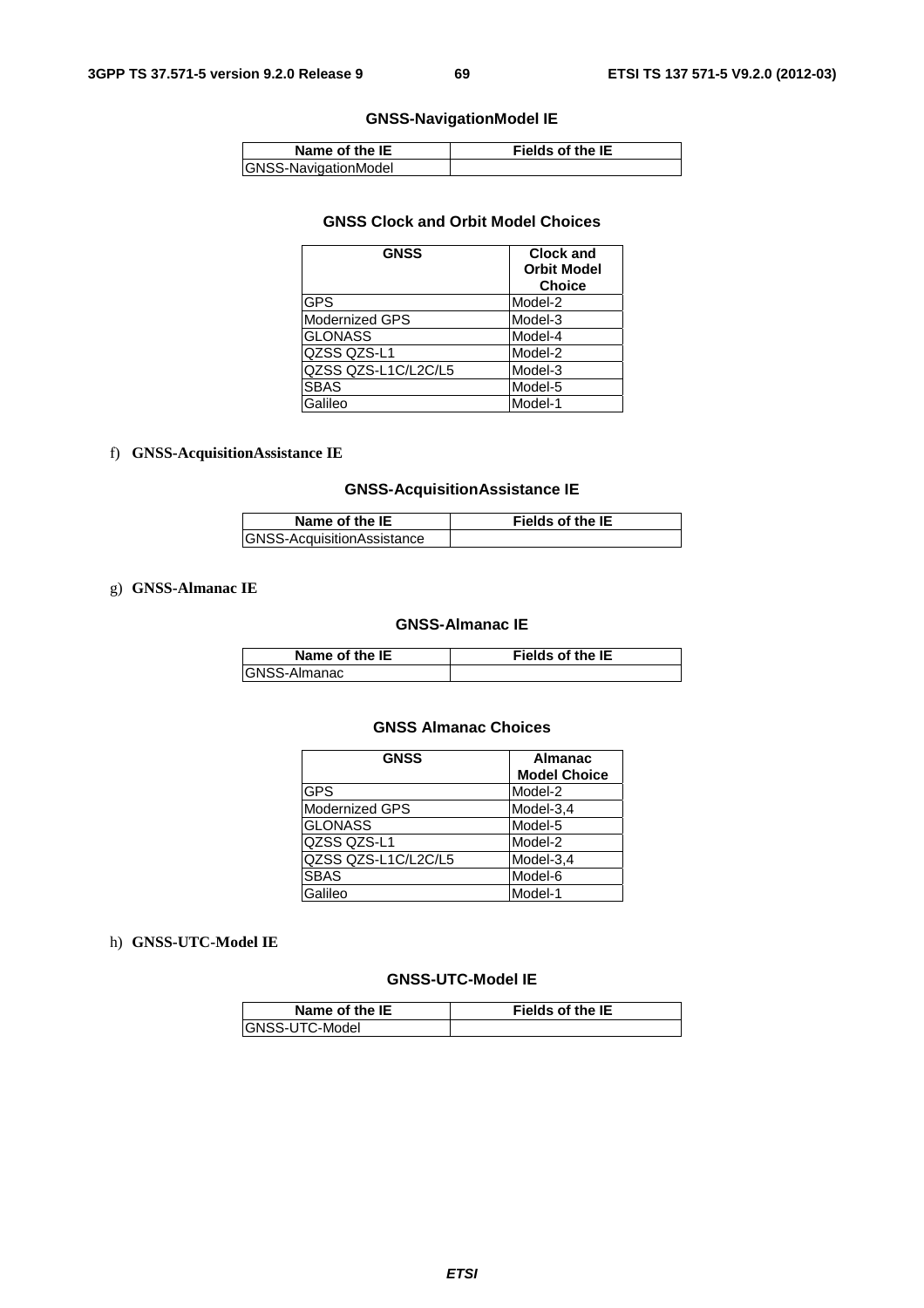# **GNSS-NavigationModel IE**

| Name of the IE       | <b>Fields of the IE</b> |
|----------------------|-------------------------|
| GNSS-NavigationModel |                         |

### **GNSS Clock and Orbit Model Choices**

| <b>GNSS</b>           | <b>Clock and</b><br><b>Orbit Model</b><br><b>Choice</b> |
|-----------------------|---------------------------------------------------------|
| <b>GPS</b>            | Model-2                                                 |
| <b>Modernized GPS</b> | Model-3                                                 |
| IGLONASS              | Model-4                                                 |
| QZSS QZS-L1           | Model-2                                                 |
| QZSS QZS-L1C/L2C/L5   | Model-3                                                 |
| <b>SBAS</b>           | Model-5                                                 |
| Galileo               | Model-1                                                 |

### f) **GNSS-AcquisitionAssistance IE**

# **GNSS-AcquisitionAssistance IE**

| Name of the IE             | <b>Fields of the IE</b> |
|----------------------------|-------------------------|
| GNSS-AcquisitionAssistance |                         |

### g) **GNSS-Almanac IE**

#### **GNSS-Almanac IE**

| Name of the IE | <b>Fields of the IE</b> |
|----------------|-------------------------|
| GNSS-Almanac   |                         |

### **GNSS Almanac Choices**

| <b>GNSS</b>           | <b>Almanac</b><br><b>Model Choice</b> |
|-----------------------|---------------------------------------|
| <b>GPS</b>            | Model-2                               |
| <b>Modernized GPS</b> | Model-3,4                             |
| <b>GLONASS</b>        | Model-5                               |
| QZSS QZS-L1           | Model-2                               |
| QZSS QZS-L1C/L2C/L5   | Model-3,4                             |
| <b>SBAS</b>           | Model-6                               |
| Galileo               | Model-1                               |

### h) **GNSS-UTC-Model IE**

# **GNSS-UTC-Model IE**

| Name of the IE  | <b>Fields of the IE</b> |
|-----------------|-------------------------|
| IGNSS-UTC-Model |                         |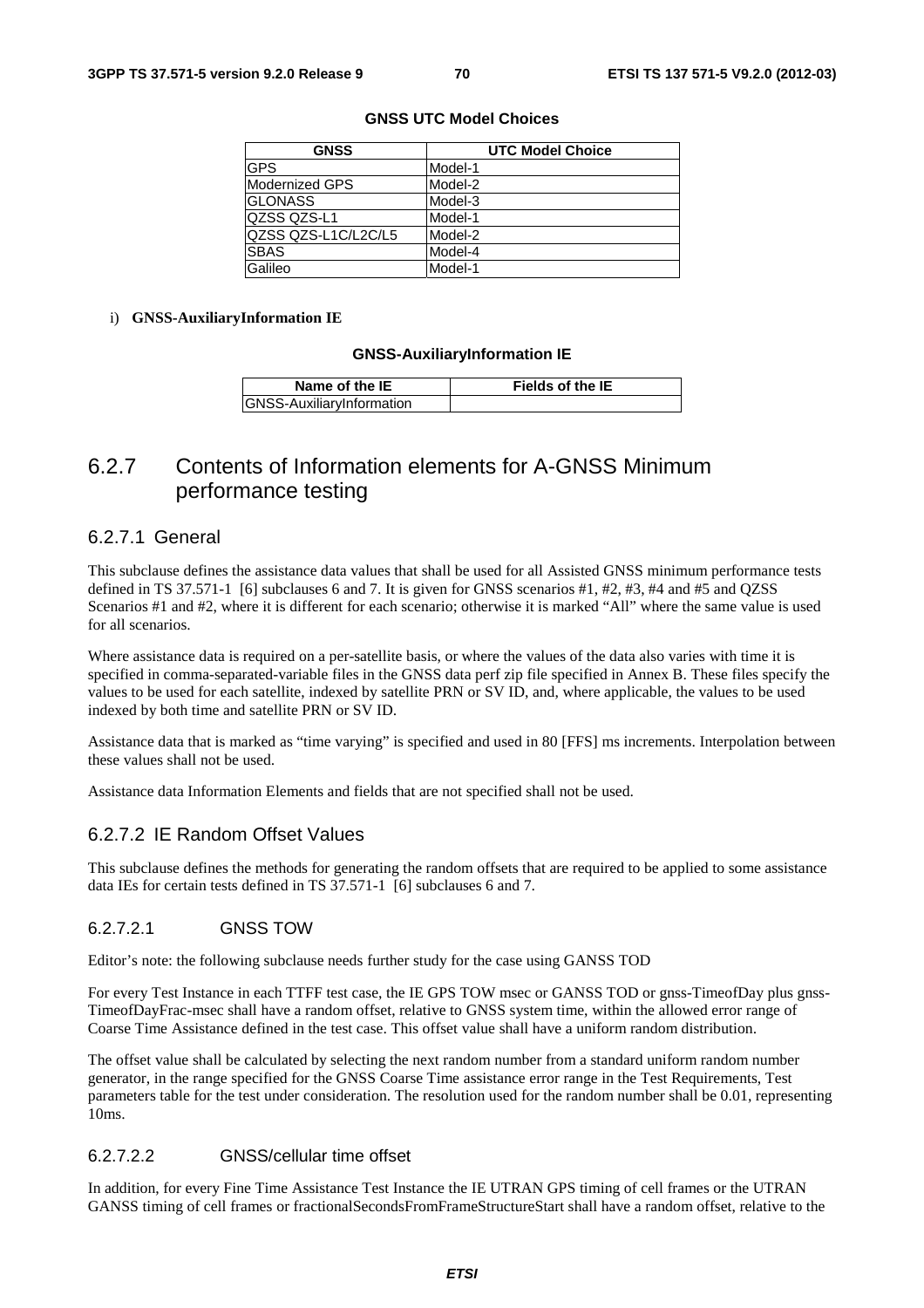| <b>GNSS</b>         | <b>UTC Model Choice</b> |
|---------------------|-------------------------|
| <b>GPS</b>          | Model-1                 |
| Modernized GPS      | Model-2                 |
| <b>GLONASS</b>      | Model-3                 |
| QZSS QZS-L1         | Model-1                 |
| QZSS QZS-L1C/L2C/L5 | Model-2                 |
| <b>SBAS</b>         | Model-4                 |
| Galileo             | Model-1                 |

#### **GNSS UTC Model Choices**

#### i) **GNSS-AuxiliaryInformation IE**

#### **GNSS-AuxiliaryInformation IE**

| Name of the IE                   | Fields of the IE |
|----------------------------------|------------------|
| <b>GNSS-AuxiliaryInformation</b> |                  |

# 6.2.7 Contents of Information elements for A-GNSS Minimum performance testing

# 6.2.7.1 General

This subclause defines the assistance data values that shall be used for all Assisted GNSS minimum performance tests defined in TS 37.571-1 [6] subclauses 6 and 7. It is given for GNSS scenarios #1, #2, #3, #4 and #5 and QZSS Scenarios #1 and #2, where it is different for each scenario; otherwise it is marked "All" where the same value is used for all scenarios.

Where assistance data is required on a per-satellite basis, or where the values of the data also varies with time it is specified in comma-separated-variable files in the GNSS data perf zip file specified in Annex B. These files specify the values to be used for each satellite, indexed by satellite PRN or SV ID, and, where applicable, the values to be used indexed by both time and satellite PRN or SV ID.

Assistance data that is marked as "time varying" is specified and used in 80 [FFS] ms increments. Interpolation between these values shall not be used.

Assistance data Information Elements and fields that are not specified shall not be used.

# 6.2.7.2 IE Random Offset Values

This subclause defines the methods for generating the random offsets that are required to be applied to some assistance data IEs for certain tests defined in TS 37.571-1 [6] subclauses 6 and 7.

### 6.2.7.2.1 GNSS TOW

Editor's note: the following subclause needs further study for the case using GANSS TOD

For every Test Instance in each TTFF test case, the IE GPS TOW msec or GANSS TOD or gnss-TimeofDay plus gnss-TimeofDayFrac-msec shall have a random offset, relative to GNSS system time, within the allowed error range of Coarse Time Assistance defined in the test case. This offset value shall have a uniform random distribution.

The offset value shall be calculated by selecting the next random number from a standard uniform random number generator, in the range specified for the GNSS Coarse Time assistance error range in the Test Requirements, Test parameters table for the test under consideration. The resolution used for the random number shall be 0.01, representing 10ms.

### 6.2.7.2.2 GNSS/cellular time offset

In addition, for every Fine Time Assistance Test Instance the IE UTRAN GPS timing of cell frames or the UTRAN GANSS timing of cell frames or fractionalSecondsFromFrameStructureStart shall have a random offset, relative to the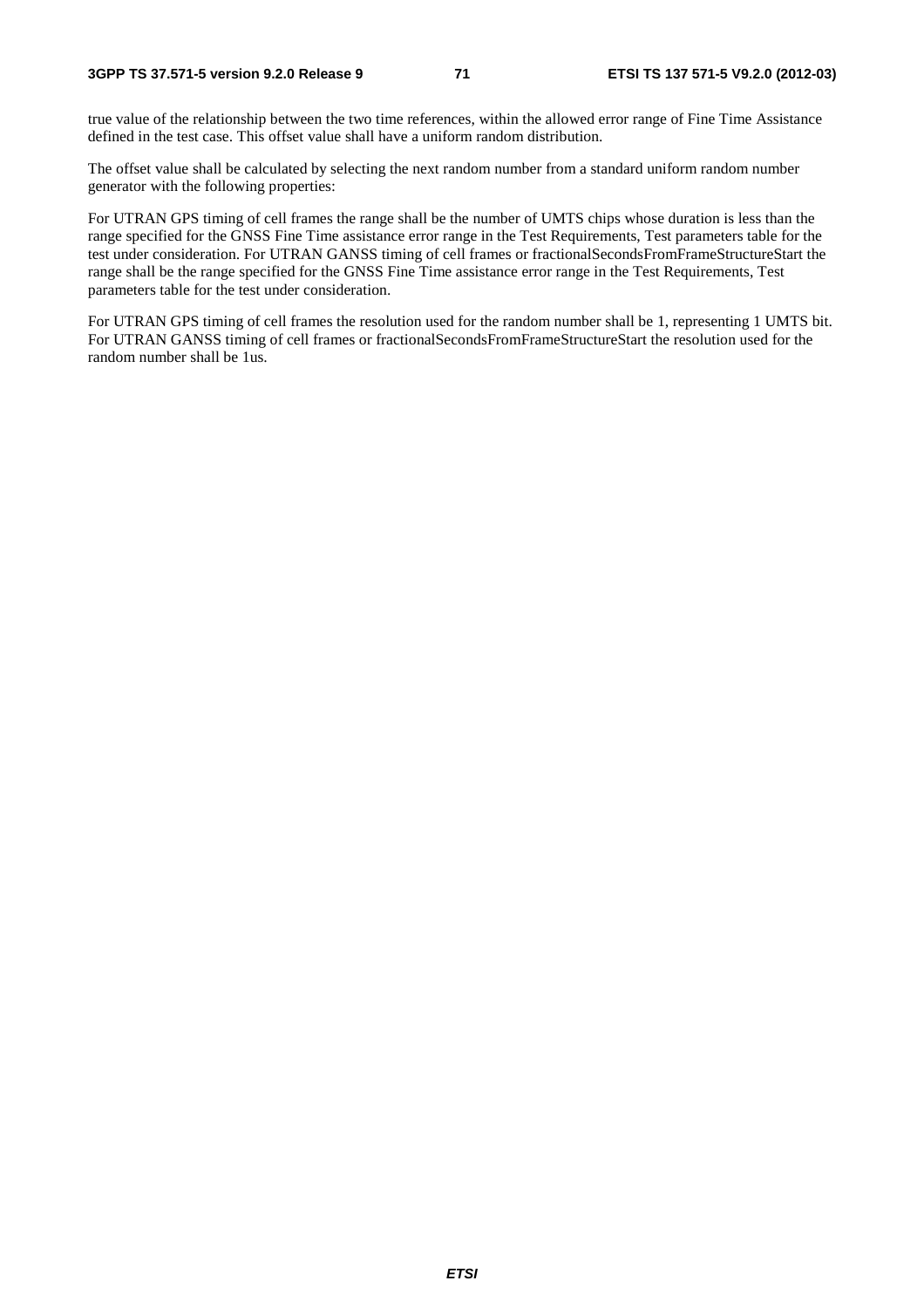true value of the relationship between the two time references, within the allowed error range of Fine Time Assistance defined in the test case. This offset value shall have a uniform random distribution.

The offset value shall be calculated by selecting the next random number from a standard uniform random number generator with the following properties:

For UTRAN GPS timing of cell frames the range shall be the number of UMTS chips whose duration is less than the range specified for the GNSS Fine Time assistance error range in the Test Requirements, Test parameters table for the test under consideration. For UTRAN GANSS timing of cell frames or fractionalSecondsFromFrameStructureStart the range shall be the range specified for the GNSS Fine Time assistance error range in the Test Requirements, Test parameters table for the test under consideration.

For UTRAN GPS timing of cell frames the resolution used for the random number shall be 1, representing 1 UMTS bit. For UTRAN GANSS timing of cell frames or fractionalSecondsFromFrameStructureStart the resolution used for the random number shall be 1us.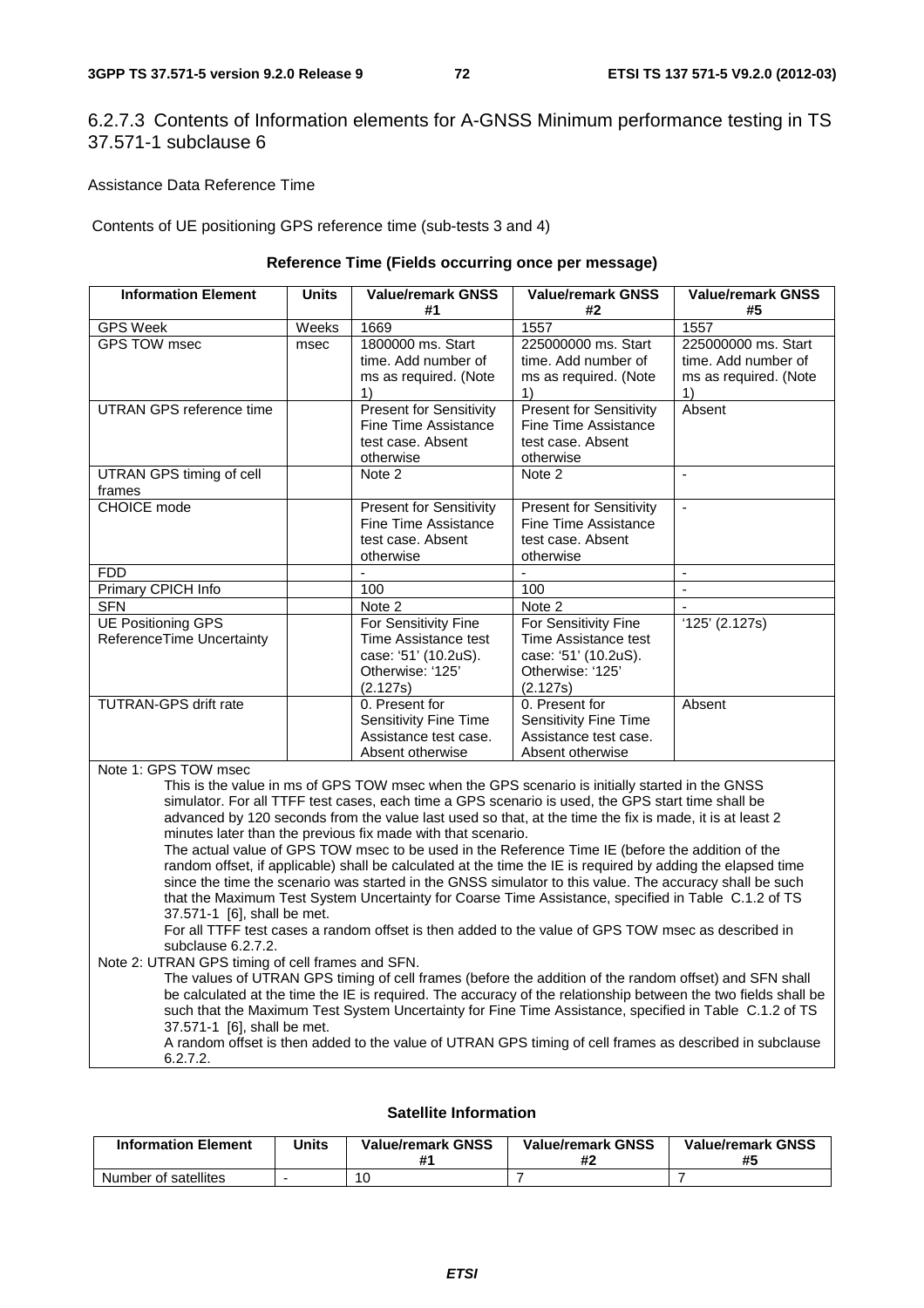# 6.2.7.3 Contents of Information elements for A-GNSS Minimum performance testing in TS 37.571-1 subclause 6

Assistance Data Reference Time

Contents of UE positioning GPS reference time (sub-tests 3 and 4)

#### **Reference Time (Fields occurring once per message)**

| <b>Information Element</b>                             | <b>Units</b> | <b>Value/remark GNSS</b><br>#1                                                                       | <b>Value/remark GNSS</b><br>#2                                                                       | <b>Value/remark GNSS</b><br>#5                                            |
|--------------------------------------------------------|--------------|------------------------------------------------------------------------------------------------------|------------------------------------------------------------------------------------------------------|---------------------------------------------------------------------------|
| <b>GPS Week</b>                                        | Weeks        | 1669                                                                                                 | 1557                                                                                                 | 1557                                                                      |
| <b>GPS TOW msec</b>                                    | msec         | 1800000 ms. Start<br>time. Add number of<br>ms as required. (Note<br>$\left( \right)$                | 225000000 ms. Start<br>time. Add number of<br>ms as required. (Note<br>1)                            | 225000000 ms. Start<br>time. Add number of<br>ms as required. (Note<br>1) |
| UTRAN GPS reference time                               |              | <b>Present for Sensitivity</b><br>Fine Time Assistance<br>test case. Absent<br>otherwise             | <b>Present for Sensitivity</b><br>Fine Time Assistance<br>test case. Absent<br>otherwise             | Absent                                                                    |
| UTRAN GPS timing of cell<br>frames                     |              | Note 2                                                                                               | Note 2                                                                                               |                                                                           |
| CHOICE mode                                            |              | <b>Present for Sensitivity</b><br>Fine Time Assistance<br>test case. Absent<br>otherwise             | <b>Present for Sensitivity</b><br>Fine Time Assistance<br>test case. Absent<br>otherwise             | $\sim$                                                                    |
| <b>FDD</b>                                             |              | $\overline{a}$                                                                                       |                                                                                                      | $\blacksquare$                                                            |
| Primary CPICH Info                                     |              | 100                                                                                                  | 100                                                                                                  |                                                                           |
| <b>SFN</b>                                             |              | Note 2                                                                                               | Note 2                                                                                               |                                                                           |
| <b>UE Positioning GPS</b><br>ReferenceTime Uncertainty |              | For Sensitivity Fine<br>Time Assistance test<br>case: '51' (10.2uS).<br>Otherwise: '125'<br>(2.127s) | For Sensitivity Fine<br>Time Assistance test<br>case: '51' (10.2uS).<br>Otherwise: '125'<br>(2.127s) | $'125'$ (2.127s)                                                          |
| <b>TUTRAN-GPS drift rate</b>                           |              | 0. Present for<br>Sensitivity Fine Time<br>Assistance test case.<br>Absent otherwise                 | 0. Present for<br>Sensitivity Fine Time<br>Assistance test case.<br>Absent otherwise                 | Absent                                                                    |
| Note 1: GPS TOW msec                                   |              |                                                                                                      | This is the value in ms of GPS TOW msec when the GPS scenario is initially started in the GNSS       |                                                                           |

simulator. For all TTFF test cases, each time a GPS scenario is used, the GPS start time shall be advanced by 120 seconds from the value last used so that, at the time the fix is made, it is at least 2 minutes later than the previous fix made with that scenario.

The actual value of GPS TOW msec to be used in the Reference Time IE (before the addition of the random offset, if applicable) shall be calculated at the time the IE is required by adding the elapsed time since the time the scenario was started in the GNSS simulator to this value. The accuracy shall be such that the Maximum Test System Uncertainty for Coarse Time Assistance, specified in Table C.1.2 of TS 37.571-1 [6], shall be met.

For all TTFF test cases a random offset is then added to the value of GPS TOW msec as described in subclause 6.2.7.2.

Note 2: UTRAN GPS timing of cell frames and SFN.

The values of UTRAN GPS timing of cell frames (before the addition of the random offset) and SFN shall be calculated at the time the IE is required. The accuracy of the relationship between the two fields shall be such that the Maximum Test System Uncertainty for Fine Time Assistance, specified in Table C.1.2 of TS 37.571-1 [6], shall be met.

A random offset is then added to the value of UTRAN GPS timing of cell frames as described in subclause 6.2.7.2.

# **Satellite Information**

| <b>Information Element</b> | <b>Units</b> | <b>Value/remark GNSS</b> | <b>Value/remark GNSS</b><br>#2 | <b>Value/remark GNSS</b><br>#5 |
|----------------------------|--------------|--------------------------|--------------------------------|--------------------------------|
| Number of satellites       |              | 10                       |                                |                                |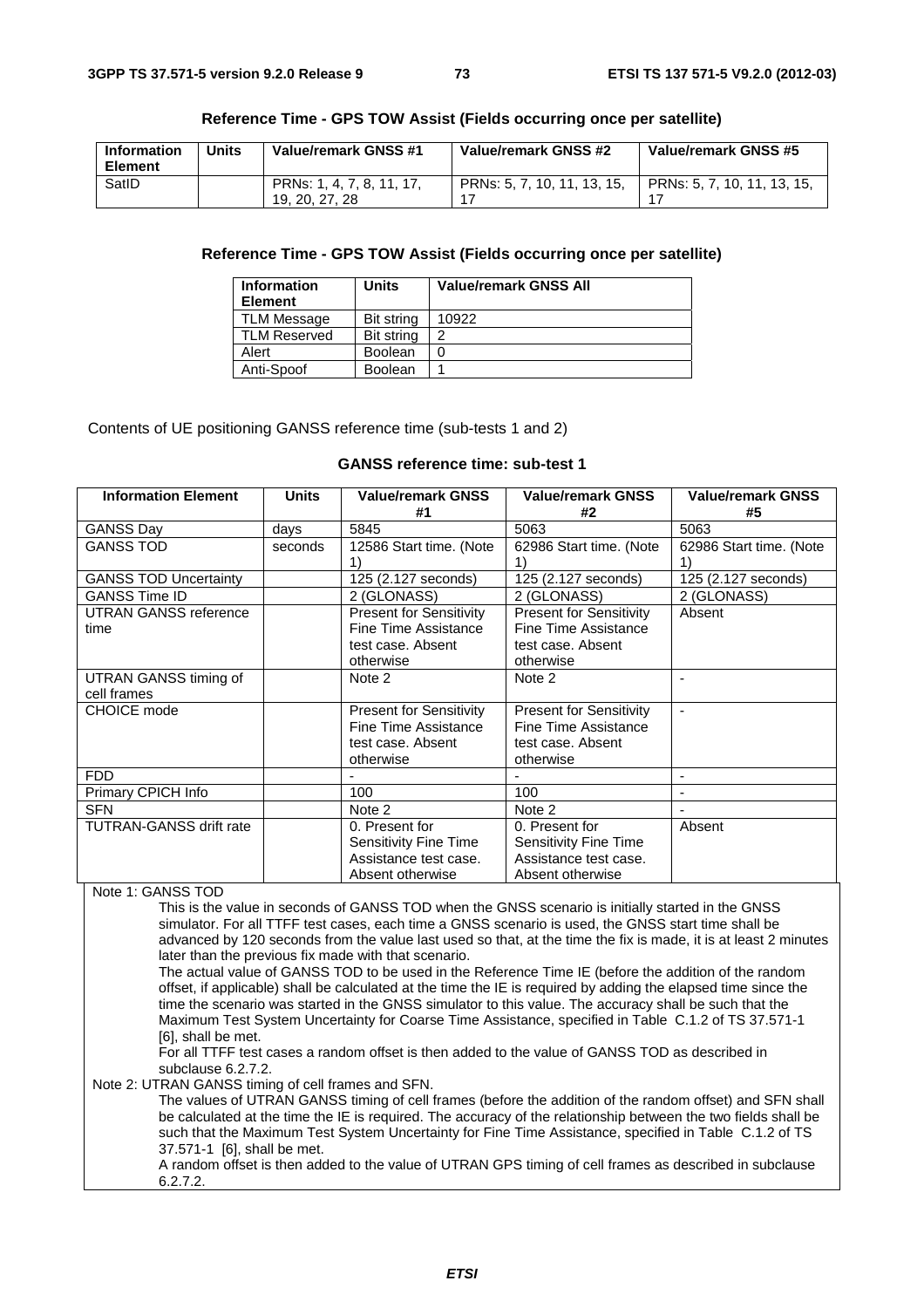| Information<br><b>Element</b> | <b>Units</b> | Value/remark GNSS #1                        | Value/remark GNSS #2        | Value/remark GNSS #5        |
|-------------------------------|--------------|---------------------------------------------|-----------------------------|-----------------------------|
| SatID                         |              | PRNs: 1, 4, 7, 8, 11, 17,<br>19, 20, 27, 28 | PRNs: 5, 7, 10, 11, 13, 15, | PRNs: 5, 7, 10, 11, 13, 15, |

#### **Reference Time - GPS TOW Assist (Fields occurring once per satellite)**

# **Reference Time - GPS TOW Assist (Fields occurring once per satellite)**

| <b>Information</b><br><b>Element</b> | <b>Units</b>      | <b>Value/remark GNSS All</b> |
|--------------------------------------|-------------------|------------------------------|
| <b>TLM Message</b>                   | <b>Bit string</b> | 10922                        |
| <b>TLM Reserved</b>                  | <b>Bit string</b> | າ                            |
| Alert                                | <b>Boolean</b>    |                              |
| Anti-Spoof                           | <b>Boolean</b>    |                              |

Contents of UE positioning GANSS reference time (sub-tests 1 and 2)

#### **GANSS reference time: sub-test 1**

| <b>Information Element</b>     | <b>Units</b> | <b>Value/remark GNSS</b><br>#1 | <b>Value/remark GNSS</b><br>#2 | <b>Value/remark GNSS</b><br>#5 |
|--------------------------------|--------------|--------------------------------|--------------------------------|--------------------------------|
| <b>GANSS Day</b>               | days         | 5845                           | 5063                           | 5063                           |
| <b>GANSS TOD</b>               | seconds      | 12586 Start time. (Note        | 62986 Start time. (Note        | 62986 Start time. (Note        |
|                                |              | 1)                             | 1)                             | 1)                             |
| <b>GANSS TOD Uncertainty</b>   |              | 125 (2.127 seconds)            | 125 (2.127 seconds)            | 125 (2.127 seconds)            |
| <b>GANSS Time ID</b>           |              | 2 (GLONASS)                    | 2 (GLONASS)                    | 2 (GLONASS)                    |
| <b>UTRAN GANSS reference</b>   |              | <b>Present for Sensitivity</b> | <b>Present for Sensitivity</b> | Absent                         |
| time                           |              | Fine Time Assistance           | Fine Time Assistance           |                                |
|                                |              | test case. Absent              | test case. Absent              |                                |
|                                |              | otherwise                      | otherwise                      |                                |
| UTRAN GANSS timing of          |              | Note 2                         | Note 2                         |                                |
| cell frames                    |              |                                |                                |                                |
| <b>CHOICE</b> mode             |              | <b>Present for Sensitivity</b> | <b>Present for Sensitivity</b> | $\blacksquare$                 |
|                                |              | Fine Time Assistance           | Fine Time Assistance           |                                |
|                                |              | test case. Absent              | test case. Absent              |                                |
|                                |              | otherwise                      | otherwise                      |                                |
| <b>FDD</b>                     |              |                                |                                | ٠                              |
| Primary CPICH Info             |              | 100                            | 100                            |                                |
| <b>SFN</b>                     |              | Note 2                         | Note 2                         |                                |
| <b>TUTRAN-GANSS drift rate</b> |              | 0. Present for                 | 0. Present for                 | Absent                         |
|                                |              | Sensitivity Fine Time          | Sensitivity Fine Time          |                                |
|                                |              | Assistance test case.          | Assistance test case.          |                                |
|                                |              | Absent otherwise               | Absent otherwise               |                                |

Note 1: GANSS TOD

This is the value in seconds of GANSS TOD when the GNSS scenario is initially started in the GNSS simulator. For all TTFF test cases, each time a GNSS scenario is used, the GNSS start time shall be advanced by 120 seconds from the value last used so that, at the time the fix is made, it is at least 2 minutes later than the previous fix made with that scenario.

The actual value of GANSS TOD to be used in the Reference Time IE (before the addition of the random offset, if applicable) shall be calculated at the time the IE is required by adding the elapsed time since the time the scenario was started in the GNSS simulator to this value. The accuracy shall be such that the Maximum Test System Uncertainty for Coarse Time Assistance, specified in Table C.1.2 of TS 37.571-1 [6], shall be met.

For all TTFF test cases a random offset is then added to the value of GANSS TOD as described in subclause 6.2.7.2.

Note 2: UTRAN GANSS timing of cell frames and SFN.

The values of UTRAN GANSS timing of cell frames (before the addition of the random offset) and SFN shall be calculated at the time the IE is required. The accuracy of the relationship between the two fields shall be such that the Maximum Test System Uncertainty for Fine Time Assistance, specified in Table C.1.2 of TS 37.571-1 [6], shall be met.

A random offset is then added to the value of UTRAN GPS timing of cell frames as described in subclause 6.2.7.2.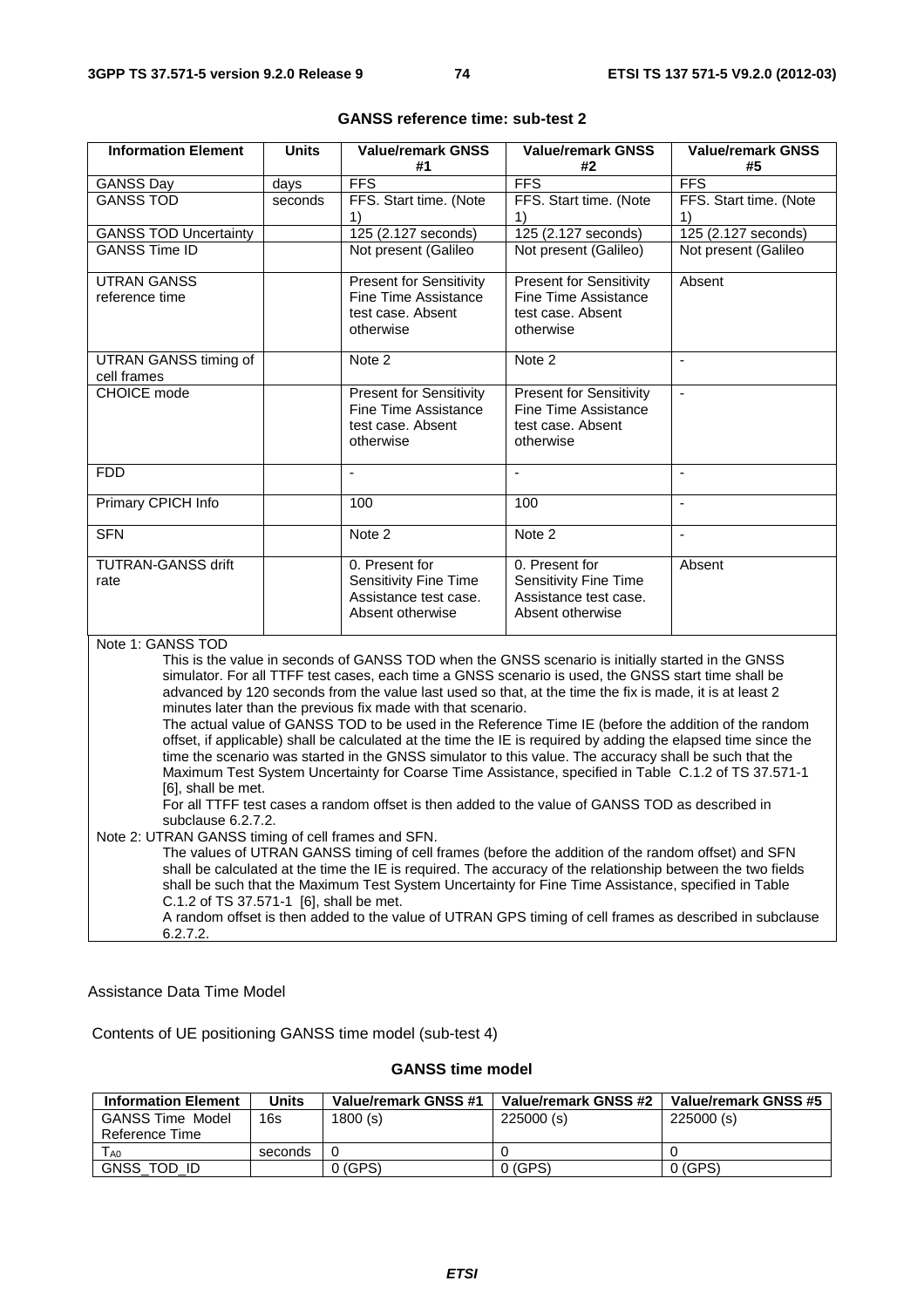| <b>Information Element</b>                                                                                                                                                                                        | <b>Units</b> | <b>Value/remark GNSS</b><br>#1                                                                                                                                                                           | <b>Value/remark GNSS</b><br>#2                                | Value/remark GNSS<br>#5  |
|-------------------------------------------------------------------------------------------------------------------------------------------------------------------------------------------------------------------|--------------|----------------------------------------------------------------------------------------------------------------------------------------------------------------------------------------------------------|---------------------------------------------------------------|--------------------------|
| <b>GANSS Day</b>                                                                                                                                                                                                  | days         | <b>FFS</b>                                                                                                                                                                                               | <b>FFS</b>                                                    | <b>FFS</b>               |
| <b>GANSS TOD</b>                                                                                                                                                                                                  | seconds      | FFS. Start time. (Note                                                                                                                                                                                   | FFS. Start time. (Note                                        | FFS. Start time. (Note   |
|                                                                                                                                                                                                                   |              | 1)                                                                                                                                                                                                       | 1)                                                            | 1)                       |
| <b>GANSS TOD Uncertainty</b>                                                                                                                                                                                      |              | 125 (2.127 seconds)                                                                                                                                                                                      | 125 (2.127 seconds)                                           | 125 (2.127 seconds)      |
| <b>GANSS Time ID</b>                                                                                                                                                                                              |              | Not present (Galileo                                                                                                                                                                                     | Not present (Galileo)                                         | Not present (Galileo     |
| <b>UTRAN GANSS</b>                                                                                                                                                                                                |              | <b>Present for Sensitivity</b>                                                                                                                                                                           | <b>Present for Sensitivity</b>                                | Absent                   |
| reference time                                                                                                                                                                                                    |              | Fine Time Assistance                                                                                                                                                                                     | Fine Time Assistance                                          |                          |
|                                                                                                                                                                                                                   |              | test case. Absent                                                                                                                                                                                        | test case. Absent                                             |                          |
|                                                                                                                                                                                                                   |              | otherwise                                                                                                                                                                                                | otherwise                                                     |                          |
| <b>UTRAN GANSS timing of</b>                                                                                                                                                                                      |              | Note 2                                                                                                                                                                                                   | Note 2                                                        | $\overline{a}$           |
| cell frames                                                                                                                                                                                                       |              |                                                                                                                                                                                                          |                                                               |                          |
| CHOICE mode                                                                                                                                                                                                       |              | <b>Present for Sensitivity</b><br><b>Fine Time Assistance</b>                                                                                                                                            | <b>Present for Sensitivity</b><br><b>Fine Time Assistance</b> | $\overline{a}$           |
|                                                                                                                                                                                                                   |              | test case. Absent                                                                                                                                                                                        | test case. Absent                                             |                          |
|                                                                                                                                                                                                                   |              | otherwise                                                                                                                                                                                                | otherwise                                                     |                          |
|                                                                                                                                                                                                                   |              |                                                                                                                                                                                                          |                                                               |                          |
| <b>FDD</b>                                                                                                                                                                                                        |              |                                                                                                                                                                                                          | $\overline{a}$                                                | $\overline{\phantom{a}}$ |
| Primary CPICH Info                                                                                                                                                                                                |              | 100                                                                                                                                                                                                      | 100                                                           | $\blacksquare$           |
| <b>SFN</b>                                                                                                                                                                                                        |              | Note 2                                                                                                                                                                                                   | Note 2                                                        |                          |
| <b>TUTRAN-GANSS drift</b>                                                                                                                                                                                         |              | 0. Present for                                                                                                                                                                                           | 0. Present for                                                | Absent                   |
| rate                                                                                                                                                                                                              |              | <b>Sensitivity Fine Time</b>                                                                                                                                                                             | <b>Sensitivity Fine Time</b>                                  |                          |
|                                                                                                                                                                                                                   |              | Assistance test case.                                                                                                                                                                                    | Assistance test case.                                         |                          |
|                                                                                                                                                                                                                   |              | Absent otherwise                                                                                                                                                                                         | Absent otherwise                                              |                          |
|                                                                                                                                                                                                                   |              |                                                                                                                                                                                                          |                                                               |                          |
| Note 1: GANSS TOD                                                                                                                                                                                                 |              |                                                                                                                                                                                                          |                                                               |                          |
|                                                                                                                                                                                                                   |              | This is the value in seconds of GANSS TOD when the GNSS scenario is initially started in the GNSS<br>simulator. For all TTFF test cases, each time a GNSS scenario is used, the GNSS start time shall be |                                                               |                          |
|                                                                                                                                                                                                                   |              | advanced by 120 seconds from the value last used so that, at the time the fix is made, it is at least 2                                                                                                  |                                                               |                          |
|                                                                                                                                                                                                                   |              | minutes later than the previous fix made with that scenario.                                                                                                                                             |                                                               |                          |
|                                                                                                                                                                                                                   |              | The actual value of GANSS TOD to be used in the Reference Time IE (before the addition of the random                                                                                                     |                                                               |                          |
|                                                                                                                                                                                                                   |              | offset, if applicable) shall be calculated at the time the IE is required by adding the elapsed time since the                                                                                           |                                                               |                          |
|                                                                                                                                                                                                                   |              |                                                                                                                                                                                                          |                                                               |                          |
| time the scenario was started in the GNSS simulator to this value. The accuracy shall be such that the<br>Maximum Test System Uncertainty for Coarse Time Assistance, specified in Table C.1.2 of TS 37.571-1     |              |                                                                                                                                                                                                          |                                                               |                          |
| [6], shall be met.                                                                                                                                                                                                |              |                                                                                                                                                                                                          |                                                               |                          |
| For all TTFF test cases a random offset is then added to the value of GANSS TOD as described in                                                                                                                   |              |                                                                                                                                                                                                          |                                                               |                          |
| subclause 6.2.7.2.                                                                                                                                                                                                |              |                                                                                                                                                                                                          |                                                               |                          |
| Note 2: UTRAN GANSS timing of cell frames and SFN.                                                                                                                                                                |              |                                                                                                                                                                                                          |                                                               |                          |
| The values of UTRAN GANSS timing of cell frames (before the addition of the random offset) and SFN<br>shall be calculated at the time the IE is required. The accuracy of the relationship between the two fields |              |                                                                                                                                                                                                          |                                                               |                          |
|                                                                                                                                                                                                                   |              |                                                                                                                                                                                                          |                                                               |                          |
|                                                                                                                                                                                                                   |              | shall be such that the Maximum Test System Uncertainty for Fine Time Assistance, specified in Table                                                                                                      |                                                               |                          |
| C.1.2 of TS 37.571-1 [6], shall be met.                                                                                                                                                                           |              | A random offset is then added to the value of UTRAN GPS timing of cell frames as described in subclause                                                                                                  |                                                               |                          |

#### **GANSS reference time: sub-test 2**

# Assistance Data Time Model

6.2.7.2.

Contents of UE positioning GANSS time model (sub-test 4)

# **GANSS time model**

| <b>Information Element</b> | Units   | Value/remark GNSS #1 | Value/remark GNSS #2 | Value/remark GNSS #5 |
|----------------------------|---------|----------------------|----------------------|----------------------|
| <b>GANSS Time Model</b>    | 16s     | 1800(s)              | 225000(s)            | 225000(s)            |
| Reference Time             |         |                      |                      |                      |
| LA <sub>0</sub>            | seconds | 0                    |                      |                      |
| GNSS_TOD_ID                |         | $0$ (GPS)            | $0$ (GPS)            | $0$ (GPS)            |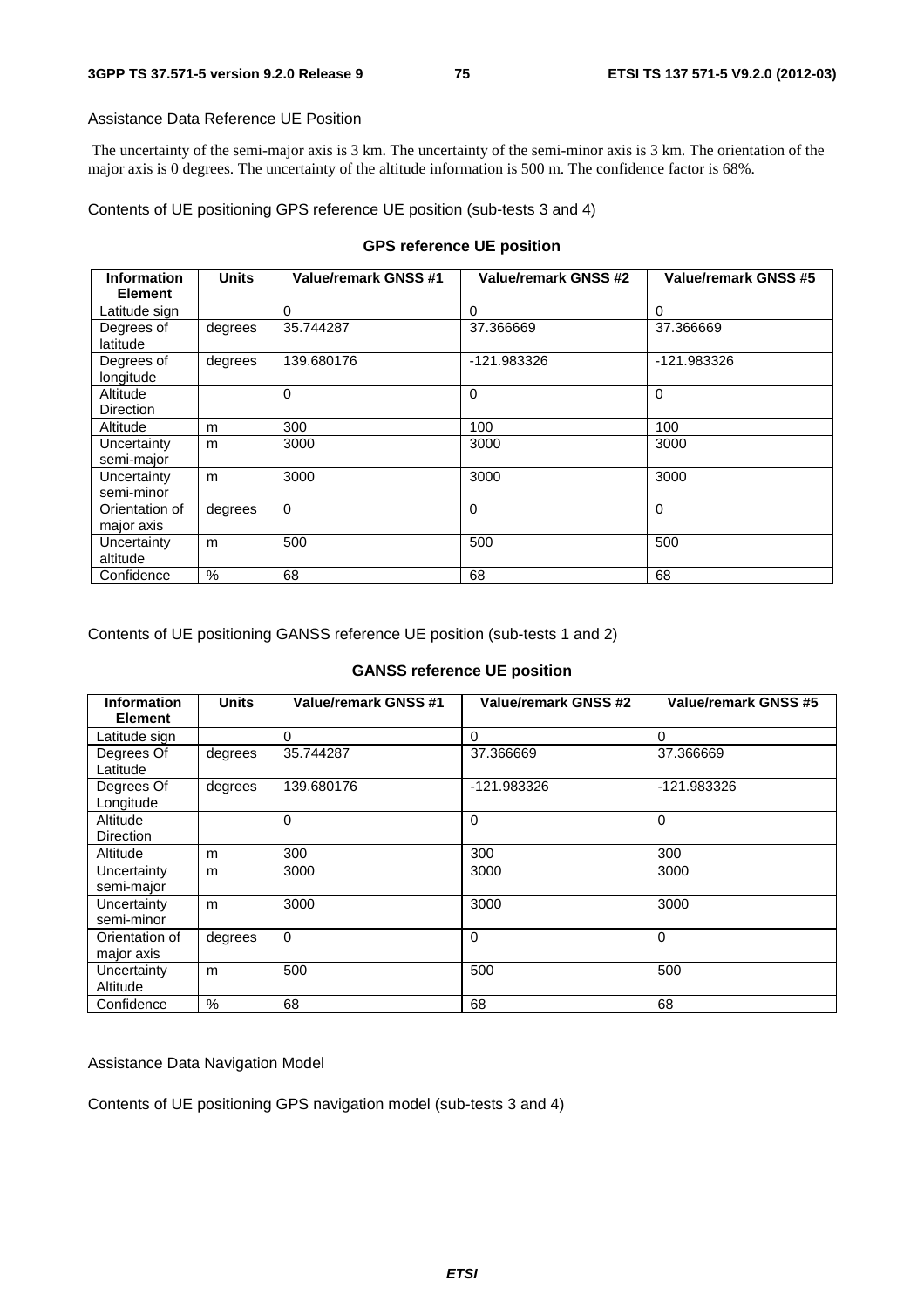#### Assistance Data Reference UE Position

 The uncertainty of the semi-major axis is 3 km. The uncertainty of the semi-minor axis is 3 km. The orientation of the major axis is 0 degrees. The uncertainty of the altitude information is 500 m. The confidence factor is 68%.

Contents of UE positioning GPS reference UE position (sub-tests 3 and 4)

# **GPS reference UE position**

| <b>Information</b><br><b>Element</b> | <b>Units</b> | <b>Value/remark GNSS #1</b> | Value/remark GNSS #2 | <b>Value/remark GNSS #5</b> |
|--------------------------------------|--------------|-----------------------------|----------------------|-----------------------------|
| Latitude sign                        |              | $\Omega$                    | 0                    | 0                           |
| Degrees of<br>latitude               | degrees      | 35.744287                   | 37.366669            | 37.366669                   |
| Degrees of<br>longitude              | degrees      | 139.680176                  | -121.983326          | -121.983326                 |
| Altitude<br><b>Direction</b>         |              | $\Omega$                    | 0                    | $\Omega$                    |
| Altitude                             | m            | 300                         | 100                  | 100                         |
| Uncertainty<br>semi-major            | m            | 3000                        | 3000                 | 3000                        |
| Uncertainty<br>semi-minor            | m            | 3000                        | 3000                 | 3000                        |
| Orientation of<br>major axis         | degrees      | $\Omega$                    | 0                    | $\mathbf 0$                 |
| Uncertainty<br>altitude              | m            | 500                         | 500                  | 500                         |
| Confidence                           | $\%$         | 68                          | 68                   | 68                          |

Contents of UE positioning GANSS reference UE position (sub-tests 1 and 2)

# **GANSS reference UE position**

| <b>Information</b><br><b>Element</b> | <b>Units</b>  | Value/remark GNSS #1 | Value/remark GNSS #2 | Value/remark GNSS #5 |
|--------------------------------------|---------------|----------------------|----------------------|----------------------|
| Latitude sign                        |               | $\Omega$             | $\Omega$             | 0                    |
| Degrees Of<br>Latitude               | degrees       | 35.744287            | 37.366669            | 37.366669            |
| Degrees Of<br>Longitude              | degrees       | 139.680176           | -121.983326          | -121.983326          |
| Altitude<br><b>Direction</b>         |               | 0                    | $\Omega$             | $\mathbf 0$          |
| Altitude                             | m             | 300                  | 300                  | 300                  |
| Uncertainty<br>semi-major            | m             | 3000                 | 3000                 | 3000                 |
| Uncertainty<br>semi-minor            | m             | 3000                 | 3000                 | 3000                 |
| Orientation of<br>major axis         | degrees       | $\mathbf 0$          | $\Omega$             | 0                    |
| Uncertainty<br>Altitude              | m             | 500                  | 500                  | 500                  |
| Confidence                           | $\frac{0}{0}$ | 68                   | 68                   | 68                   |

Assistance Data Navigation Model

Contents of UE positioning GPS navigation model (sub-tests 3 and 4)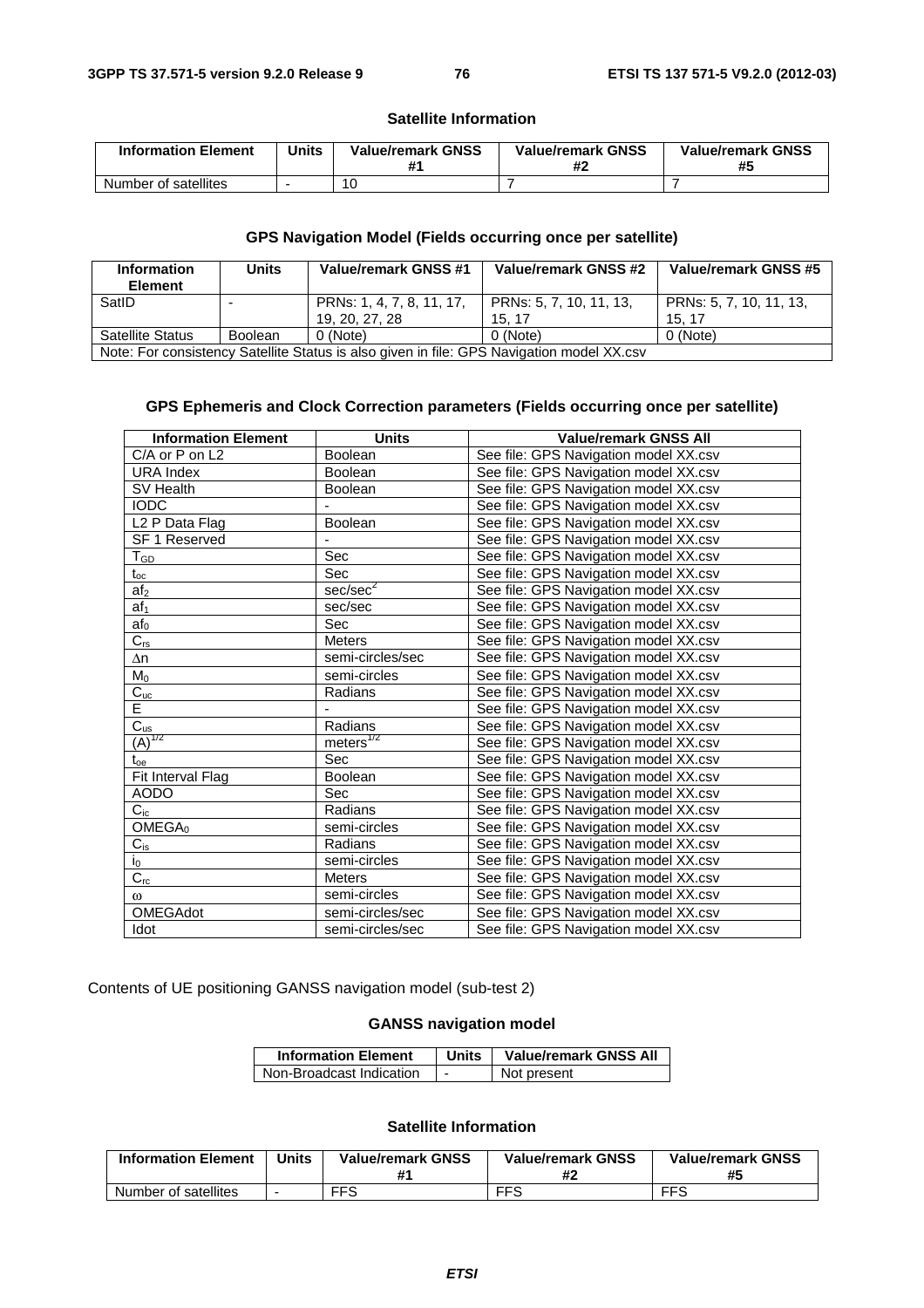#### **Satellite Information**

| <b>Information Element</b> | <b>Units</b> | <b>Value/remark GNSS</b><br>₩. | <b>Value/remark GNSS</b> | <b>Value/remark GNSS</b><br>#5 |
|----------------------------|--------------|--------------------------------|--------------------------|--------------------------------|
| Number of satellites       |              |                                |                          |                                |

# **GPS Navigation Model (Fields occurring once per satellite)**

| <b>Information</b><br><b>Element</b>                                                      | <b>Units</b>   | Value/remark GNSS #1      | Value/remark GNSS #2    | Value/remark GNSS #5    |
|-------------------------------------------------------------------------------------------|----------------|---------------------------|-------------------------|-------------------------|
| SatID                                                                                     |                | PRNs: 1, 4, 7, 8, 11, 17, | PRNs: 5, 7, 10, 11, 13, | PRNs: 5, 7, 10, 11, 13, |
|                                                                                           |                | 19, 20, 27, 28            | 15.17                   | 15.17                   |
| Satellite Status                                                                          | <b>Boolean</b> | 0 (Note)                  | 0 (Note)                | 0 (Note)                |
| Note: For consistency Satellite Status is also given in file: GPS Navigation model XX.csv |                |                           |                         |                         |

# **GPS Ephemeris and Clock Correction parameters (Fields occurring once per satellite)**

| <b>Information Element</b> | <b>Units</b>          | <b>Value/remark GNSS All</b>          |
|----------------------------|-----------------------|---------------------------------------|
| C/A or P on L2             | <b>Boolean</b>        | See file: GPS Navigation model XX.csv |
| URA Index                  | <b>Boolean</b>        | See file: GPS Navigation model XX.csv |
| SV Health                  | <b>Boolean</b>        | See file: GPS Navigation model XX.csv |
| <b>IODC</b>                |                       | See file: GPS Navigation model XX.csv |
| L <sub>2</sub> P Data Flag | Boolean               | See file: GPS Navigation model XX.csv |
| <b>SF 1 Reserved</b>       |                       | See file: GPS Navigation model XX.csv |
| TGD                        | Sec                   | See file: GPS Navigation model XX.csv |
| $t_{\rm oc}$               | Sec                   | See file: GPS Navigation model XX.csv |
| af <sub>2</sub>            | sec/sec <sup>2</sup>  | See file: GPS Navigation model XX.csv |
| af <sub>1</sub>            | sec/sec               | See file: GPS Navigation model XX.csv |
| af <sub>0</sub>            | Sec                   | See file: GPS Navigation model XX.csv |
| $C_{rs}$                   | <b>Meters</b>         | See file: GPS Navigation model XX.csv |
| $\Delta n$                 | semi-circles/sec      | See file: GPS Navigation model XX.csv |
| $M_0$                      | semi-circles          | See file: GPS Navigation model XX.csv |
| $C_{uc}$                   | Radians               | See file: GPS Navigation model XX.csv |
| Ē                          |                       | See file: GPS Navigation model XX.csv |
| $\frac{C_{us}}{(A)^{1/2}}$ | Radians               | See file: GPS Navigation model XX.csv |
|                            | meters <sup>1/2</sup> | See file: GPS Navigation model XX.csv |
| $t_{oe}$                   | Sec                   | See file: GPS Navigation model XX.csv |
| Fit Interval Flag          | <b>Boolean</b>        | See file: GPS Navigation model XX.csv |
| <b>AODO</b>                | Sec                   | See file: GPS Navigation model XX.csv |
| $C_{ic}$                   | Radians               | See file: GPS Navigation model XX.csv |
| OMEGA <sub>0</sub>         | semi-circles          | See file: GPS Navigation model XX.csv |
| $C_{is}$                   | Radians               | See file: GPS Navigation model XX.csv |
| $i_0$                      | semi-circles          | See file: GPS Navigation model XX.csv |
| $C_{rc}$                   | <b>Meters</b>         | See file: GPS Navigation model XX.csv |
| $\omega$                   | semi-circles          | See file: GPS Navigation model XX.csv |
| OMEGAdot                   | semi-circles/sec      | See file: GPS Navigation model XX.csv |
| Idot                       | semi-circles/sec      | See file: GPS Navigation model XX.csv |

Contents of UE positioning GANSS navigation model (sub-test 2)

# **GANSS navigation model**

| <b>Information Element</b> | <b>Units</b> | <b>Value/remark GNSS All</b> |  |
|----------------------------|--------------|------------------------------|--|
| Non-Broadcast Indication   |              | Not present                  |  |

#### **Satellite Information**

| <b>Information Element</b> | Units | <b>Value/remark GNSS</b> | <b>Value/remark GNSS</b><br>Ħ. | <b>Value/remark GNSS</b><br>#5 |
|----------------------------|-------|--------------------------|--------------------------------|--------------------------------|
| Number of satellites       |       | <b>FFS</b>               | <b>FFS</b>                     | <b>FFS</b>                     |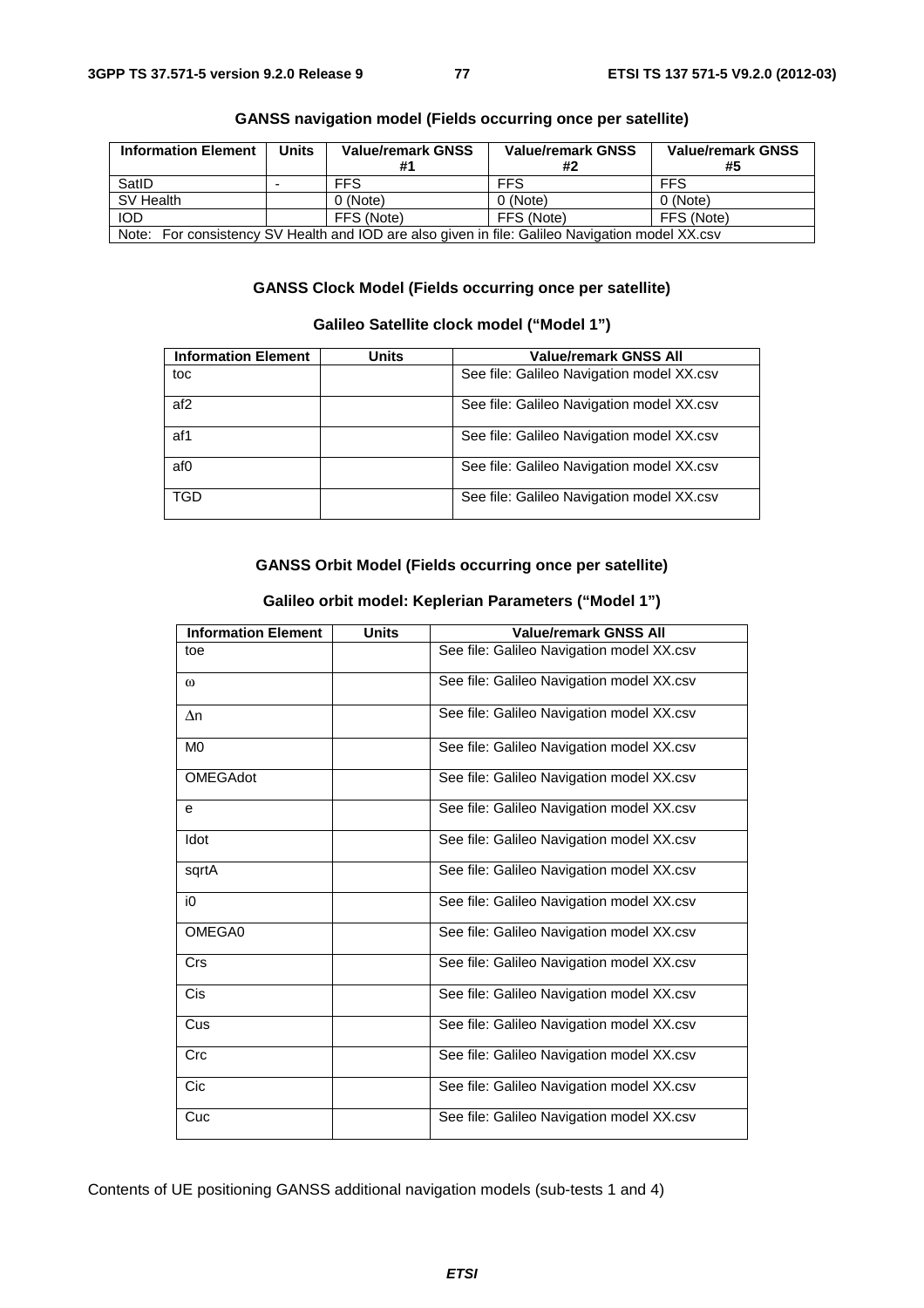| <b>Information Element</b>                                                                      | <b>Units</b> | <b>Value/remark GNSS</b> | <b>Value/remark GNSS</b><br>#2 | <b>Value/remark GNSS</b><br>#5 |  |
|-------------------------------------------------------------------------------------------------|--------------|--------------------------|--------------------------------|--------------------------------|--|
| SatID                                                                                           |              | <b>FFS</b>               | <b>FFS</b>                     | <b>FFS</b>                     |  |
| SV Health                                                                                       |              | 0 (Note)                 | 0 (Note)                       | 0 (Note)                       |  |
| <b>IOD</b>                                                                                      |              | FFS (Note)               | FFS (Note)                     | FFS (Note)                     |  |
| Note: For consistency SV Health and IOD are also given in file: Galileo Navigation model XX.csv |              |                          |                                |                                |  |

# **GANSS navigation model (Fields occurring once per satellite)**

# **GANSS Clock Model (Fields occurring once per satellite)**

# **Galileo Satellite clock model ("Model 1")**

| <b>Information Element</b> | Units | <b>Value/remark GNSS All</b>              |
|----------------------------|-------|-------------------------------------------|
| toc                        |       | See file: Galileo Navigation model XX.csv |
| af <sub>2</sub>            |       | See file: Galileo Navigation model XX.csv |
| af1                        |       | See file: Galileo Navigation model XX.csv |
| af0                        |       | See file: Galileo Navigation model XX.csv |
| <b>TGD</b>                 |       | See file: Galileo Navigation model XX.csv |

# **GANSS Orbit Model (Fields occurring once per satellite)**

| <b>Information Element</b> | <b>Units</b> | <b>Value/remark GNSS All</b>              |
|----------------------------|--------------|-------------------------------------------|
| toe                        |              | See file: Galileo Navigation model XX.csv |
| $\omega$                   |              | See file: Galileo Navigation model XX.csv |
| $\Delta n$                 |              | See file: Galileo Navigation model XX.csv |
| M <sub>0</sub>             |              | See file: Galileo Navigation model XX.csv |
| <b>OMEGAdot</b>            |              | See file: Galileo Navigation model XX.csv |
| е                          |              | See file: Galileo Navigation model XX.csv |
| Idot                       |              | See file: Galileo Navigation model XX.csv |
| sqrtA                      |              | See file: Galileo Navigation model XX.csv |
| i0                         |              | See file: Galileo Navigation model XX.csv |
| OMEGA0                     |              | See file: Galileo Navigation model XX.csv |
| <b>Crs</b>                 |              | See file: Galileo Navigation model XX.csv |
| <b>Cis</b>                 |              | See file: Galileo Navigation model XX.csv |
| Cus                        |              | See file: Galileo Navigation model XX.csv |
| Crc                        |              | See file: Galileo Navigation model XX.csv |
| Cic                        |              | See file: Galileo Navigation model XX.csv |
| Cuc                        |              | See file: Galileo Navigation model XX.csv |

#### **Galileo orbit model: Keplerian Parameters ("Model 1")**

Contents of UE positioning GANSS additional navigation models (sub-tests 1 and 4)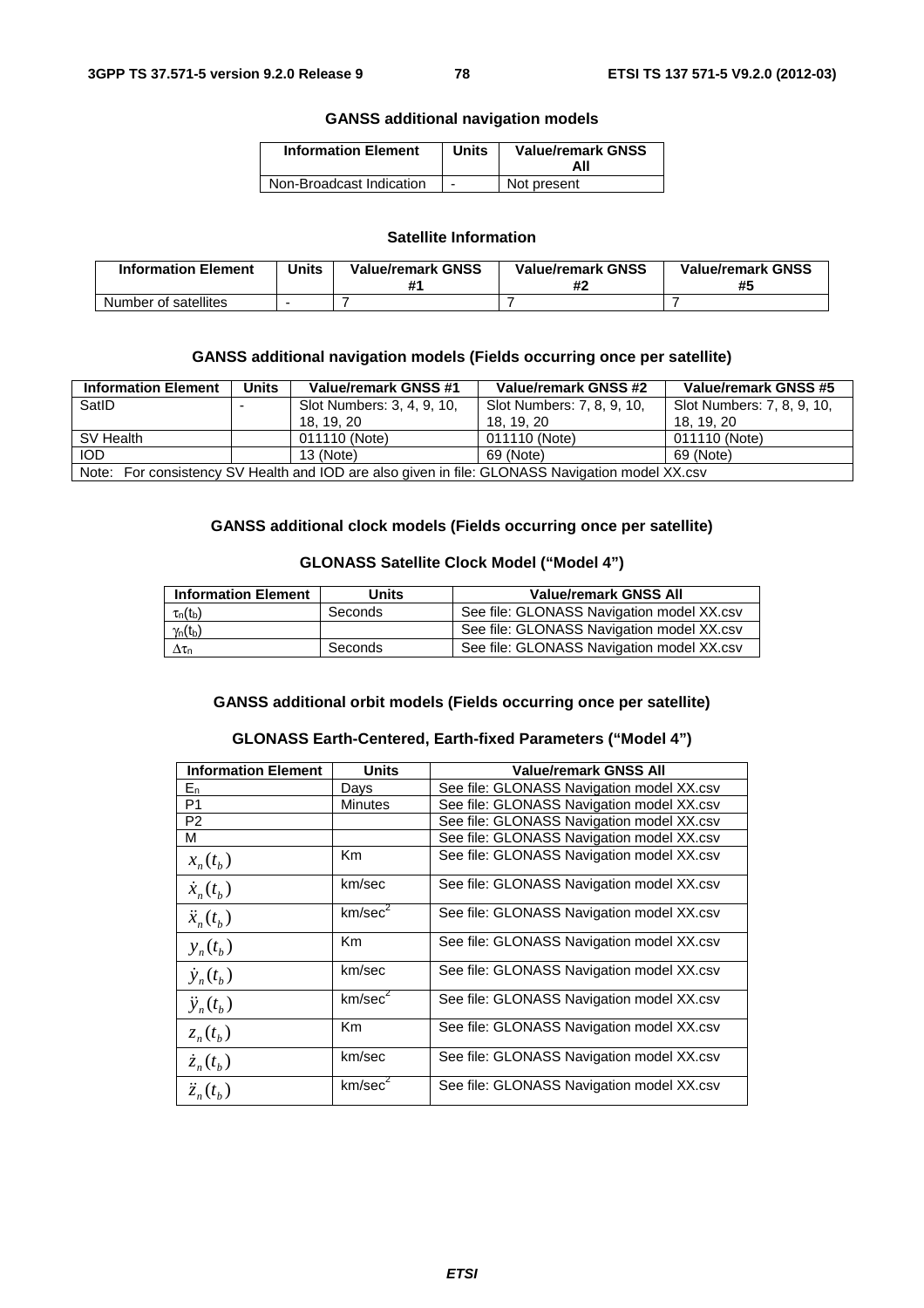# **GANSS additional navigation models**

| <b>Information Element</b> | <b>Units</b> | <b>Value/remark GNSS</b><br>All |
|----------------------------|--------------|---------------------------------|
| Non-Broadcast Indication   |              | Not present                     |

# **Satellite Information**

| <b>Information Element</b> | <b>Units</b> | <b>Value/remark GNSS</b><br>#1 | <b>Value/remark GNSS</b> | <b>Value/remark GNSS</b><br>#5 |
|----------------------------|--------------|--------------------------------|--------------------------|--------------------------------|
| Number of satellites       |              |                                |                          |                                |

# **GANSS additional navigation models (Fields occurring once per satellite)**

| <b>Information Element</b>                                                                      | <b>Units</b> | Value/remark GNSS #1       | Value/remark GNSS #2       | Value/remark GNSS #5       |
|-------------------------------------------------------------------------------------------------|--------------|----------------------------|----------------------------|----------------------------|
| SatID                                                                                           |              | Slot Numbers: 3, 4, 9, 10, | Slot Numbers: 7, 8, 9, 10, | Slot Numbers: 7, 8, 9, 10, |
|                                                                                                 |              | 18. 19. 20                 | 18. 19. 20                 | 18. 19. 20                 |
| SV Health                                                                                       |              | 011110 (Note)              | 011110 (Note)              | 011110 (Note)              |
| <b>IOD</b>                                                                                      |              | $13$ (Note)                | 69 (Note)                  | 69 (Note)                  |
| Note: For consistency SV Health and IOD are also given in file: GLONASS Navigation model XX.csv |              |                            |                            |                            |

# **GANSS additional clock models (Fields occurring once per satellite)**

# **GLONASS Satellite Clock Model ("Model 4")**

| <b>Information Element</b> | <b>Units</b> | <b>Value/remark GNSS All</b>              |
|----------------------------|--------------|-------------------------------------------|
| $\tau_n(t_b)$              | Seconds      | See file: GLONASS Navigation model XX.csv |
| $\gamma_n(t_b)$            |              | See file: GLONASS Navigation model XX.csv |
| $\Delta\tau_{\text{n}}$    | Seconds      | See file: GLONASS Navigation model XX.csv |

#### **GANSS additional orbit models (Fields occurring once per satellite)**

#### **GLONASS Earth-Centered, Earth-fixed Parameters ("Model 4")**

| <b>Information Element</b> | <b>Units</b>        | <b>Value/remark GNSS All</b>              |
|----------------------------|---------------------|-------------------------------------------|
| $E_n$                      | Days                | See file: GLONASS Navigation model XX.csv |
| P <sub>1</sub>             | <b>Minutes</b>      | See file: GLONASS Navigation model XX.csv |
| P <sub>2</sub>             |                     | See file: GLONASS Navigation model XX.csv |
| м                          |                     | See file: GLONASS Navigation model XX.csv |
| $x_n(t_h)$                 | Km                  | See file: GLONASS Navigation model XX.csv |
| $\dot{x}_n(t_h)$           | km/sec              | See file: GLONASS Navigation model XX.csv |
| $\ddot{x}_n(t_h)$          | km/sec <sup>2</sup> | See file: GLONASS Navigation model XX.csv |
| $y_n(t_h)$                 | Km.                 | See file: GLONASS Navigation model XX.csv |
| $\dot{y}_n(t_b)$           | km/sec              | See file: GLONASS Navigation model XX.csv |
| $\ddot{y}_n(t_h)$          | km/sec <sup>2</sup> | See file: GLONASS Navigation model XX.csv |
| $z_n(t_h)$                 | Km                  | See file: GLONASS Navigation model XX.csv |
| $\dot{z}_n(t_b)$           | km/sec              | See file: GLONASS Navigation model XX.csv |
| $\ddot{z}_n(t_h)$          | km/sec <sup>2</sup> | See file: GLONASS Navigation model XX.csv |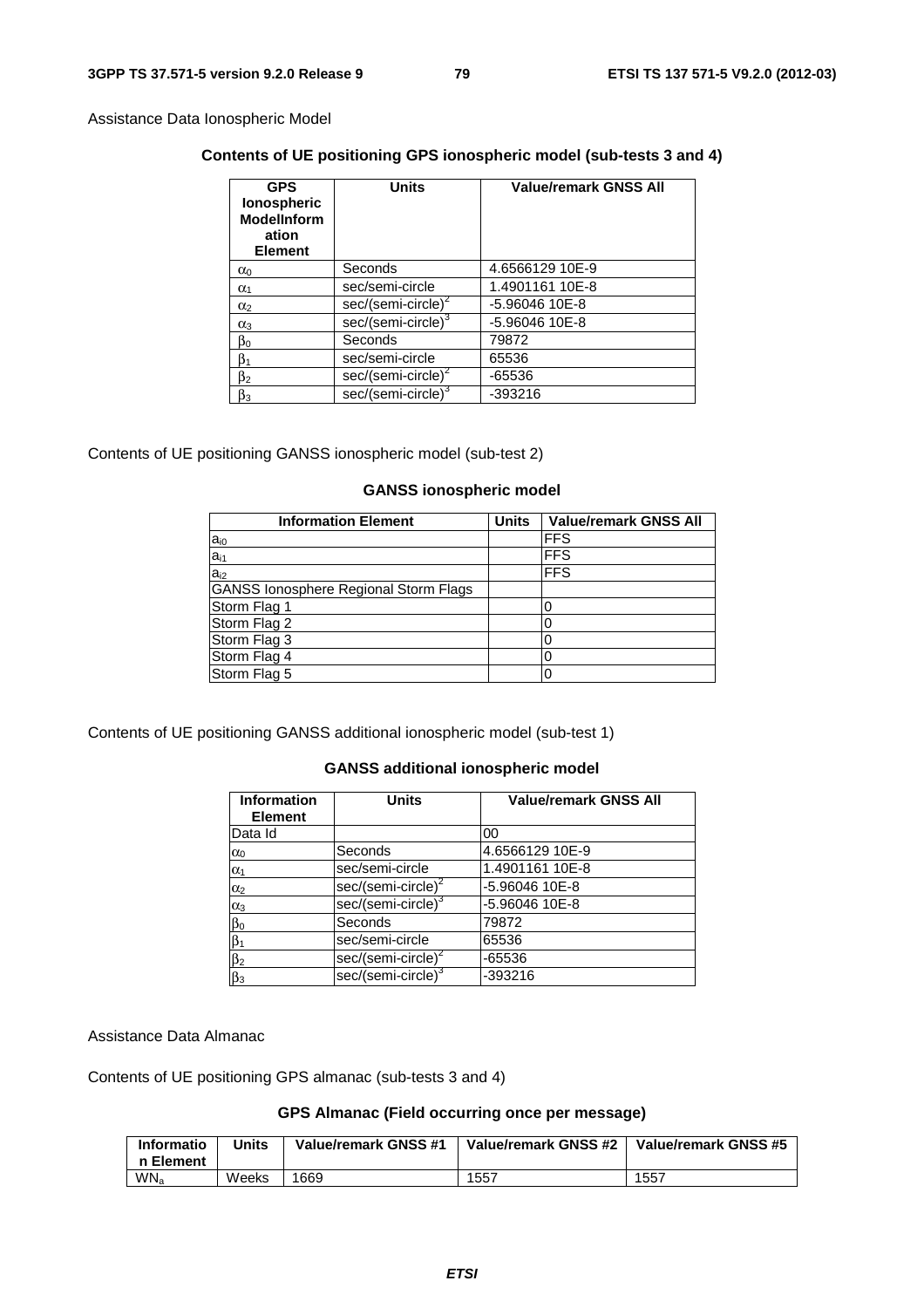Assistance Data Ionospheric Model

# **Contents of UE positioning GPS ionospheric model (sub-tests 3 and 4)**

| <b>GPS</b><br>lonospheric<br><b>ModelInform</b><br>ation<br><b>Element</b> | <b>Units</b>                   | <b>Value/remark GNSS All</b> |
|----------------------------------------------------------------------------|--------------------------------|------------------------------|
| $\alpha_0$                                                                 | Seconds                        | 4.6566129 10E-9              |
| $\alpha_1$                                                                 | sec/semi-circle                | 1.4901161 10E-8              |
| $\alpha_2$                                                                 | $sec/(semi-circle)^2$          | -5.96046 10E-8               |
| $\alpha_3$                                                                 | sec/(semi-circle) <sup>3</sup> | -5.96046 10E-8               |
| $\beta_0$                                                                  | Seconds                        | 79872                        |
| $\beta_1$                                                                  | sec/semi-circle                | 65536                        |
| β2                                                                         | sec/(semi-circle) <sup>2</sup> | -65536                       |
| $\beta_3$                                                                  | sec/(semi-circle) <sup>3</sup> | -393216                      |

# Contents of UE positioning GANSS ionospheric model (sub-test 2)

# **GANSS ionospheric model**

| <b>Information Element</b>                   | <b>Units</b> | <b>Value/remark GNSS All</b> |
|----------------------------------------------|--------------|------------------------------|
| $a_{i0}$                                     |              | <b>FFS</b>                   |
| $a_{i1}$                                     |              | <b>FFS</b>                   |
| $a_{i2}$                                     |              | <b>FFS</b>                   |
| <b>GANSS lonosphere Regional Storm Flags</b> |              |                              |
| Storm Flag 1                                 |              |                              |
| Storm Flag 2                                 |              |                              |
| Storm Flag 3                                 |              |                              |
| Storm Flag 4                                 |              |                              |
| Storm Flag 5                                 |              |                              |

Contents of UE positioning GANSS additional ionospheric model (sub-test 1)

# **GANSS additional ionospheric model**

| <b>Information</b><br><b>Element</b> | <b>Units</b>                   | <b>Value/remark GNSS All</b> |
|--------------------------------------|--------------------------------|------------------------------|
| Data Id                              |                                | 00                           |
| $\alpha_0$                           | Seconds                        | 4.6566129 10E-9              |
| $\alpha_1$                           | sec/semi-circle                | 1.4901161 10E-8              |
| $\alpha_2$                           | sec/(semi-circle) <sup>2</sup> | -5.96046 10E-8               |
| $\alpha_3$                           | sec/(semi-circle) <sup>3</sup> | -5.96046 10E-8               |
| $\beta_0$                            | Seconds                        | 79872                        |
|                                      | sec/semi-circle                | 65536                        |
| $\frac{\beta_1}{\beta_2}$            | sec/(semi-circle) <sup>2</sup> | -65536                       |
| $\beta_3$                            | sec/(semi-circle) <sup>3</sup> | -393216                      |

Assistance Data Almanac

Contents of UE positioning GPS almanac (sub-tests 3 and 4)

# **GPS Almanac (Field occurring once per message)**

| Informatio<br>n Element | Units | Value/remark GNSS #1 | Value/remark GNSS #2 | Value/remark GNSS #5 |
|-------------------------|-------|----------------------|----------------------|----------------------|
| WN <sub>a</sub>         | Weeks | 1669                 | 1557                 | 1557                 |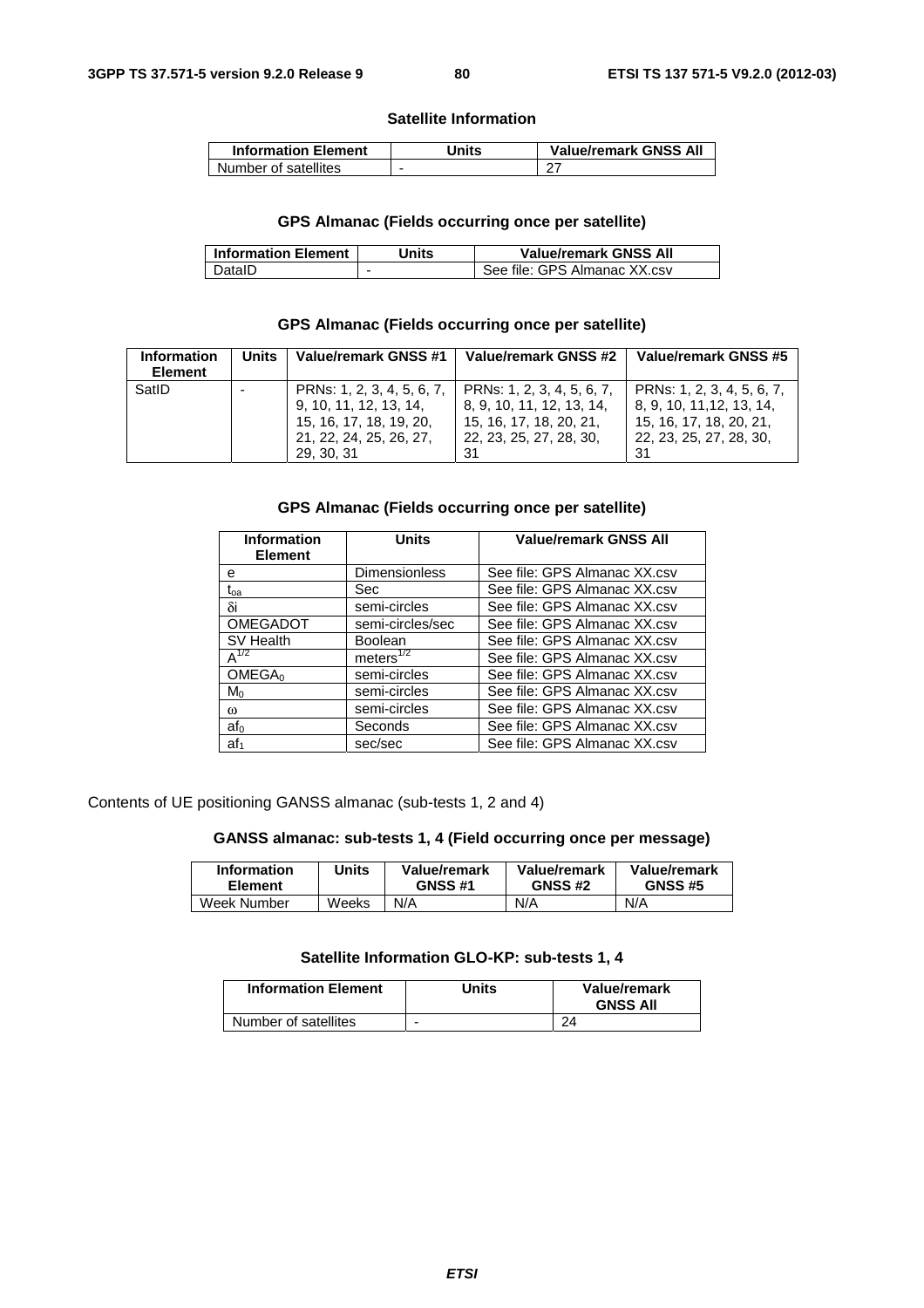#### **Satellite Information**

| <b>Information Element</b> | Jnits | <b>Value/remark GNSS All</b> |
|----------------------------|-------|------------------------------|
| Number of satellites       |       | - റ−                         |

# **GPS Almanac (Fields occurring once per satellite)**

| <b>Information Element</b> | Jnits | <b>Value/remark GNSS All</b> |
|----------------------------|-------|------------------------------|
| DataID                     |       | See file: GPS Almanac XX.csv |

# **GPS Almanac (Fields occurring once per satellite)**

| <b>Information</b><br><b>Element</b> | <b>Units</b> | Value/remark GNSS #1                                                                                                     | Value/remark GNSS #2                                                                                                | Value/remark GNSS #5                                                                                                |
|--------------------------------------|--------------|--------------------------------------------------------------------------------------------------------------------------|---------------------------------------------------------------------------------------------------------------------|---------------------------------------------------------------------------------------------------------------------|
| SatID                                |              | PRNs: 1, 2, 3, 4, 5, 6, 7,<br>9, 10, 11, 12, 13, 14,<br>15, 16, 17, 18, 19, 20,<br>21, 22, 24, 25, 26, 27,<br>29, 30, 31 | PRNs: 1, 2, 3, 4, 5, 6, 7,<br>8, 9, 10, 11, 12, 13, 14,<br>15, 16, 17, 18, 20, 21,<br>22, 23, 25, 27, 28, 30,<br>31 | PRNs: 1, 2, 3, 4, 5, 6, 7,<br>8, 9, 10, 11, 12, 13, 14,<br>15, 16, 17, 18, 20, 21,<br>22, 23, 25, 27, 28, 30,<br>31 |

# **GPS Almanac (Fields occurring once per satellite)**

| <b>Information</b><br><b>Element</b> | <b>Units</b>          | <b>Value/remark GNSS All</b> |
|--------------------------------------|-----------------------|------------------------------|
| е                                    | <b>Dimensionless</b>  | See file: GPS Almanac XX.csv |
| t <sub>oa</sub>                      | <b>Sec</b>            | See file: GPS Almanac XX.csv |
| δi                                   | semi-circles          | See file: GPS Almanac XX.csv |
| <b>OMEGADOT</b>                      | semi-circles/sec      | See file: GPS Almanac XX.csv |
| SV Health                            | Boolean               | See file: GPS Almanac XX.csv |
| $A^{1/2}$                            | meters <sup>1/2</sup> | See file: GPS Almanac XX.csv |
| OMEGA <sub>0</sub>                   | semi-circles          | See file: GPS Almanac XX.csv |
| $M_0$                                | semi-circles          | See file: GPS Almanac XX.csv |
| $\omega$                             | semi-circles          | See file: GPS Almanac XX.csv |
| af <sub>0</sub>                      | Seconds               | See file: GPS Almanac XX.csv |
| $af_1$                               | sec/sec               | See file: GPS Almanac XX.csv |

Contents of UE positioning GANSS almanac (sub-tests 1, 2 and 4)

# **GANSS almanac: sub-tests 1, 4 (Field occurring once per message)**

| <b>Information</b> | Units | Value/remark   | Value/remark   | Value/remark   |
|--------------------|-------|----------------|----------------|----------------|
| <b>Element</b>     |       | <b>GNSS #1</b> | <b>GNSS #2</b> | <b>GNSS #5</b> |
| Week Number        | Weeks | N/A            | N/A            | N/A            |

# **Satellite Information GLO-KP: sub-tests 1, 4**

| <b>Information Element</b> | Units | Value/remark<br><b>GNSS All</b> |
|----------------------------|-------|---------------------------------|
| Number of satellites       | -     | 24                              |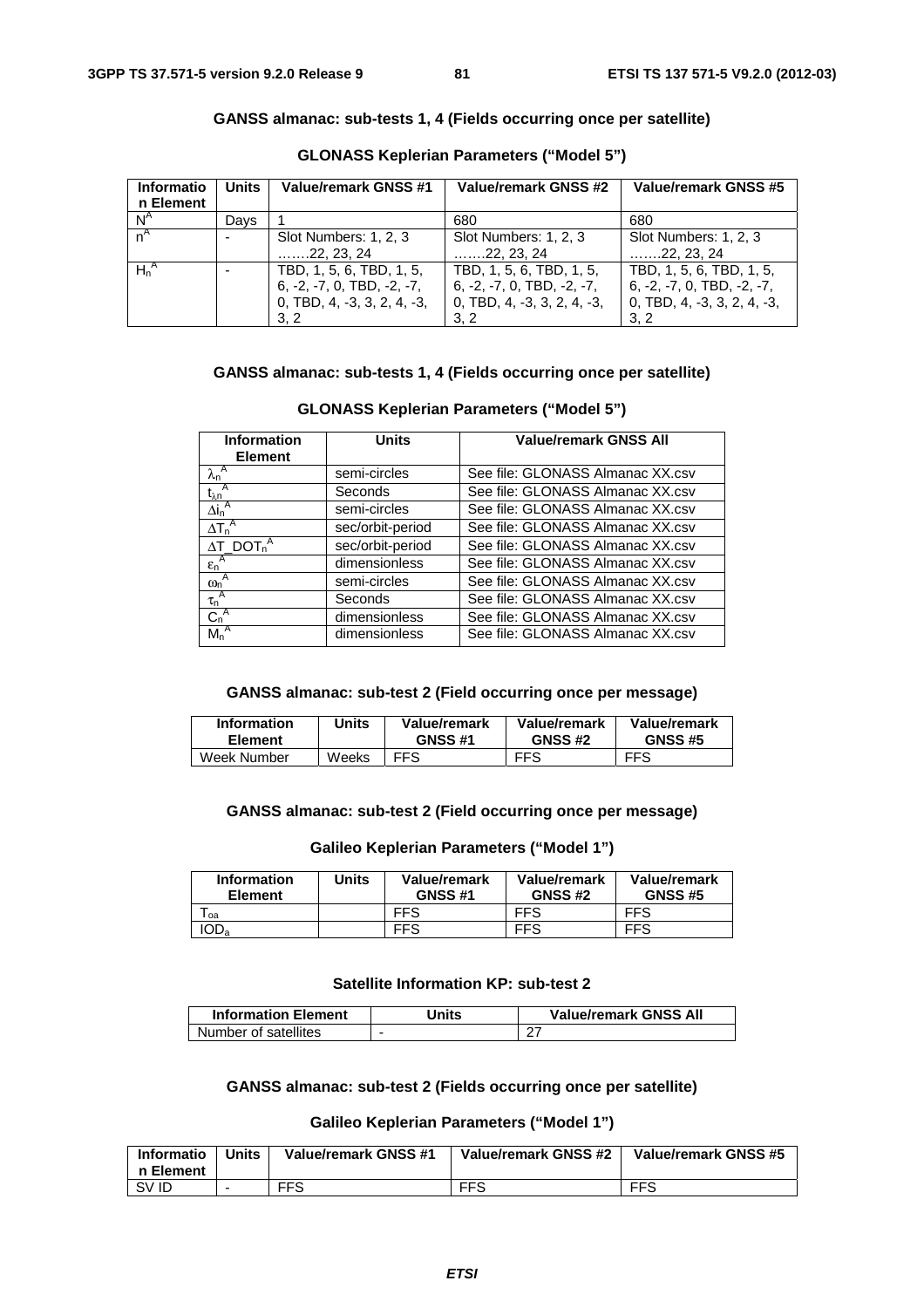# **GANSS almanac: sub-tests 1, 4 (Fields occurring once per satellite)**

| Informatio<br>n Element | <b>Units</b> | Value/remark GNSS #1                                                                           | Value/remark GNSS #2                                                                             | Value/remark GNSS #5                                                                           |
|-------------------------|--------------|------------------------------------------------------------------------------------------------|--------------------------------------------------------------------------------------------------|------------------------------------------------------------------------------------------------|
| $N^A$                   | Davs         |                                                                                                | 680                                                                                              | 680                                                                                            |
| $n^A$                   |              | Slot Numbers: 1, 2, 3<br>$\ldots$ 22, 23, 24                                                   | Slot Numbers: 1, 2, 3<br>$\ldots$ . 22. 23. 24                                                   | Slot Numbers: 1, 2, 3<br>$\ldots$ . 22. 23. 24                                                 |
| $H_n^A$                 |              | TBD, 1, 5, 6, TBD, 1, 5,<br>$6, -2, -7, 0, TBD, -2, -7,$<br>0, TBD, 4, -3, 3, 2, 4, -3,<br>3.2 | TBD, 1, 5, 6, TBD, 1, 5,<br>$6, -2, -7, 0, TBD, -2, -7,$<br>$0,$ TBD, 4, -3, 3, 2, 4, -3,<br>3.2 | TBD, 1, 5, 6, TBD, 1, 5,<br>$6, -2, -7, 0, TBD, -2, -7,$<br>0, TBD, 4, -3, 3, 2, 4, -3,<br>3.2 |

#### **GLONASS Keplerian Parameters ("Model 5")**

# **GANSS almanac: sub-tests 1, 4 (Fields occurring once per satellite)**

| <b>Information</b><br><b>Element</b>            | <b>Units</b>     | <b>Value/remark GNSS All</b>     |  |
|-------------------------------------------------|------------------|----------------------------------|--|
| $\lambda_n^A$                                   | semi-circles     | See file: GLONASS Almanac XX.csv |  |
| $\overline{t_{\lambda n}}^A$                    | Seconds          | See file: GLONASS Almanac XX.csv |  |
| $\overline{\Delta}$ i <sub>n</sub> <sup>A</sup> | semi-circles     | See file: GLONASS Almanac XX.csv |  |
| $\Delta T_n^A$<br>sec/orbit-period              |                  | See file: GLONASS Almanac XX.csv |  |
| $\Delta T\_DOT_n^A$                             | sec/orbit-period | See file: GLONASS Almanac XX.csv |  |
| $\epsilon_n^A$<br>dimensionless                 |                  | See file: GLONASS Almanac XX.csv |  |
| $\omega_n^A$                                    | semi-circles     | See file: GLONASS Almanac XX.csv |  |
| $\tau_n^A$                                      | Seconds          | See file: GLONASS Almanac XX.csv |  |
| $C_n^A$                                         | dimensionless    | See file: GLONASS Almanac XX.csv |  |
| $M_n^A$                                         | dimensionless    | See file: GLONASS Almanac XX.csv |  |

# **GLONASS Keplerian Parameters ("Model 5")**

#### **GANSS almanac: sub-test 2 (Field occurring once per message)**

| <b>Information</b> | Units | Value/remark   | Value/remark   | Value/remark   |
|--------------------|-------|----------------|----------------|----------------|
| <b>Element</b>     |       | <b>GNSS #1</b> | <b>GNSS #2</b> | <b>GNSS #5</b> |
| Week Number        | Weeks | FFS            | <b>FFS</b>     | <b>FFS</b>     |

# **GANSS almanac: sub-test 2 (Field occurring once per message)**

#### **Galileo Keplerian Parameters ("Model 1")**

| <b>Information</b><br><b>Element</b> | Units | Value/remark<br><b>GNSS #1</b> | Value/remark<br><b>GNSS #2</b> | Value/remark<br><b>GNSS #5</b> |
|--------------------------------------|-------|--------------------------------|--------------------------------|--------------------------------|
| l oa                                 |       | FFS                            | <b>FFS</b>                     | <b>FFS</b>                     |
| 'OD <sub>a</sub>                     |       | <b>FFS</b>                     | <b>FFS</b>                     | <b>FFS</b>                     |

# **Satellite Information KP: sub-test 2**

| <b>Information Element</b> | Jnits | <b>Value/remark GNSS All</b> |
|----------------------------|-------|------------------------------|
| Number of satellites       |       |                              |

# **GANSS almanac: sub-test 2 (Fields occurring once per satellite)**

# **Galileo Keplerian Parameters ("Model 1")**

| <b>Informatio</b><br>n Element | <b>Units</b> | Value/remark GNSS #1 | Value/remark GNSS #2 | Value/remark GNSS #5 |
|--------------------------------|--------------|----------------------|----------------------|----------------------|
| SV ID                          |              | <b>FFS</b>           | <b>FFS</b>           | <b>FFS</b>           |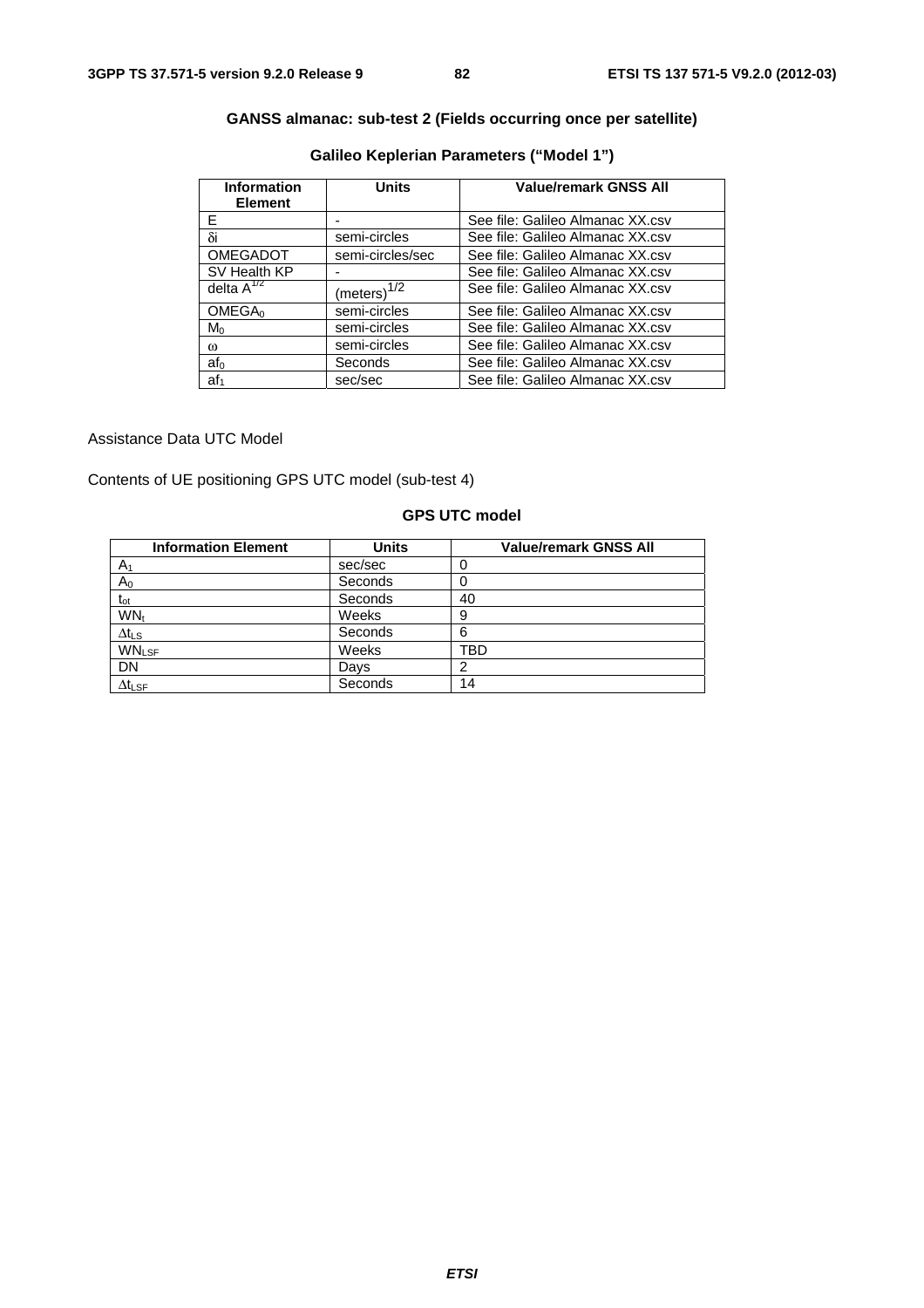# **GANSS almanac: sub-test 2 (Fields occurring once per satellite)**

| <b>Information</b><br><b>Element</b> | <b>Units</b>     | <b>Value/remark GNSS All</b>     |
|--------------------------------------|------------------|----------------------------------|
| F                                    |                  | See file: Galileo Almanac XX.csv |
| δi                                   | semi-circles     | See file: Galileo Almanac XX.csv |
| <b>OMEGADOT</b>                      | semi-circles/sec | See file: Galileo Almanac XX.csv |
| SV Health KP                         |                  | See file: Galileo Almanac XX.csv |
| delta $A^{1/2}$                      | $(meters)^{1/2}$ | See file: Galileo Almanac XX.csv |
| OMEGA <sub>0</sub>                   | semi-circles     | See file: Galileo Almanac XX.csv |
| $M_0$                                | semi-circles     | See file: Galileo Almanac XX.csv |
| $\omega$                             | semi-circles     | See file: Galileo Almanac XX.csv |
| af <sub>0</sub>                      | Seconds          | See file: Galileo Almanac XX.csv |
| $af_1$                               | sec/sec          | See file: Galileo Almanac XX.csv |

# **Galileo Keplerian Parameters ("Model 1")**

Assistance Data UTC Model

Contents of UE positioning GPS UTC model (sub-test 4)

# **GPS UTC model**

| <b>Information Element</b> | <b>Units</b> | <b>Value/remark GNSS All</b> |
|----------------------------|--------------|------------------------------|
| A <sub>1</sub>             | sec/sec      |                              |
| $\mathsf A_0$              | Seconds      |                              |
| $t_{ot}$                   | Seconds      | 40                           |
| WN <sub>t</sub>            | Weeks        | 9                            |
| $\Delta t_{\text{LS}}$     | Seconds      | 6                            |
| <b>WNLSF</b>               | Weeks        | TBD                          |
| DN                         | Days         |                              |
| $\Delta t_{\text{LSF}}$    | Seconds      | 14                           |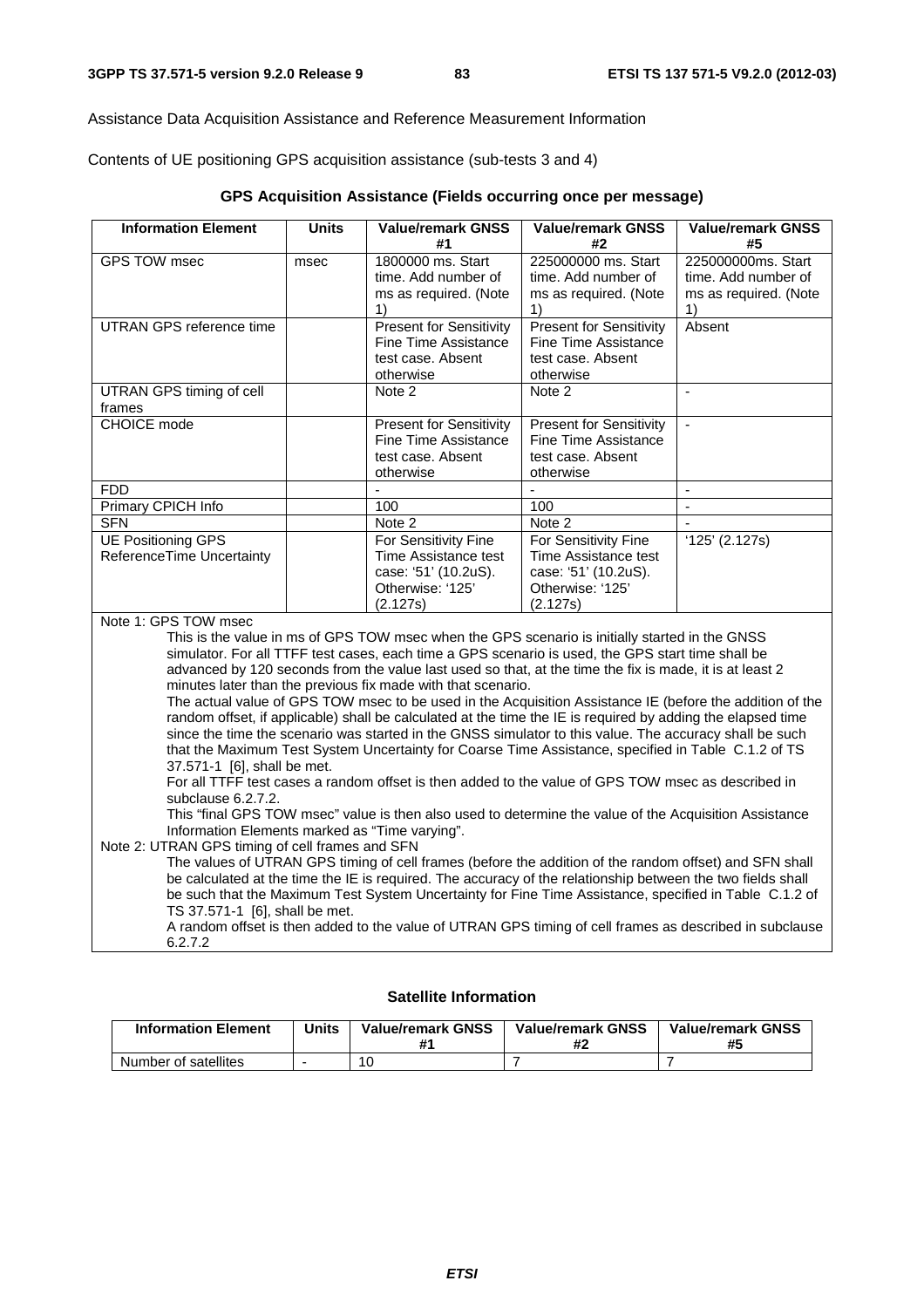Assistance Data Acquisition Assistance and Reference Measurement Information

Contents of UE positioning GPS acquisition assistance (sub-tests 3 and 4)

| GPS Acquisition Assistance (Fields occurring once per message) |  |  |
|----------------------------------------------------------------|--|--|
|----------------------------------------------------------------|--|--|

| <b>Information Element</b>                                                                                         | <b>Units</b>                                                                                                                                             | <b>Value/remark GNSS</b>                                                                                    | <b>Value/remark GNSS</b>       | <b>Value/remark GNSS</b>    |  |  |
|--------------------------------------------------------------------------------------------------------------------|----------------------------------------------------------------------------------------------------------------------------------------------------------|-------------------------------------------------------------------------------------------------------------|--------------------------------|-----------------------------|--|--|
|                                                                                                                    |                                                                                                                                                          | #1                                                                                                          | #2                             | #5                          |  |  |
| <b>GPS TOW msec</b>                                                                                                | msec                                                                                                                                                     | 1800000 ms. Start                                                                                           | 225000000 ms. Start            | 225000000ms. Start          |  |  |
|                                                                                                                    |                                                                                                                                                          | time. Add number of                                                                                         | time. Add number of            | time. Add number of         |  |  |
|                                                                                                                    |                                                                                                                                                          | ms as required. (Note<br>1)                                                                                 | ms as required. (Note<br>1)    | ms as required. (Note<br>1) |  |  |
| <b>UTRAN GPS reference time</b>                                                                                    |                                                                                                                                                          | <b>Present for Sensitivity</b>                                                                              | <b>Present for Sensitivity</b> | Absent                      |  |  |
|                                                                                                                    |                                                                                                                                                          | <b>Fine Time Assistance</b>                                                                                 | Fine Time Assistance           |                             |  |  |
|                                                                                                                    |                                                                                                                                                          | test case. Absent                                                                                           | test case. Absent              |                             |  |  |
|                                                                                                                    |                                                                                                                                                          | otherwise                                                                                                   | otherwise                      |                             |  |  |
| UTRAN GPS timing of cell                                                                                           |                                                                                                                                                          | Note 2                                                                                                      | Note 2                         | $\mathbf{r}$                |  |  |
| frames                                                                                                             |                                                                                                                                                          |                                                                                                             |                                |                             |  |  |
| CHOICE mode                                                                                                        |                                                                                                                                                          | <b>Present for Sensitivity</b>                                                                              | <b>Present for Sensitivity</b> | $\blacksquare$              |  |  |
|                                                                                                                    |                                                                                                                                                          | <b>Fine Time Assistance</b>                                                                                 | <b>Fine Time Assistance</b>    |                             |  |  |
|                                                                                                                    |                                                                                                                                                          | test case. Absent<br>otherwise                                                                              | test case. Absent<br>otherwise |                             |  |  |
| <b>FDD</b>                                                                                                         |                                                                                                                                                          | $\blacksquare$                                                                                              | $\overline{a}$                 | $\mathbf{r}$                |  |  |
| Primary CPICH Info                                                                                                 |                                                                                                                                                          | 100                                                                                                         | 100                            | $\blacksquare$              |  |  |
| <b>SFN</b>                                                                                                         |                                                                                                                                                          | Note 2                                                                                                      | Note 2                         | $\mathbf{r}$                |  |  |
| <b>UE Positioning GPS</b>                                                                                          |                                                                                                                                                          | For Sensitivity Fine                                                                                        | For Sensitivity Fine           | '125' (2.127s)              |  |  |
| ReferenceTime Uncertainty                                                                                          |                                                                                                                                                          | Time Assistance test                                                                                        | Time Assistance test           |                             |  |  |
|                                                                                                                    |                                                                                                                                                          | case: '51' (10.2uS).                                                                                        | case: '51' (10.2uS).           |                             |  |  |
|                                                                                                                    |                                                                                                                                                          | Otherwise: '125'                                                                                            | Otherwise: '125'               |                             |  |  |
| Note 1: GPS TOW msec                                                                                               |                                                                                                                                                          | (2.127s)                                                                                                    | (2.127s)                       |                             |  |  |
|                                                                                                                    |                                                                                                                                                          | This is the value in ms of GPS TOW msec when the GPS scenario is initially started in the GNSS              |                                |                             |  |  |
|                                                                                                                    |                                                                                                                                                          | simulator. For all TTFF test cases, each time a GPS scenario is used, the GPS start time shall be           |                                |                             |  |  |
|                                                                                                                    |                                                                                                                                                          | advanced by 120 seconds from the value last used so that, at the time the fix is made, it is at least 2     |                                |                             |  |  |
|                                                                                                                    |                                                                                                                                                          | minutes later than the previous fix made with that scenario.                                                |                                |                             |  |  |
|                                                                                                                    |                                                                                                                                                          | The actual value of GPS TOW msec to be used in the Acquisition Assistance IE (before the addition of the    |                                |                             |  |  |
|                                                                                                                    |                                                                                                                                                          | random offset, if applicable) shall be calculated at the time the IE is required by adding the elapsed time |                                |                             |  |  |
|                                                                                                                    |                                                                                                                                                          | since the time the scenario was started in the GNSS simulator to this value. The accuracy shall be such     |                                |                             |  |  |
|                                                                                                                    |                                                                                                                                                          | that the Maximum Test System Uncertainty for Coarse Time Assistance, specified in Table C.1.2 of TS         |                                |                             |  |  |
| 37.571-1 [6], shall be met.                                                                                        |                                                                                                                                                          |                                                                                                             |                                |                             |  |  |
| subclause 6.2.7.2.                                                                                                 |                                                                                                                                                          | For all TTFF test cases a random offset is then added to the value of GPS TOW msec as described in          |                                |                             |  |  |
|                                                                                                                    |                                                                                                                                                          |                                                                                                             |                                |                             |  |  |
|                                                                                                                    | This "final GPS TOW msec" value is then also used to determine the value of the Acquisition Assistance<br>Information Elements marked as "Time varying". |                                                                                                             |                                |                             |  |  |
| Note 2: UTRAN GPS timing of cell frames and SFN                                                                    |                                                                                                                                                          |                                                                                                             |                                |                             |  |  |
|                                                                                                                    |                                                                                                                                                          | The values of UTRAN GPS timing of cell frames (before the addition of the random offset) and SFN shall      |                                |                             |  |  |
|                                                                                                                    |                                                                                                                                                          | be calculated at the time the IE is required. The accuracy of the relationship between the two fields shall |                                |                             |  |  |
|                                                                                                                    |                                                                                                                                                          | be such that the Maximum Test System Uncertainty for Fine Time Assistance, specified in Table C.1.2 of      |                                |                             |  |  |
| TS 37.571-1 [6], shall be met.                                                                                     |                                                                                                                                                          |                                                                                                             |                                |                             |  |  |
| A random offset is then added to the value of UTRAN GPS timing of cell frames as described in subclause<br>6.2.7.2 |                                                                                                                                                          |                                                                                                             |                                |                             |  |  |

# **Satellite Information**

| <b>Information Element</b> | Units | <b>Value/remark GNSS</b> | <b>Value/remark GNSS</b> | <b>Value/remark GNSS</b><br>#5 |
|----------------------------|-------|--------------------------|--------------------------|--------------------------------|
| Number of satellites       |       |                          |                          |                                |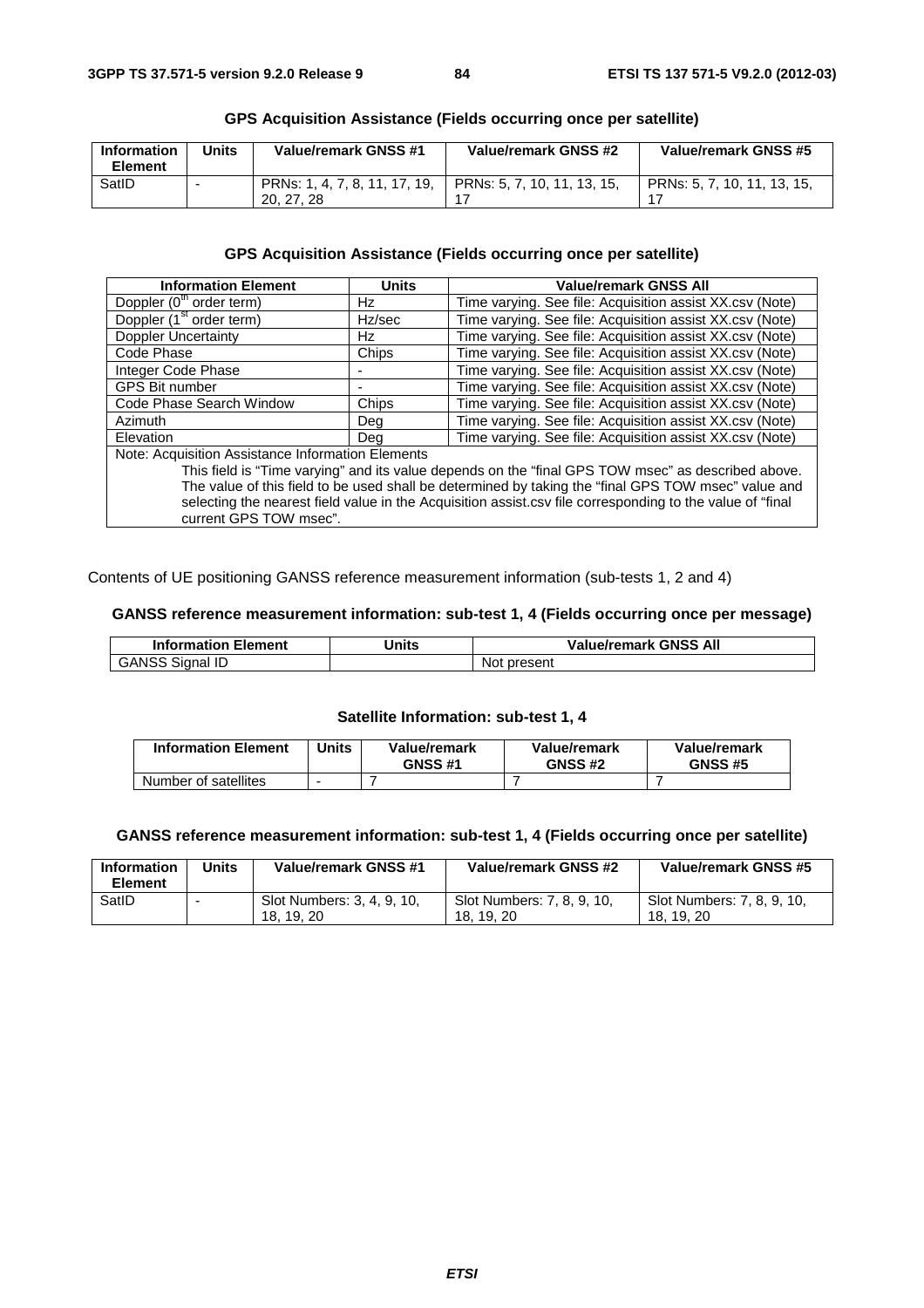| Information<br><b>Element</b> | <b>Jnits</b> | Value/remark GNSS #1                        | Value/remark GNSS #2          | Value/remark GNSS #5        |
|-------------------------------|--------------|---------------------------------------------|-------------------------------|-----------------------------|
| SatID                         |              | PRNs: 1, 4, 7, 8, 11, 17, 19,<br>20, 27, 28 | l PRNs: 5. 7. 10. 11. 13. 15. | PRNs: 5, 7, 10, 11, 13, 15, |

# **GPS Acquisition Assistance (Fields occurring once per satellite)**

# **GPS Acquisition Assistance (Fields occurring once per satellite)**

| <b>Information Element</b>                                                                                | <b>Units</b> | <b>Value/remark GNSS All</b>                                                                       |  |  |
|-----------------------------------------------------------------------------------------------------------|--------------|----------------------------------------------------------------------------------------------------|--|--|
| Doppler (0 <sup>th</sup> order term)                                                                      | Hz           | Time varying. See file: Acquisition assist XX.csv (Note)                                           |  |  |
| Doppler (1 <sup>st</sup> order term)                                                                      | Hz/sec       | Time varying. See file: Acquisition assist XX.csv (Note)                                           |  |  |
| Doppler Uncertainty                                                                                       | Hz.          | Time varying. See file: Acquisition assist XX.csv (Note)                                           |  |  |
| Code Phase                                                                                                | Chips        | Time varying. See file: Acquisition assist XX.csv (Note)                                           |  |  |
| Integer Code Phase                                                                                        |              | Time varying. See file: Acquisition assist XX.csv (Note)                                           |  |  |
| <b>GPS Bit number</b>                                                                                     |              | Time varying. See file: Acquisition assist XX.csv (Note)                                           |  |  |
| Code Phase Search Window                                                                                  | Chips        | Time varying. See file: Acquisition assist XX.csv (Note)                                           |  |  |
| <b>Azimuth</b>                                                                                            | Deg          | Time varying. See file: Acquisition assist XX.csv (Note)                                           |  |  |
| Elevation                                                                                                 | Dea          | Time varying. See file: Acquisition assist XX.csv (Note)                                           |  |  |
| Note: Acquisition Assistance Information Elements                                                         |              |                                                                                                    |  |  |
|                                                                                                           |              | This field is "Time varying" and its value depends on the "final GPS TOW msec" as described above. |  |  |
| The value of this field to be used shall be determined by taking the "final GPS TOW msec" value and       |              |                                                                                                    |  |  |
| selecting the nearest field value in the Acquisition assist.csv file corresponding to the value of "final |              |                                                                                                    |  |  |
| current GPS TOW msec".                                                                                    |              |                                                                                                    |  |  |

Contents of UE positioning GANSS reference measurement information (sub-tests 1, 2 and 4)

# **GANSS reference measurement information: sub-test 1, 4 (Fields occurring once per message)**

| <b>Information Element</b> | <b>Units</b> | <b>Value/remark GNSS All</b> |
|----------------------------|--------------|------------------------------|
| GANSS<br>ID<br>Signal      |              | present<br>Not               |

#### **Satellite Information: sub-test 1, 4**

| <b>Information Element</b> | Jnits | Value/remark<br><b>GNSS #1</b> | Value/remark<br><b>GNSS #2</b> | Value/remark<br><b>GNSS #5</b> |
|----------------------------|-------|--------------------------------|--------------------------------|--------------------------------|
| Number of satellites       |       |                                |                                |                                |

# **GANSS reference measurement information: sub-test 1, 4 (Fields occurring once per satellite)**

| <b>Information</b><br>Element | Units | Value/remark GNSS #1                   | Value/remark GNSS #2                     | Value/remark GNSS #5                     |
|-------------------------------|-------|----------------------------------------|------------------------------------------|------------------------------------------|
| SatID                         |       | Slot Numbers: 3, 4, 9, 10,<br>18.19.20 | Slot Numbers: 7, 8, 9, 10,<br>18, 19, 20 | Slot Numbers: 7, 8, 9, 10,<br>18, 19, 20 |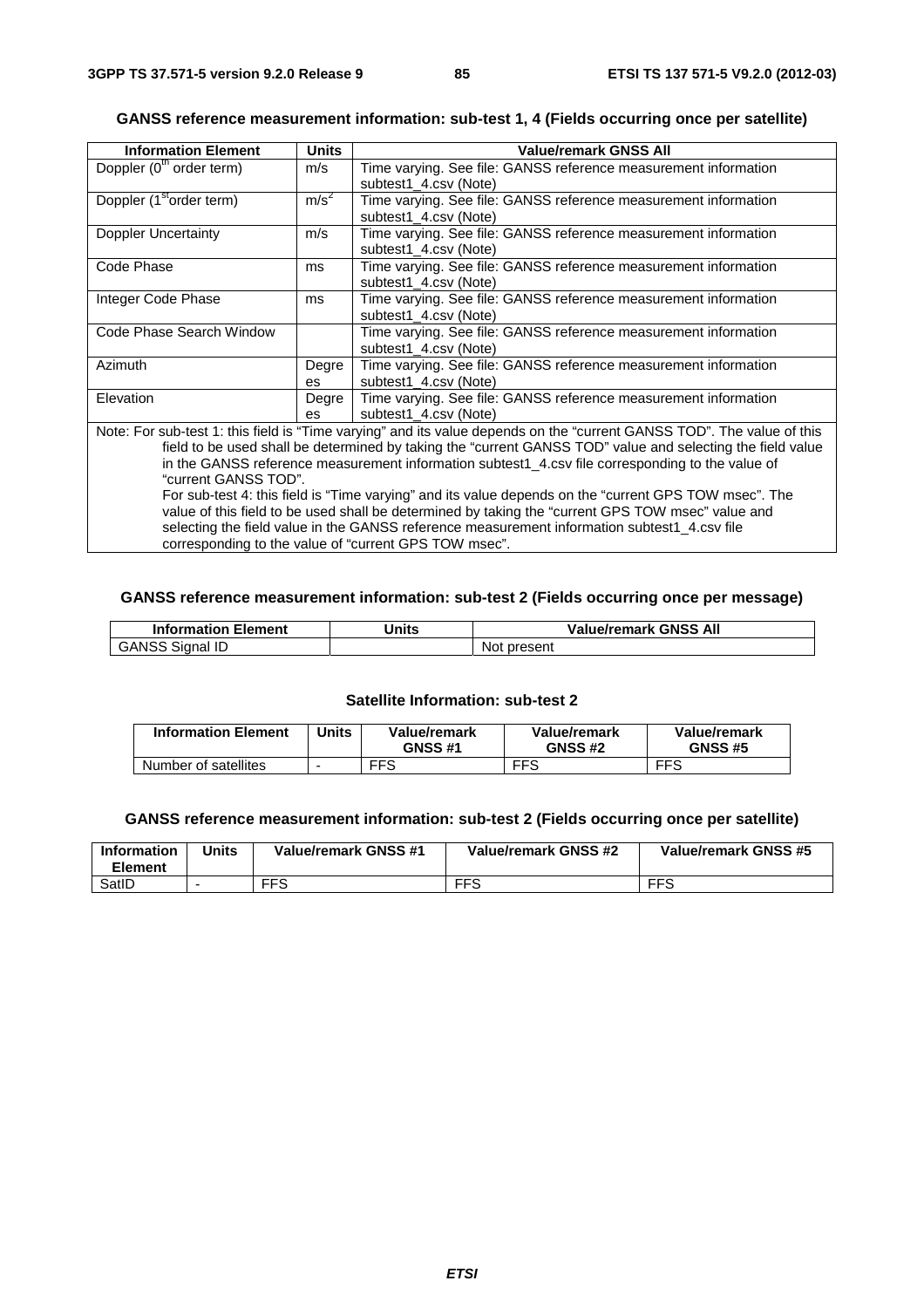# **GANSS reference measurement information: sub-test 1, 4 (Fields occurring once per satellite)**

| <b>Information Element</b>                                                                            | Units                 | <b>Value/remark GNSS All</b>                                                                                           |  |  |
|-------------------------------------------------------------------------------------------------------|-----------------------|------------------------------------------------------------------------------------------------------------------------|--|--|
| Doppler (0 <sup>th</sup> order term)                                                                  | m/s                   | Time varying. See file: GANSS reference measurement information                                                        |  |  |
|                                                                                                       |                       | subtest1_4.csv (Note)                                                                                                  |  |  |
| Doppler (1 <sup>st</sup> order term)                                                                  | m/s <sup>2</sup>      | Time varying. See file: GANSS reference measurement information                                                        |  |  |
|                                                                                                       |                       | subtest1 4.csv (Note)                                                                                                  |  |  |
| Doppler Uncertainty                                                                                   | m/s                   | Time varying. See file: GANSS reference measurement information                                                        |  |  |
|                                                                                                       |                       | subtest1_4.csv (Note)                                                                                                  |  |  |
| Code Phase                                                                                            | ms                    | Time varying. See file: GANSS reference measurement information                                                        |  |  |
|                                                                                                       |                       | subtest1 4.csv (Note)                                                                                                  |  |  |
| Integer Code Phase<br>ms                                                                              |                       | Time varying. See file: GANSS reference measurement information                                                        |  |  |
|                                                                                                       | subtest1 4.csv (Note) |                                                                                                                        |  |  |
| Code Phase Search Window                                                                              |                       | Time varying. See file: GANSS reference measurement information                                                        |  |  |
|                                                                                                       |                       | subtest1 4.csv (Note)                                                                                                  |  |  |
| Azimuth                                                                                               | Degre                 | Time varying. See file: GANSS reference measurement information                                                        |  |  |
|                                                                                                       | es                    | subtest1_4.csv (Note)                                                                                                  |  |  |
| Elevation                                                                                             | Degre                 | Time varying. See file: GANSS reference measurement information                                                        |  |  |
|                                                                                                       | es                    | subtest1_4.csv (Note)                                                                                                  |  |  |
|                                                                                                       |                       | Note: For sub-test 1: this field is "Time varying" and its value depends on the "current GANSS TOD". The value of this |  |  |
|                                                                                                       |                       | field to be used shall be determined by taking the "current GANSS TOD" value and selecting the field value             |  |  |
|                                                                                                       |                       | in the GANSS reference measurement information subtest1_4.csv file corresponding to the value of                       |  |  |
| "current GANSS TOD".                                                                                  |                       |                                                                                                                        |  |  |
| For sub-test 4: this field is "Time varying" and its value depends on the "current GPS TOW msec". The |                       |                                                                                                                        |  |  |
|                                                                                                       |                       | value of this field to be used shall be determined by taking the "current GPS TOW msec" value and                      |  |  |
|                                                                                                       |                       | selecting the field value in the GANSS reference measurement information subtest1_4.csv file                           |  |  |

corresponding to the value of "current GPS TOW msec".

# **GANSS reference measurement information: sub-test 2 (Fields occurring once per message)**

| <b>Information Element</b> | Units | <b>Value/remark GNSS All</b> |
|----------------------------|-------|------------------------------|
| <b>GANSS Signal ID</b>     |       | Not present                  |

#### **Satellite Information: sub-test 2**

| <b>Information Element</b> | Units | Value/remark<br><b>GNSS #1</b> | Value/remark<br><b>GNSS #2</b> | Value/remark<br><b>GNSS #5</b> |
|----------------------------|-------|--------------------------------|--------------------------------|--------------------------------|
| Number of satellites       |       | <b>FFS</b>                     | <b>FFS</b>                     | <b>FFS</b>                     |

#### **GANSS reference measurement information: sub-test 2 (Fields occurring once per satellite)**

| Information<br><b>Element</b> | Jnits | Value/remark GNSS #1 | Value/remark GNSS #2 | Value/remark GNSS #5 |
|-------------------------------|-------|----------------------|----------------------|----------------------|
| SatID                         |       | <b>FFS</b>           | FFS                  | <b>FFS</b>           |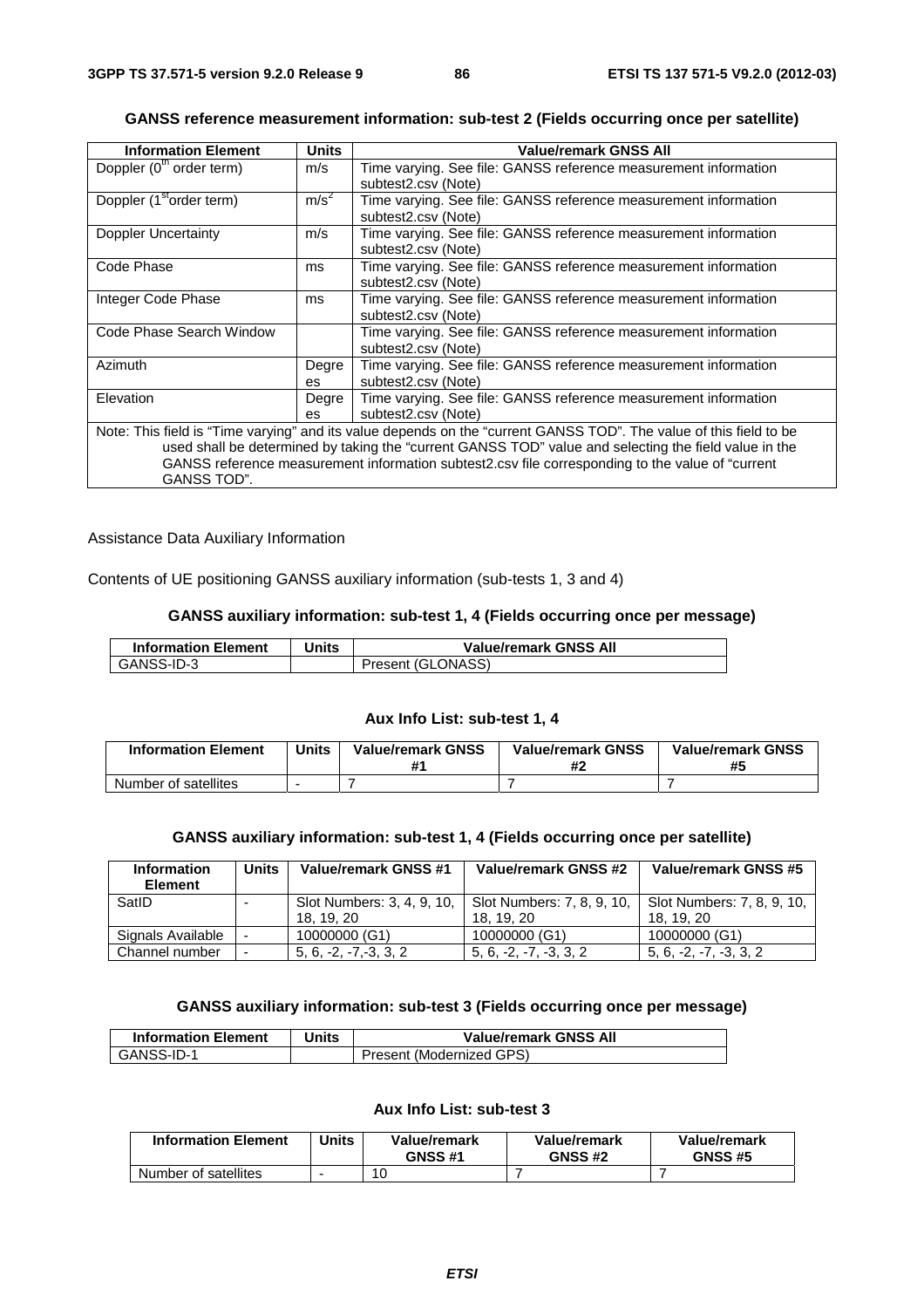| <b>Information Element</b>           | <b>Units</b>     | <b>Value/remark GNSS All</b>                                                                                       |
|--------------------------------------|------------------|--------------------------------------------------------------------------------------------------------------------|
| Doppler (0 <sup>th</sup> order term) | m/s              | Time varying. See file: GANSS reference measurement information                                                    |
|                                      |                  | subtest2.csv (Note)                                                                                                |
| Doppler (1 <sup>st</sup> order term) | m/s <sup>2</sup> | Time varying. See file: GANSS reference measurement information                                                    |
|                                      |                  | subtest2.csv (Note)                                                                                                |
| Doppler Uncertainty                  | m/s              | Time varying. See file: GANSS reference measurement information                                                    |
|                                      |                  | subtest2.csv (Note)                                                                                                |
| Code Phase                           | ms               | Time varying. See file: GANSS reference measurement information                                                    |
|                                      |                  | subtest2.csv (Note)                                                                                                |
| Integer Code Phase                   | ms               | Time varying. See file: GANSS reference measurement information                                                    |
|                                      |                  | subtest2.csv (Note)                                                                                                |
| Code Phase Search Window             |                  | Time varying. See file: GANSS reference measurement information                                                    |
|                                      |                  | subtest2.csv (Note)                                                                                                |
| Azimuth                              | Degre            | Time varying. See file: GANSS reference measurement information                                                    |
|                                      | es               | subtest2.csv (Note)                                                                                                |
| Elevation                            | Degre            | Time varying. See file: GANSS reference measurement information                                                    |
|                                      | es.              | subtest2.csv (Note)                                                                                                |
|                                      |                  | Note: This field is "Time varying" and its value depends on the "current GANSS TOD". The value of this field to be |
|                                      |                  | used shall be determined by taking the "current GANSS TOD" value and selecting the field value in the              |
|                                      |                  | GANSS reference measurement information subtest2.csv file corresponding to the value of "current                   |
| GANSS TOD".                          |                  |                                                                                                                    |

# **GANSS reference measurement information: sub-test 2 (Fields occurring once per satellite)**

Assistance Data Auxiliary Information

Contents of UE positioning GANSS auxiliary information (sub-tests 1, 3 and 4)

#### **GANSS auxiliary information: sub-test 1, 4 (Fields occurring once per message)**

| <b>Information Element</b> | Units | <b>Value/remark GNSS All</b> |
|----------------------------|-------|------------------------------|
| GANSS-ID-3                 |       | Present (GLONASS)            |

#### **Aux Info List: sub-test 1, 4**

| <b>Information Element</b> | <b>Units</b> | <b>Value/remark GNSS</b> | <b>Value/remark GNSS</b> | <b>Value/remark GNSS</b><br>#5 |
|----------------------------|--------------|--------------------------|--------------------------|--------------------------------|
| Number of satellites       |              |                          |                          |                                |

#### **GANSS auxiliary information: sub-test 1, 4 (Fields occurring once per satellite)**

| Information<br><b>Element</b> | Units                    | Value/remark GNSS #1       | Value/remark GNSS #2       | Value/remark GNSS #5       |
|-------------------------------|--------------------------|----------------------------|----------------------------|----------------------------|
| SatID                         |                          | Slot Numbers: 3, 4, 9, 10, | Slot Numbers: 7, 8, 9, 10. | Slot Numbers: 7, 8, 9, 10. |
|                               |                          | 18. 19. 20                 | 18, 19, 20                 | 18. 19. 20                 |
| Signals Available             |                          | 10000000 (G1)              | 10000000 (G1)              | 10000000 (G1)              |
| Channel number                | $\overline{\phantom{a}}$ | $5, 6, -2, -7, -3, 3, 2$   | $5, 6, -2, -7, -3, 3, 2$   | $5, 6, -2, -7, -3, 3, 2$   |

# **GANSS auxiliary information: sub-test 3 (Fields occurring once per message)**

| <b>Information Element</b> | Units | <b>Value/remark GNSS All</b> |
|----------------------------|-------|------------------------------|
| l GANSS-ID-1               |       | Present (Modernized GPS)     |

# **Aux Info List: sub-test 3**

| <b>Information Element</b> | 'Jnits | Value/remark<br><b>GNSS #1</b> | Value/remark<br><b>GNSS #2</b> | Value/remark<br><b>GNSS #5</b> |
|----------------------------|--------|--------------------------------|--------------------------------|--------------------------------|
| Number of satellites       |        | 10                             |                                |                                |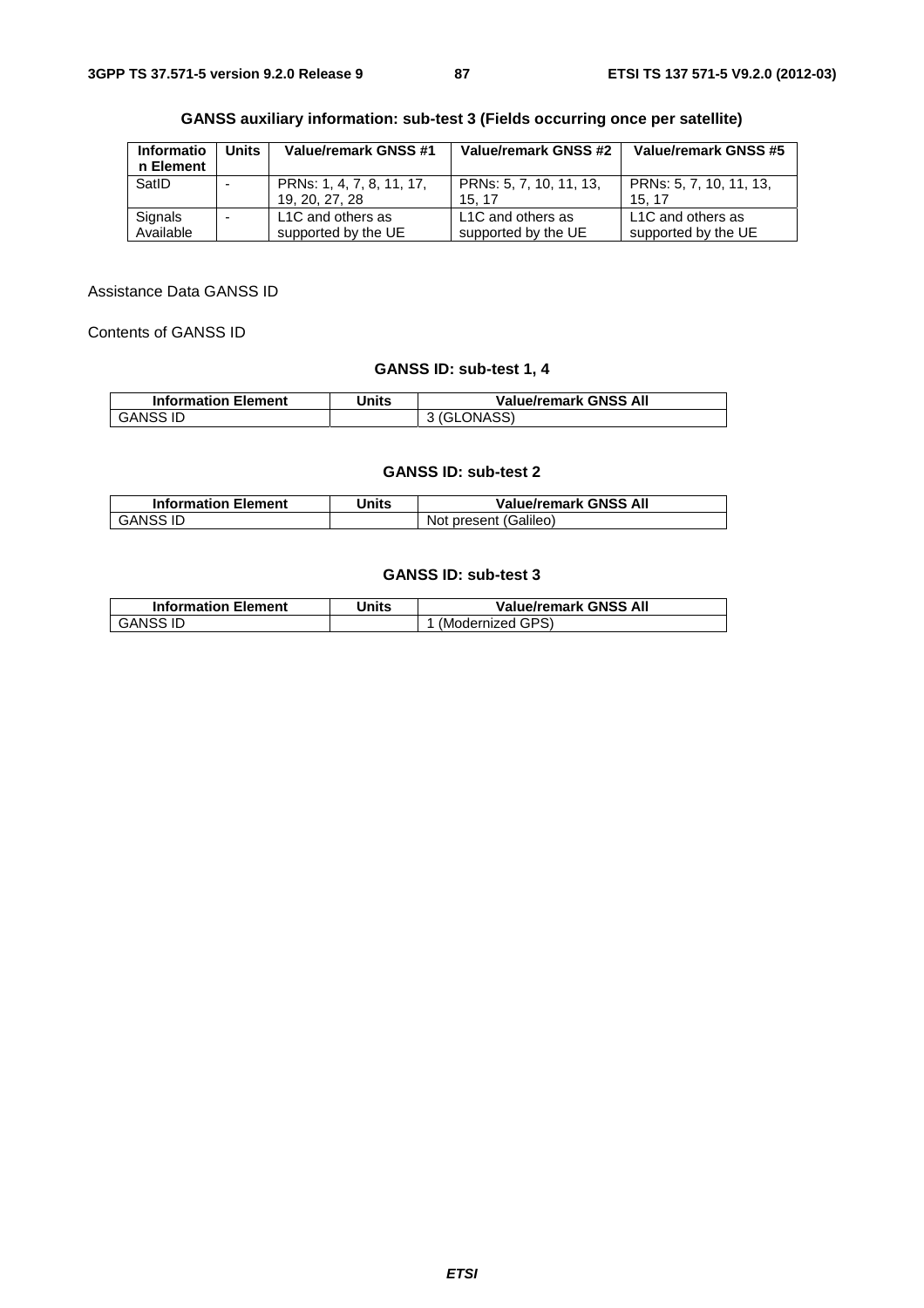| <b>Informatio</b> | <b>Units</b>             | Value/remark GNSS #1      | Value/remark GNSS #2    | Value/remark GNSS #5    |  |
|-------------------|--------------------------|---------------------------|-------------------------|-------------------------|--|
| n Element         |                          |                           |                         |                         |  |
| SatID             |                          | PRNs: 1, 4, 7, 8, 11, 17, | PRNs: 5, 7, 10, 11, 13, | PRNs: 5, 7, 10, 11, 13, |  |
|                   |                          | 19, 20, 27, 28            | 15.17                   | 15.17                   |  |
| Signals           | $\overline{\phantom{0}}$ | L1C and others as         | L1C and others as       | L1C and others as       |  |
| Available         |                          | supported by the UE       | supported by the UE     | supported by the UE     |  |

| <b>GANSS auxiliary information: sub-test 3 (Fields occurring once per satellite)</b> |  |  |  |
|--------------------------------------------------------------------------------------|--|--|--|
|                                                                                      |  |  |  |

Assistance Data GANSS ID

Contents of GANSS ID

# **GANSS ID: sub-test 1, 4**

| <b>Information Element</b> | Units | <b>Value/remark GNSS All</b> |
|----------------------------|-------|------------------------------|
| <b>GANSS ID</b>            |       | 3 (GLONASS)                  |

#### **GANSS ID: sub-test 2**

| <b>Information Element</b> | Units | <b>Value/remark GNSS All</b> |
|----------------------------|-------|------------------------------|
| GANSS ID                   |       | Not present (Galileo)        |

# **GANSS ID: sub-test 3**

| <b>Information Element</b> | Units | <b>Value/remark GNSS All</b> |
|----------------------------|-------|------------------------------|
| GANSS ID                   |       | (Modernized GPS)             |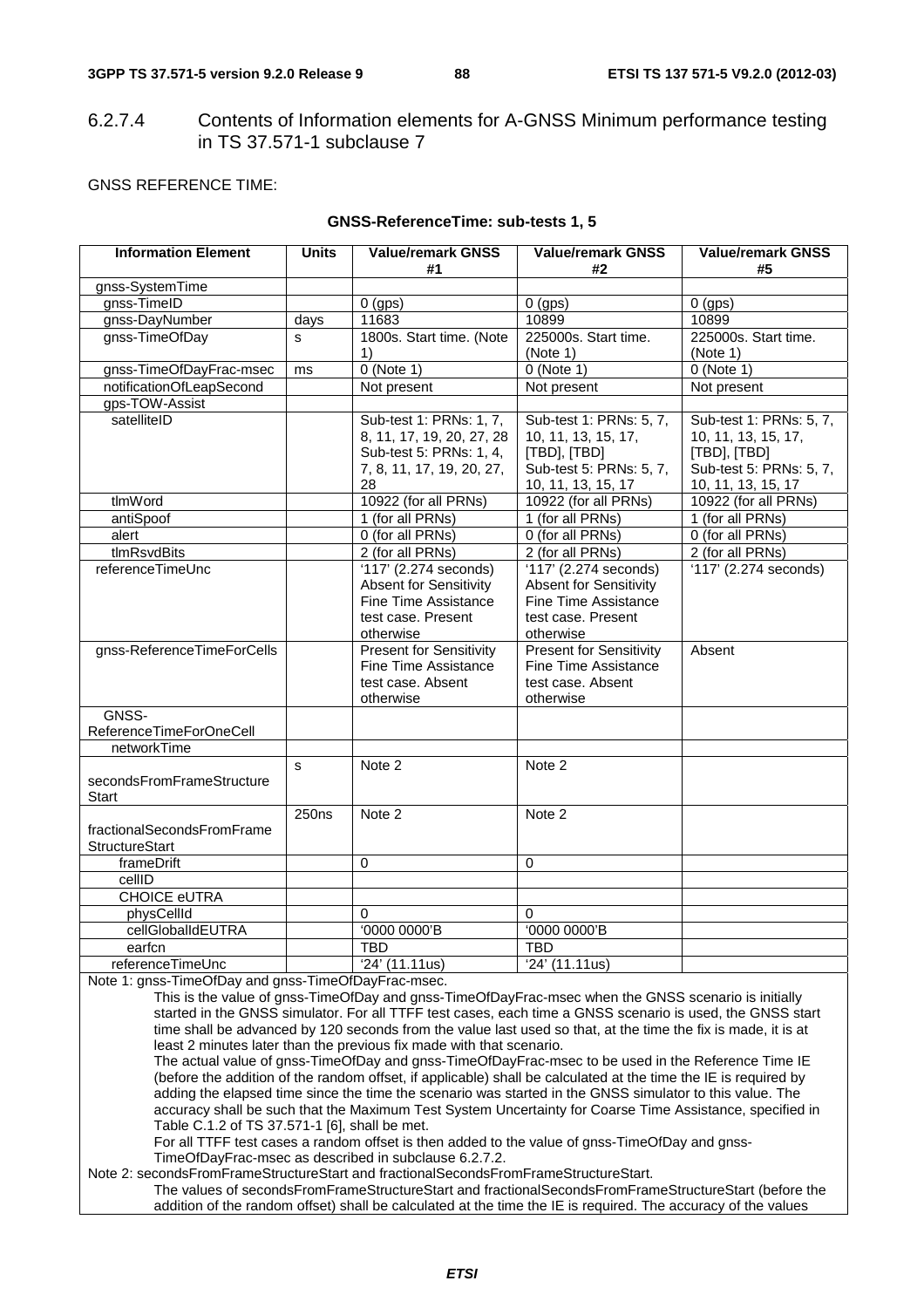6.2.7.4 Contents of Information elements for A-GNSS Minimum performance testing in TS 37.571-1 subclause 7

#### GNSS REFERENCE TIME:

| <b>Information Element</b> | <b>Units</b>      | <b>Value/remark GNSS</b><br>#1 | <b>Value/remark GNSS</b><br>#2 | <b>Value/remark GNSS</b><br>#5 |
|----------------------------|-------------------|--------------------------------|--------------------------------|--------------------------------|
| gnss-SystemTime            |                   |                                |                                |                                |
| gnss-TimeID                |                   | $0$ (gps)                      | $0$ (gps)                      | $0$ (gps)                      |
| gnss-DayNumber             | days              | 11683                          | 10899                          | 10899                          |
| gnss-TimeOfDay             | s                 | 1800s. Start time. (Note       | 225000s. Start time.           | 225000s. Start time.           |
|                            |                   | 1)                             | (Note 1)                       | (Note 1)                       |
| gnss-TimeOfDayFrac-msec    | ms                | $0$ (Note 1)                   | $0$ (Note 1)                   | $0$ (Note 1)                   |
| notificationOfLeapSecond   |                   | Not present                    | Not present                    | Not present                    |
| gps-TOW-Assist             |                   |                                |                                |                                |
| satelliteID                |                   | Sub-test 1: PRNs: 1, 7,        | Sub-test 1: PRNs: 5, 7,        | Sub-test 1: PRNs: 5, 7,        |
|                            |                   | 8, 11, 17, 19, 20, 27, 28      | 10, 11, 13, 15, 17,            | 10, 11, 13, 15, 17,            |
|                            |                   | Sub-test 5: PRNs: 1, 4,        | [TBD], [TBD]                   | [TBD], [TBD]                   |
|                            |                   | 7, 8, 11, 17, 19, 20, 27,      | Sub-test 5: PRNs: 5, 7,        | Sub-test 5: PRNs: 5, 7,        |
|                            |                   | 28                             | 10, 11, 13, 15, 17             | 10, 11, 13, 15, 17             |
| tlmWord                    |                   | 10922 (for all PRNs)           | 10922 (for all PRNs)           | 10922 (for all PRNs)           |
| antiSpoof                  |                   | 1 (for all PRNs)               | 1 (for all PRNs)               | 1 (for all PRNs)               |
| alert                      |                   | 0 (for all PRNs)               | 0 (for all PRNs)               | 0 (for all PRNs)               |
| tlmRsvdBits                |                   | 2 (for all PRNs)               | 2 (for all PRNs)               | 2 (for all PRNs)               |
| referenceTimeUnc           |                   | '117' (2.274 seconds)          | '117' (2.274 seconds)          | '117' (2.274 seconds)          |
|                            |                   | <b>Absent for Sensitivity</b>  | <b>Absent for Sensitivity</b>  |                                |
|                            |                   | <b>Fine Time Assistance</b>    | <b>Fine Time Assistance</b>    |                                |
|                            |                   | test case. Present             | test case. Present             |                                |
|                            |                   | otherwise                      | otherwise                      |                                |
| gnss-ReferenceTimeForCells |                   | <b>Present for Sensitivity</b> | <b>Present for Sensitivity</b> | Absent                         |
|                            |                   | <b>Fine Time Assistance</b>    | <b>Fine Time Assistance</b>    |                                |
|                            |                   | test case. Absent              | test case. Absent              |                                |
|                            |                   | otherwise                      | otherwise                      |                                |
| GNSS-                      |                   |                                |                                |                                |
| ReferenceTimeForOneCell    |                   |                                |                                |                                |
| networkTime                |                   |                                |                                |                                |
|                            | s                 | Note 2                         | Note 2                         |                                |
| secondsFromFrameStructure  |                   |                                |                                |                                |
| Start                      |                   |                                |                                |                                |
|                            | 250 <sub>ns</sub> | Note 2                         | Note 2                         |                                |
| fractionalSecondsFromFrame |                   |                                |                                |                                |
| <b>StructureStart</b>      |                   |                                |                                |                                |
| frameDrift                 |                   | $\Omega$                       | $\Omega$                       |                                |
| cellID                     |                   |                                |                                |                                |
| <b>CHOICE eUTRA</b>        |                   |                                |                                |                                |
| physCellId                 |                   | 0                              | 0                              |                                |
| cellGlobalIdEUTRA          |                   | '0000 0000'B                   | '0000 0000'B                   |                                |
| earfcn                     |                   | <b>TBD</b>                     | <b>TBD</b>                     |                                |
| referenceTimeUnc           |                   | '24' (11.11us)                 | '24' (11.11us)                 |                                |
|                            |                   |                                |                                |                                |

#### **GNSS-ReferenceTime: sub-tests 1, 5**

Note 1: gnss-TimeOfDay and gnss-TimeOfDayFrac-msec.

This is the value of gnss-TimeOfDay and gnss-TimeOfDayFrac-msec when the GNSS scenario is initially started in the GNSS simulator. For all TTFF test cases, each time a GNSS scenario is used, the GNSS start time shall be advanced by 120 seconds from the value last used so that, at the time the fix is made, it is at least 2 minutes later than the previous fix made with that scenario.

The actual value of gnss-TimeOfDay and gnss-TimeOfDayFrac-msec to be used in the Reference Time IE (before the addition of the random offset, if applicable) shall be calculated at the time the IE is required by adding the elapsed time since the time the scenario was started in the GNSS simulator to this value. The accuracy shall be such that the Maximum Test System Uncertainty for Coarse Time Assistance, specified in Table C.1.2 of TS 37.571-1 [6], shall be met.

For all TTFF test cases a random offset is then added to the value of gnss-TimeOfDay and gnss-TimeOfDayFrac-msec as described in subclause 6.2.7.2.

Note 2: secondsFromFrameStructureStart and fractionalSecondsFromFrameStructureStart.

The values of secondsFromFrameStructureStart and fractionalSecondsFromFrameStructureStart (before the addition of the random offset) shall be calculated at the time the IE is required. The accuracy of the values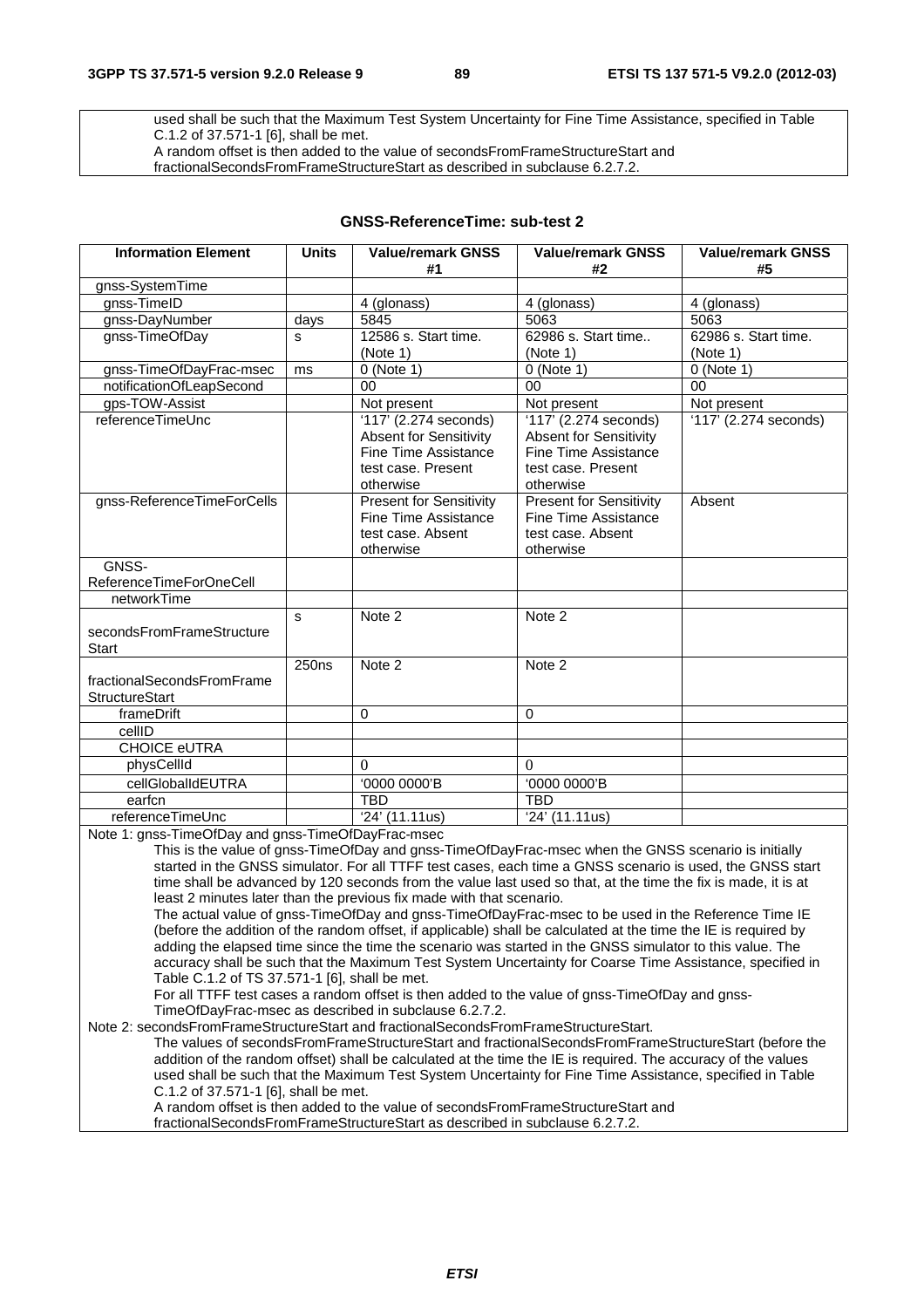used shall be such that the Maximum Test System Uncertainty for Fine Time Assistance, specified in Table C.1.2 of 37.571-1 [6], shall be met.

A random offset is then added to the value of secondsFromFrameStructureStart and

fractionalSecondsFromFrameStructureStart as described in subclause 6.2.7.2.

# **GNSS-ReferenceTime: sub-test 2**

| <b>Information Element</b>                                                      | <b>Units</b>      | <b>Value/remark GNSS</b><br>#1                                                                                    | <b>Value/remark GNSS</b><br>#2                                                                                    | <b>Value/remark GNSS</b><br>#5 |
|---------------------------------------------------------------------------------|-------------------|-------------------------------------------------------------------------------------------------------------------|-------------------------------------------------------------------------------------------------------------------|--------------------------------|
| gnss-SystemTime                                                                 |                   |                                                                                                                   |                                                                                                                   |                                |
| gnss-TimeID                                                                     |                   | 4 (glonass)                                                                                                       | 4 (glonass)                                                                                                       | 4 (glonass)                    |
| gnss-DayNumber                                                                  | days              | 5845                                                                                                              | 5063                                                                                                              | 5063                           |
| gnss-TimeOfDay                                                                  | s                 | 12586 s. Start time.                                                                                              | 62986 s. Start time                                                                                               | 62986 s. Start time.           |
|                                                                                 |                   | (Note 1)                                                                                                          | (Note 1)                                                                                                          | (Note 1)                       |
| gnss-TimeOfDayFrac-msec                                                         | ms                | $0$ (Note 1)                                                                                                      | $0$ (Note 1)                                                                                                      | $0$ (Note 1)                   |
| notificationOfLeapSecond                                                        |                   | 00                                                                                                                | 00                                                                                                                | 00                             |
| gps-TOW-Assist                                                                  |                   | Not present                                                                                                       | Not present                                                                                                       | Not present                    |
| referenceTimeUnc                                                                |                   | '117' (2.274 seconds)<br><b>Absent for Sensitivity</b><br>Fine Time Assistance<br>test case. Present<br>otherwise | '117' (2.274 seconds)<br><b>Absent for Sensitivity</b><br>Fine Time Assistance<br>test case. Present<br>otherwise | '117' (2.274 seconds)          |
| gnss-ReferenceTimeForCells                                                      |                   | <b>Present for Sensitivity</b><br><b>Fine Time Assistance</b><br>test case. Absent<br>otherwise                   | <b>Present for Sensitivity</b><br><b>Fine Time Assistance</b><br>test case. Absent<br>otherwise                   | Absent                         |
| GNSS-                                                                           |                   |                                                                                                                   |                                                                                                                   |                                |
| ReferenceTimeForOneCell                                                         |                   |                                                                                                                   |                                                                                                                   |                                |
| networkTime                                                                     |                   |                                                                                                                   |                                                                                                                   |                                |
| secondsFromFrameStructure<br>Start                                              | S                 | Note 2                                                                                                            | Note 2                                                                                                            |                                |
| fractionalSecondsFromFrame<br><b>StructureStart</b>                             | 250 <sub>ns</sub> | Note 2                                                                                                            | Note 2                                                                                                            |                                |
| frameDrift                                                                      |                   | $\Omega$                                                                                                          | $\mathbf 0$                                                                                                       |                                |
| cellID                                                                          |                   |                                                                                                                   |                                                                                                                   |                                |
| <b>CHOICE eUTRA</b>                                                             |                   |                                                                                                                   |                                                                                                                   |                                |
| physCellId                                                                      |                   | $\Omega$                                                                                                          | $\theta$                                                                                                          |                                |
| cellGlobalIdEUTRA                                                               |                   | '0000 0000'B                                                                                                      | '0000 0000'B                                                                                                      |                                |
| earfcn                                                                          |                   | <b>TBD</b>                                                                                                        | <b>TBD</b>                                                                                                        |                                |
| referenceTimeUnc<br>Note 1: ance $\text{TimeOfDay and area}$ $\text{TimeOfDay}$ |                   | '24' (11.11us)                                                                                                    | '24' (11.11us)                                                                                                    |                                |

ay and gnss-TimeOfDayFrac-msec

This is the value of gnss-TimeOfDay and gnss-TimeOfDayFrac-msec when the GNSS scenario is initially started in the GNSS simulator. For all TTFF test cases, each time a GNSS scenario is used, the GNSS start time shall be advanced by 120 seconds from the value last used so that, at the time the fix is made, it is at least 2 minutes later than the previous fix made with that scenario.

The actual value of gnss-TimeOfDay and gnss-TimeOfDayFrac-msec to be used in the Reference Time IE (before the addition of the random offset, if applicable) shall be calculated at the time the IE is required by adding the elapsed time since the time the scenario was started in the GNSS simulator to this value. The accuracy shall be such that the Maximum Test System Uncertainty for Coarse Time Assistance, specified in Table C.1.2 of TS 37.571-1 [6], shall be met.

For all TTFF test cases a random offset is then added to the value of gnss-TimeOfDay and gnss-TimeOfDayFrac-msec as described in subclause 6.2.7.2.

Note 2: secondsFromFrameStructureStart and fractionalSecondsFromFrameStructureStart.

The values of secondsFromFrameStructureStart and fractionalSecondsFromFrameStructureStart (before the addition of the random offset) shall be calculated at the time the IE is required. The accuracy of the values used shall be such that the Maximum Test System Uncertainty for Fine Time Assistance, specified in Table C.1.2 of 37.571-1 [6], shall be met.

A random offset is then added to the value of secondsFromFrameStructureStart and

fractionalSecondsFromFrameStructureStart as described in subclause 6.2.7.2.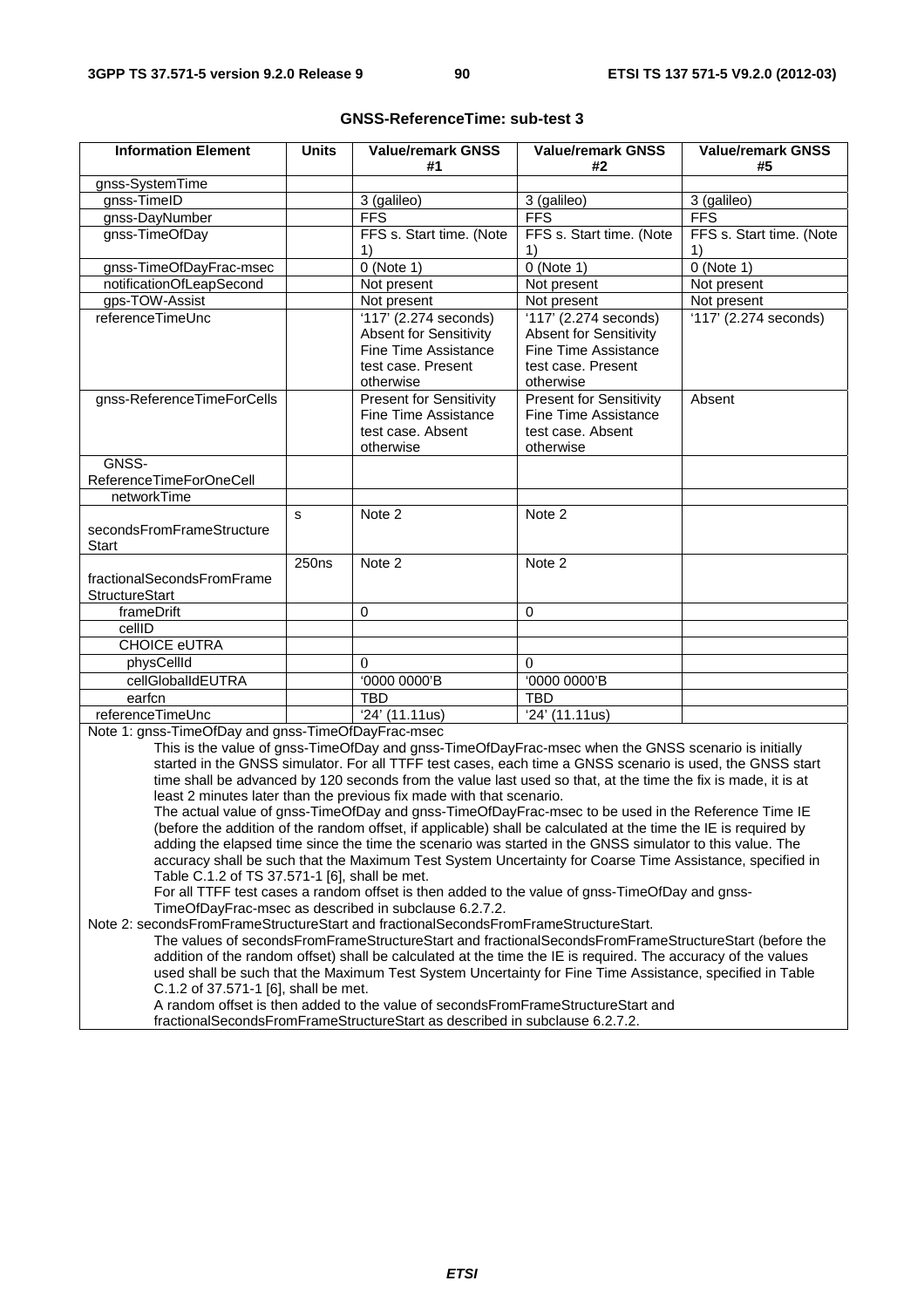| <b>Information Element</b>                          | <b>Units</b>      | <b>Value/remark GNSS</b><br>#1                                                                                                                                                                                                                                                                                                                                                                                                                                                                                                                                                                                                     | <b>Value/remark GNSS</b><br>#2                                                                                           | <b>Value/remark GNSS</b><br>#5 |
|-----------------------------------------------------|-------------------|------------------------------------------------------------------------------------------------------------------------------------------------------------------------------------------------------------------------------------------------------------------------------------------------------------------------------------------------------------------------------------------------------------------------------------------------------------------------------------------------------------------------------------------------------------------------------------------------------------------------------------|--------------------------------------------------------------------------------------------------------------------------|--------------------------------|
| gnss-SystemTime                                     |                   |                                                                                                                                                                                                                                                                                                                                                                                                                                                                                                                                                                                                                                    |                                                                                                                          |                                |
| gnss-TimeID                                         |                   | 3 (galileo)                                                                                                                                                                                                                                                                                                                                                                                                                                                                                                                                                                                                                        | 3 (galileo)                                                                                                              | 3 (galileo)                    |
| gnss-DayNumber                                      |                   | <b>FFS</b>                                                                                                                                                                                                                                                                                                                                                                                                                                                                                                                                                                                                                         | <b>FFS</b>                                                                                                               | <b>FFS</b>                     |
| gnss-TimeOfDay                                      |                   | FFS s. Start time. (Note                                                                                                                                                                                                                                                                                                                                                                                                                                                                                                                                                                                                           | FFS s. Start time. (Note                                                                                                 | FFS s. Start time. (Note       |
|                                                     |                   | 1)                                                                                                                                                                                                                                                                                                                                                                                                                                                                                                                                                                                                                                 | 1)                                                                                                                       | 1)                             |
| gnss-TimeOfDayFrac-msec                             |                   | $0$ (Note 1)                                                                                                                                                                                                                                                                                                                                                                                                                                                                                                                                                                                                                       | $0$ (Note 1)                                                                                                             | $0$ (Note 1)                   |
| notificationOfLeapSecond                            |                   | Not present                                                                                                                                                                                                                                                                                                                                                                                                                                                                                                                                                                                                                        | Not present                                                                                                              | Not present                    |
| gps-TOW-Assist                                      |                   | Not present                                                                                                                                                                                                                                                                                                                                                                                                                                                                                                                                                                                                                        | Not present                                                                                                              | Not present                    |
| referenceTimeUnc                                    |                   | '117' (2.274 seconds)<br><b>Absent for Sensitivity</b><br><b>Fine Time Assistance</b><br>test case. Present<br>otherwise                                                                                                                                                                                                                                                                                                                                                                                                                                                                                                           | '117' (2.274 seconds)<br><b>Absent for Sensitivity</b><br><b>Fine Time Assistance</b><br>test case. Present<br>otherwise | '117' (2.274 seconds)          |
| gnss-ReferenceTimeForCells                          |                   | <b>Present for Sensitivity</b><br><b>Fine Time Assistance</b><br>test case. Absent<br>otherwise                                                                                                                                                                                                                                                                                                                                                                                                                                                                                                                                    | <b>Present for Sensitivity</b><br><b>Fine Time Assistance</b><br>test case. Absent<br>otherwise                          | Absent                         |
| GNSS-                                               |                   |                                                                                                                                                                                                                                                                                                                                                                                                                                                                                                                                                                                                                                    |                                                                                                                          |                                |
| ReferenceTimeForOneCell                             |                   |                                                                                                                                                                                                                                                                                                                                                                                                                                                                                                                                                                                                                                    |                                                                                                                          |                                |
| networkTime                                         |                   |                                                                                                                                                                                                                                                                                                                                                                                                                                                                                                                                                                                                                                    |                                                                                                                          |                                |
| secondsFromFrameStructure<br><b>Start</b>           | s                 | Note 2                                                                                                                                                                                                                                                                                                                                                                                                                                                                                                                                                                                                                             | Note 2                                                                                                                   |                                |
| fractionalSecondsFromFrame<br><b>StructureStart</b> | 250 <sub>ns</sub> | Note 2                                                                                                                                                                                                                                                                                                                                                                                                                                                                                                                                                                                                                             | Note 2                                                                                                                   |                                |
| frameDrift                                          |                   | $\Omega$                                                                                                                                                                                                                                                                                                                                                                                                                                                                                                                                                                                                                           | $\Omega$                                                                                                                 |                                |
| cellID                                              |                   |                                                                                                                                                                                                                                                                                                                                                                                                                                                                                                                                                                                                                                    |                                                                                                                          |                                |
| <b>CHOICE eUTRA</b>                                 |                   |                                                                                                                                                                                                                                                                                                                                                                                                                                                                                                                                                                                                                                    |                                                                                                                          |                                |
| physCellId                                          |                   | 0                                                                                                                                                                                                                                                                                                                                                                                                                                                                                                                                                                                                                                  | $\Omega$                                                                                                                 |                                |
| cellGlobalIdEUTRA                                   |                   | '0000 0000'B                                                                                                                                                                                                                                                                                                                                                                                                                                                                                                                                                                                                                       | '0000 0000'B                                                                                                             |                                |
| earfcn                                              |                   | <b>TBD</b>                                                                                                                                                                                                                                                                                                                                                                                                                                                                                                                                                                                                                         | TBD                                                                                                                      |                                |
| referenceTimeUnc                                    |                   | '24' (11.11us)                                                                                                                                                                                                                                                                                                                                                                                                                                                                                                                                                                                                                     | '24' (11.11us)                                                                                                           |                                |
| Note 1: gnss-TimeOfDay and gnss-TimeOfDayFrac-msec  |                   | This is the value of gnss-TimeOfDay and gnss-TimeOfDayFrac-msec when the GNSS scenario is initially<br>started in the GNSS simulator. For all TTFF test cases, each time a GNSS scenario is used, the GNSS start<br>time shall be advanced by 120 seconds from the value last used so that, at the time the fix is made, it is at<br>least 2 minutes later than the previous fix made with that scenario.<br>The actual value of gnss-TimeOfDay and gnss-TimeOfDayFrac-msec to be used in the Reference Time IE<br>(before the addition of the random offset, if applicable) shall be calculated at the time the IE is required by |                                                                                                                          |                                |

#### **GNSS-ReferenceTime: sub-test 3**

adding the elapsed time since the time the scenario was started in the GNSS simulator to this value. The accuracy shall be such that the Maximum Test System Uncertainty for Coarse Time Assistance, specified in Table C.1.2 of TS 37.571-1 [6], shall be met.

For all TTFF test cases a random offset is then added to the value of gnss-TimeOfDay and gnss-TimeOfDayFrac-msec as described in subclause 6.2.7.2.

Note 2: secondsFromFrameStructureStart and fractionalSecondsFromFrameStructureStart.

The values of secondsFromFrameStructureStart and fractionalSecondsFromFrameStructureStart (before the addition of the random offset) shall be calculated at the time the IE is required. The accuracy of the values used shall be such that the Maximum Test System Uncertainty for Fine Time Assistance, specified in Table C.1.2 of 37.571-1 [6], shall be met.

A random offset is then added to the value of secondsFromFrameStructureStart and fractionalSecondsFromFrameStructureStart as described in subclause 6.2.7.2.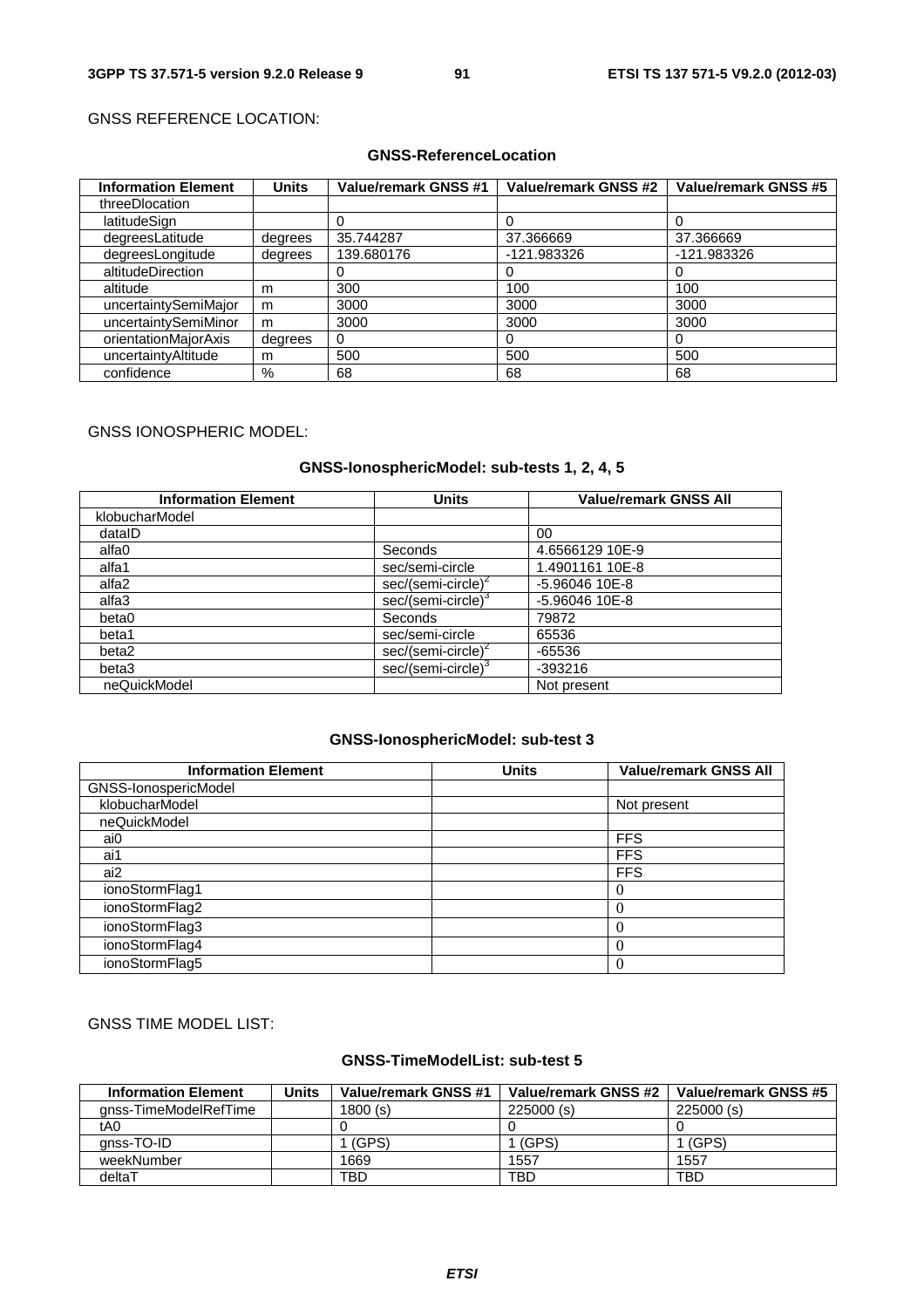# GNSS REFERENCE LOCATION:

# **GNSS-ReferenceLocation**

| <b>Information Element</b> | <b>Units</b> | <b>Value/remark GNSS #1</b> | <b>Value/remark GNSS #2</b> | Value/remark GNSS #5 |
|----------------------------|--------------|-----------------------------|-----------------------------|----------------------|
| threeDlocation             |              |                             |                             |                      |
| latitudeSign               |              |                             |                             |                      |
| degreesLatitude            | degrees      | 35.744287                   | 37.366669                   | 37.366669            |
| degreesLongitude           | degrees      | 139.680176                  | -121.983326                 | -121.983326          |
| altitudeDirection          |              |                             | O                           | $\Omega$             |
| altitude                   | m            | 300                         | 100                         | 100                  |
| uncertaintySemiMajor       | m            | 3000                        | 3000                        | 3000                 |
| uncertaintySemiMinor       | m            | 3000                        | 3000                        | 3000                 |
| orientationMajorAxis       | degrees      | 0                           | 0                           |                      |
| uncertaintyAltitude        | m            | 500                         | 500                         | 500                  |
| confidence                 | $\%$         | 68                          | 68                          | 68                   |

#### GNSS IONOSPHERIC MODEL:

# **GNSS-IonosphericModel: sub-tests 1, 2, 4, 5**

| <b>Information Element</b> | <b>Units</b>                   | <b>Value/remark GNSS All</b> |
|----------------------------|--------------------------------|------------------------------|
| klobucharModel             |                                |                              |
| dataID                     |                                | 00                           |
| alfa0                      | Seconds                        | 4.6566129 10E-9              |
| alfa1                      | sec/semi-circle                | 1.4901161 10E-8              |
| alfa2                      | sec/(semi-circle) <sup>*</sup> | $-5.96046$ 10E-8             |
| alfa3                      | sec/(semi-circle) <sup>3</sup> | $-5.96046$ 10E-8             |
| beta0                      | Seconds                        | 79872                        |
| beta1                      | sec/semi-circle                | 65536                        |
| beta2                      | sec/(semi-circle) <sup>2</sup> | $-65536$                     |
| beta3                      | sec/(semi-circle) <sup>3</sup> | $-393216$                    |
| neQuickModel               |                                | Not present                  |

#### **GNSS-IonosphericModel: sub-test 3**

| <b>Information Element</b> | <b>Units</b> | <b>Value/remark GNSS All</b> |
|----------------------------|--------------|------------------------------|
| GNSS-IonospericModel       |              |                              |
| klobucharModel             |              | Not present                  |
| neQuickModel               |              |                              |
| ai0                        |              | <b>FFS</b>                   |
| ai1                        |              | <b>FFS</b>                   |
| ai2                        |              | <b>FFS</b>                   |
| ionoStormFlag1             |              | 0                            |
| ionoStormFlag2             |              |                              |
| ionoStormFlag3             |              |                              |
| ionoStormFlag4             |              |                              |
| ionoStormFlag5             |              | 0                            |

# GNSS TIME MODEL LIST:

# **GNSS-TimeModelList: sub-test 5**

| <b>Information Element</b> | Units | Value/remark GNSS #1 | Value/remark GNSS #2 | Value/remark GNSS #5 |
|----------------------------|-------|----------------------|----------------------|----------------------|
| anss-TimeModelRefTime      |       | 1800(s)              | 225000(s)            | 225000(s)            |
| tA0                        |       |                      |                      |                      |
| anss-TO-ID                 |       | (GPS)                | (GPS)                | (GPS)                |
| weekNumber                 |       | 1669                 | 1557                 | 1557                 |
| deltaT                     |       | TBD                  | TBD                  | <b>TBD</b>           |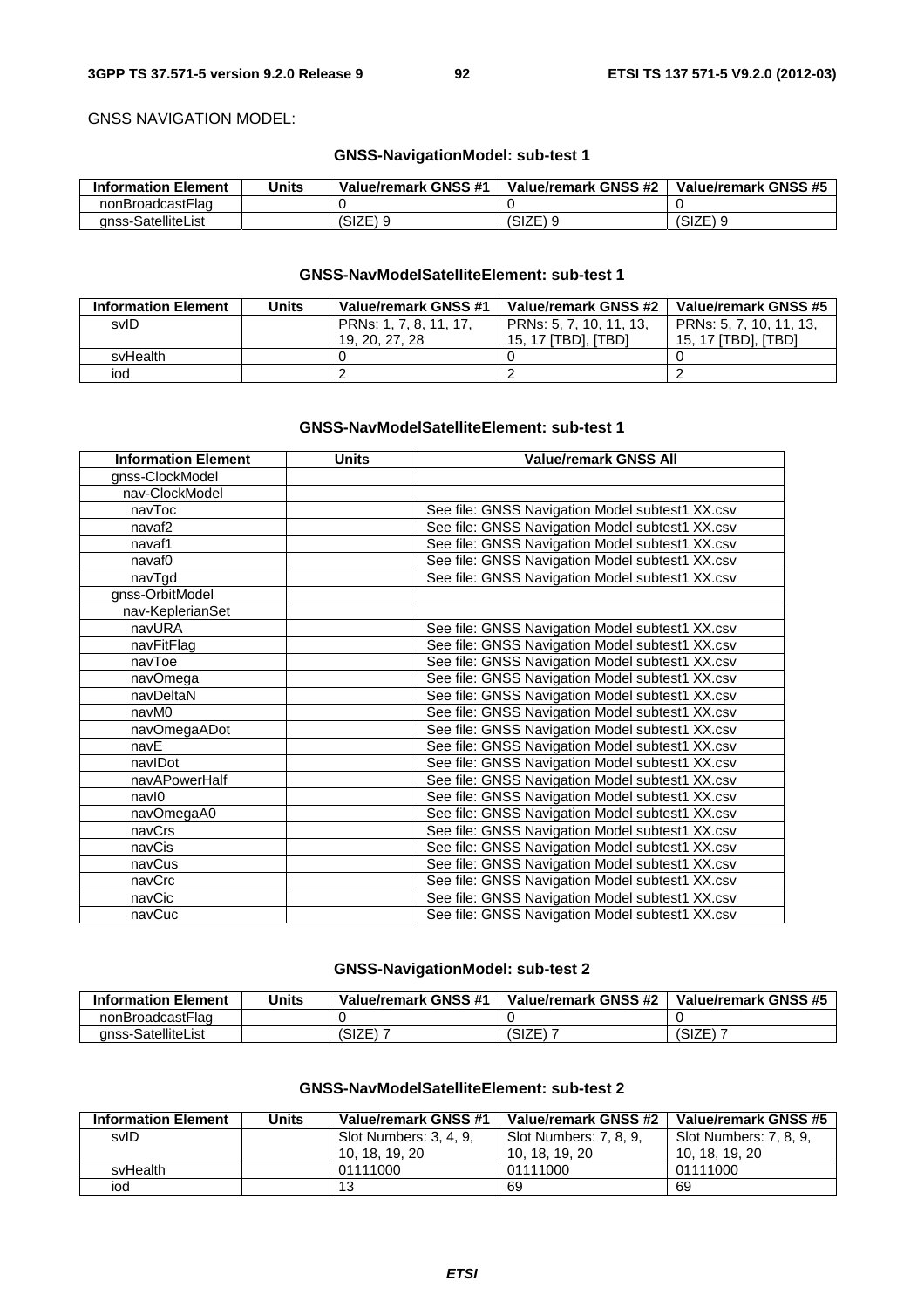GNSS NAVIGATION MODEL:

# **GNSS-NavigationModel: sub-test 1**

| <b>Information Element</b> | Units | Value/remark GNSS #1 | Value/remark GNSS #2 | Value/remark GNSS #5 |
|----------------------------|-------|----------------------|----------------------|----------------------|
| nonBroadcastFlag           |       |                      |                      |                      |
| anss-SatelliteList         |       | (SIZE) 9             | 'SIZE) 9             | (SIZE)               |

#### **GNSS-NavModelSatelliteElement: sub-test 1**

| <b>Information Element</b> | Units | Value/remark GNSS #1   | Value/remark GNSS #2    | Value/remark GNSS #5    |
|----------------------------|-------|------------------------|-------------------------|-------------------------|
| svID                       |       | PRNs: 1, 7, 8, 11, 17, | PRNs: 5, 7, 10, 11, 13, | PRNs: 5, 7, 10, 11, 13, |
|                            |       | 19, 20, 27, 28         | 15. 17 ITBDI. ITBDI     | 15. 17 ITBDI. ITBDI     |
| svHealth                   |       |                        |                         |                         |
| iod                        |       |                        |                         |                         |

#### **GNSS-NavModelSatelliteElement: sub-test 1**

| <b>Information Element</b> | <b>Units</b> | <b>Value/remark GNSS All</b>                    |
|----------------------------|--------------|-------------------------------------------------|
| gnss-ClockModel            |              |                                                 |
| nav-ClockModel             |              |                                                 |
| navToc                     |              | See file: GNSS Navigation Model subtest1 XX.csv |
| navaf <sub>2</sub>         |              | See file: GNSS Navigation Model subtest1 XX.csv |
| navaf1                     |              | See file: GNSS Navigation Model subtest1 XX.csv |
| navaf0                     |              | See file: GNSS Navigation Model subtest1 XX.csv |
| navTgd                     |              | See file: GNSS Navigation Model subtest1 XX.csv |
| gnss-OrbitModel            |              |                                                 |
| nav-KeplerianSet           |              |                                                 |
| navURA                     |              | See file: GNSS Navigation Model subtest1 XX.csv |
| navFitFlag                 |              | See file: GNSS Navigation Model subtest1 XX.csv |
| navToe                     |              | See file: GNSS Navigation Model subtest1 XX.csv |
| navOmega                   |              | See file: GNSS Navigation Model subtest1 XX.csv |
| navDeltaN                  |              | See file: GNSS Navigation Model subtest1 XX.csv |
| navM0                      |              | See file: GNSS Navigation Model subtest1 XX.csv |
| navOmegaADot               |              | See file: GNSS Navigation Model subtest1 XX.csv |
| navE                       |              | See file: GNSS Navigation Model subtest1 XX.csv |
| navIDot                    |              | See file: GNSS Navigation Model subtest1 XX.csv |
| navAPowerHalf              |              | See file: GNSS Navigation Model subtest1 XX.csv |
| navl0                      |              | See file: GNSS Navigation Model subtest1 XX.csv |
| navOmegaA0                 |              | See file: GNSS Navigation Model subtest1 XX.csv |
| navCrs                     |              | See file: GNSS Navigation Model subtest1 XX.csv |
| navCis                     |              | See file: GNSS Navigation Model subtest1 XX.csv |
| navCus                     |              | See file: GNSS Navigation Model subtest1 XX.csv |
| navCrc                     |              | See file: GNSS Navigation Model subtest1 XX.csv |
| navCic                     |              | See file: GNSS Navigation Model subtest1 XX.csv |
| navCuc                     |              | See file: GNSS Navigation Model subtest1 XX.csv |

# **GNSS-NavigationModel: sub-test 2**

| <b>Information Element</b> | Units | Value/remark GNSS #1 | Value/remark GNSS #2 | Value/remark GNSS #5 |
|----------------------------|-------|----------------------|----------------------|----------------------|
| nonBroadcastFlag           |       |                      |                      |                      |
| anss-SatelliteList         |       | (SIZE)               | ד וסדופ'<br>⊐∟וכ     | (SIZE)               |

# **GNSS-NavModelSatelliteElement: sub-test 2**

| <b>Information Element</b> | <b>Units</b> | Value/remark GNSS #1   | Value/remark GNSS #2   | Value/remark GNSS #5   |
|----------------------------|--------------|------------------------|------------------------|------------------------|
| svID                       |              | Slot Numbers: 3, 4, 9, | Slot Numbers: 7, 8, 9, | Slot Numbers: 7, 8, 9, |
|                            |              | 10, 18, 19, 20         | 10, 18, 19, 20         | 10, 18, 19, 20         |
| svHealth                   |              | 01111000               | 01111000               | 01111000               |
| iod                        |              | 13                     | 69                     | 69                     |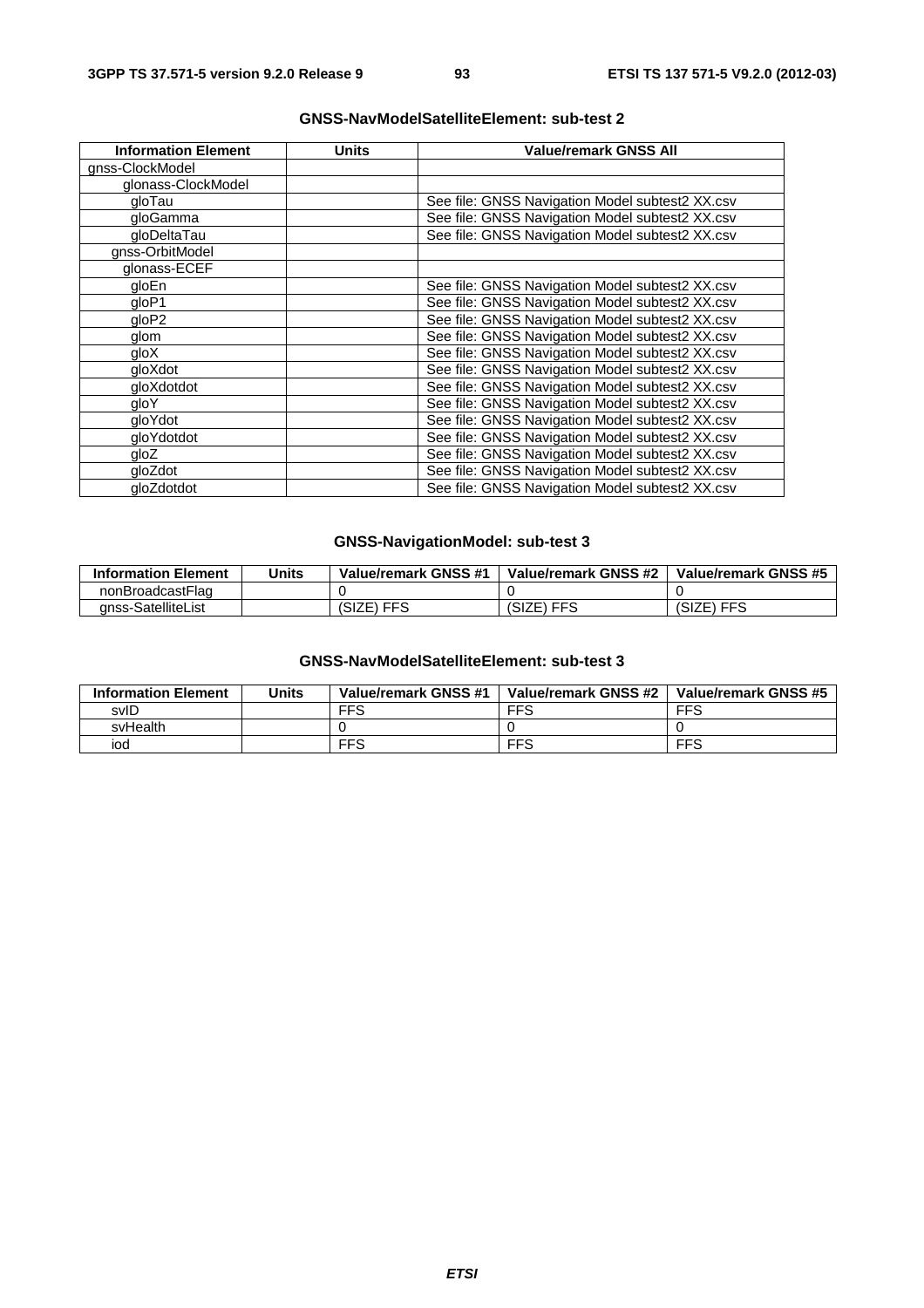| <b>Information Element</b> | Units | <b>Value/remark GNSS All</b>                    |
|----------------------------|-------|-------------------------------------------------|
| gnss-ClockModel            |       |                                                 |
| glonass-ClockModel         |       |                                                 |
| gloTau                     |       | See file: GNSS Navigation Model subtest2 XX.csv |
| gloGamma                   |       | See file: GNSS Navigation Model subtest2 XX.csv |
| gloDeltaTau                |       | See file: GNSS Navigation Model subtest2 XX.csv |
| gnss-OrbitModel            |       |                                                 |
| glonass-ECEF               |       |                                                 |
| gloEn                      |       | See file: GNSS Navigation Model subtest2 XX.csv |
| qloP1                      |       | See file: GNSS Navigation Model subtest2 XX.csv |
| qloP2                      |       | See file: GNSS Navigation Model subtest2 XX.csv |
| glom                       |       | See file: GNSS Navigation Model subtest2 XX.csv |
| gloX                       |       | See file: GNSS Navigation Model subtest2 XX.csv |
| gloXdot                    |       | See file: GNSS Navigation Model subtest2 XX.csv |
| gloXdotdot                 |       | See file: GNSS Navigation Model subtest2 XX.csv |
| qloY                       |       | See file: GNSS Navigation Model subtest2 XX.csv |
| gloYdot                    |       | See file: GNSS Navigation Model subtest2 XX.csv |
| gloYdotdot                 |       | See file: GNSS Navigation Model subtest2 XX.csv |
| gloZ                       |       | See file: GNSS Navigation Model subtest2 XX.csv |
| gloZdot                    |       | See file: GNSS Navigation Model subtest2 XX.csv |
| gloZdotdot                 |       | See file: GNSS Navigation Model subtest2 XX.csv |

# **GNSS-NavModelSatelliteElement: sub-test 2**

# **GNSS-NavigationModel: sub-test 3**

| <b>Information Element</b> | Units | Value/remark GNSS #1 | Value/remark GNSS #2 | Value/remark GNSS #5 |
|----------------------------|-------|----------------------|----------------------|----------------------|
| nonBroadcastFlag           |       |                      |                      |                      |
| anss-SatelliteList         |       | ⊦FFS<br>(SIZE)       | (SIZE) FFS           | (SIZE) FFS           |

# **GNSS-NavModelSatelliteElement: sub-test 3**

| <b>Information Element</b> | Units | Value/remark GNSS #1 | Value/remark GNSS #2 | Value/remark GNSS #5 |
|----------------------------|-------|----------------------|----------------------|----------------------|
| svID                       |       | <b>FFS</b>           | <b>FFS</b>           | <b>FFS</b>           |
| svHealth                   |       |                      |                      |                      |
| iod                        |       | <b>FFS</b>           | <b>FFS</b>           | <b>FFS</b>           |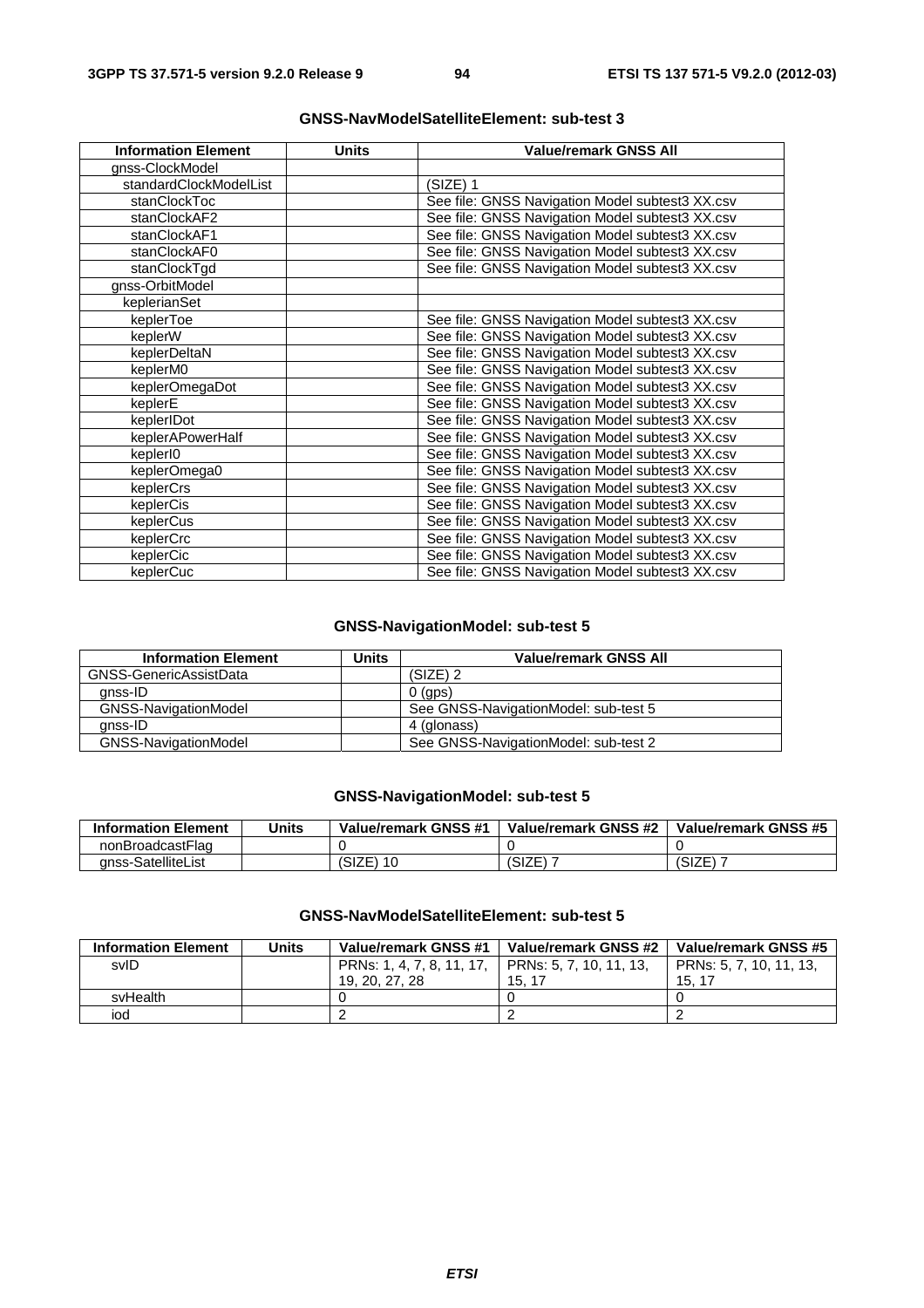| <b>Information Element</b> | <b>Units</b> | <b>Value/remark GNSS All</b>                    |
|----------------------------|--------------|-------------------------------------------------|
| gnss-ClockModel            |              |                                                 |
| standardClockModelList     |              | (SIZE) 1                                        |
| stanClockToc               |              | See file: GNSS Navigation Model subtest3 XX.csv |
| stanClockAF2               |              | See file: GNSS Navigation Model subtest3 XX.csv |
| stanClockAF1               |              | See file: GNSS Navigation Model subtest3 XX.csv |
| stanClockAF0               |              | See file: GNSS Navigation Model subtest3 XX.csv |
| stanClockTgd               |              | See file: GNSS Navigation Model subtest3 XX.csv |
| gnss-OrbitModel            |              |                                                 |
| keplerianSet               |              |                                                 |
| keplerToe                  |              | See file: GNSS Navigation Model subtest3 XX.csv |
| keplerW                    |              | See file: GNSS Navigation Model subtest3 XX.csv |
| keplerDeltaN               |              | See file: GNSS Navigation Model subtest3 XX.csv |
| keplerM0                   |              | See file: GNSS Navigation Model subtest3 XX.csv |
| keplerOmegaDot             |              | See file: GNSS Navigation Model subtest3 XX.csv |
| keplerE                    |              | See file: GNSS Navigation Model subtest3 XX.csv |
| keplerIDot                 |              | See file: GNSS Navigation Model subtest3 XX.csv |
| keplerAPowerHalf           |              | See file: GNSS Navigation Model subtest3 XX.csv |
| keplerI0                   |              | See file: GNSS Navigation Model subtest3 XX.csv |
| keplerOmega0               |              | See file: GNSS Navigation Model subtest3 XX.csv |
| keplerCrs                  |              | See file: GNSS Navigation Model subtest3 XX.csv |
| keplerCis                  |              | See file: GNSS Navigation Model subtest3 XX.csv |
| keplerCus                  |              | See file: GNSS Navigation Model subtest3 XX.csv |
| keplerCrc                  |              | See file: GNSS Navigation Model subtest3 XX.csv |
| keplerCic                  |              | See file: GNSS Navigation Model subtest3 XX.csv |
| keplerCuc                  |              | See file: GNSS Navigation Model subtest3 XX.csv |

# **GNSS-NavModelSatelliteElement: sub-test 3**

# **GNSS-NavigationModel: sub-test 5**

| <b>Information Element</b>  | Units | <b>Value/remark GNSS All</b>         |
|-----------------------------|-------|--------------------------------------|
| GNSS-GenericAssistData      |       | $(SIZE)$ 2                           |
| anss-ID                     |       | $0$ (aps)                            |
| <b>GNSS-NavigationModel</b> |       | See GNSS-NavigationModel: sub-test 5 |
| anss-ID                     |       | 4 (glonass)                          |
| GNSS-NavigationModel        |       | See GNSS-NavigationModel: sub-test 2 |

# **GNSS-NavigationModel: sub-test 5**

| <b>Information Element</b> | Units | Value/remark GNSS #1 | Value/remark GNSS #2 | Value/remark GNSS #5 |
|----------------------------|-------|----------------------|----------------------|----------------------|
| nonBroadcastFlag           |       |                      |                      |                      |
| anss-SatelliteList         |       | 'SIZE)               | (SIZE)               | (SIZE)               |

# **GNSS-NavModelSatelliteElement: sub-test 5**

| <b>Information Element</b> | Units | Value/remark GNSS #1      | Value/remark GNSS #2    | Value/remark GNSS #5    |
|----------------------------|-------|---------------------------|-------------------------|-------------------------|
| svID                       |       | PRNs: 1, 4, 7, 8, 11, 17, | PRNs: 5, 7, 10, 11, 13, | PRNs: 5, 7, 10, 11, 13, |
|                            |       | 19, 20, 27, 28            | 15.17                   | 15.17                   |
| svHealth                   |       |                           |                         |                         |
| iod                        |       |                           |                         |                         |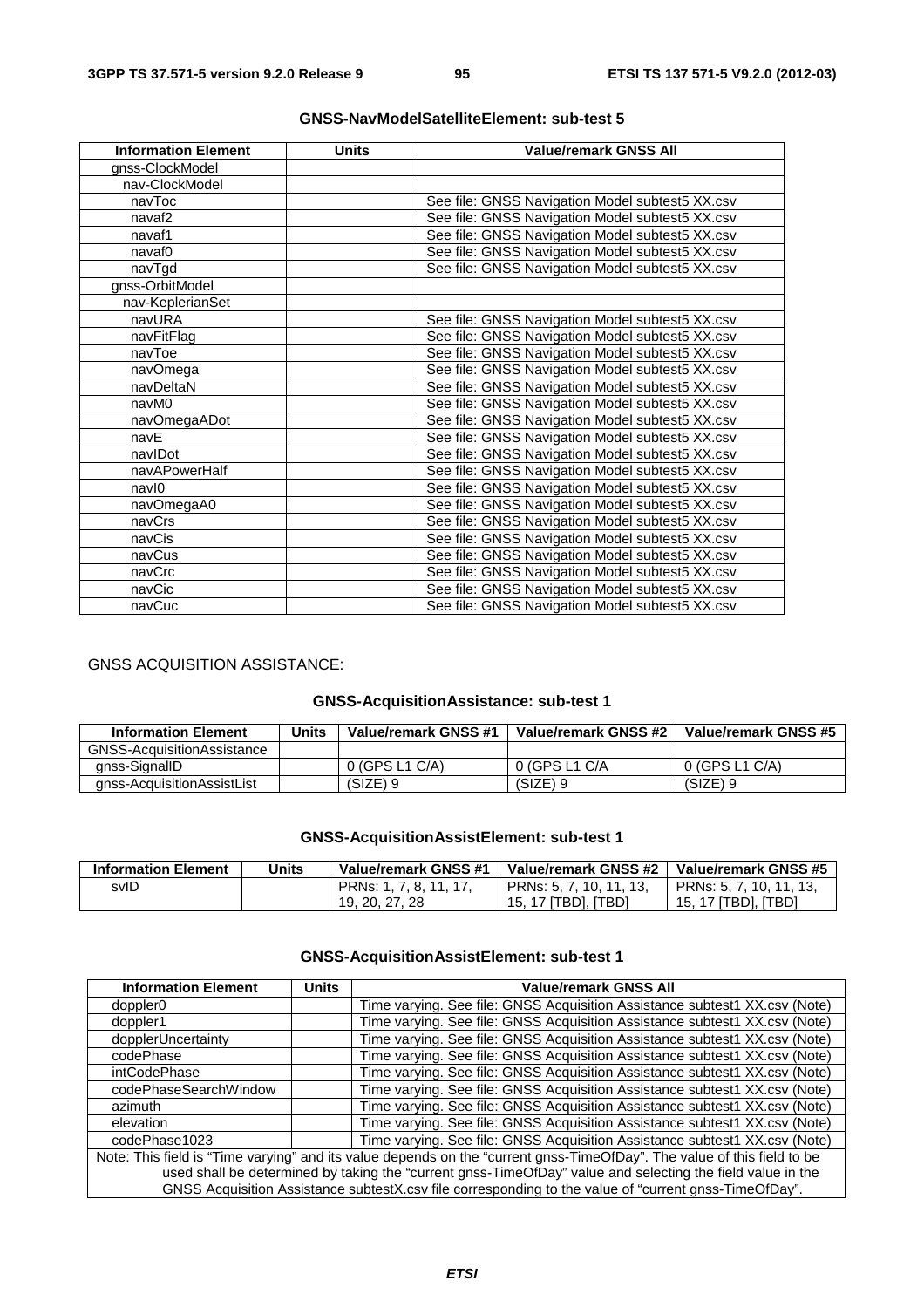| <b>Information Element</b> | <b>Units</b> | <b>Value/remark GNSS All</b>                    |
|----------------------------|--------------|-------------------------------------------------|
| gnss-ClockModel            |              |                                                 |
| nav-ClockModel             |              |                                                 |
| navToc                     |              | See file: GNSS Navigation Model subtest5 XX.csv |
| navaf <sub>2</sub>         |              | See file: GNSS Navigation Model subtest5 XX.csv |
| navaf1                     |              | See file: GNSS Navigation Model subtest5 XX.csv |
| navaf <sub>0</sub>         |              | See file: GNSS Navigation Model subtest5 XX.csv |
| navTgd                     |              | See file: GNSS Navigation Model subtest5 XX.csv |
| gnss-OrbitModel            |              |                                                 |
| nav-KeplerianSet           |              |                                                 |
| navURA                     |              | See file: GNSS Navigation Model subtest5 XX.csv |
| navFitFlag                 |              | See file: GNSS Navigation Model subtest5 XX.csv |
| navToe                     |              | See file: GNSS Navigation Model subtest5 XX.csv |
| navOmega                   |              | See file: GNSS Navigation Model subtest5 XX.csv |
| navDeltaN                  |              | See file: GNSS Navigation Model subtest5 XX.csv |
| navM0                      |              | See file: GNSS Navigation Model subtest5 XX.csv |
| navOmegaADot               |              | See file: GNSS Navigation Model subtest5 XX.csv |
| navE                       |              | See file: GNSS Navigation Model subtest5 XX.csv |
| navIDot                    |              | See file: GNSS Navigation Model subtest5 XX.csv |
| navAPowerHalf              |              | See file: GNSS Navigation Model subtest5 XX.csv |
| navl0                      |              | See file: GNSS Navigation Model subtest5 XX.csv |
| navOmegaA0                 |              | See file: GNSS Navigation Model subtest5 XX.csv |
| navCrs                     |              | See file: GNSS Navigation Model subtest5 XX.csv |
| navCis                     |              | See file: GNSS Navigation Model subtest5 XX.csv |
| navCus                     |              | See file: GNSS Navigation Model subtest5 XX.csv |
| navCrc                     |              | See file: GNSS Navigation Model subtest5 XX.csv |
| navCic                     |              | See file: GNSS Navigation Model subtest5 XX.csv |
| navCuc                     |              | See file: GNSS Navigation Model subtest5 XX.csv |

# **GNSS-NavModelSatelliteElement: sub-test 5**

# GNSS ACQUISITION ASSISTANCE:

# **GNSS-AcquisitionAssistance: sub-test 1**

| <b>Information Element</b>        | Units | Value/remark GNSS #1 | Value/remark GNSS #2 | Value/remark GNSS #5 |
|-----------------------------------|-------|----------------------|----------------------|----------------------|
| <b>GNSS-AcquisitionAssistance</b> |       |                      |                      |                      |
| gnss-SignalID                     |       | 0 (GPS L1 C/A)       | 0 (GPS L1 C/A        | 0 (GPS L1 C/A)       |
| anss-AcquisitionAssistList        |       | $(SIZE)$ 9           | $(SIZE)$ 9           | $(SIZE)$ 9           |

# **GNSS-AcquisitionAssistElement: sub-test 1**

| <b>Information Element</b> | Units | Value/remark GNSS #1   | Value/remark GNSS #2    | Value/remark GNSS #5    |
|----------------------------|-------|------------------------|-------------------------|-------------------------|
| svID                       |       | PRNs: 1, 7, 8, 11, 17, | PRNs: 5, 7, 10, 11, 13, | PRNs: 5, 7, 10, 11, 13, |
|                            |       | 19, 20, 27, 28         | 15, 17 [TBD], [TBD]     | 15, 17 [TBD], [TBD]     |

# **GNSS-AcquisitionAssistElement: sub-test 1**

| <b>Information Element</b>                                                                                              | <b>Units</b> | Value/remark GNSS All                                                                                 |  |  |
|-------------------------------------------------------------------------------------------------------------------------|--------------|-------------------------------------------------------------------------------------------------------|--|--|
| doppler <sub>0</sub>                                                                                                    |              | Time varying. See file: GNSS Acquisition Assistance subtest1 XX.csv (Note)                            |  |  |
| doppler1                                                                                                                |              | Time varying. See file: GNSS Acquisition Assistance subtest1 XX.csv (Note)                            |  |  |
| dopplerUncertainty                                                                                                      |              | Time varying. See file: GNSS Acquisition Assistance subtest1 XX.csv (Note)                            |  |  |
| codePhase                                                                                                               |              | Time varying. See file: GNSS Acquisition Assistance subtest1 XX.csv (Note)                            |  |  |
| intCodePhase                                                                                                            |              | Time varying. See file: GNSS Acquisition Assistance subtest1 XX.csv (Note)                            |  |  |
| codePhaseSearchWindow                                                                                                   |              | Time varying. See file: GNSS Acquisition Assistance subtest1 XX.csv (Note)                            |  |  |
| azimuth                                                                                                                 |              | Time varying. See file: GNSS Acquisition Assistance subtest1 XX.csv (Note)                            |  |  |
| elevation                                                                                                               |              | Time varying. See file: GNSS Acquisition Assistance subtest1 XX.csv (Note)                            |  |  |
| codePhase1023                                                                                                           |              | Time varying. See file: GNSS Acquisition Assistance subtest1 XX.csv (Note)                            |  |  |
| Note: This field is "Time varying" and its value depends on the "current gnss-TimeOfDay". The value of this field to be |              |                                                                                                       |  |  |
| used shall be determined by taking the "current gnss-TimeOfDay" value and selecting the field value in the              |              |                                                                                                       |  |  |
|                                                                                                                         |              | GNSS Acquisition Assistance subtestX.csv file corresponding to the value of "current gnss-TimeOfDay". |  |  |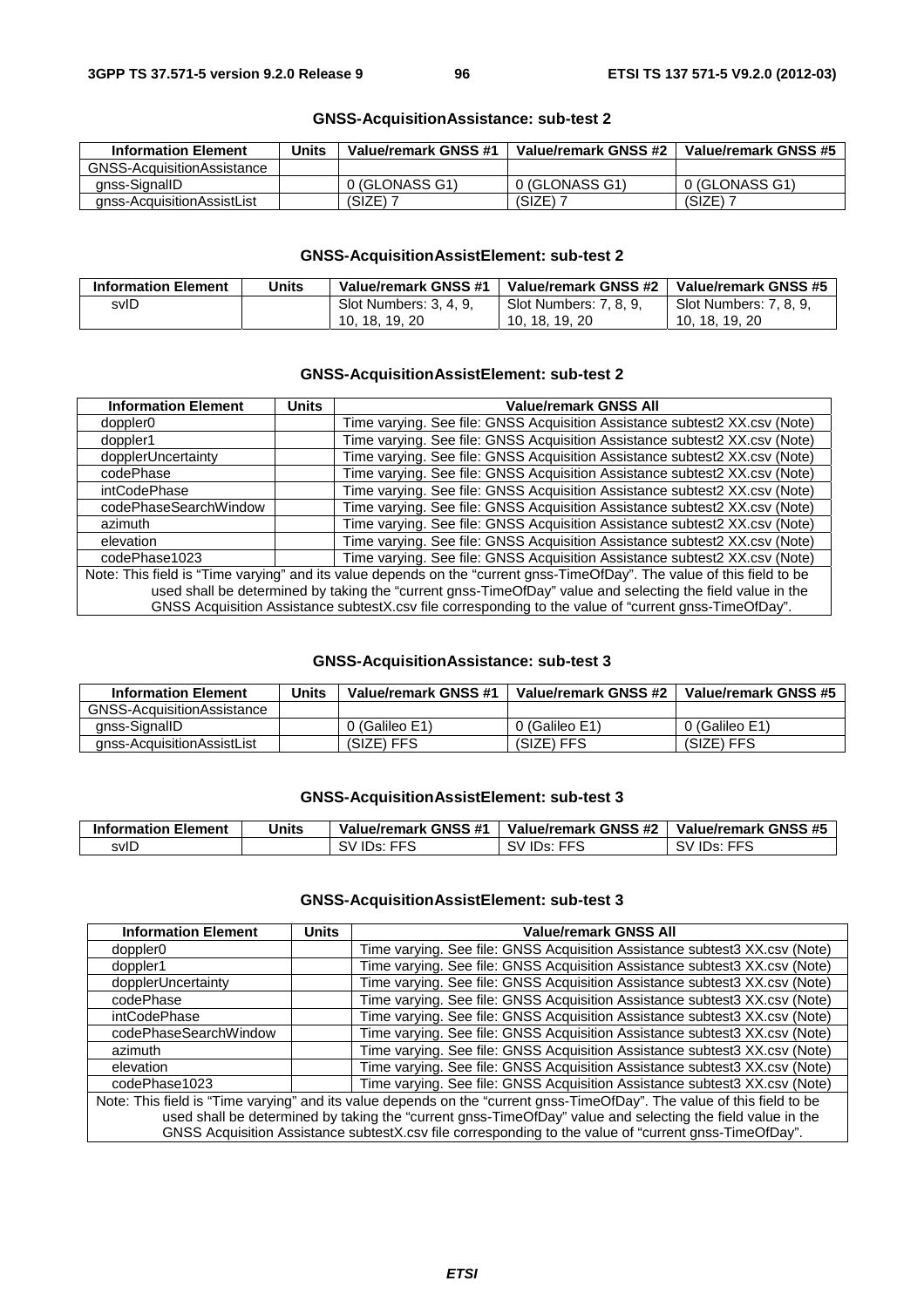| <b>Information Element</b>        | Units | Value/remark GNSS #1 | Value/remark GNSS #2 | Value/remark GNSS #5 |
|-----------------------------------|-------|----------------------|----------------------|----------------------|
| <b>GNSS-AcquisitionAssistance</b> |       |                      |                      |                      |
| anss-SignallD                     |       | 0 (GLONASS G1)       | 0 (GLONASS G1)       | 0 (GLONASS G1)       |
| anss-AcquisitionAssistList        |       | (SIZE)               | (SIZE)               | (SIZE)               |

# **GNSS-AcquisitionAssistance: sub-test 2**

# **GNSS-AcquisitionAssistElement: sub-test 2**

| <b>Information Element</b> | Units | Value/remark GNSS #1   | Value/remark GNSS #2   | Value/remark GNSS #5   |
|----------------------------|-------|------------------------|------------------------|------------------------|
| svID                       |       | Slot Numbers: 3, 4, 9, | Slot Numbers: 7, 8, 9, | Slot Numbers: 7, 8, 9, |
|                            |       | 10, 18, 19, 20         | 10. 18. 19. 20         | 10. 18. 19. 20         |

# **GNSS-AcquisitionAssistElement: sub-test 2**

| <b>Information Element</b>                                                                                              | <b>Units</b> | <b>Value/remark GNSS All</b>                                                                          |  |  |
|-------------------------------------------------------------------------------------------------------------------------|--------------|-------------------------------------------------------------------------------------------------------|--|--|
| doppler <sub>0</sub>                                                                                                    |              | Time varying. See file: GNSS Acquisition Assistance subtest2 XX.csv (Note)                            |  |  |
| doppler1                                                                                                                |              | Time varying. See file: GNSS Acquisition Assistance subtest2 XX.csv (Note)                            |  |  |
| dopplerUncertainty                                                                                                      |              | Time varying. See file: GNSS Acquisition Assistance subtest2 XX.csv (Note)                            |  |  |
| codePhase                                                                                                               |              | Time varying. See file: GNSS Acquisition Assistance subtest2 XX.csv (Note)                            |  |  |
| intCodePhase                                                                                                            |              | Time varying. See file: GNSS Acquisition Assistance subtest2 XX.csv (Note)                            |  |  |
| codePhaseSearchWindow                                                                                                   |              | Time varying. See file: GNSS Acquisition Assistance subtest2 XX.csv (Note)                            |  |  |
| azimuth                                                                                                                 |              | Time varying. See file: GNSS Acquisition Assistance subtest2 XX.csv (Note)                            |  |  |
| elevation                                                                                                               |              | Time varying. See file: GNSS Acquisition Assistance subtest2 XX.csv (Note)                            |  |  |
| codePhase1023                                                                                                           |              | Time varying. See file: GNSS Acquisition Assistance subtest2 XX.csv (Note)                            |  |  |
| Note: This field is "Time varying" and its value depends on the "current gnss-TimeOfDay". The value of this field to be |              |                                                                                                       |  |  |
| used shall be determined by taking the "current gnss-TimeOfDay" value and selecting the field value in the              |              |                                                                                                       |  |  |
|                                                                                                                         |              | GNSS Acquisition Assistance subtestX.csv file corresponding to the value of "current gnss-TimeOfDay". |  |  |

# **GNSS-AcquisitionAssistance: sub-test 3**

| <b>Information Element</b> | Units | Value/remark GNSS #1 | Value/remark GNSS #2 | Value/remark GNSS #5 |
|----------------------------|-------|----------------------|----------------------|----------------------|
| GNSS-AcquisitionAssistance |       |                      |                      |                      |
| anss-SignallD              |       | 0 (Galileo E1)       | 0 (Galileo E1)       | 0 (Galileo E1)       |
| gnss-AcquisitionAssistList |       | (SIZE) FFS           | (SIZE) FFS           | (SIZE) FFS           |

# **GNSS-AcquisitionAssistElement: sub-test 3**

| <b>Information Element</b> | Units | Value/remark GNSS #1  | Value/remark GNSS #2 | Value/remark GNSS #5     |
|----------------------------|-------|-----------------------|----------------------|--------------------------|
| svID                       |       | <b>IDs: FFS</b><br>SV | SV IDs: FFS          | <b>FFS</b><br>IDs:<br>sv |

# **GNSS-AcquisitionAssistElement: sub-test 3**

| <b>Information Element</b>                                                                                              | <b>Units</b> | <b>Value/remark GNSS All</b>                                                                          |  |  |
|-------------------------------------------------------------------------------------------------------------------------|--------------|-------------------------------------------------------------------------------------------------------|--|--|
| doppler <sub>0</sub>                                                                                                    |              | Time varying. See file: GNSS Acquisition Assistance subtest3 XX.csv (Note)                            |  |  |
| doppler1                                                                                                                |              | Time varying. See file: GNSS Acquisition Assistance subtest3 XX.csv (Note)                            |  |  |
| dopplerUncertainty                                                                                                      |              | Time varying. See file: GNSS Acquisition Assistance subtest3 XX.csv (Note)                            |  |  |
| codePhase                                                                                                               |              | Time varying. See file: GNSS Acquisition Assistance subtest3 XX.csv (Note)                            |  |  |
| intCodePhase                                                                                                            |              | Time varying. See file: GNSS Acquisition Assistance subtest3 XX.csv (Note)                            |  |  |
| codePhaseSearchWindow                                                                                                   |              | Time varying. See file: GNSS Acquisition Assistance subtest3 XX.csv (Note)                            |  |  |
| azimuth                                                                                                                 |              | Time varying. See file: GNSS Acquisition Assistance subtest3 XX.csv (Note)                            |  |  |
| elevation                                                                                                               |              | Time varying. See file: GNSS Acquisition Assistance subtest3 XX.csv (Note)                            |  |  |
| codePhase1023                                                                                                           |              | Time varying. See file: GNSS Acquisition Assistance subtest3 XX.csv (Note)                            |  |  |
| Note: This field is "Time varying" and its value depends on the "current gnss-TimeOfDay". The value of this field to be |              |                                                                                                       |  |  |
| used shall be determined by taking the "current gnss-TimeOfDay" value and selecting the field value in the              |              |                                                                                                       |  |  |
|                                                                                                                         |              | GNSS Acquisition Assistance subtestX.csv file corresponding to the value of "current gnss-TimeOfDay". |  |  |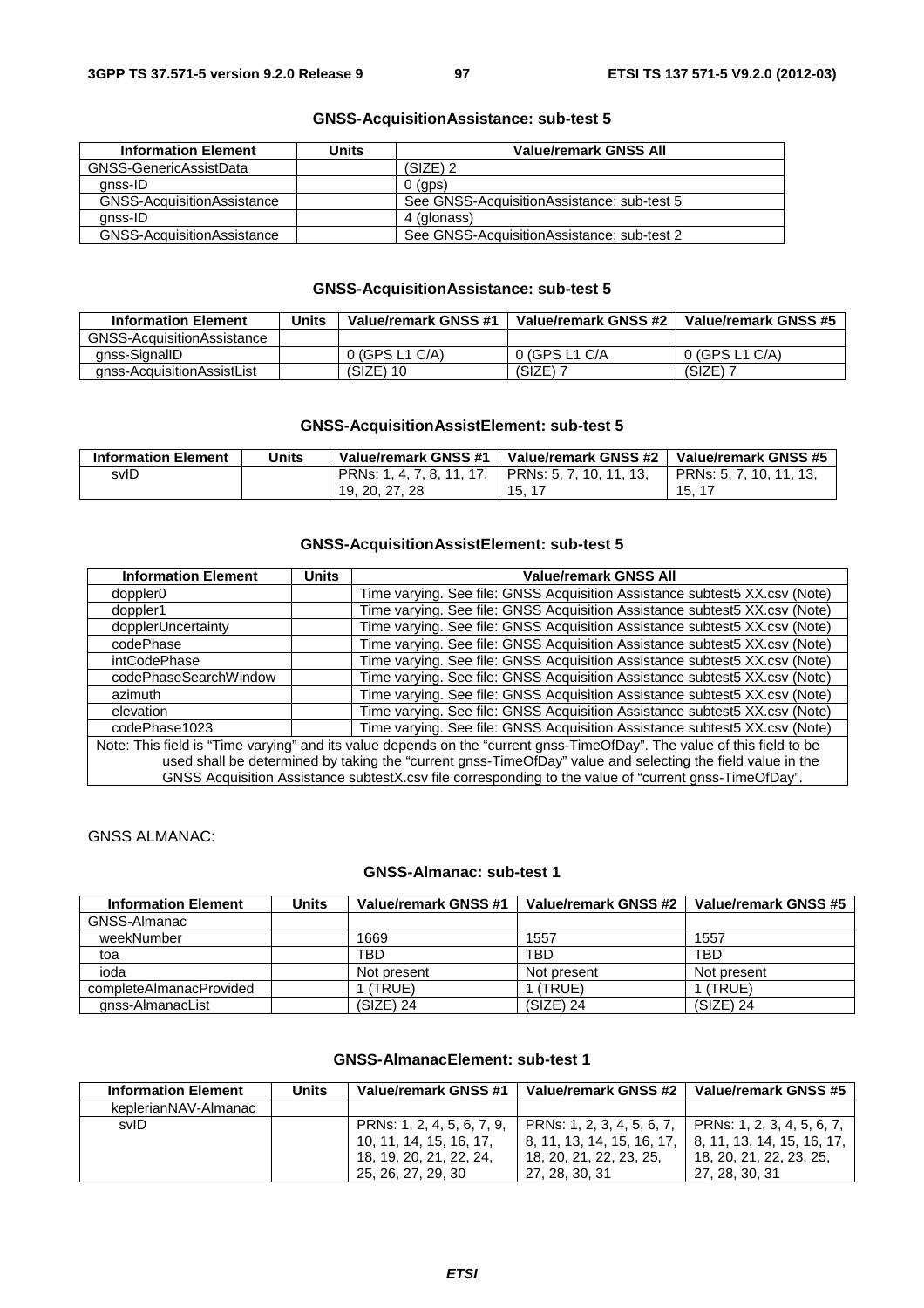| <b>Information Element</b> | Units | <b>Value/remark GNSS All</b>                |
|----------------------------|-------|---------------------------------------------|
| GNSS-GenericAssistData     |       | $(SIZE)$ 2                                  |
| anss-ID                    |       | $0$ (aps)                                   |
| GNSS-AcquisitionAssistance |       | See GNSS-Acquisition Assistance: sub-test 5 |
| anss-ID                    |       | 4 (glonass)                                 |
| GNSS-AcquisitionAssistance |       | See GNSS-AcquisitionAssistance: sub-test 2  |

# **GNSS-AcquisitionAssistance: sub-test 5**

# **GNSS-AcquisitionAssistance: sub-test 5**

| <b>Information Element</b>         | Units | Value/remark GNSS #1 | Value/remark GNSS #2 | Value/remark GNSS #5 |
|------------------------------------|-------|----------------------|----------------------|----------------------|
| <b>GNSS-Acquisition Assistance</b> |       |                      |                      |                      |
| anss-SignallD                      |       | 0 (GPS L1 C/A)       | 0 (GPS L1 C/A        | 0 (GPS L1 C/A)       |
| anss-AcquisitionAssistList         |       | $(SIZE)$ 10          | (SIZE)               | (SIZE)               |

# **GNSS-AcquisitionAssistElement: sub-test 5**

| <b>Information Element</b> | Units | Value/remark GNSS #1      | Value/remark GNSS #2    | Value/remark GNSS #5    |
|----------------------------|-------|---------------------------|-------------------------|-------------------------|
| svID                       |       | PRNs: 1, 4, 7, 8, 11, 17, | PRNs: 5, 7, 10, 11, 13, | PRNs: 5, 7, 10, 11, 13, |
|                            |       | 19, 20, 27, 28            | 15.17                   | 15.17                   |

# **GNSS-AcquisitionAssistElement: sub-test 5**

| <b>Information Element</b>                                                                                              | <b>Units</b> | <b>Value/remark GNSS All</b>                                                                          |  |  |
|-------------------------------------------------------------------------------------------------------------------------|--------------|-------------------------------------------------------------------------------------------------------|--|--|
| doppler <sub>0</sub>                                                                                                    |              | Time varying. See file: GNSS Acquisition Assistance subtest 5XX.csv (Note)                            |  |  |
| doppler1                                                                                                                |              | Time varying. See file: GNSS Acquisition Assistance subtest5 XX.csv (Note)                            |  |  |
| dopplerUncertainty                                                                                                      |              | Time varying. See file: GNSS Acquisition Assistance subtest5 XX.csv (Note)                            |  |  |
| codePhase                                                                                                               |              | Time varying. See file: GNSS Acquisition Assistance subtest5 XX.csv (Note)                            |  |  |
| intCodePhase                                                                                                            |              | Time varying. See file: GNSS Acquisition Assistance subtest5 XX.csv (Note)                            |  |  |
| codePhaseSearchWindow                                                                                                   |              | Time varying. See file: GNSS Acquisition Assistance subtest5 XX.csv (Note)                            |  |  |
| azimuth                                                                                                                 |              | Time varying. See file: GNSS Acquisition Assistance subtest5 XX.csv (Note)                            |  |  |
| elevation                                                                                                               |              | Time varying. See file: GNSS Acquisition Assistance subtest5 XX.csv (Note)                            |  |  |
| codePhase1023                                                                                                           |              | Time varying. See file: GNSS Acquisition Assistance subtest5 XX.csv (Note)                            |  |  |
| Note: This field is "Time varying" and its value depends on the "current gnss-TimeOfDay". The value of this field to be |              |                                                                                                       |  |  |
| used shall be determined by taking the "current gnss-TimeOfDay" value and selecting the field value in the              |              |                                                                                                       |  |  |
|                                                                                                                         |              | GNSS Acquisition Assistance subtestX.csv file corresponding to the value of "current gnss-TimeOfDay". |  |  |

GNSS ALMANAC:

#### **GNSS-Almanac: sub-test 1**

| <b>Information Element</b> | Units | Value/remark GNSS #1 | Value/remark GNSS #2 | Value/remark GNSS #5 |
|----------------------------|-------|----------------------|----------------------|----------------------|
| GNSS-Almanac               |       |                      |                      |                      |
| weekNumber                 |       | 1669                 | 1557                 | 1557                 |
| toa                        |       | TBD                  | <b>TBD</b>           | <b>TBD</b>           |
| ioda                       |       | Not present          | Not present          | Not present          |
| completeAlmanacProvided    |       | (TRUE)               | (TRUE)               | (TRUE)               |
| gnss-AlmanacList           |       | (SIZE) 24            | $(SIZE)$ 24          | $(SIZE)$ 24          |

# **GNSS-AlmanacElement: sub-test 1**

| <b>Information Element</b> | Units | Value/remark GNSS #1       | Value/remark GNSS #2       | Value/remark GNSS #5               |
|----------------------------|-------|----------------------------|----------------------------|------------------------------------|
| keplerianNAV-Almanac       |       |                            |                            |                                    |
| svID                       |       | PRNs: 1, 2, 4, 5, 6, 7, 9, | PRNs: 1, 2, 3, 4, 5, 6, 7, | $\vert$ PRNs: 1, 2, 3, 4, 5, 6, 7, |
|                            |       | 10, 11, 14, 15, 16, 17,    | 8. 11. 13. 14. 15. 16. 17. | 8, 11, 13, 14, 15, 16, 17,         |
|                            |       | 18, 19, 20, 21, 22, 24,    | 18, 20, 21, 22, 23, 25,    | 18, 20, 21, 22, 23, 25,            |
|                            |       | 25, 26, 27, 29, 30         | 27, 28, 30, 31             | 27, 28, 30, 31                     |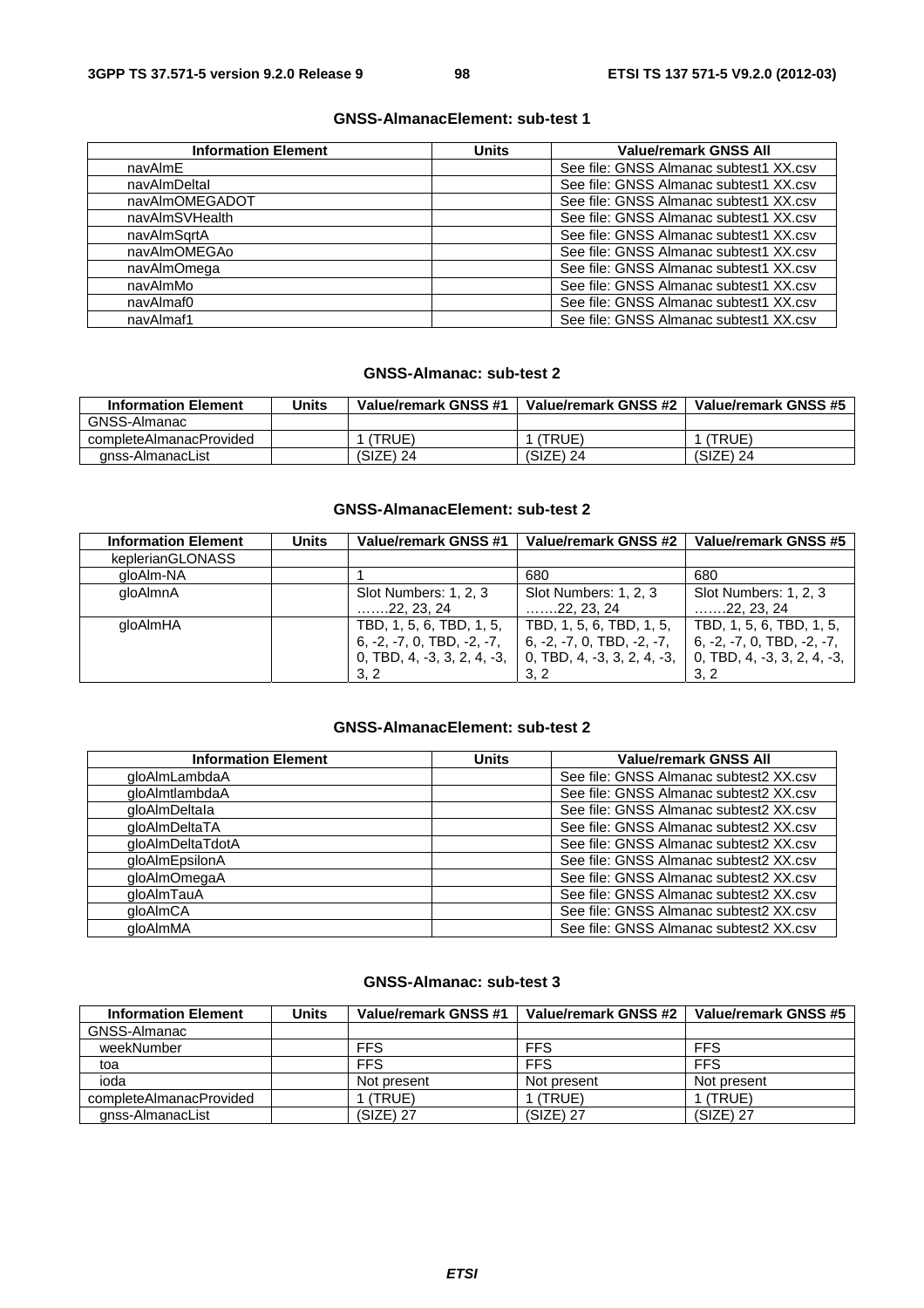# **GNSS-AlmanacElement: sub-test 1**

| <b>Information Element</b> | <b>Units</b> | <b>Value/remark GNSS All</b>           |
|----------------------------|--------------|----------------------------------------|
| navAlmE                    |              | See file: GNSS Almanac subtest1 XX.csv |
| navAlmDeltal               |              | See file: GNSS Almanac subtest1 XX.csv |
| navAlmOMEGADOT             |              | See file: GNSS Almanac subtest1 XX.csv |
| navAlmSVHealth             |              | See file: GNSS Almanac subtest1 XX.csv |
| navAlmSartA                |              | See file: GNSS Almanac subtest1 XX.csv |
| navAlmOMEGAo               |              | See file: GNSS Almanac subtest1 XX.csv |
| navAlmOmega                |              | See file: GNSS Almanac subtest1 XX.csv |
| navAlmMo                   |              | See file: GNSS Almanac subtest1 XX.csv |
| navAlmaf0                  |              | See file: GNSS Almanac subtest1 XX.csv |
| navAlmaf1                  |              | See file: GNSS Almanac subtest1 XX.csv |

# **GNSS-Almanac: sub-test 2**

| <b>Information Element</b> | <b>Units</b> | Value/remark GNSS #1 | Value/remark GNSS #2 | Value/remark GNSS #5 |
|----------------------------|--------------|----------------------|----------------------|----------------------|
| GNSS-Almanac               |              |                      |                      |                      |
| completeAlmanacProvided    |              | (TRUE)               | 'TRUE)               | 'TRUE'               |
| anss-AlmanacList           |              | (SIZE) 24            | $(SIZE)$ 24          | (SIZE) 24            |

# **GNSS-AlmanacElement: sub-test 2**

| <b>Information Element</b> | <b>Units</b> | Value/remark GNSS #1         | Value/remark GNSS #2         | Value/remark GNSS #5         |
|----------------------------|--------------|------------------------------|------------------------------|------------------------------|
| keplerianGLONASS           |              |                              |                              |                              |
| gloAlm-NA                  |              |                              | 680                          | 680                          |
| gloAlmnA                   |              | Slot Numbers: 1, 2, 3        | Slot Numbers: 1, 2, 3        | Slot Numbers: 1, 2, 3        |
|                            |              | $\ldots$ 22, 23, 24          | $\ldots$ 22, 23, 24          | $\ldots$ 22, 23, 24          |
| gloAlmHA                   |              | TBD, 1, 5, 6, TBD, 1, 5,     | TBD, 1, 5, 6, TBD, 1, 5,     | TBD, 1, 5, 6, TBD, 1, 5,     |
|                            |              | $6, -2, -7, 0, TBD, -2, -7,$ | $6, -2, -7, 0, TBD, -2, -7,$ | $6, -2, -7, 0, TBD, -2, -7,$ |
|                            |              | 0, TBD, 4, -3, 3, 2, 4, -3,  | 0, TBD, 4, -3, 3, 2, 4, -3,  | 0, TBD, 4, -3, 3, 2, 4, -3,  |
|                            |              | 3.2                          | 3.2                          | 3.2                          |

# **GNSS-AlmanacElement: sub-test 2**

| <b>Information Element</b> | <b>Units</b> | <b>Value/remark GNSS All</b>           |
|----------------------------|--------------|----------------------------------------|
| qloAlmLambdaA              |              | See file: GNSS Almanac subtest2 XX.csv |
| qloAlmtlambdaA             |              | See file: GNSS Almanac subtest2 XX.csv |
| aloAlmDeltala              |              | See file: GNSS Almanac subtest2 XX.csv |
| gloAlmDeltaTA              |              | See file: GNSS Almanac subtest2 XX.csv |
| qloAlmDeltaTdotA           |              | See file: GNSS Almanac subtest2 XX.csv |
| gloAlmEpsilonA             |              | See file: GNSS Almanac subtest2 XX.csv |
| qloAlmOmegaA               |              | See file: GNSS Almanac subtest2 XX.csv |
| gloAlmTauA                 |              | See file: GNSS Almanac subtest2 XX.csv |
| qloAlmCA                   |              | See file: GNSS Almanac subtest2 XX.csv |
| aloAlmMA                   |              | See file: GNSS Almanac subtest2 XX.csv |

# **GNSS-Almanac: sub-test 3**

| <b>Information Element</b> | Units | Value/remark GNSS #1 | Value/remark GNSS #2 | Value/remark GNSS #5 |
|----------------------------|-------|----------------------|----------------------|----------------------|
| GNSS-Almanac               |       |                      |                      |                      |
| weekNumber                 |       | <b>FFS</b>           | <b>FFS</b>           | <b>FFS</b>           |
| toa                        |       | <b>FFS</b>           | <b>FFS</b>           | <b>FFS</b>           |
| ioda                       |       | Not present          | Not present          | Not present          |
| completeAlmanacProvided    |       | (TRUE)               | I (TRUE)             | (TRUE)               |
| anss-AlmanacList           |       | $(SIZE)$ 27          | $(SIZE)$ 27          | $(SIZE)$ 27          |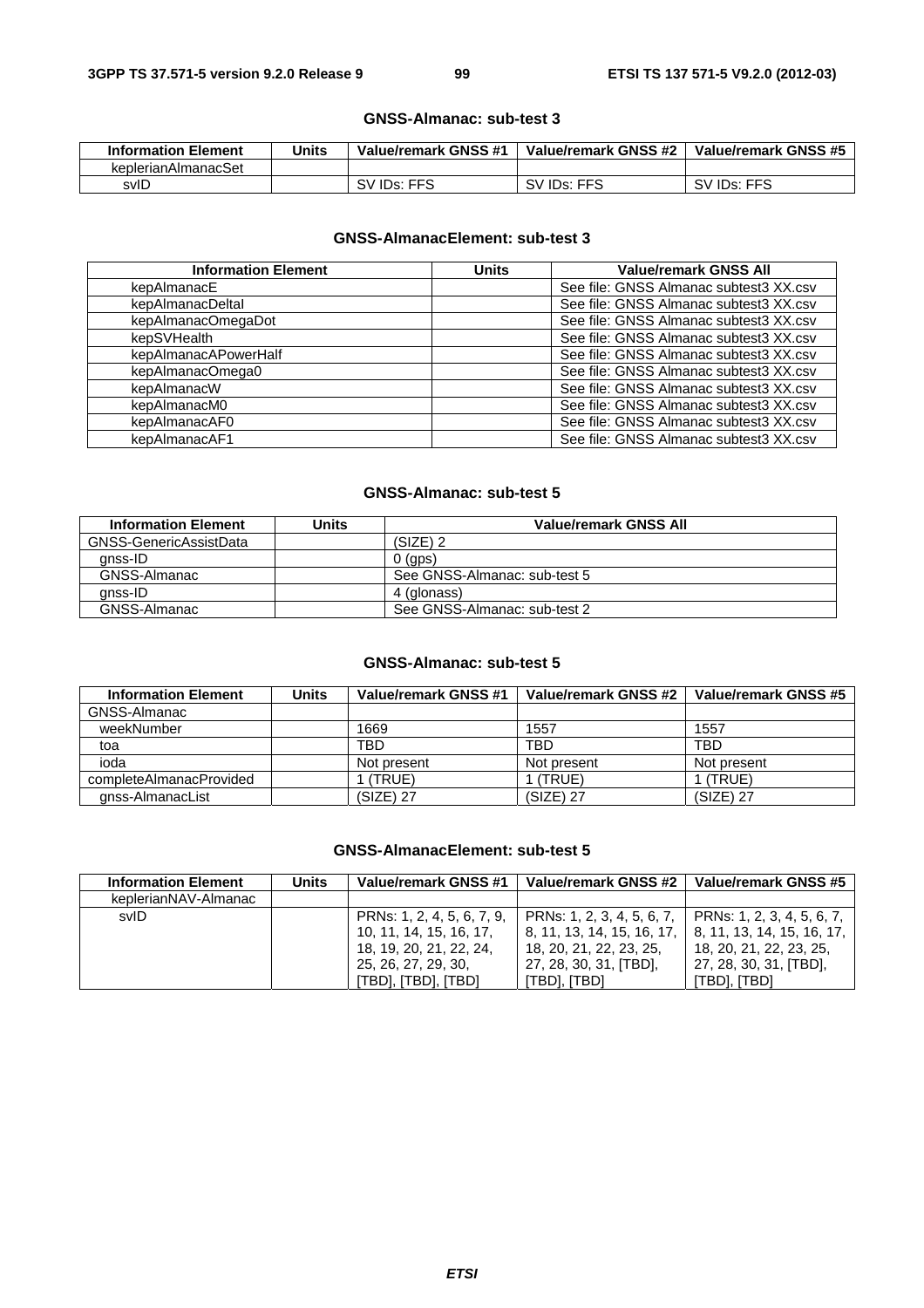#### **GNSS-Almanac: sub-test 3**

| <b>Information Element</b> | Units | Value/remark GNSS #1     | Value/remark GNSS #2     | Value/remark GNSS #5     |
|----------------------------|-------|--------------------------|--------------------------|--------------------------|
| keplerianAlmanacSet        |       |                          |                          |                          |
| svID                       |       | SV ID <sub>s</sub> : FFS | SV ID <sub>s</sub> : FFS | SV ID <sub>s</sub> : FFS |

# **GNSS-AlmanacElement: sub-test 3**

| <b>Information Element</b> | <b>Units</b> | <b>Value/remark GNSS All</b>           |
|----------------------------|--------------|----------------------------------------|
| kepAlmanacE                |              | See file: GNSS Almanac subtest3 XX.csv |
| kepAlmanacDeltal           |              | See file: GNSS Almanac subtest3 XX.csv |
| kepAlmanacOmegaDot         |              | See file: GNSS Almanac subtest3 XX.csv |
| kepSVHealth                |              | See file: GNSS Almanac subtest3 XX.csv |
| kepAlmanacAPowerHalf       |              | See file: GNSS Almanac subtest3 XX.csv |
| kepAlmanacOmega0           |              | See file: GNSS Almanac subtest3 XX.csv |
| kepAlmanacW                |              | See file: GNSS Almanac subtest3 XX.csv |
| kepAlmanacM0               |              | See file: GNSS Almanac subtest3 XX.csv |
| kepAlmanacAF0              |              | See file: GNSS Almanac subtest3 XX.csv |
| kepAlmanacAF1              |              | See file: GNSS Almanac subtest3 XX.csv |

#### **GNSS-Almanac: sub-test 5**

| <b>Information Element</b> | Units | Value/remark GNSS All        |
|----------------------------|-------|------------------------------|
| GNSS-GenericAssistData     |       | $(SIZE)$ 2                   |
| anss-ID                    |       | $0$ (gps)                    |
| GNSS-Almanac               |       | See GNSS-Almanac: sub-test 5 |
| anss-ID                    |       | 4 (glonass)                  |
| GNSS-Almanac               |       | See GNSS-Almanac: sub-test 2 |

# **GNSS-Almanac: sub-test 5**

| <b>Information Element</b> | <b>Units</b> | <b>Value/remark GNSS #1</b> | Value/remark GNSS #2 | Value/remark GNSS #5 |
|----------------------------|--------------|-----------------------------|----------------------|----------------------|
| GNSS-Almanac               |              |                             |                      |                      |
| weekNumber                 |              | 1669                        | 1557                 | 1557                 |
| toa                        |              | TBD                         | TBD                  | <b>TBD</b>           |
| ioda                       |              | Not present                 | Not present          | Not present          |
| completeAlmanacProvided    |              | (TRUE)                      | (TRUE                | (TRUE)               |
| anss-AlmanacList           |              | (SIZE) 27                   | $(SIZE)$ 27          | $(SIZE)$ 27          |

#### **GNSS-AlmanacElement: sub-test 5**

| <b>Information Element</b> | Units | Value/remark GNSS #1       | Value/remark GNSS #2       | Value/remark GNSS #5       |
|----------------------------|-------|----------------------------|----------------------------|----------------------------|
| keplerianNAV-Almanac       |       |                            |                            |                            |
| svID                       |       | PRNs: 1, 2, 4, 5, 6, 7, 9, | PRNs: 1, 2, 3, 4, 5, 6, 7, | PRNs: 1, 2, 3, 4, 5, 6, 7, |
|                            |       | 10, 11, 14, 15, 16, 17,    | 8, 11, 13, 14, 15, 16, 17, | 8, 11, 13, 14, 15, 16, 17, |
|                            |       | 18, 19, 20, 21, 22, 24,    | 18, 20, 21, 22, 23, 25,    | 18, 20, 21, 22, 23, 25,    |
|                            |       | 25, 26, 27, 29, 30,        | 27, 28, 30, 31, [TBD],     | 27, 28, 30, 31, [TBD],     |
|                            |       | [TBD], [TBD], [TBD]        | itbd], [TBD]               | 'TBD], [TBD]               |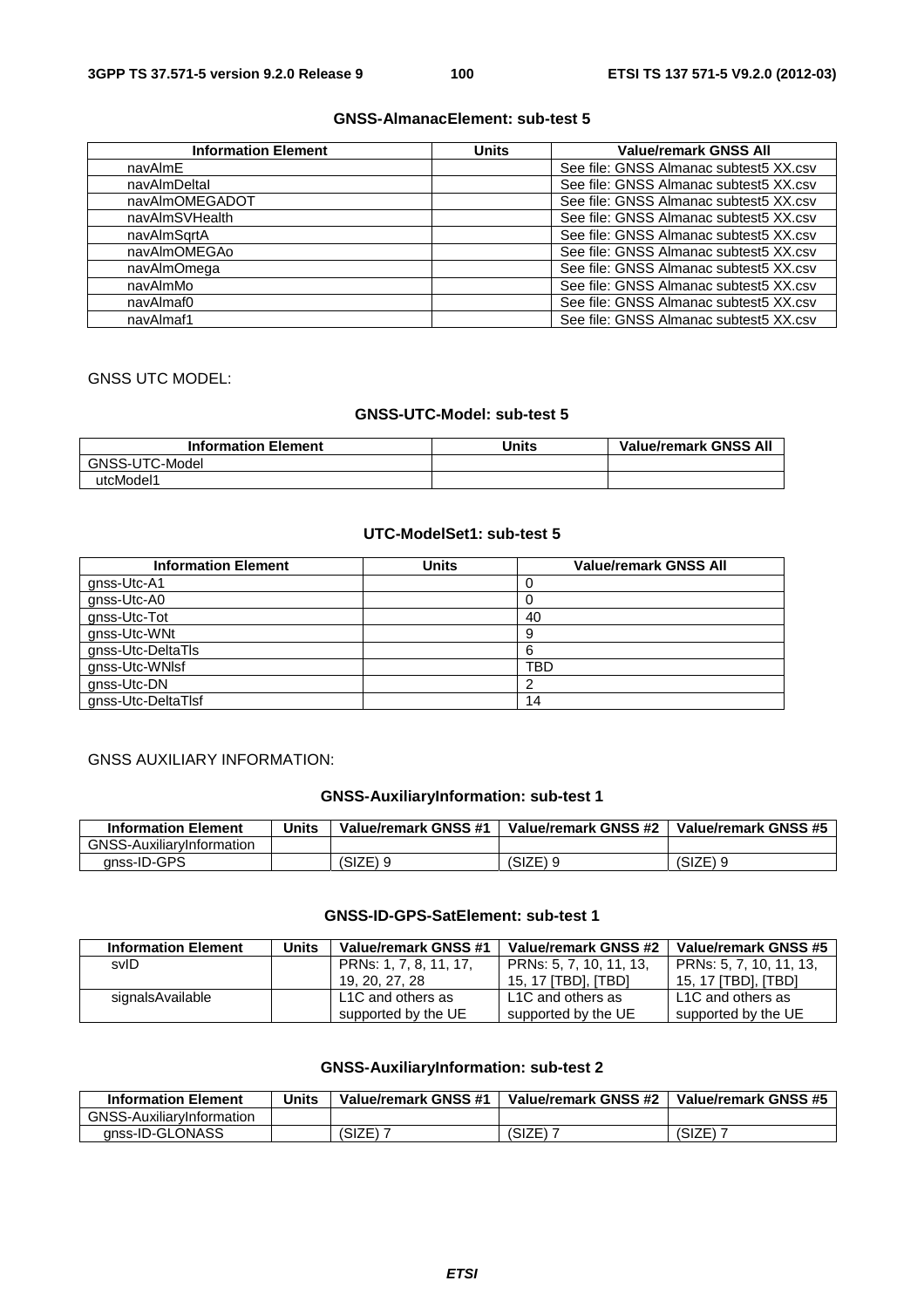# **GNSS-AlmanacElement: sub-test 5**

| <b>Information Element</b> | <b>Units</b> | <b>Value/remark GNSS All</b>           |
|----------------------------|--------------|----------------------------------------|
| navAlmE                    |              | See file: GNSS Almanac subtest 5XX.csv |
| navAlmDeltal               |              | See file: GNSS Almanac subtest 5XX.csv |
| navAlmOMEGADOT             |              | See file: GNSS Almanac subtest5 XX.csv |
| navAlmSVHealth             |              | See file: GNSS Almanac subtest 5XX.csv |
| navAlmSartA                |              | See file: GNSS Almanac subtest 5XX.csv |
| navAlmOMEGAo               |              | See file: GNSS Almanac subtest 5XX.csv |
| navAlmOmega                |              | See file: GNSS Almanac subtest5 XX.csv |
| navAlmMo                   |              | See file: GNSS Almanac subtest 5XX.csv |
| navAlmaf0                  |              | See file: GNSS Almanac subtest5 XX.csv |
| navAlmaf1                  |              | See file: GNSS Almanac subtest5 XX.csv |

# GNSS UTC MODEL:

#### **GNSS-UTC-Model: sub-test 5**

| <b>Information Element</b> | <b>Units</b> | <b>Value/remark GNSS All</b> |
|----------------------------|--------------|------------------------------|
| GNSS-UTC-Model             |              |                              |
| utcModel1                  |              |                              |

# **UTC-ModelSet1: sub-test 5**

| <b>Information Element</b> | Units | <b>Value/remark GNSS All</b> |
|----------------------------|-------|------------------------------|
| gnss-Utc-A1                |       |                              |
| gnss-Utc-A0                |       | U                            |
| gnss-Utc-Tot               |       | 40                           |
| gnss-Utc-WNt               |       | 9                            |
| gnss-Utc-DeltaTls          |       | 6                            |
| gnss-Utc-WNIsf             |       | TBD                          |
| gnss-Utc-DN                |       |                              |
| gnss-Utc-DeltaTlsf         |       | 14                           |

# GNSS AUXILIARY INFORMATION:

# **GNSS-AuxiliaryInformation: sub-test 1**

| <b>Information Element</b>       | Units | Value/remark GNSS #1 | Value/remark GNSS #2 | Value/remark GNSS #5 |
|----------------------------------|-------|----------------------|----------------------|----------------------|
| <b>GNSS-AuxiliarvInformation</b> |       |                      |                      |                      |
| anss-ID-GPS                      |       | (SIZE) 9             | (SIZE)               | $(SIZE)$ 9           |

# **GNSS-ID-GPS-SatElement: sub-test 1**

| <b>Information Element</b> | <b>Units</b> | Value/remark GNSS #1   | Value/remark GNSS #2    | Value/remark GNSS #5    |
|----------------------------|--------------|------------------------|-------------------------|-------------------------|
| svID                       |              | PRNs: 1, 7, 8, 11, 17, | PRNs: 5, 7, 10, 11, 13, | PRNs: 5, 7, 10, 11, 13, |
|                            |              | 19, 20, 27, 28         | 15. 17 ITBDI. ITBDI     | 15. 17 ITBDI. ITBDI     |
| signalsAvailable           |              | L1C and others as      | L1C and others as       | L1C and others as       |
|                            |              | supported by the UE    | supported by the UE     | supported by the UE     |

# **GNSS-AuxiliaryInformation: sub-test 2**

| <b>Information Element</b>       | <b>Units</b> | Value/remark GNSS #1 | Value/remark GNSS #2 | Value/remark GNSS #5 |
|----------------------------------|--------------|----------------------|----------------------|----------------------|
| <b>GNSS-AuxiliaryInformation</b> |              |                      |                      |                      |
| anss-ID-GLONASS                  |              | (SIZE)               | (CI7E)<br>SIZE       | (SIZE)               |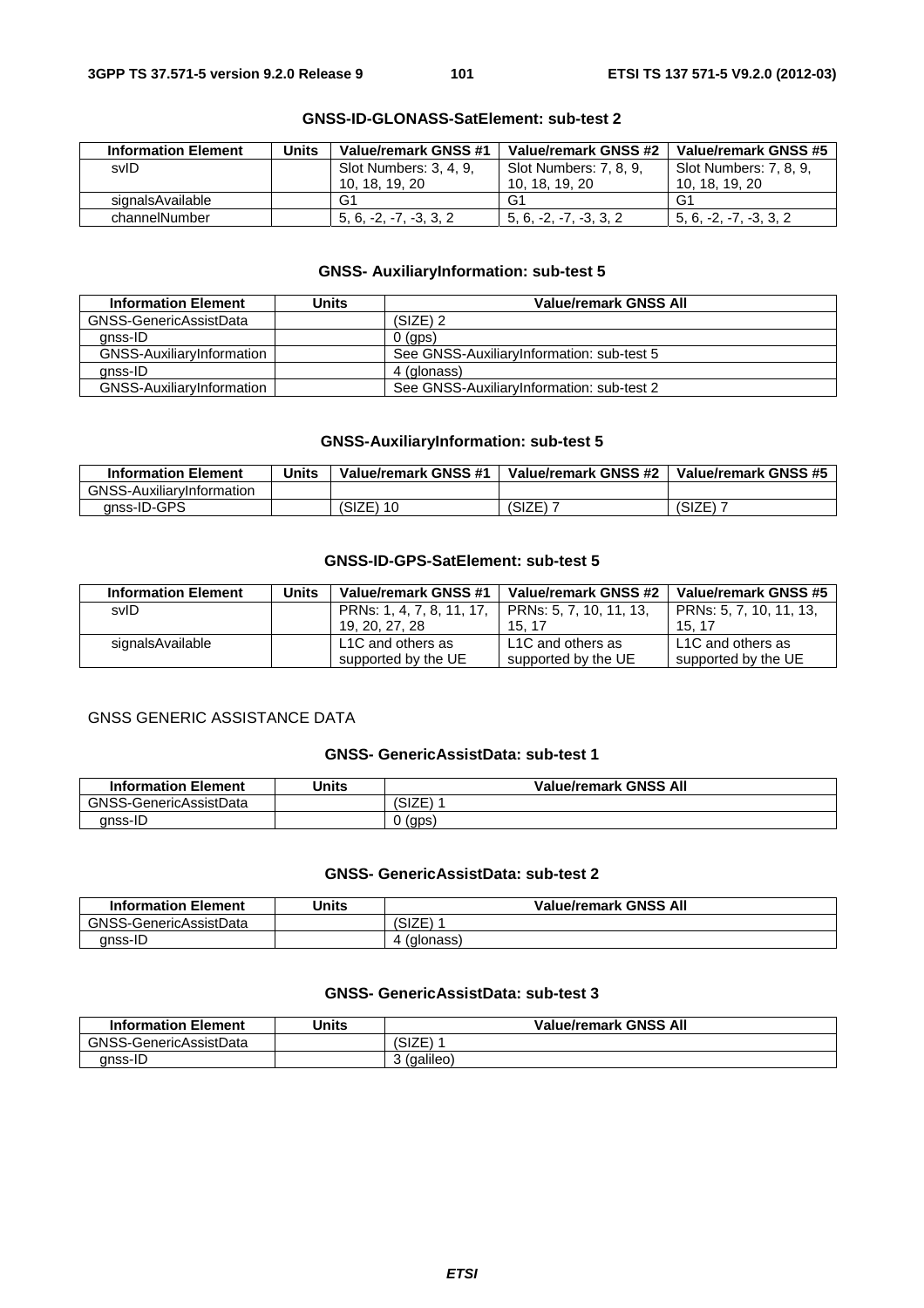| <b>Information Element</b> | Units | Value/remark GNSS #1   | Value/remark GNSS #2     | Value/remark GNSS #5     |
|----------------------------|-------|------------------------|--------------------------|--------------------------|
| svID                       |       | Slot Numbers: 3, 4, 9, | Slot Numbers: 7, 8, 9.   | Slot Numbers: 7, 8, 9,   |
|                            |       | 10, 18, 19, 20         | 10, 18, 19, 20           | 10, 18, 19, 20           |
| signalsAvailable           |       | G1                     | G1                       | G1                       |
| channelNumber              |       | $5.6. -2. -7. -3.3.2$  | $5, 6, -2, -7, -3, 3, 2$ | $5, 6, -2, -7, -3, 3, 2$ |

#### **GNSS-ID-GLONASS-SatElement: sub-test 2**

# **GNSS- AuxiliaryInformation: sub-test 5**

| <b>Information Element</b>       | Units | Value/remark GNSS All                     |
|----------------------------------|-------|-------------------------------------------|
| GNSS-GenericAssistData           |       | $(SIZE)$ 2                                |
| anss-ID                          |       | $0$ (gps)                                 |
| GNSS-AuxiliaryInformation        |       | See GNSS-AuxiliaryInformation: sub-test 5 |
| anss-ID                          |       | 4 (glonass)                               |
| <b>GNSS-AuxiliaryInformation</b> |       | See GNSS-AuxiliaryInformation: sub-test 2 |

# **GNSS-AuxiliaryInformation: sub-test 5**

| <b>Information Element</b>       | Units | Value/remark GNSS #1 | Value/remark GNSS #2 | Value/remark GNSS #5 |
|----------------------------------|-------|----------------------|----------------------|----------------------|
| <b>GNSS-AuxiliaryInformation</b> |       |                      |                      |                      |
| anss-ID-GPS                      |       | (SIZE) 10            | (SIZE)               | (SIZE)               |

# **GNSS-ID-GPS-SatElement: sub-test 5**

| <b>Information Element</b> | Units | Value/remark GNSS #1           | Value/remark GNSS #2    | Value/remark GNSS #5    |
|----------------------------|-------|--------------------------------|-------------------------|-------------------------|
| svID                       |       | PRNs: 1, 4, 7, 8, 11, 17,      | PRNs: 5, 7, 10, 11, 13, | PRNs: 5, 7, 10, 11, 13, |
|                            |       | 19, 20, 27, 28                 | 15.17                   | 15.17                   |
| signalsAvailable           |       | L <sub>1</sub> C and others as | L1C and others as       | L1C and others as       |
|                            |       | supported by the UE            | supported by the UE     | supported by the UE     |

# GNSS GENERIC ASSISTANCE DATA

#### **GNSS- GenericAssistData: sub-test 1**

| <b>Information Element</b> | 'Jnits | <b>Value/remark GNSS All</b> |
|----------------------------|--------|------------------------------|
| GNSS-GenericAssistData     |        | ם∟וטי                        |
| anss-ID                    |        | (gps)                        |

#### **GNSS- GenericAssistData: sub-test 2**

| <b>Information Element</b> | Units | <b>Value/remark GNSS All</b>           |
|----------------------------|-------|----------------------------------------|
| GNSS-GenericAssistData     |       | $\textsf{C}$ 2 $\textsf{C}$<br>≀ ⊐∟ات. |
| anss-IL                    |       | (glonass)                              |

# **GNSS- GenericAssistData: sub-test 3**

| <b>Information Element</b> | Units | <b>Value/remark GNSS All</b> |
|----------------------------|-------|------------------------------|
| GNSS-GenericAssistData     |       | <b>SIZE</b>                  |
| anss-ID                    |       | (galileo)                    |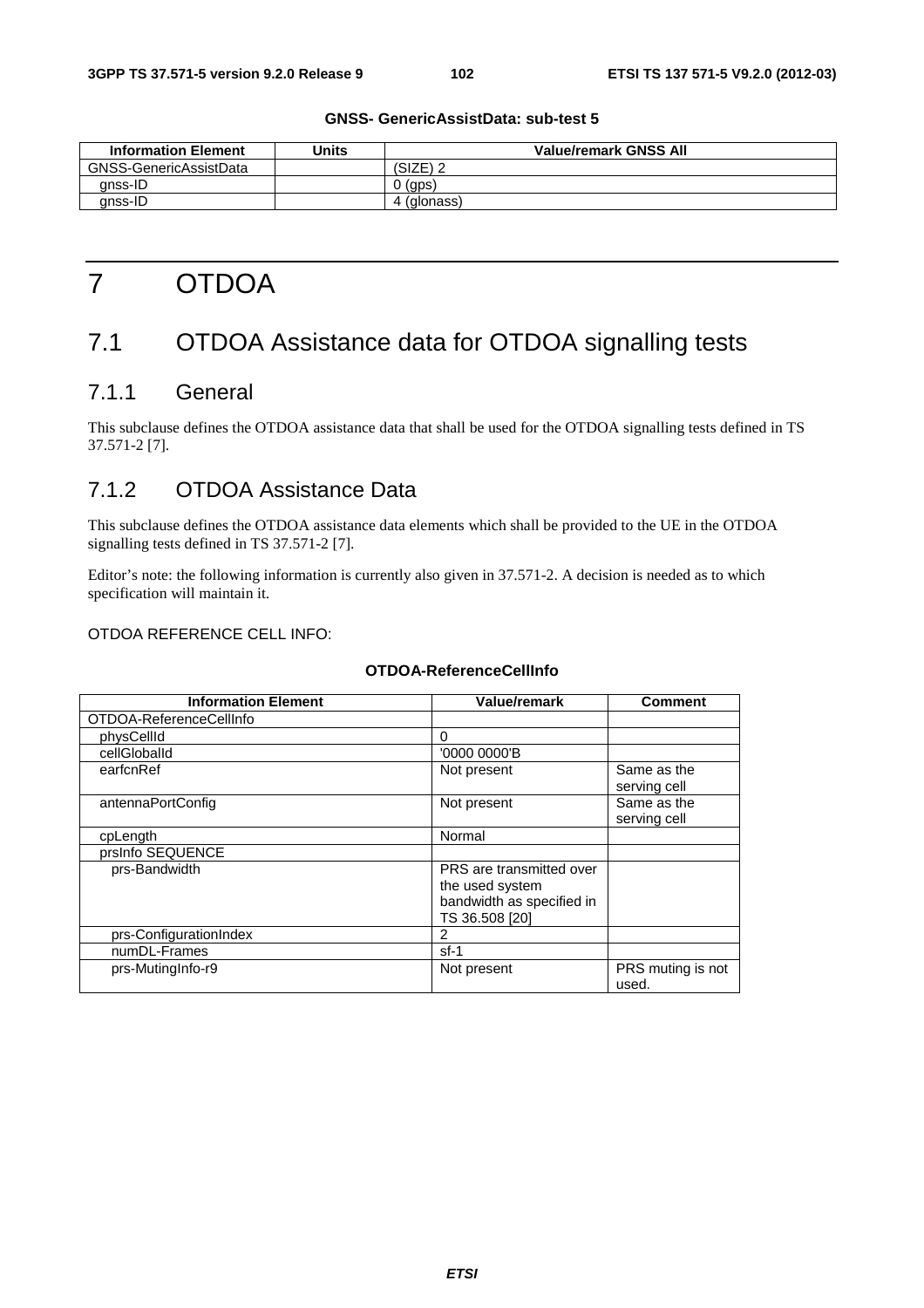| <b>Information Element</b> | Units | <b>Value/remark GNSS All</b> |
|----------------------------|-------|------------------------------|
| GNSS-GenericAssistData     |       | $(SIZE)$ 2                   |
| anss-ID                    |       | (gps)                        |
| gnss-ID                    |       | (glonass)                    |

# **GNSS- GenericAssistData: sub-test 5**

# 7 OTDOA

# 7.1 OTDOA Assistance data for OTDOA signalling tests

# 7.1.1 General

This subclause defines the OTDOA assistance data that shall be used for the OTDOA signalling tests defined in TS 37.571-2 [7].

# 7.1.2 OTDOA Assistance Data

This subclause defines the OTDOA assistance data elements which shall be provided to the UE in the OTDOA signalling tests defined in TS 37.571-2 [7].

Editor's note: the following information is currently also given in 37.571-2. A decision is needed as to which specification will maintain it.

#### OTDOA REFERENCE CELL INFO:

# **OTDOA-ReferenceCellInfo**

| <b>Information Element</b> | <b>Value/remark</b>                                                                        | <b>Comment</b>              |
|----------------------------|--------------------------------------------------------------------------------------------|-----------------------------|
| OTDOA-ReferenceCellInfo    |                                                                                            |                             |
| physCellId                 | 0                                                                                          |                             |
| cellGloballd               | '0000 0000'B                                                                               |                             |
| earfcnRef                  | Not present                                                                                | Same as the<br>serving cell |
| antennaPortConfig          | Not present                                                                                | Same as the<br>serving cell |
| cpLength                   | Normal                                                                                     |                             |
| prsInfo SEQUENCE           |                                                                                            |                             |
| prs-Bandwidth              | PRS are transmitted over<br>the used system<br>bandwidth as specified in<br>TS 36.508 [20] |                             |
| prs-ConfigurationIndex     | 2                                                                                          |                             |
| numDL-Frames               | $sf-1$                                                                                     |                             |
| prs-MutingInfo-r9          | Not present                                                                                | PRS muting is not<br>used.  |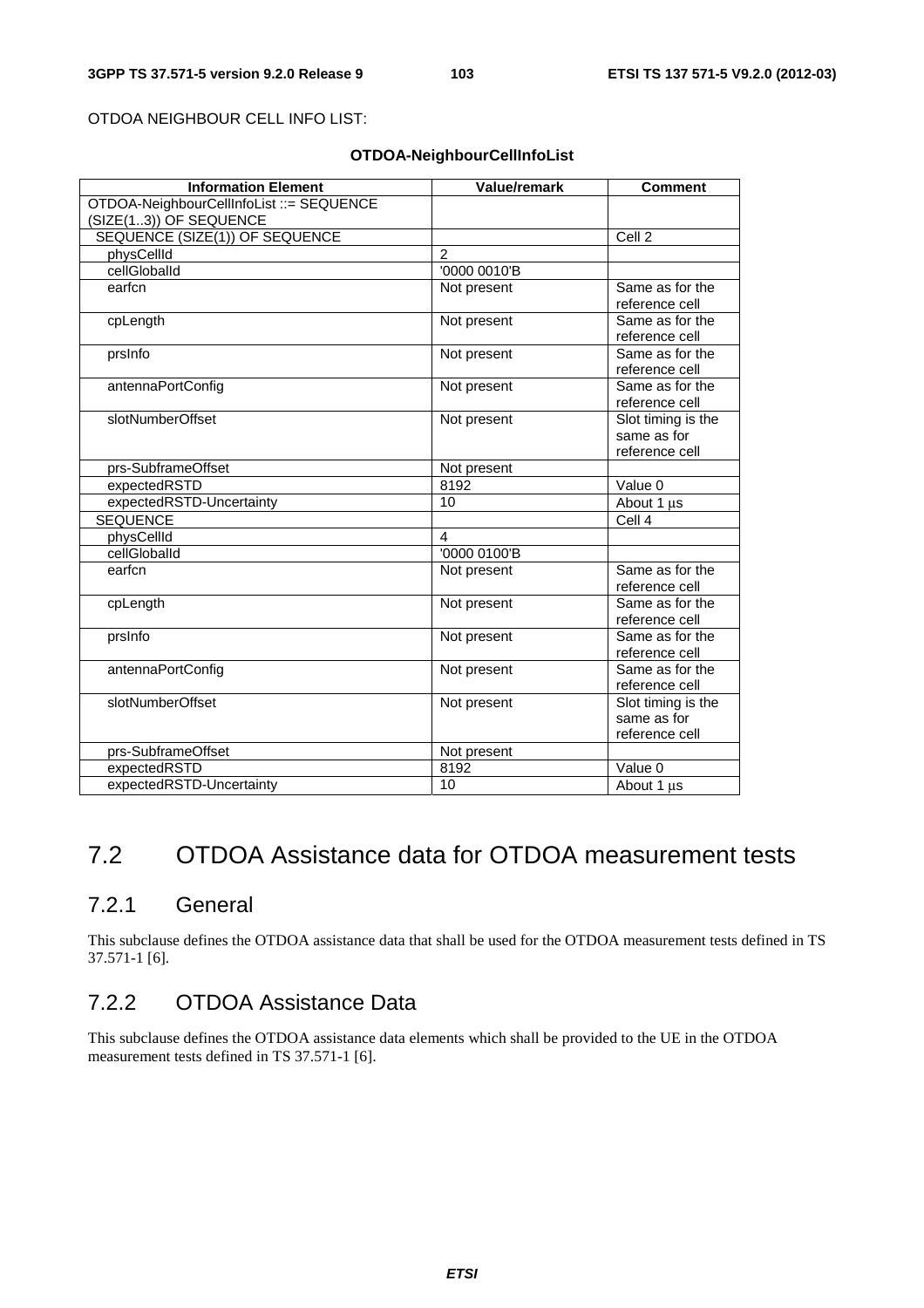OTDOA NEIGHBOUR CELL INFO LIST:

#### **OTDOA-NeighbourCellInfoList**

| <b>Information Element</b>               | Value/remark   | <b>Comment</b>                                      |
|------------------------------------------|----------------|-----------------------------------------------------|
| OTDOA-NeighbourCellInfoList ::= SEQUENCE |                |                                                     |
| (SIZE(13)) OF SEQUENCE                   |                |                                                     |
| SEQUENCE (SIZE(1)) OF SEQUENCE           |                | Cell <sub>2</sub>                                   |
| physCellId                               | $\overline{2}$ |                                                     |
| cellGloballd                             | '0000 0010'B   |                                                     |
| earfcn                                   | Not present    | Same as for the<br>reference cell                   |
| cpLength                                 | Not present    | Same as for the<br>reference cell                   |
| prsInfo                                  | Not present    | Same as for the<br>reference cell                   |
| antennaPortConfig                        | Not present    | Same as for the<br>reference cell                   |
| slotNumberOffset                         | Not present    | Slot timing is the<br>same as for<br>reference cell |
| prs-SubframeOffset                       | Not present    |                                                     |
| expectedRSTD                             | 8192           | Value 0                                             |
| expectedRSTD-Uncertainty                 | 10             | About 1 µs                                          |
| <b>SEQUENCE</b>                          |                | Cell 4                                              |
| physCellId                               | 4              |                                                     |
| cellGloballd                             | '0000 0100'B   |                                                     |
| earfcn                                   | Not present    | Same as for the<br>reference cell                   |
| cpLength                                 | Not present    | Same as for the<br>reference cell                   |
| prsInfo                                  | Not present    | Same as for the<br>reference cell                   |
| antennaPortConfig                        | Not present    | Same as for the<br>reference cell                   |
| slotNumberOffset                         | Not present    | Slot timing is the<br>same as for<br>reference cell |
| prs-SubframeOffset                       | Not present    |                                                     |
| expectedRSTD                             | 8192           | Value 0                                             |
| expectedRSTD-Uncertainty                 | 10             | About 1 µs                                          |

# 7.2 OTDOA Assistance data for OTDOA measurement tests

# 7.2.1 General

This subclause defines the OTDOA assistance data that shall be used for the OTDOA measurement tests defined in TS 37.571-1 [6].

# 7.2.2 OTDOA Assistance Data

This subclause defines the OTDOA assistance data elements which shall be provided to the UE in the OTDOA measurement tests defined in TS 37.571-1 [6].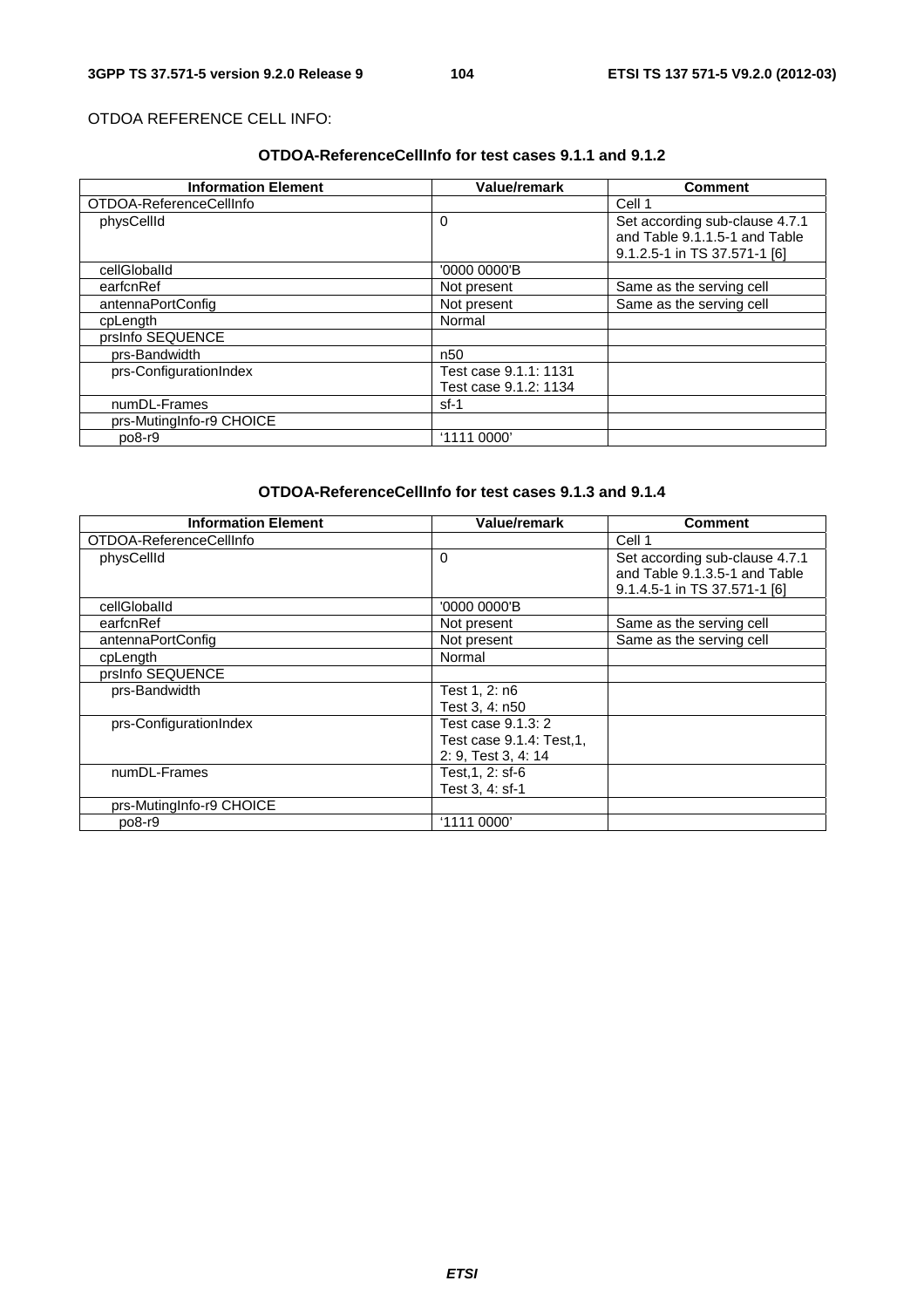# OTDOA REFERENCE CELL INFO:

# **OTDOA-ReferenceCellInfo for test cases 9.1.1 and 9.1.2**

| <b>Information Element</b> | Value/remark          | <b>Comment</b>                                                  |
|----------------------------|-----------------------|-----------------------------------------------------------------|
| OTDOA-ReferenceCellInfo    |                       | Cell 1                                                          |
| physCellId                 | $\Omega$              | Set according sub-clause 4.7.1<br>and Table 9.1.1.5-1 and Table |
|                            |                       | 9.1.2.5-1 in TS 37.571-1 [6]                                    |
| cellGloballd               | '0000 0000'B          |                                                                 |
| earfcnRef                  | Not present           | Same as the serving cell                                        |
| antennaPortConfig          | Not present           | Same as the serving cell                                        |
| cpLength                   | Normal                |                                                                 |
| prsInfo SEQUENCE           |                       |                                                                 |
| prs-Bandwidth              | n <sub>50</sub>       |                                                                 |
| prs-ConfigurationIndex     | Test case 9.1.1: 1131 |                                                                 |
|                            | Test case 9.1.2: 1134 |                                                                 |
| numDL-Frames               | sf-1                  |                                                                 |
| prs-MutingInfo-r9 CHOICE   |                       |                                                                 |
| $po8-r9$                   | '1111 0000'           |                                                                 |

# **OTDOA-ReferenceCellInfo for test cases 9.1.3 and 9.1.4**

| <b>Information Element</b> | <b>Value/remark</b>      | <b>Comment</b>                                                  |
|----------------------------|--------------------------|-----------------------------------------------------------------|
| OTDOA-ReferenceCellInfo    |                          | Cell 1                                                          |
| physCellId                 | 0                        | Set according sub-clause 4.7.1<br>and Table 9.1.3.5-1 and Table |
|                            |                          | 9.1.4.5-1 in TS 37.571-1 [6]                                    |
| cellGloballd               | '0000 0000'B             |                                                                 |
| earfcnRef                  | Not present              | Same as the serving cell                                        |
| antennaPortConfig          | Not present              | Same as the serving cell                                        |
| cpLength                   | Normal                   |                                                                 |
| prsInfo SEQUENCE           |                          |                                                                 |
| prs-Bandwidth              | Test 1, 2: n6            |                                                                 |
|                            | Test 3, 4: n50           |                                                                 |
| prs-ConfigurationIndex     | Test case 9.1.3: 2       |                                                                 |
|                            | Test case 9.1.4: Test,1, |                                                                 |
|                            | 2: 9, Test 3, 4: 14      |                                                                 |
| numDL-Frames               | Test,1, 2: sf-6          |                                                                 |
|                            | Test 3, 4: sf-1          |                                                                 |
| prs-MutingInfo-r9 CHOICE   |                          |                                                                 |
| $po8-r9$                   | '1111 0000'              |                                                                 |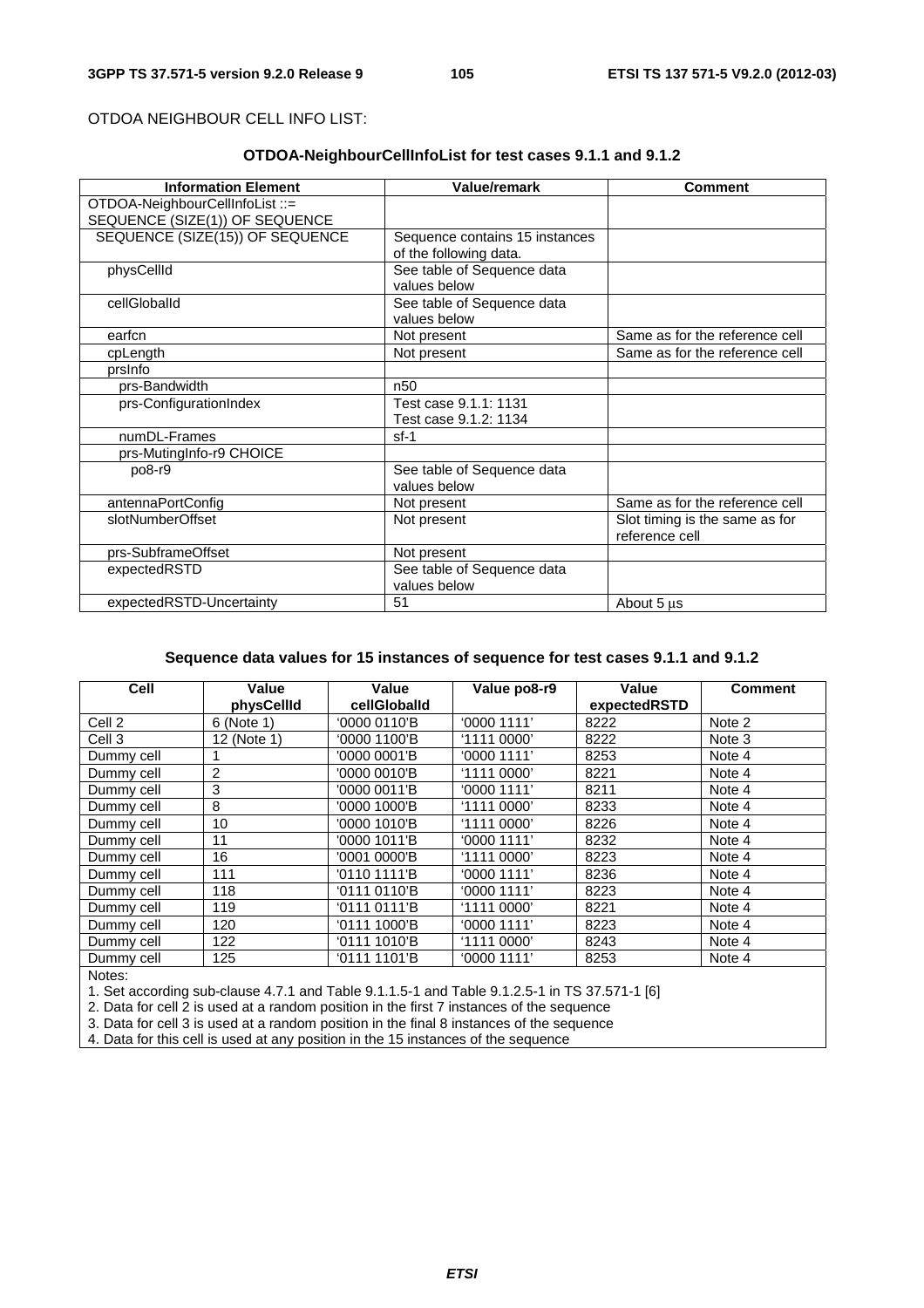#### OTDOA NEIGHBOUR CELL INFO LIST:

# **OTDOA-NeighbourCellInfoList for test cases 9.1.1 and 9.1.2**

| <b>Information Element</b>      | Value/remark                   | <b>Comment</b>                 |
|---------------------------------|--------------------------------|--------------------------------|
| OTDOA-NeighbourCellInfoList ::= |                                |                                |
| SEQUENCE (SIZE(1)) OF SEQUENCE  |                                |                                |
| SEQUENCE (SIZE(15)) OF SEQUENCE | Sequence contains 15 instances |                                |
|                                 | of the following data.         |                                |
| physCellId                      | See table of Sequence data     |                                |
|                                 | values below                   |                                |
| cellGloballd                    | See table of Sequence data     |                                |
|                                 | values below                   |                                |
| earfcn                          | Not present                    | Same as for the reference cell |
| cpLength                        | Not present                    | Same as for the reference cell |
| prsinfo                         |                                |                                |
| prs-Bandwidth                   | n <sub>50</sub>                |                                |
| prs-ConfigurationIndex          | Test case 9.1.1: 1131          |                                |
|                                 | Test case 9.1.2: 1134          |                                |
| numDL-Frames                    | $sf-1$                         |                                |
| prs-MutingInfo-r9 CHOICE        |                                |                                |
| po8-r9                          | See table of Sequence data     |                                |
|                                 | values below                   |                                |
| antennaPortConfig               | Not present                    | Same as for the reference cell |
| slotNumberOffset                | Not present                    | Slot timing is the same as for |
|                                 |                                | reference cell                 |
| prs-SubframeOffset              | Not present                    |                                |
| expectedRSTD                    | See table of Sequence data     |                                |
|                                 | values below                   |                                |
| expectedRSTD-Uncertainty        | 51                             | About 5 µs                     |

# **Sequence data values for 15 instances of sequence for test cases 9.1.1 and 9.1.2**

| <b>Cell</b> | Value<br>physCellId | Value<br>cellGloballd | Value po8-r9 | Value<br>expectedRSTD | <b>Comment</b> |
|-------------|---------------------|-----------------------|--------------|-----------------------|----------------|
| Cell 2      | 6 (Note 1)          | '0000 0110'B          | '00001111'   | 8222                  | Note 2         |
| Cell 3      | 12 (Note 1)         | '0000 1100'B          | '1111 0000'  | 8222                  | Note 3         |
| Dummy cell  |                     | '0000 0001'B          | '00001111'   | 8253                  | Note 4         |
| Dummy cell  | $\overline{2}$      | '0000 0010'B          | '11110000'   | 8221                  | Note 4         |
| Dummy cell  | 3                   | '0000 0011'B          | '0000 1111'  | 8211                  | Note 4         |
| Dummy cell  | 8                   | '0000 1000'B          | '1111 0000'  | 8233                  | Note 4         |
| Dummy cell  | 10                  | '0000 1010'B          | '1111 0000'  | 8226                  | Note 4         |
| Dummy cell  | 11                  | '0000 1011'B          | '00001111'   | 8232                  | Note 4         |
| Dummy cell  | 16                  | '0001 0000'B          | '1111 0000'  | 8223                  | Note 4         |
| Dummy cell  | 111                 | '0110 1111'B          | '0000 1111'  | 8236                  | Note 4         |
| Dummy cell  | 118                 | '0111 0110'B          | '00001111'   | 8223                  | Note 4         |
| Dummy cell  | 119                 | '0111 0111'B          | '1111 0000'  | 8221                  | Note 4         |
| Dummy cell  | 120                 | '0111 1000'B          | '0000 1111'  | 8223                  | Note 4         |
| Dummy cell  | 122                 | '0111 1010'B          | '1111 0000'  | 8243                  | Note 4         |
| Dummy cell  | 125                 | '0111 1101'B          | '0000 1111'  | 8253                  | Note 4         |

Notes:

1. Set according sub-clause 4.7.1 and Table 9.1.1.5-1 and Table 9.1.2.5-1 in TS 37.571-1 [6]

2. Data for cell 2 is used at a random position in the first 7 instances of the sequence

3. Data for cell 3 is used at a random position in the final 8 instances of the sequence

4. Data for this cell is used at any position in the 15 instances of the sequence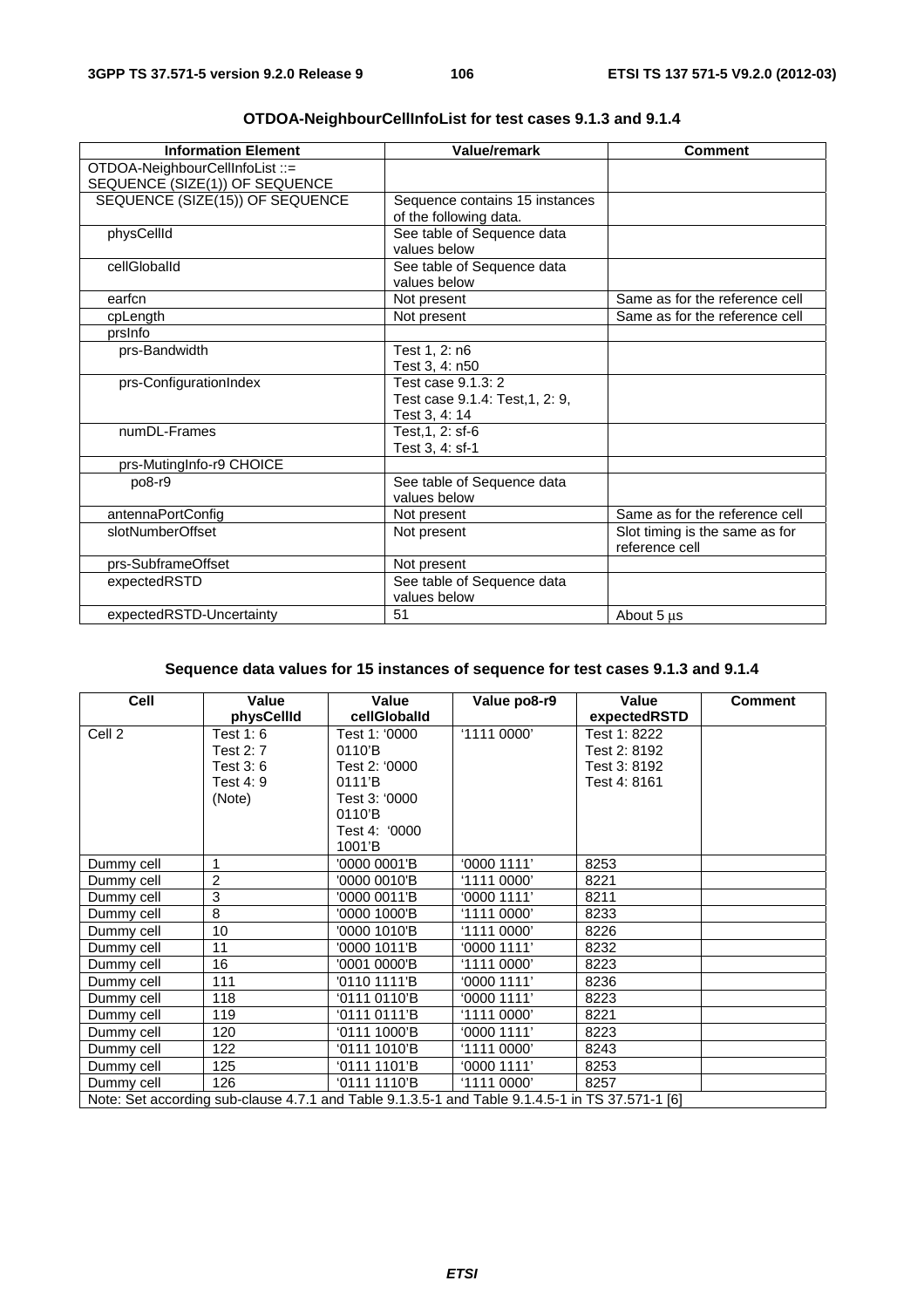| <b>Information Element</b>      | <b>Value/remark</b>             | <b>Comment</b>                 |
|---------------------------------|---------------------------------|--------------------------------|
| OTDOA-NeighbourCellInfoList ::= |                                 |                                |
| SEQUENCE (SIZE(1)) OF SEQUENCE  |                                 |                                |
| SEQUENCE (SIZE(15)) OF SEQUENCE | Sequence contains 15 instances  |                                |
|                                 | of the following data.          |                                |
| physCellId                      | See table of Sequence data      |                                |
|                                 | values below                    |                                |
| cellGloballd                    | See table of Sequence data      |                                |
|                                 | values below                    |                                |
| earfcn                          | Not present                     | Same as for the reference cell |
| cpLength                        | Not present                     | Same as for the reference cell |
| prsinfo                         |                                 |                                |
| prs-Bandwidth                   | Test 1, 2: n6                   |                                |
|                                 | Test 3, 4: n50                  |                                |
| prs-ConfigurationIndex          | Test case 9.1.3: 2              |                                |
|                                 | Test case 9.1.4: Test, 1, 2: 9, |                                |
|                                 | Test 3, 4: 14                   |                                |
| numDL-Frames                    | Test.1, 2: sf-6                 |                                |
|                                 | Test 3, 4: sf-1                 |                                |
| prs-MutingInfo-r9 CHOICE        |                                 |                                |
| po8-r9                          | See table of Sequence data      |                                |
|                                 | values below                    |                                |
| antennaPortConfig               | Not present                     | Same as for the reference cell |
| slotNumberOffset                | Not present                     | Slot timing is the same as for |
|                                 |                                 | reference cell                 |
| prs-SubframeOffset              | Not present                     |                                |
| expectedRSTD                    | See table of Sequence data      |                                |
|                                 | values below                    |                                |
| expectedRSTD-Uncertainty        | 51                              | About 5 us                     |

# **OTDOA-NeighbourCellInfoList for test cases 9.1.3 and 9.1.4**

# **Sequence data values for 15 instances of sequence for test cases 9.1.3 and 9.1.4**

| Cell                                                                                            | Value          | Value                 | Value po8-r9 | Value        | <b>Comment</b> |
|-------------------------------------------------------------------------------------------------|----------------|-----------------------|--------------|--------------|----------------|
|                                                                                                 | physCellId     | cellGloballd          |              | expectedRSTD |                |
| Cell 2                                                                                          | Test $1:6$     | Test 1: '0000         | '1111 0000'  | Test 1: 8222 |                |
|                                                                                                 | Test 2: 7      | 0110'B                |              | Test 2: 8192 |                |
|                                                                                                 | Test 3:6       | Test 2: '0000         |              | Test 3: 8192 |                |
|                                                                                                 | Test 4: 9      | 0111'B                |              | Test 4: 8161 |                |
|                                                                                                 | (Note)         | Test 3: '0000         |              |              |                |
|                                                                                                 |                | 0110'B                |              |              |                |
|                                                                                                 |                | Test 4: '0000         |              |              |                |
|                                                                                                 |                | $1001$ <sup>'</sup> B |              |              |                |
| Dummy cell                                                                                      |                | '0000 0001'B          | '0000 1111'  | 8253         |                |
| Dummy cell                                                                                      | $\overline{2}$ | '0000 0010'B          | '1111 0000'  | 8221         |                |
| Dummy cell                                                                                      | 3              | '0000 0011'B          | '0000 1111'  | 8211         |                |
| Dummy cell                                                                                      | 8              | '0000 1000'B          | '1111 0000'  | 8233         |                |
| Dummy cell                                                                                      | 10             | '0000 1010'B          | '11110000'   | 8226         |                |
| Dummy cell                                                                                      | 11             | '0000 1011'B          | '0000 1111'  | 8232         |                |
| Dummy cell                                                                                      | 16             | '0001 0000'B          | '1111 0000'  | 8223         |                |
| Dummy cell                                                                                      | 111            | '0110 1111'B          | '0000 1111'  | 8236         |                |
| Dummy cell                                                                                      | 118            | '0111 0110'B          | '0000 1111'  | 8223         |                |
| Dummy cell                                                                                      | 119            | '0111 0111'B          | '1111 0000'  | 8221         |                |
| Dummy cell                                                                                      | 120            | '0111 1000'B          | 0000 1111'   | 8223         |                |
| Dummy cell                                                                                      | 122            | '0111 1010'B          | '1111 0000'  | 8243         |                |
| Dummy cell                                                                                      | 125            | '0111 1101'B          | '0000 1111'  | 8253         |                |
| Dummy cell                                                                                      | 126            | '0111 1110'B          | '1111 0000'  | 8257         |                |
| Note: Set according sub-clause 4.7.1 and Table 9.1.3.5-1 and Table 9.1.4.5-1 in TS 37.571-1 [6] |                |                       |              |              |                |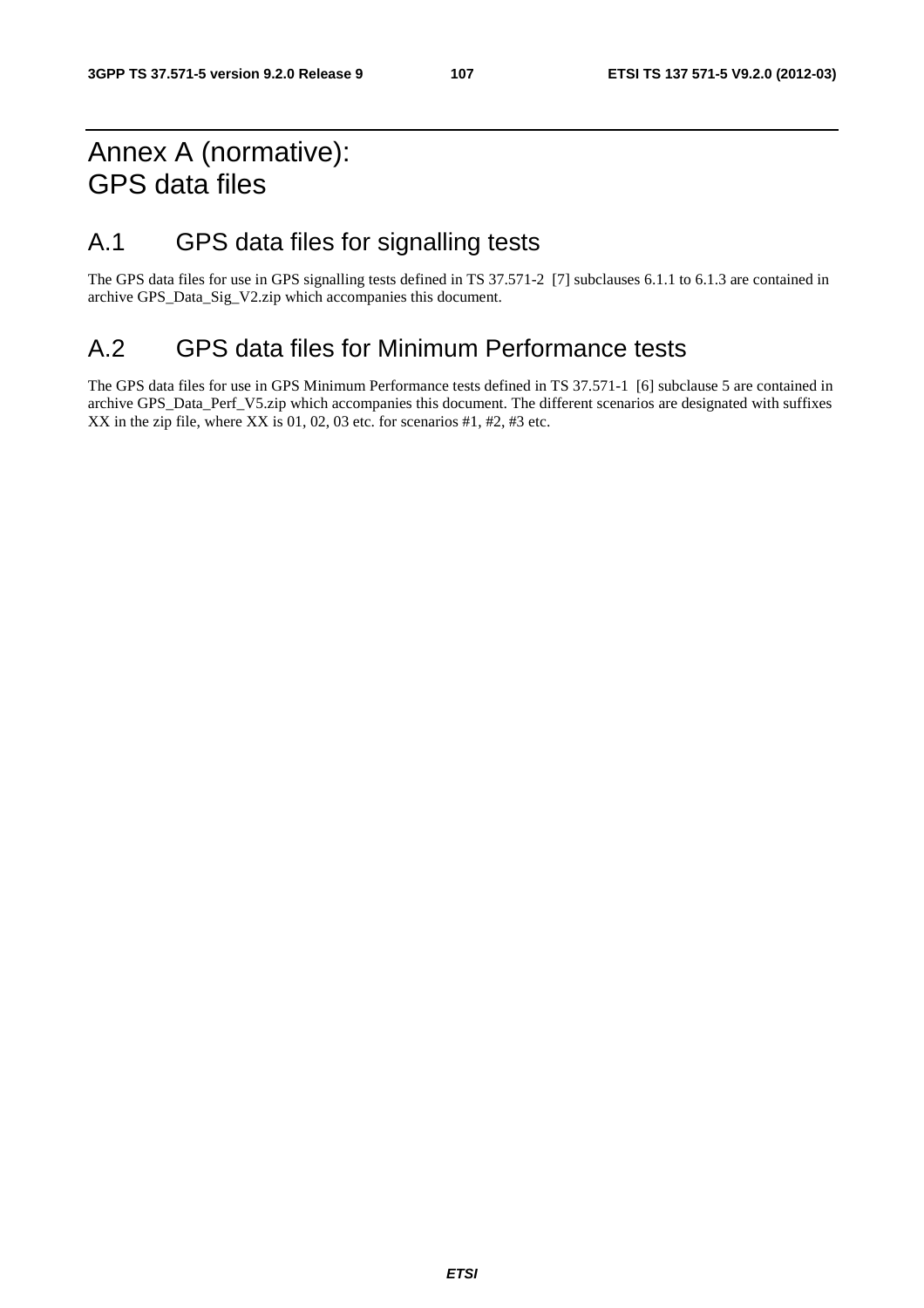# Annex A (normative): GPS data files

# A.1 GPS data files for signalling tests

The GPS data files for use in GPS signalling tests defined in TS 37.571-2 [7] subclauses 6.1.1 to 6.1.3 are contained in archive GPS\_Data\_Sig\_V2.zip which accompanies this document.

# A.2 GPS data files for Minimum Performance tests

The GPS data files for use in GPS Minimum Performance tests defined in TS 37.571-1 [6] subclause 5 are contained in archive GPS\_Data\_Perf\_V5.zip which accompanies this document. The different scenarios are designated with suffixes XX in the zip file, where XX is 01, 02, 03 etc. for scenarios  $#1, #2, #3$  etc.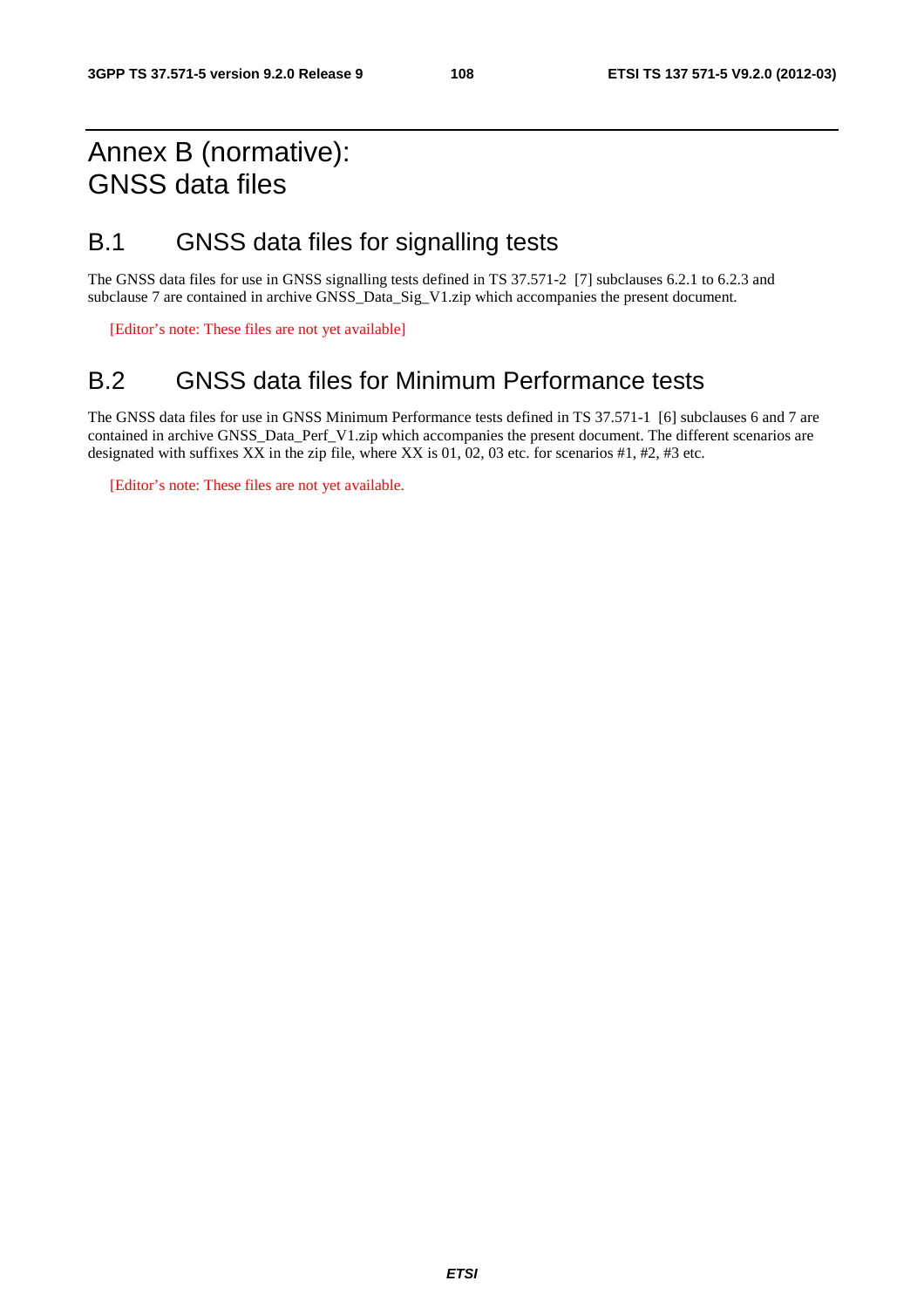## Annex B (normative): GNSS data files

### B.1 GNSS data files for signalling tests

The GNSS data files for use in GNSS signalling tests defined in TS 37.571-2 [7] subclauses 6.2.1 to 6.2.3 and subclause 7 are contained in archive GNSS\_Data\_Sig\_V1.zip which accompanies the present document.

[Editor's note: These files are not yet available]

### B.2 GNSS data files for Minimum Performance tests

The GNSS data files for use in GNSS Minimum Performance tests defined in TS 37.571-1 [6] subclauses 6 and 7 are contained in archive GNSS\_Data\_Perf\_V1.zip which accompanies the present document. The different scenarios are designated with suffixes XX in the zip file, where XX is 01, 02, 03 etc. for scenarios #1, #2, #3 etc.

[Editor's note: These files are not yet available.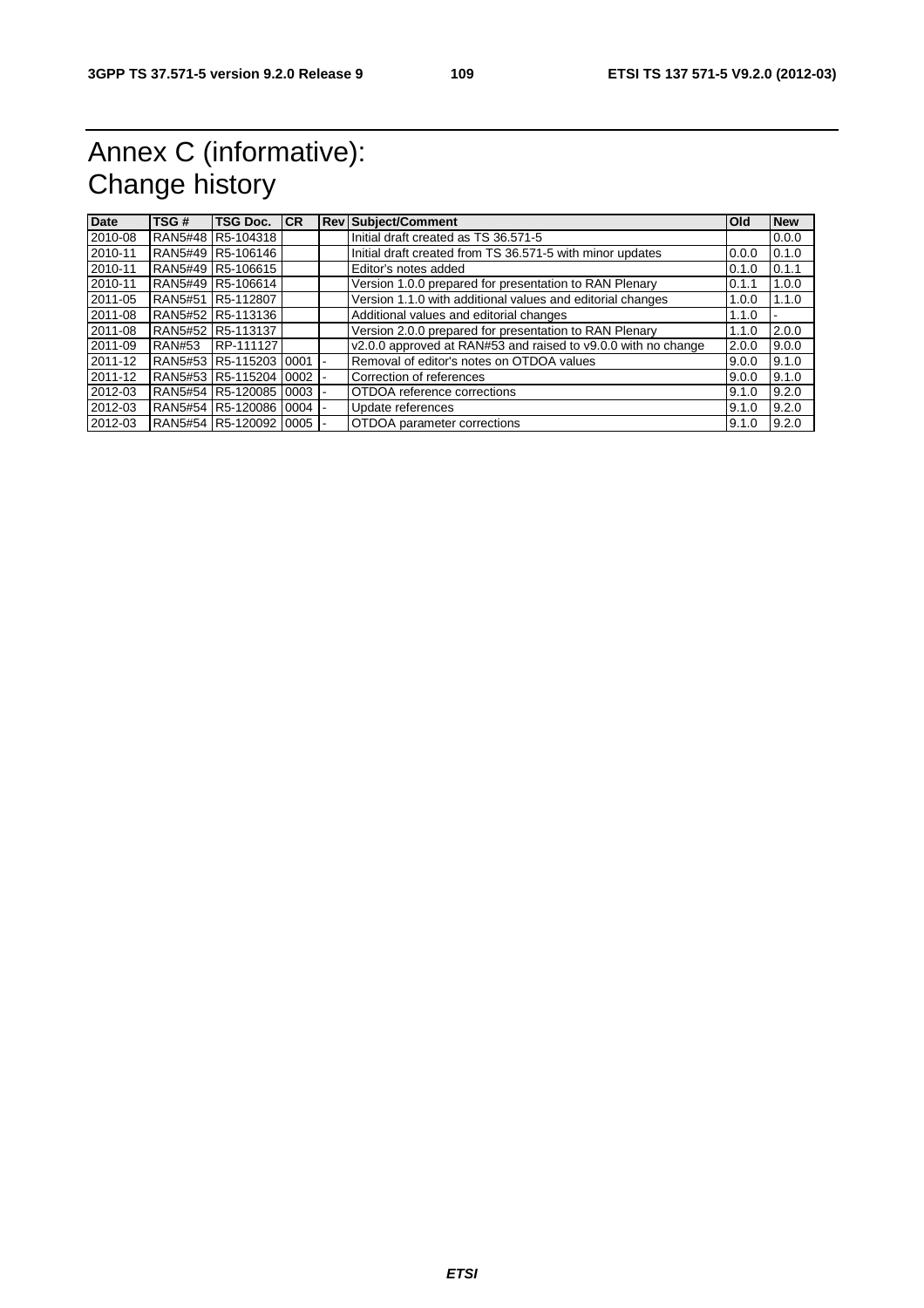## Annex C (informative): Change history

| <b>Date</b> | TSG#          | <b>TSG Doc. ICR</b>         |            | <b>Rev Subject/Comment</b>                                    | <b>Old</b> | <b>New</b> |
|-------------|---------------|-----------------------------|------------|---------------------------------------------------------------|------------|------------|
| 2010-08     |               | RAN5#48 R5-104318           |            | Initial draft created as TS 36.571-5                          |            | 0.0.0      |
| 2010-11     |               | RAN5#49 R5-106146           |            | Initial draft created from TS 36.571-5 with minor updates     | 0.0.0      | 0.1.0      |
| 2010-11     |               | RAN5#49 R5-106615           |            | Editor's notes added                                          | 0.1.0      | 0.1.1      |
| 2010-11     |               | RAN5#49 R5-106614           |            | Version 1.0.0 prepared for presentation to RAN Plenary        | 0.1.1      | 1.0.0      |
| 2011-05     |               | RAN5#51 R5-112807           |            | Version 1.1.0 with additional values and editorial changes    | 1.0.0      | 1.1.0      |
| 2011-08     |               | RAN5#52 R5-113136           |            | Additional values and editorial changes                       | 1.1.0      |            |
| 2011-08     |               | RAN5#52 R5-113137           |            | Version 2.0.0 prepared for presentation to RAN Plenary        | 1.1.0      | 2.0.0      |
| 2011-09     | <b>RAN#53</b> | RP-111127                   |            | v2.0.0 approved at RAN#53 and raised to v9.0.0 with no change | 2.0.0      | 9.0.0      |
| 2011-12     |               | RAN5#53 R5-115203 10001     |            | Removal of editor's notes on OTDOA values                     | 9.0.0      | 9.1.0      |
| 2011-12     |               | RAN5#53 R5-115204 0002 -    |            | Correction of references                                      | 9.0.0      | 9.1.0      |
| 2012-03     |               | RAN5#54 R5-120085           | $0003$ $-$ | OTDOA reference corrections                                   | 9.1.0      | 9.2.0      |
| 2012-03     |               | RAN5#54  R5-120086  0004  - |            | Update references                                             | 9.1.0      | 9.2.0      |
| 2012-03     |               | RAN5#54 R5-120092 10005     |            | OTDOA parameter corrections                                   | 9.1.0      | 9.2.0      |